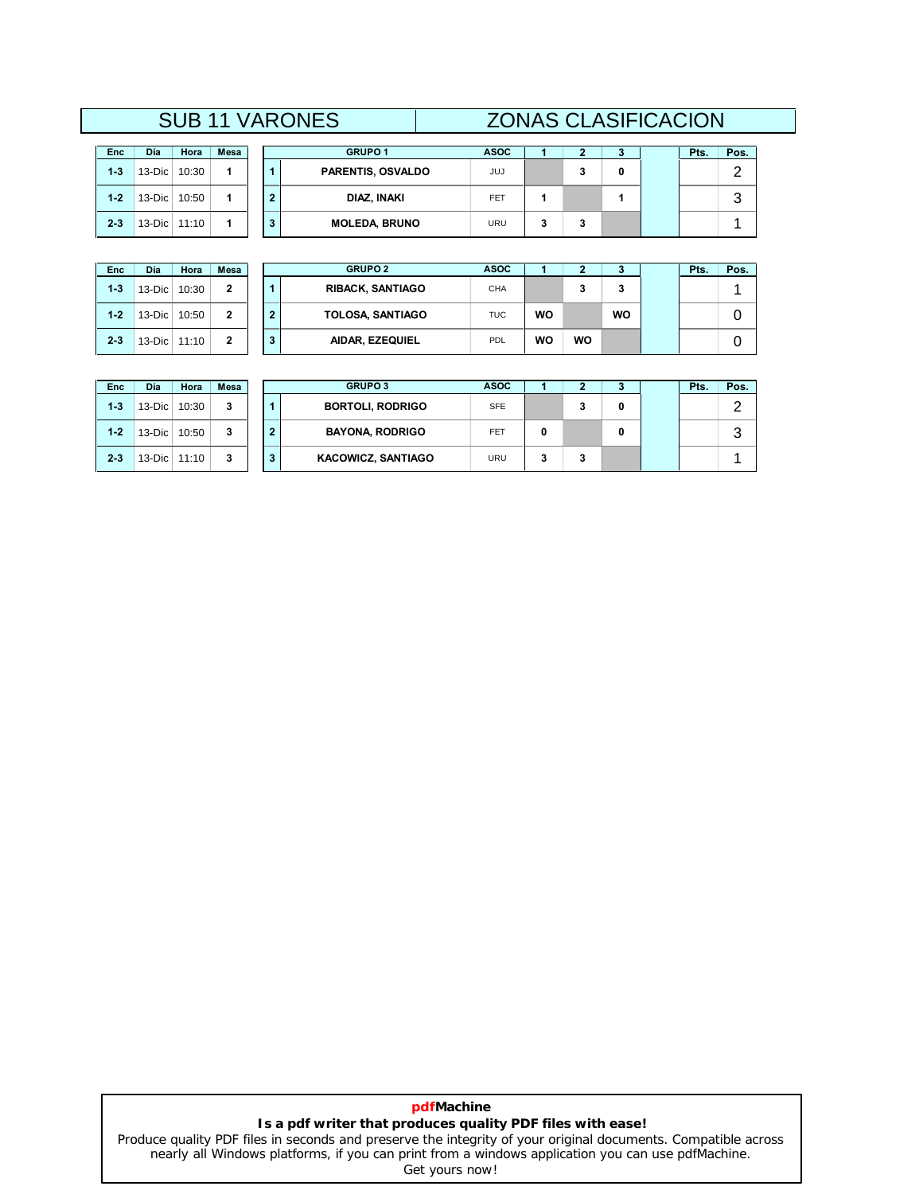# **SUB 11 VARONES <sup>2</sup> <sup>3</sup> Pts. Pos.** SUB 11 VARONES ZONAS CLASIFICACION **<sup>1</sup> ASOC**

| Enc     | Día    | Hora  | Mesa |
|---------|--------|-------|------|
| $1 - 3$ | 13-Dic | 10:30 |      |
| $1 - 2$ | 13-Dic | 10:50 |      |
| $2 - 3$ | 13-Dic | 11:10 |      |

| Día        | Hora  | Mesa |  | <b>GRUPO 1</b>           | <b>ASOC</b> |   |  | Pts. | Pos. |
|------------|-------|------|--|--------------------------|-------------|---|--|------|------|
| 13-Dic $ $ | 10:30 |      |  | <b>PARENTIS, OSVALDO</b> | JUJ         | w |  |      |      |
| 13-Dic $ $ | 10:50 |      |  | DIAZ, INAKI              | <b>FET</b>  |   |  |      | ◡    |
| $13$ -Dic  | 11:10 |      |  | <b>MOLEDA, BRUNO</b>     | URU         | w |  |      |      |

| Enc     | Día    | Hora  | Mesa         |
|---------|--------|-------|--------------|
| $1-3$   | 13-Dic | 10:30 | 2            |
| $1 - 2$ | 13-Dic | 10:50 | $\mathbf{2}$ |
| $2-3$   | 13-Dic | 11:10 | 2            |

 $\mathbb{R}$ 

| Día      | Hora  | <b>Mesa</b>  |  | <b>GRUPO 2</b>          | <b>ASOC</b> |    |    |    | Pts. | Pos. |
|----------|-------|--------------|--|-------------------------|-------------|----|----|----|------|------|
| 13-Dic   | 10:30 | $\mathbf{2}$ |  | <b>RIBACK, SANTIAGO</b> | <b>CHA</b>  |    | J. | 3  |      |      |
| 13-Dic   | 10:50 | $\mathbf{2}$ |  | <b>TOLOSA, SANTIAGO</b> | <b>TUC</b>  | WO |    | wo |      |      |
| $13-Dic$ | 11:10 | $\mathbf{2}$ |  | AIDAR, EZEQUIEL         | <b>PDL</b>  | WO | WO |    |      |      |

| <b>Enc</b> | Día          | Hora  | Mesa |   | <b>GRUPO 3</b>            | <b>ASOC</b> |   |   |   | Pts. | Pos.       |
|------------|--------------|-------|------|---|---------------------------|-------------|---|---|---|------|------------|
| $1 - 3$    | $13-Dic$     | 10:30 | 3    |   | <b>BORTOLI, RODRIGO</b>   | <b>SFE</b>  |   | 3 | 0 |      | $\sqrt{2}$ |
| $1 - 2$    | $13-Dic$     | 10:50 | 3    | 2 | <b>BAYONA, RODRIGO</b>    | <b>FET</b>  | 0 |   | 0 |      | ◠          |
| $2 - 3$    | 13-Dic 11:10 |       | 3    | 3 | <b>KACOWICZ, SANTIAGO</b> | <b>URU</b>  | 3 | 3 |   |      |            |

# **pdfMachine Is a pdf writer that produces quality PDF files with ease!**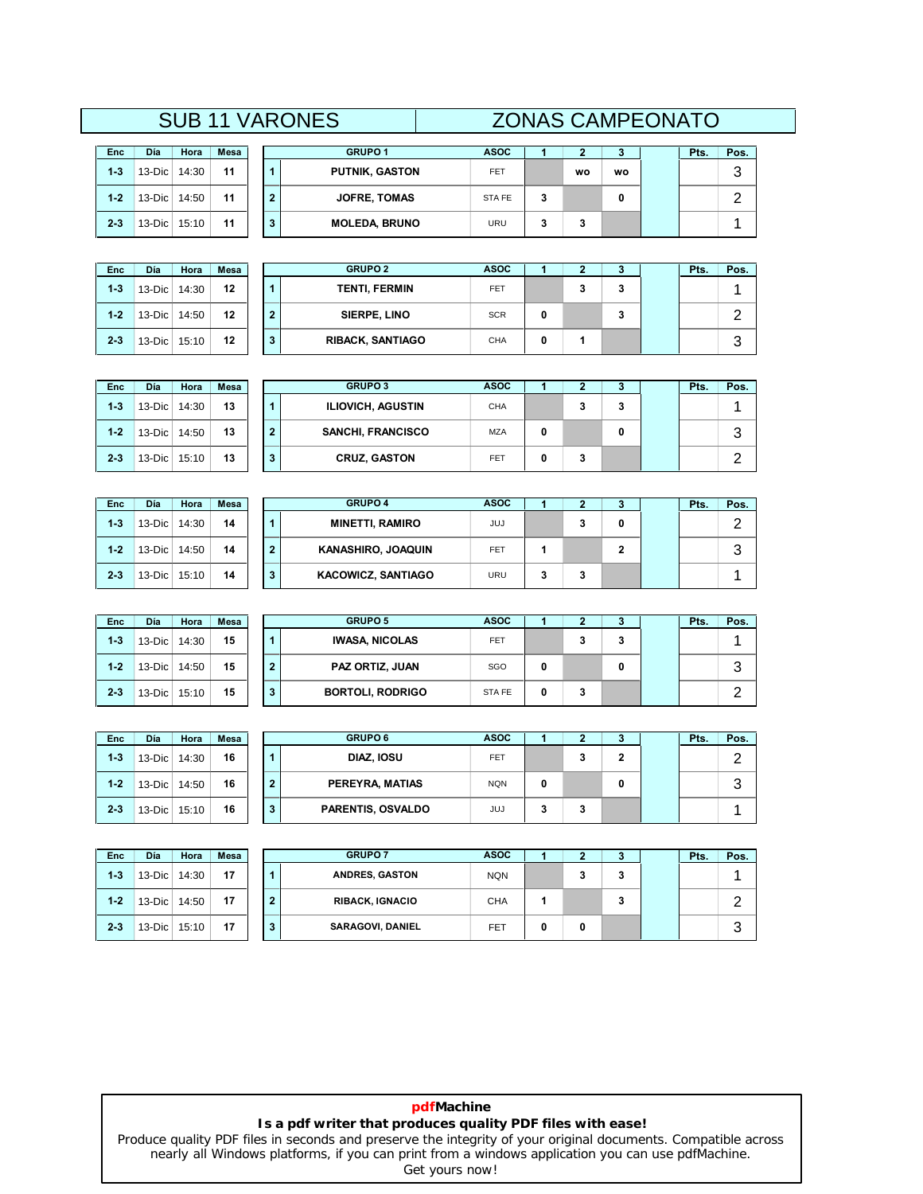# **SUB 11 VARONES**<br> **a Hora Mesa**<br> **Dic 14:30 11 1 PI <sup>2</sup> <sup>3</sup> Pts. Pos.** SUB 11 VARONES ZONAS CAMPEONATO

| Enc     | Día    | Hora  | Mesa |
|---------|--------|-------|------|
| $1 - 3$ | 13-Dic | 14:30 | 11   |
| $1 - 2$ | 13-Dic | 14:50 | 11   |
| $2-3$   | 13-Dic | 15:10 | 11   |

| Enc     | Día    | Hora  | Mesa |
|---------|--------|-------|------|
| $1 - 3$ | 13-Dic | 14:30 | 12   |
| $1 - 2$ | 13-Dic | 14:50 | 12   |
| $2-3$   | 13-Dic | 15:10 | 12   |

**2-3**

 $2 - 3$ 

**1-2**

**1-3**

**2-3**

 $2 - 3$ 

**1-2**

**1-3**

|            |       |      |  | <b>UUD II VARUURLU</b> |             |   |           |    | LUITAU UAINI LUITATU |      |  |
|------------|-------|------|--|------------------------|-------------|---|-----------|----|----------------------|------|--|
|            |       |      |  |                        |             |   |           |    |                      |      |  |
| Día        | Hora  | Mesa |  | <b>GRUPO 1</b>         | <b>ASOC</b> |   |           |    | Pts.                 | Pos. |  |
| 13-Dic $ $ | 14:30 | 11   |  | <b>PUTNIK, GASTON</b>  | <b>FET</b>  |   | <b>WO</b> | wo |                      | ົ    |  |
| 13-Dic $ $ | 14:50 | 11   |  | <b>JOFRE, TOMAS</b>    | STA FE      | 3 |           |    |                      |      |  |
| 13-Dic     | 15:10 | 11   |  | <b>MOLEDA, BRUNO</b>   | URU         | 3 | 3         |    |                      |      |  |

| Día        | Hora  | <b>Mesa</b> |  | <b>GRUPO 2</b>          | <b>ASOC</b> |   |   |   | Pts. | Pos.   |
|------------|-------|-------------|--|-------------------------|-------------|---|---|---|------|--------|
| 13-Dic     | 14:30 | 12          |  | <b>TENTI, FERMIN</b>    | <b>FET</b>  |   | 3 | 3 |      |        |
| 13-Dic     | 14:50 | 12          |  | SIERPE, LINO            | <b>SCR</b>  | 0 |   | a |      | ┍      |
| 13-Dic $ $ | 15:10 | 12          |  | <b>RIBACK, SANTIAGO</b> | <b>CHA</b>  | 0 |   |   |      | ◠<br>J |

| Enc     | Día       | Hora  | <b>Mesa</b> |   | <b>GRUPO 3</b>           | <b>ASOC</b> |   | ∍       | J. | Pts. | Pos.    |
|---------|-----------|-------|-------------|---|--------------------------|-------------|---|---------|----|------|---------|
| $1 - 3$ | $13$ -Dic | 14:30 | 13          |   | <b>ILIOVICH, AGUSTIN</b> | CHA         |   | ◠<br>J. | 3  |      |         |
| $1 - 2$ | $13$ -Dic | 14:50 | 13          | 2 | <b>SANCHI, FRANCISCO</b> | <b>MZA</b>  | 0 |         | 0  |      | -2<br>ت |
| $2 - 3$ | $13$ -Dic | 15:10 | 13          | 3 | <b>CRUZ, GASTON</b>      | <b>FET</b>  | 0 | ∍<br>۰  |    |      | ◠       |

| <b>Enc</b> | Día      | Hora  | <b>Mesa</b> |   | <b>GRUPO 4</b>            | <b>ASOC</b> |   |   | J. | Pts. | Pos.   |
|------------|----------|-------|-------------|---|---------------------------|-------------|---|---|----|------|--------|
| $1 - 3$    | $13-Dic$ | 14:30 | 14          |   | <b>MINETTI, RAMIRO</b>    | JUJ         |   | a | 0  |      | ◠      |
| $1 - 2$    | $13-Dic$ | 14:50 | 14          | 2 | KANASHIRO, JOAQUIN        | <b>FET</b>  |   |   | 2  |      | 2<br>J |
| $2 - 3$    | $13-Dic$ | 15:10 | 14          | 3 | <b>KACOWICZ, SANTIAGO</b> | URU         | з | a |    |      |        |

| Día       | Hora  | Mesa |   | <b>GRUPO 5</b>          | <b>ASOC</b>  |   |   |   | Pts. | Pos. |
|-----------|-------|------|---|-------------------------|--------------|---|---|---|------|------|
| $13$ -Dic | 14:30 | 15   |   | <b>IWASA, NICOLAS</b>   | <b>FET</b>   |   | 3 | 3 |      |      |
| $13-Dic$  | 14:50 | 15   |   | PAZ ORTIZ, JUAN         | SGO          | 0 |   | 0 |      | 3    |
| 13-Dic    | 15:10 | 15   | 3 | <b>BORTOLI, RODRIGO</b> | <b>STAFE</b> | 0 | 3 |   |      | っ    |
|           |       |      |   |                         |              |   |   |   |      |      |
| Día       | Hora  | Mesa |   | <b>GRUPO 6</b>          | <b>ASOC</b>  |   |   |   | Pts. | Pos. |

| <b>Enc</b> | Día            | Hora  | Mesa |   | <b>GRUPO 6</b>    | <b>ASOC</b> |   |
|------------|----------------|-------|------|---|-------------------|-------------|---|
| $1 - 3$    | 13-Dic $\vert$ | 14:30 | 16   |   | DIAZ, IOSU        | <b>FET</b>  |   |
| $1 - 2$    | $13-Dic$       | 14:50 | 16   | 2 | PEREYRA, MATIAS   | <b>NQN</b>  | 0 |
| $2 - 3$    | 13-Dic 15:10   |       | 16   | 3 | PARENTIS, OSVALDO | JUJ         | 3 |

| $13$ -Dic | 14:50 | 16   | $\overline{2}$ | PEREYRA, MATIAS          | <b>NQN</b>  | 0 |    | 0 |      | 3    |
|-----------|-------|------|----------------|--------------------------|-------------|---|----|---|------|------|
| 13-Dic    | 15:10 | 16   | 3              | <b>PARENTIS, OSVALDO</b> | JUJ         | 3 | 3  |   |      |      |
|           |       |      |                |                          |             |   |    |   |      |      |
| Día       | Hora  | Mesa |                | <b>GRUPO 7</b>           | <b>ASOC</b> |   | г, |   | Pts. | Pos. |
| 13-Dic    | 14:30 | 17   |                | <b>ANDRES, GASTON</b>    | <b>NQN</b>  |   | 3  | 3 |      |      |
| $13$ -Dic | 14:50 | 17   |                | <b>RIBACK, IGNACIO</b>   | <b>CHA</b>  | 1 |    | 3 |      | っ    |
| 13-Dic    | 15:10 | 17   | 3              | <b>SARAGOVI, DANIEL</b>  | FET         | 0 | 0  |   |      | 3    |

 $\begin{array}{c} 3 \\ 2 \end{array}$ 

**3**

 $\mathbf 3$ 

2

## **pdfMachine Is a pdf writer that produces quality PDF files with ease!**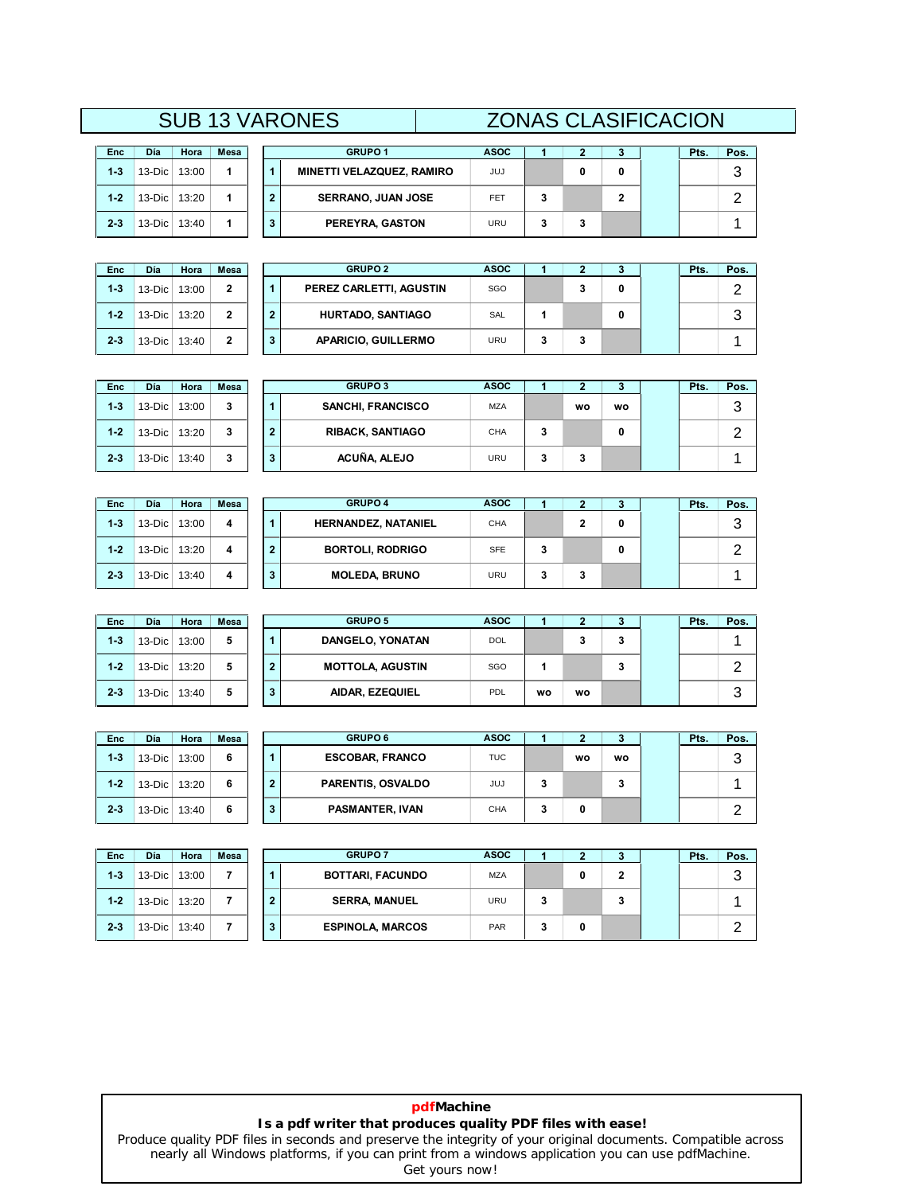# **<sup>2</sup> <sup>3</sup> Pts. Pos.** SUB 13 VARONES ZONAS CLASIFICACION **<sup>1</sup> ASOC**

| <b>SUB 13 VARONES</b> |              |      |       |          |         |
|-----------------------|--------------|------|-------|----------|---------|
|                       |              |      |       |          |         |
|                       |              | Mesa | Hora  | Día      | Enc     |
| <b>MINETTI</b>        | 1            |      | 13:00 | 13-Dic   | $1 - 3$ |
| <b>SERI</b>           | $\mathbf{2}$ | 1    | 13:20 | $13-Dic$ | $1 - 2$ |
| PEI                   | 3            | 1    | 13:40 | $13-Dic$ | $2 - 3$ |

| Enc     | Día      | Hora  | Mesa |
|---------|----------|-------|------|
| $1 - 3$ | $13-Dic$ | 13:00 | 2    |
| $1 - 2$ | $13-Dic$ | 13:20 | 2    |
| $2-3$   | 13-Dic   | 13:40 | 2    |

| Día        | Hora  | Mesa |  | <b>GRUPO 1</b>            | <b>ASOC</b> |  |  | Pts. | Pos. |
|------------|-------|------|--|---------------------------|-------------|--|--|------|------|
| 13-Dic $ $ | 13:00 |      |  | MINETTI VELAZQUEZ, RAMIRO | JUJ         |  |  |      | ື    |
| 13-Dic $ $ | 13:20 |      |  | <b>SERRANO, JUAN JOSE</b> | FET         |  |  |      |      |
| 13-Dic     | 13:40 |      |  | PEREYRA, GASTON           | URU         |  |  |      |      |

| Día        | Hora  | <b>Mesa</b>    |  | <b>GRUPO 2</b>             | <b>ASOC</b> |   |   |  | Pts. | Pos.   |
|------------|-------|----------------|--|----------------------------|-------------|---|---|--|------|--------|
| 13-Dic     | 13:00 | $\mathbf{2}$   |  | PEREZ CARLETTI, AGUSTIN    | SGO         |   | 3 |  |      |        |
| 13-Dic $ $ | 13:20 | $\overline{2}$ |  | HURTADO, SANTIAGO          | SAL         |   |   |  |      | ◠<br>w |
| 13-Dic     | 13:40 | $\mathbf{2}$   |  | <b>APARICIO, GUILLERMO</b> | URU         | 3 | 3 |  |      |        |

| <b>Enc</b> | <b>D</b> ía | Hora  | <b>Mesa</b> |                | <b>GRUPO 3</b>           | <b>ASOC</b> |    |    | 3  | Pts. | Pos. |
|------------|-------------|-------|-------------|----------------|--------------------------|-------------|----|----|----|------|------|
| $1 - 3$    | $13$ -Dic   | 13:00 | 3           |                | <b>SANCHI, FRANCISCO</b> | <b>MZA</b>  |    | wo | wo |      | 3    |
| $1 - 2$    | $13-Dic$    | 13:20 | 3           | $\overline{2}$ | <b>RIBACK, SANTIAGO</b>  | CHA         | ٠J |    | 0  |      | ◠    |
| $2 - 3$    | $13-Dic$    | 13:40 | 3           | 3              | ACUÑA, ALEJO             | URU         | 3  | 3  |    |      |      |

| Enc     | Día      | Hora  | <b>Mesa</b> |                | <b>GRUPO 4</b>             | <b>ASOC</b> |   | ∍ | з | Pts. | Pos. |
|---------|----------|-------|-------------|----------------|----------------------------|-------------|---|---|---|------|------|
| $1 - 3$ | $13-Dic$ | 13:00 | 4           |                | <b>HERNANDEZ, NATANIEL</b> | <b>CHA</b>  |   | ົ | 0 |      | 3    |
| $1 - 2$ | $13-Dic$ | 13:20 | 4           | $\overline{2}$ | <b>BORTOLI, RODRIGO</b>    | <b>SFE</b>  | 3 |   | 0 |      | ົ    |
| $2 - 3$ | $13-Dic$ | 13:40 | 4           | 3              | <b>MOLEDA, BRUNO</b>       | <b>URU</b>  | 3 | 3 |   |      |      |

| <b>Enc</b> | Día          | Hora  | <b>Mesa</b> |   | <b>GRUPO 5</b>          | <b>ASOC</b> |    |    | J. | Pts. | Pos. |
|------------|--------------|-------|-------------|---|-------------------------|-------------|----|----|----|------|------|
| $1 - 3$    | $13-Dic$     | 13:00 | 5           |   | DANGELO, YONATAN        | <b>DOL</b>  |    |    | 3  |      |      |
| $1 - 2$    | 13-Dic 13:20 |       | 5           | 2 | <b>MOTTOLA, AGUSTIN</b> | SGO         |    |    | 3  |      | ◠    |
| $2 - 3$    | 13-Dic 13:40 |       | 5           | 3 | AIDAR, EZEQUIEL         | PDL         | wo | wo |    |      | 3    |

| Enc     | Día    | Hora  | Mesa |
|---------|--------|-------|------|
| $1-3$   | 13-Dic | 13:00 | 6    |
| $1 - 2$ | 13-Dic | 13:20 | 6    |
| $2-3$   | 13-Dic | 13:40 | 6    |

| Día        | Hora  | Mesa |  | <b>GRUPO 6</b>           | <b>ASOC</b> |   |    |    | Pts. | Pos.   |
|------------|-------|------|--|--------------------------|-------------|---|----|----|------|--------|
| 13-Dic     | 13:00 | 6    |  | <b>ESCOBAR, FRANCO</b>   | <b>TUC</b>  |   | wo | wo |      | ≏<br>J |
| $13-Dic$   | 13:20 | 6    |  | <b>PARENTIS, OSVALDO</b> | JUJ         | 3 |    | 3  |      |        |
| 13-Dic $ $ | 13:40 | 6    |  | <b>PASMANTER, IVAN</b>   | <b>CHA</b>  | 3 | 0  |    |      |        |

| Enc     | Día    | Hora  | Mesa |
|---------|--------|-------|------|
| $1 - 3$ | 13-Dic | 13:00 | 7    |
| $1-2$   | 13-Dic | 13:20 | 7    |
| $2 - 3$ | 13-Dic | 13:40 |      |

| Día       | Hora  | Mesa |  | <b>GRUPO 7</b>          | <b>ASOC</b> |   |   |   | Pts. | Pos.   |
|-----------|-------|------|--|-------------------------|-------------|---|---|---|------|--------|
| $13-Dic$  | 13:00 | 7    |  | <b>BOTTARI, FACUNDO</b> | <b>MZA</b>  |   | 0 |   |      | ◠<br>w |
| $13$ -Dic | 13:20 | 7    |  | <b>SERRA, MANUEL</b>    | <b>URU</b>  | 3 |   | a |      |        |
| $13-Dic$  | 13:40 |      |  | <b>ESPINOLA, MARCOS</b> | PAR         | 3 | 0 |   |      |        |

# **pdfMachine Is a pdf writer that produces quality PDF files with ease!**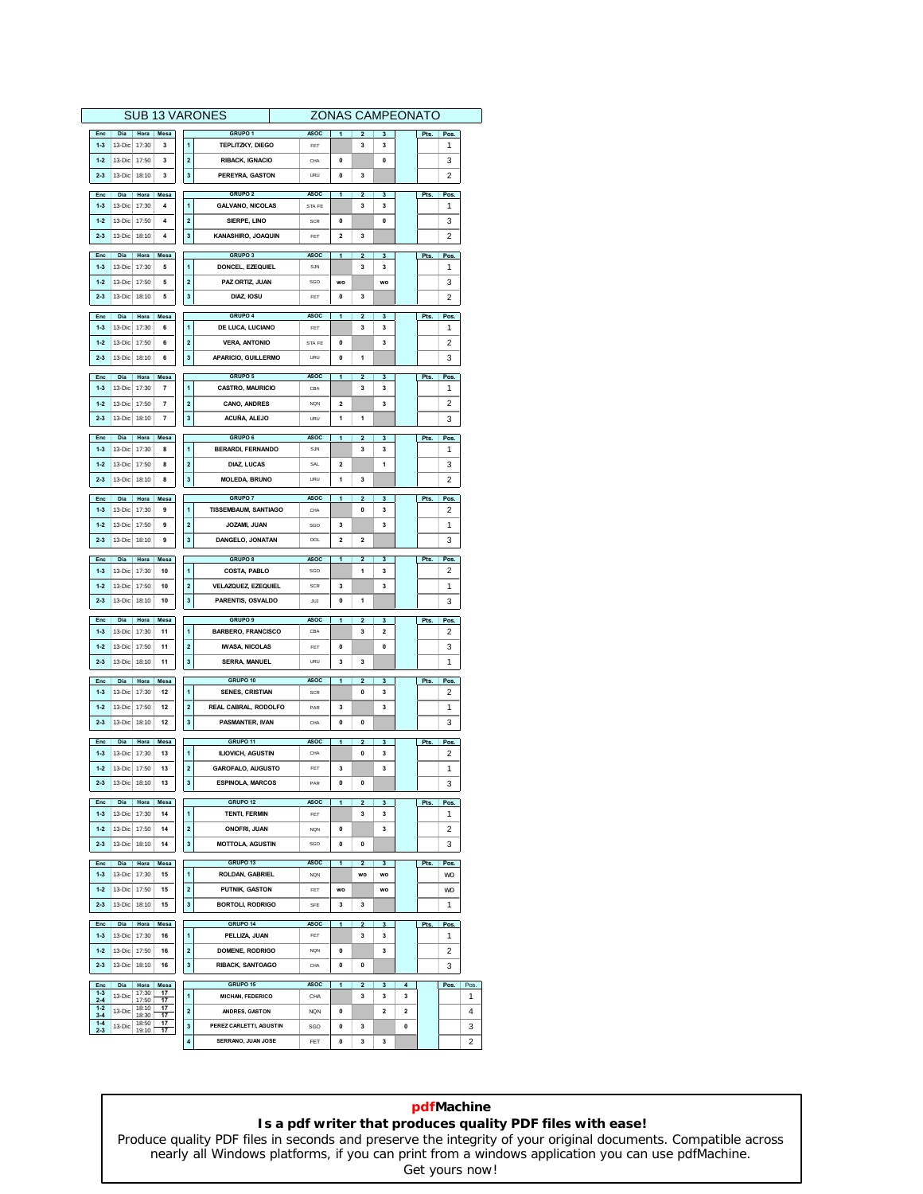| <b>SUB 13 VARONES</b>                                                                                                                           | <b>ZONAS CAMPEONATO</b>                            |                |              |      |                |                        |
|-------------------------------------------------------------------------------------------------------------------------------------------------|----------------------------------------------------|----------------|--------------|------|----------------|------------------------|
| GRUPO <sub>1</sub>                                                                                                                              |                                                    |                |              |      |                |                        |
| Enc<br>Dia<br><b>ASOC</b><br>Hora<br>Mesa<br>$1 - 3$<br>13-Dic<br>17:30<br>3<br>1<br><b>TEPLITZKY, DIEGO</b><br>FET                             | $\overline{\mathbf{2}}$<br>3                       | 3              |              | Pts. | Pos.<br>1      |                        |
|                                                                                                                                                 |                                                    | $\mathbf{0}$   |              |      |                |                        |
| $\overline{\mathbf{2}}$<br>17:50<br><b>RIBACK, IGNACIO</b><br>$1 - 2$<br>13-Dic<br>3<br>CHA                                                     | 0                                                  |                |              |      | 3              |                        |
| 3<br>PEREYRA, GASTON<br>$2 - 3$<br>13-Dic<br>18:10<br>3<br>URU                                                                                  | $\mathbf{0}$<br>3                                  |                |              |      | 2              |                        |
| GRUPO <sub>2</sub><br>Enc<br>Dia<br>Hora<br>Mesa<br><b>ASOC</b>                                                                                 | $\overline{1}$<br>$\mathbf 2$                      | 3              |              | Pts. | <b>Pos</b>     |                        |
| $1 - 3$<br>13-Dic<br>17:30<br>4<br>1<br><b>GALVANO, NICOLAS</b><br>STA FE                                                                       | 3                                                  | 3              |              |      | 1              |                        |
| $\overline{2}$<br>$1 - 2$<br>13-Dic<br>17:50<br>4<br>SIERPE, LINO<br><b>SCR</b>                                                                 | $\mathbf{0}$                                       | $\Omega$       |              |      | 3              |                        |
| 3<br>$2 - 3$<br>13-Dic<br>18:10<br>4<br>KANASHIRO, JOAQUIN<br>FET                                                                               | $\overline{\mathbf{2}}$<br>3                       |                |              |      | $\overline{2}$ |                        |
|                                                                                                                                                 |                                                    |                |              |      |                |                        |
| <b>GRUPO 3</b><br><b>ASOC</b><br>Mesa<br>Enc<br>Dia<br>Hora                                                                                     | 1<br>$\overline{2}$                                | 3              |              | Pts. | Pos.           |                        |
| 13-Dic<br>17:30<br>1<br>DONCEL, EZEQUIEL<br>$1 - 3$<br>5<br>SJN                                                                                 | 3                                                  | 3              |              |      | 1              |                        |
| 17:50<br>$\overline{\mathbf{2}}$<br>PAZ ORTIZ. JUAN<br>$1 - 2$<br>13-Dic<br>5<br>SGO                                                            | <b>WO</b>                                          | <b>WO</b>      |              |      | 3              |                        |
| $2 - 3$<br>13-Dic<br>18:10<br>5<br>3<br>DIAZ, IOSU<br>FET                                                                                       | $\mathbf{0}$<br>3                                  |                |              |      | 2              |                        |
|                                                                                                                                                 |                                                    |                |              |      |                |                        |
| <b>GRUPO 4</b><br>Enc<br>Día<br>Hora  <br>Mesa<br><b>ASOC</b>                                                                                   | $\overline{1}$<br>$\overline{2}$                   | 3              |              | Pts. | Pos.           |                        |
| 17:30<br>1<br>DE LUCA, LUCIANO<br>$1 - 3$<br>13-Dic<br>6<br>FET                                                                                 | 3                                                  | 3              |              |      | 1              |                        |
| $\overline{\mathbf{2}}$<br>$1 - 2$<br>13-Dic<br>17:50<br><b>VERA, ANTONIO</b><br>6<br>STA FE                                                    | $\mathbf{0}$                                       | 3              |              |      | $\overline{2}$ |                        |
| 3<br>$2 - 3$<br>13-Dic<br>18:10<br>6<br>APARICIO, GUILLERMO<br>URU                                                                              | $\mathbf{0}$<br>1                                  |                |              |      | 3              |                        |
|                                                                                                                                                 |                                                    |                |              |      |                |                        |
| <b>GRUPO 5</b><br><b>ASOC</b><br>Enc<br>Dia<br>Hora Mesa<br>$\blacksquare$<br>$1 - 3$<br>13-Dic<br>17:30<br><b>CASTRO, MAURICIO</b><br>7<br>CBA | 1<br>$\overline{2}$<br>3                           | 3<br>3         |              | Pts. | Pos.<br>1      |                        |
|                                                                                                                                                 |                                                    |                |              |      |                |                        |
| 2<br>$1 - 2$<br>13-Dic<br>17:50<br>7<br><b>CANO, ANDRES</b><br><b>NON</b>                                                                       | $\overline{2}$                                     | 3              |              |      | 2              |                        |
| 3<br>$\overline{7}$<br>ACUÑA, ALEJO<br>$2 - 3$<br>13-Dic<br>18:10<br>URU                                                                        | 1<br>1                                             |                |              |      | 3              |                        |
| Enc<br>Dia<br>Hora<br>Mesa<br>GRUPO 6<br><b>ASOC</b>                                                                                            | 1<br>2                                             | 3              |              | Pts. | Pos.           |                        |
| 1<br>$1 - 3$<br>13-Dic<br>17:30<br>8<br><b>BERARDI, FERNANDO</b><br>SJN                                                                         | 3                                                  | 3              |              |      | 1              |                        |
| 17:50<br>2<br>$1 - 2$<br>13-Dic<br>8<br>DIAZ, LUCAS<br>SAL                                                                                      | $\overline{2}$                                     | 1              |              |      | 3              |                        |
|                                                                                                                                                 |                                                    |                |              |      |                |                        |
| 3<br>13-Dic<br>8<br><b>MOLEDA, BRUNO</b><br>$2 - 3$<br>18:10<br><b>URU</b>                                                                      | 1<br>3                                             |                |              |      | 2              |                        |
| <b>GRUPO 7</b><br><b>ASOC</b><br>Enc<br>Día<br>Hora<br>Mesa                                                                                     | 1<br>2                                             | 3              |              | Pts. | <b>Pos</b>     |                        |
| <b>TISSEMBAUM, SANTIAGO</b><br>$1 - 3$<br>13-Dic<br>17:30<br>9<br>1<br>CHA                                                                      | $\mathbf 0$                                        | 3              |              |      | $\overline{2}$ |                        |
| $\overline{\mathbf{2}}$<br>$1 - 2$<br>13-Dic<br>17:50<br>9<br>JOZAMI, JUAN<br>SGO                                                               | 3                                                  | 3              |              |      | 1              |                        |
|                                                                                                                                                 |                                                    |                |              |      |                |                        |
|                                                                                                                                                 |                                                    |                |              |      |                |                        |
| 3<br>13-Dic<br>DANGELO, JONATAN<br>$2 - 3$<br>18:10<br>9<br><b>DOL</b>                                                                          | $\overline{\mathbf{2}}$<br>$\overline{\mathbf{2}}$ |                |              |      | 3              |                        |
| Enc<br>Día<br>Hora<br>Mesa<br><b>GRUPO 8</b><br><b>ASOC</b>                                                                                     | 2<br>1                                             | 3              |              | Pts. | <b>Pos</b>     |                        |
| 1<br>$1 - 3$<br>13-Dic<br>17:30<br>10<br><b>COSTA, PABLO</b><br>SGO                                                                             | 1                                                  | 3              |              |      | 2              |                        |
| $1 - 2$<br>13-Dic<br>17:50<br>10<br>2<br><b>VELAZQUEZ, EZEQUIEL</b><br>SCR                                                                      | 3                                                  | 3              |              |      | 1              |                        |
| 3<br>PARENTIS, OSVALDO<br>$2 - 3$<br>13-Dic<br>18:10<br>10<br><b>JUJ</b>                                                                        | $\mathbf{0}$<br>1                                  |                |              |      | 3              |                        |
|                                                                                                                                                 |                                                    |                |              |      |                |                        |
| Dia<br>Hora<br><b>GRUPO 9</b><br><b>ASOC</b><br>Enc<br>Mesa                                                                                     | $\overline{1}$<br>$\mathbf 2$                      | 3              |              | Pts. | Pos.           |                        |
| $1 - 3$<br>13-Dic<br>17:30<br>11<br>1<br><b>BARBERO, FRANCISCO</b><br>CBA                                                                       | 3                                                  | 2              |              |      | 2              |                        |
| $\overline{\mathbf{2}}$<br>17:50<br><b>IWASA, NICOLAS</b><br>$1 - 2$<br>13-Dic<br>11<br>FET                                                     | 0                                                  | $\Omega$       |              |      | 3              |                        |
| 3<br>$2 - 3$<br>13-Dic<br>18:10<br>11<br><b>SERRA, MANUEL</b><br>URU                                                                            | 3<br>3                                             |                |              |      | 1              |                        |
|                                                                                                                                                 |                                                    |                |              |      |                |                        |
| GRUPO 10<br>Enc<br>Dia<br>Hora<br>Mesa<br><b>ASOC</b><br>17:30<br>SCR                                                                           | 1<br>2<br>$\mathbf 0$                              | 3              |              | Pts. | Pos.           |                        |
| $1 - 3$<br>13-Dic<br>12<br>1<br><b>SENES, CRISTIAN</b>                                                                                          |                                                    | 3              |              |      | 2              |                        |
| $\overline{\mathbf{2}}$<br>17:50<br>REAL CABRAL, RODOLFO<br>$1 - 2$<br>13-Dic<br>12<br>PAR                                                      | 3                                                  | 3              |              |      | 1              |                        |
| 3<br>$2 - 3$<br>13-Dic<br>18:10<br>12<br>PASMANTER, IVAN<br>CHA                                                                                 | 0<br>$\mathbf{0}$                                  |                |              |      | 3              |                        |
| GRUPO <sub>11</sub><br><b>ASOC</b><br>Dia<br>Enc<br>Hora Mesa                                                                                   | $\overline{1}$<br>$\mathbf 2$                      | 3              |              | Pts. | Pos.           |                        |
| $1 - 3$<br>$13-Dic$<br>17:30<br>13<br>1<br><b>ILIOVICH, AGUSTIN</b><br>CHA                                                                      | 0                                                  | 3              |              |      | 2              |                        |
| $1 - 2$<br>$\overline{\mathbf{2}}$<br>13-Dic<br>17:50<br>13<br><b>GAROFALO, AUGUSTO</b><br>FET                                                  | 3                                                  | 3              |              |      | 1              |                        |
|                                                                                                                                                 |                                                    |                |              |      |                |                        |
| $2 - 3$<br>13-Dic<br>18:10<br>13<br>3<br><b>ESPINOLA, MARCOS</b><br>PAR                                                                         | 0<br>0                                             |                |              |      | 3              |                        |
| Dia<br>Hora<br>Mesa<br>GRUPO <sub>12</sub><br><b>ASOC</b><br>Enc                                                                                | 1<br>$\overline{2}$                                | 3              |              | Pts. | <b>Pos</b>     |                        |
| 13-Dic 17:30<br>1<br>TENTI, FERMIN<br>$1 - 3$<br>14<br>FET                                                                                      | 3                                                  | 3              |              |      | 1              |                        |
| $\overline{\mathbf{2}}$<br>$1 - 2$<br>13-Dic<br>17:50<br>14<br><b>NQN</b><br><b>ONOFRI, JUAN</b>                                                | 0                                                  | 3              |              |      | $\overline{2}$ |                        |
| 3<br>$2 - 3$<br>13-Dic<br>18:10<br>14<br><b>MOTTOLA, AGUSTIN</b><br>SGO                                                                         | $\mathbf{0}$<br>0                                  |                |              |      | 3              |                        |
|                                                                                                                                                 |                                                    |                |              |      |                |                        |
| GRUPO 13<br><b>ASOC</b><br>Enc<br>Dia Hora Mesa                                                                                                 | 1<br>$\overline{2}$                                | 3              |              | Pts. | Pos.           |                        |
| $\blacksquare$<br>$1 - 3$<br>13-Dic 17:30<br>15<br>ROLDAN, GABRIEL<br><b>NON</b>                                                                | <b>WO</b>                                          | <b>WO</b>      |              |      | <b>WO</b>      |                        |
| 2<br>$1 - 2$<br>13-Dic<br>17:50<br>15<br>PUTNIK, GASTON<br>FET                                                                                  | WO                                                 | wo             |              |      | <b>WO</b>      |                        |
| 3<br>13-Dic<br>18:10<br><b>BORTOLI, RODRIGO</b><br>$2 - 3$<br>15<br>SFE                                                                         | 3<br>3                                             |                |              |      | 1              |                        |
|                                                                                                                                                 |                                                    |                |              |      |                |                        |
| Enc<br>Dia<br>Hora<br>Mesa<br>GRUPO 14<br><b>ASOC</b><br>16<br>FET                                                                              | $\mathbf{1}$<br>$\mathbf 2$<br>3                   | 3              |              | Pts. | Pos.           |                        |
| 17:30<br>$\blacksquare$<br>$1 - 3$<br>13-Dic<br>PELLIZA, JUAN                                                                                   |                                                    | 3              |              |      | 1              |                        |
| 13-Dic<br>17:50<br>2<br>$1 - 2$<br>16<br>DOMENE, RODRIGO<br>NQN                                                                                 | 0                                                  | 3              |              |      | 2              |                        |
| 3<br>13-Dic<br>18:10<br>16<br>$2 - 3$<br><b>RIBACK, SANTOAGO</b><br>CHA                                                                         | $\mathbf{0}$<br>$\mathbf 0$                        |                |              |      | 3              |                        |
| GRUPO 15<br><b>ASOC</b><br>Enc<br>Dia<br>Hora<br>Mesa                                                                                           | 1<br>$\overline{2}$                                | 3              | 4            |      |                |                        |
| 17:30<br>$1 - 3$<br>17<br>1<br>13-Dic<br>MICHAN, FEDERICO<br>CHA                                                                                | 3                                                  | 3              | 3            |      | Pos.           |                        |
| 17:50<br>17<br>$2 - 4$<br>$1 - 2$<br>18:10<br>17                                                                                                |                                                    |                |              |      |                |                        |
| 13-Dic<br>2<br><b>NQN</b><br>ANDRES, GASTON<br>$3 - 4$<br>18:30<br>17                                                                           | 0                                                  | $\overline{2}$ | 2            |      |                |                        |
| $1 - 4$<br>18:50<br>17<br>3<br>13-Dic<br>PEREZ CARLETTI, AGUSTIN<br>SGO<br>$2 - 3$<br>19:10<br>17<br>4<br>SERRANO, JUAN JOSE<br>FET             | $\mathbf{0}$<br>3<br>0<br>3                        | 3              | $\mathbf{0}$ |      |                | Po<br>1<br>4<br>3<br>2 |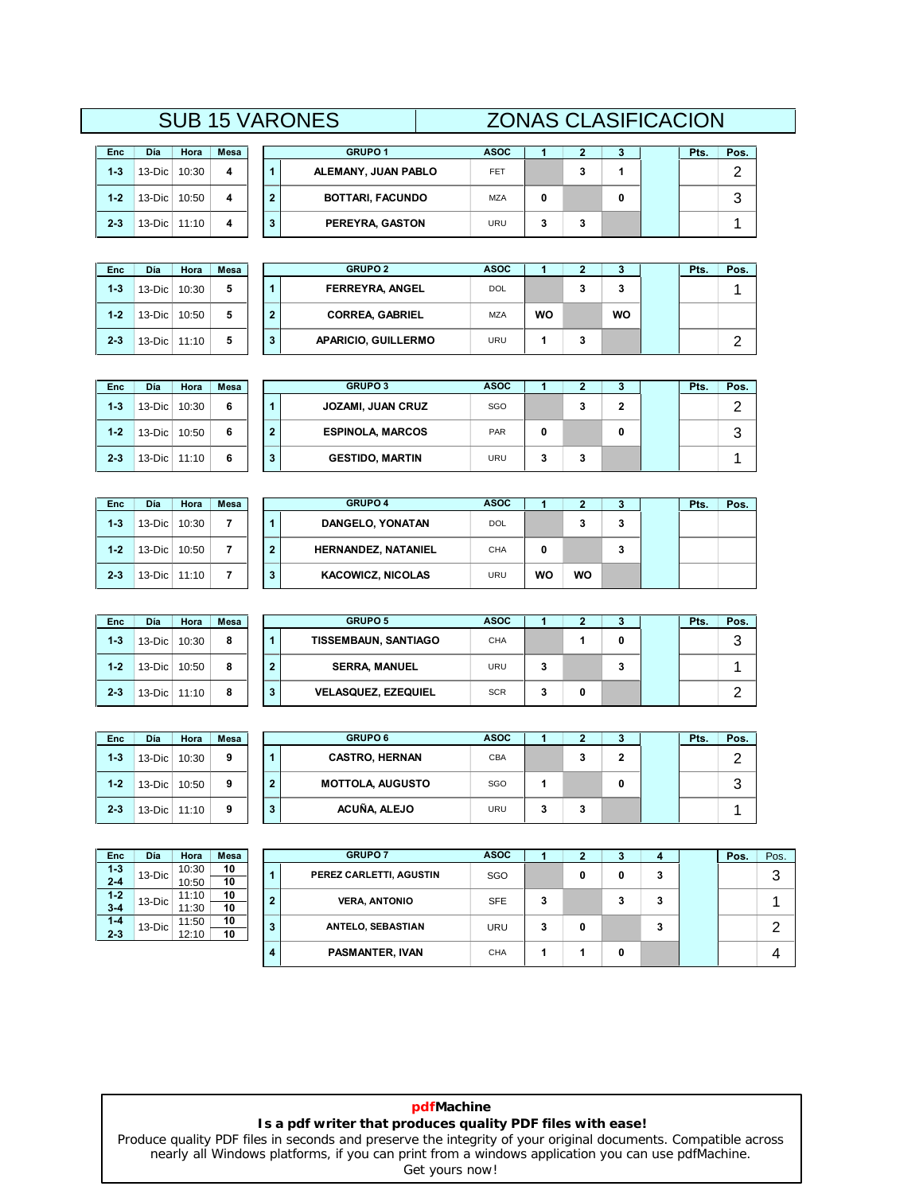# **<sup>2</sup> <sup>3</sup> Pts. Pos.** SUB 15 VARONES ZONAS CLASIFICACION **<sup>1</sup> ASOC**

| Enc     | Día | Hora  | <b>Mesa</b>                              |                |                       |
|---------|-----|-------|------------------------------------------|----------------|-----------------------|
| $1 - 3$ |     | 10:30 | 4                                        | 1              | ALEM                  |
| $1 - 2$ |     |       | 4                                        | $\overline{2}$ | BO.                   |
| $2 - 3$ |     |       |                                          | 3              | PEI                   |
|         |     |       | $13-Dic$<br>13-Dic 10:50<br>13-Dic 11:10 |                | <b>SUB 15 VARONES</b> |

| Enc     | Día    | Hora  | Mesa |
|---------|--------|-------|------|
| $1 - 3$ | 13-Dic | 10:30 | 5    |
| $1 - 2$ | 13-Dic | 10:50 | 5    |
| $2 - 3$ | 13-Dic | 11:10 | 5    |

| Día       | Hora  | Mesa |  | <b>GRUPO 1</b>          | <b>ASOC</b> |   |  | Pts. | Pos. |
|-----------|-------|------|--|-------------------------|-------------|---|--|------|------|
| $13-Dic$  | 10:30 | 4    |  | ALEMANY, JUAN PABLO     | <b>FET</b>  | w |  |      |      |
| 13-Dic    | 10:50 | 4    |  | <b>BOTTARI, FACUNDO</b> | <b>MZA</b>  |   |  |      |      |
| $13$ -Dic | 11:10 | 4    |  | PEREYRA, GASTON         | URU         |   |  |      |      |

| Día        | Hora  | <b>Mesa</b> |  | <b>GRUPO 2</b>             | <b>ASOC</b> |    |    |    | Pts. | Pos. |
|------------|-------|-------------|--|----------------------------|-------------|----|----|----|------|------|
| 13-Dic     | 10:30 | 5           |  | <b>FERREYRA, ANGEL</b>     | <b>DOL</b>  |    | J. | 3  |      |      |
| 13-Dic     | 10:50 | 5           |  | <b>CORREA, GABRIEL</b>     | <b>MZA</b>  | WO |    | wo |      |      |
| 13-Dic $ $ | 11:10 | 5           |  | <b>APARICIO, GUILLERMO</b> | URU         |    | 3  |    |      |      |

| <b>Enc</b> | Día      | Hora  | Mesa |   | <b>GRUPO 3</b>           | <b>ASOC</b> |   | ּ      | ۰J | Pts. | Pos.    |
|------------|----------|-------|------|---|--------------------------|-------------|---|--------|----|------|---------|
| $1 - 3$    | $13-Dic$ | 10:30 | 6    |   | <b>JOZAMI, JUAN CRUZ</b> | SGO         |   | ◠<br>۰ | 2  |      | ◠       |
| $1 - 2$    | $13-Dic$ | 10:50 | 6    | ≘ | <b>ESPINOLA, MARCOS</b>  | PAR         | 0 |        | 0  |      | ิว<br>J |
| $2 - 3$    | $13-Dic$ | 11:10 | 6    | 3 | <b>GESTIDO, MARTIN</b>   | <b>URU</b>  | 3 | 3      |    |      |         |

| <b>Enc</b> | Día      | Hora  | Mesa |   | <b>GRUPO 4</b>             | <b>ASOC</b> |    |    |   | Pts. | Pos. |
|------------|----------|-------|------|---|----------------------------|-------------|----|----|---|------|------|
| $1 - 3$    | $13-Dic$ | 10:30 |      |   | DANGELO, YONATAN           | DOL         |    | 3  | 3 |      |      |
| $1 - 2$    | $13-Dic$ | 10:50 |      | 2 | <b>HERNANDEZ, NATANIEL</b> | CHA         | 0  |    | 3 |      |      |
| $2 - 3$    | $13-Dic$ | 11:10 |      | 3 | <b>KACOWICZ, NICOLAS</b>   | URU         | wo | WO |   |      |      |

| Día      | Hora  | <b>Mesa</b> |  | <b>GRUPO 5</b>              | <b>ASOC</b> |   |   |   | Pts. | Pos.   |
|----------|-------|-------------|--|-----------------------------|-------------|---|---|---|------|--------|
| 13-Dic   | 10:30 | 8           |  | <b>TISSEMBAUN, SANTIAGO</b> | <b>CHA</b>  |   |   |   |      | っ<br>J |
| 13-Dic   | 10:50 | 8           |  | <b>SERRA, MANUEL</b>        | <b>URU</b>  | 3 |   | 3 |      |        |
| 13-Dic l | 11:10 | 8           |  | <b>VELASQUEZ, EZEQUIEL</b>  | <b>SCR</b>  | 3 | 0 |   |      |        |

| Enc     | Día    | Hora  | Mesa |
|---------|--------|-------|------|
| $1-3$   | 13-Dic | 10:30 | 9    |
| $1 - 2$ | 13-Dic | 10:50 | 9    |
| $2 - 3$ | 13-Dic | 11:10 | 9    |

**1-3**

**1-2**

**2-3**

 $2 - 3$ 

| Día       | Hora  | <b>Mesa</b> |  | <b>GRUPO 6</b>          | <b>ASOC</b> |   |    |  | Pts. | Pos.   |
|-----------|-------|-------------|--|-------------------------|-------------|---|----|--|------|--------|
| $13-Dic$  | 10:30 | 9           |  | <b>CASTRO, HERNAN</b>   | CBA         |   | J. |  |      |        |
| $13-Dic$  | 10:50 | 9           |  | <b>MOTTOLA, AUGUSTO</b> | SGO         |   |    |  |      | ◠<br>w |
| $13$ -Dic | 11:10 | 9           |  | ACUÑA, ALEJO            | URU         | 3 | 3  |  |      |        |

| Enc     | Día      | Hora  | Mesa |
|---------|----------|-------|------|
| $1 - 3$ | $13-Dic$ | 10:30 | 10   |
| $2 - 4$ |          | 10:50 | 10   |
| $1 - 2$ | 13-Dic   | 11:10 | 10   |
| $3 - 4$ |          | 11:30 | 10   |
| $1 - 4$ | 13-Dic   | 11:50 | 10   |
| $2 - 3$ |          | 12:10 | 10   |

| Enc                | Día      | Hora           | <b>Mesa</b> |                | <b>GRUPO 7</b>          | <b>ASOC</b> |   |   |        |        | Pos. | Pos. |
|--------------------|----------|----------------|-------------|----------------|-------------------------|-------------|---|---|--------|--------|------|------|
| $1 - 3$<br>$2 - 4$ | $13-Dic$ | 10:30<br>10:50 | 10<br>10    | 1              | PEREZ CARLETTI, AGUSTIN | SGO         |   | 0 | 0      | 3      |      | 3    |
| $1-2$<br>$3-4$     | $13-Dic$ | 11:10<br>11:30 | 10<br>10    | $\overline{2}$ | <b>VERA, ANTONIO</b>    | <b>SFE</b>  | 3 |   | ≘<br>c | 3      |      |      |
| $1 - 4$<br>$2 - 3$ | $13-Dic$ | 11:50<br>12:10 | 10<br>10    | $\mathbf{3}$   | ANTELO, SEBASTIAN       | URU         | 3 | 0 |        | ۰<br>c |      | ◠    |
|                    |          |                |             | 4              | PASMANTER, IVAN         | CHA         |   |   | 0      |        |      | 4    |

### **pdfMachine Is a pdf writer that produces quality PDF files with ease!**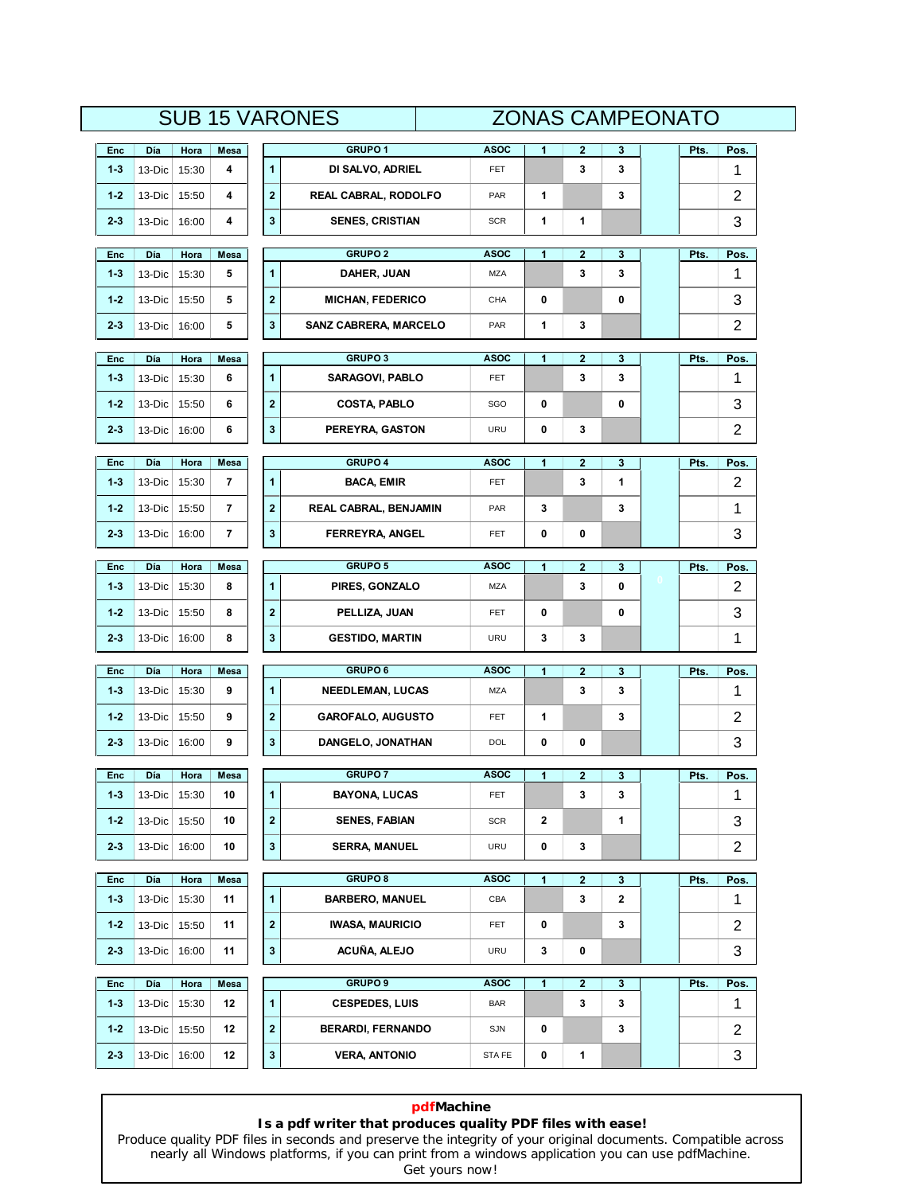# **SUB 15 VARONES**

|                |               |               |                | <b>SUB 15 VARONES</b>                   |             | <b>ZONAS CAMPEONATO</b> |                         |        |      |                |
|----------------|---------------|---------------|----------------|-----------------------------------------|-------------|-------------------------|-------------------------|--------|------|----------------|
| Enc            | Día           | Hora          | Mesa           | GRUPO <sub>1</sub>                      | <b>ASOC</b> | 1                       | 2                       | 3      | Pts. | Pos.           |
| $1 - 3$        | 13-Dic        | 15:30         | 4              | $\mathbf{1}$<br>DI SALVO, ADRIEL        | <b>FET</b>  |                         | 3                       | 3      |      | 1              |
| $1 - 2$        | 13-Dic        | 15:50         | 4              | $\mathbf 2$<br>REAL CABRAL, RODOLFO     | PAR         | 1                       |                         | 3      |      | $\overline{2}$ |
| $2 - 3$        | 13-Dic        | 16:00         | 4              | 3<br><b>SENES, CRISTIAN</b>             | <b>SCR</b>  | 1                       | 1                       |        |      | 3              |
| Enc            | Día           | Hora          | Mesa           | <b>GRUPO 2</b>                          | ASOC        | 1                       | 2                       | 3      | Pts. | Pos.           |
| $1 - 3$        | 13-Dic        | 15:30         | 5              | $\mathbf{1}$<br>DAHER, JUAN             | <b>MZA</b>  |                         | 3                       | 3      |      | 1              |
| $1 - 2$        | 13-Dic        | 15:50         | 5              | $\mathbf 2$<br><b>MICHAN, FEDERICO</b>  | CHA         | 0                       |                         | 0      |      | 3              |
| $2 - 3$        | 13-Dic        | 16:00         | 5              | 3<br><b>SANZ CABRERA, MARCELO</b>       | PAR         | 1                       | 3                       |        |      | $\overline{2}$ |
|                |               |               |                |                                         |             |                         |                         |        |      |                |
| Enc            | Día           | Hora          | Mesa           | <b>GRUPO3</b>                           | <b>ASOC</b> | 1                       | 2                       | 3      | Pts. | Pos.           |
| $1 - 3$        | 13-Dic        | 15:30         | 6              | $\mathbf{1}$<br>SARAGOVI, PABLO         | FET         |                         | 3                       | 3      |      | 1              |
| $1 - 2$        | 13-Dic        | 15:50         | 6              | $\mathbf{2}$<br><b>COSTA, PABLO</b>     | SGO         | 0                       |                         | 0      |      | 3              |
| 2-3            | 13-Dic        | 16:00         | 6              | 3<br>PEREYRA, GASTON                    | URU         | 0                       | 3                       |        |      | 2              |
| Enc            | Día           | Hora          | Mesa           | <b>GRUPO 4</b>                          | <b>ASOC</b> | 1                       | $\overline{\mathbf{2}}$ | 3      | Pts. | Pos.           |
| $1 - 3$        | 13-Dic        | 15:30         | 7              | 1<br><b>BACA, EMIR</b>                  | FET         |                         | 3                       | 1      |      | 2              |
| $1 - 2$        | 13-Dic        | 15:50         | 7              | $\mathbf{2}$<br>REAL CABRAL, BENJAMIN   | PAR         | 3                       |                         | 3      |      | 1              |
| $2 - 3$        | 13-Dic        | 16:00         | $\overline{7}$ | 3<br>FERREYRA, ANGEL                    | <b>FET</b>  | 0                       | 0                       |        |      | 3              |
| Enc            | Día           | Hora          | Mesa           | <b>GRUPO 5</b>                          | <b>ASOC</b> | 1                       | $\overline{\mathbf{2}}$ | 3      | Pts. | Pos.           |
| $1 - 3$        | 13-Dic        | 15:30         | 8              | $\mathbf{1}$<br>PIRES, GONZALO          | MZA         |                         | 3                       | 0      |      | 2              |
| $1 - 2$        | 13-Dic        | 15:50         | 8              | $\mathbf 2$<br>PELLIZA, JUAN            | FET         | 0                       |                         | 0      |      | 3              |
| $2 - 3$        | 13-Dic        | 16:00         | 8              | 3<br><b>GESTIDO, MARTIN</b>             | URU         | 3                       | 3                       |        |      | 1              |
| Enc            | Día           | Hora          | Mesa           | <b>GRUPO6</b>                           | <b>ASOC</b> | 1                       | 2                       | 3      | Pts. | Pos.           |
| $1 - 3$        | 13-Dic        | 15:30         | 9              | $\mathbf{1}$<br><b>NEEDLEMAN, LUCAS</b> | MZA         |                         | 3                       | 3      |      | 1              |
| $1 - 2$        | 13-Dic        | 15:50         | 9              | $\mathbf 2$<br><b>GAROFALO, AUGUSTO</b> | FET         | 1                       |                         | 3      |      | $\overline{2}$ |
| $2 - 3$        | 13-Dic        | 16:00         | 9              | 3<br>DANGELO, JONATHAN                  | DOL         | 0                       | 0                       |        |      | 3              |
|                |               |               |                | <b>GRUPO 7</b>                          | <b>ASOC</b> |                         |                         |        |      |                |
| Enc<br>$1 - 3$ | Día<br>13-Dic | Hora<br>15:30 | Mesa<br>10     | 1<br><b>BAYONA, LUCAS</b>               | <b>FET</b>  | 1                       | 2<br>3                  | 3<br>3 | Pts. | Pos.<br>1      |
| $1 - 2$        | 13-Dic        | 15:50         | 10             | $\mathbf{2}$<br><b>SENES, FABIAN</b>    | <b>SCR</b>  | $\mathbf{2}$            |                         | 1      |      | 3              |
| $2 - 3$        | 13-Dic        | 16:00         | 10             | 3<br><b>SERRA, MANUEL</b>               | URU         | 0                       | 3                       |        |      | $\overline{c}$ |
|                |               |               |                |                                         |             |                         |                         |        |      |                |
| Enc            | Día           | Hora          | Mesa           | <b>GRUPO 8</b>                          | <b>ASOC</b> | $\mathbf{1}$            | $\overline{\mathbf{2}}$ | 3      | Pts. | Pos.           |
| $1 - 3$        | 13-Dic        | 15:30         | 11             | $\mathbf{1}$<br><b>BARBERO, MANUEL</b>  | CBA         |                         | 3                       | 2      |      | 1              |
| $1 - 2$        | 13-Dic        | 15:50         | 11             | $\mathbf 2$<br><b>IWASA, MAURICIO</b>   | <b>FET</b>  | 0                       |                         | 3      |      | $\overline{2}$ |
| $2 - 3$        | $13-Dic$      | 16:00         | 11             | 3<br>ACUÑA, ALEJO                       | URU         | 3                       | 0                       |        |      | 3              |
| Enc            | Día           | Hora          | Mesa           | <b>GRUPO 9</b>                          | <b>ASOC</b> | 1                       | $\overline{2}$          | 3      | Pts. | Pos.           |
| $1 - 3$        | 13-Dic        | 15:30         | 12             | $\mathbf{1}$<br><b>CESPEDES, LUIS</b>   | <b>BAR</b>  |                         | 3                       | 3      |      | 1              |
| $1 - 2$        | 13-Dic        | 15:50         | 12             | $\mathbf 2$<br><b>BERARDI, FERNANDO</b> | SJN         | 0                       |                         | 3      |      | $\overline{2}$ |
| $2 - 3$        | 13-Dic        | 16:00         | 12             | 3<br><b>VERA, ANTONIO</b>               | STA FE      | 0                       | 1                       |        |      | 3              |
|                |               |               |                |                                         |             |                         |                         |        |      |                |

# **pdfMachine Is a pdf writer that produces quality PDF files with ease!**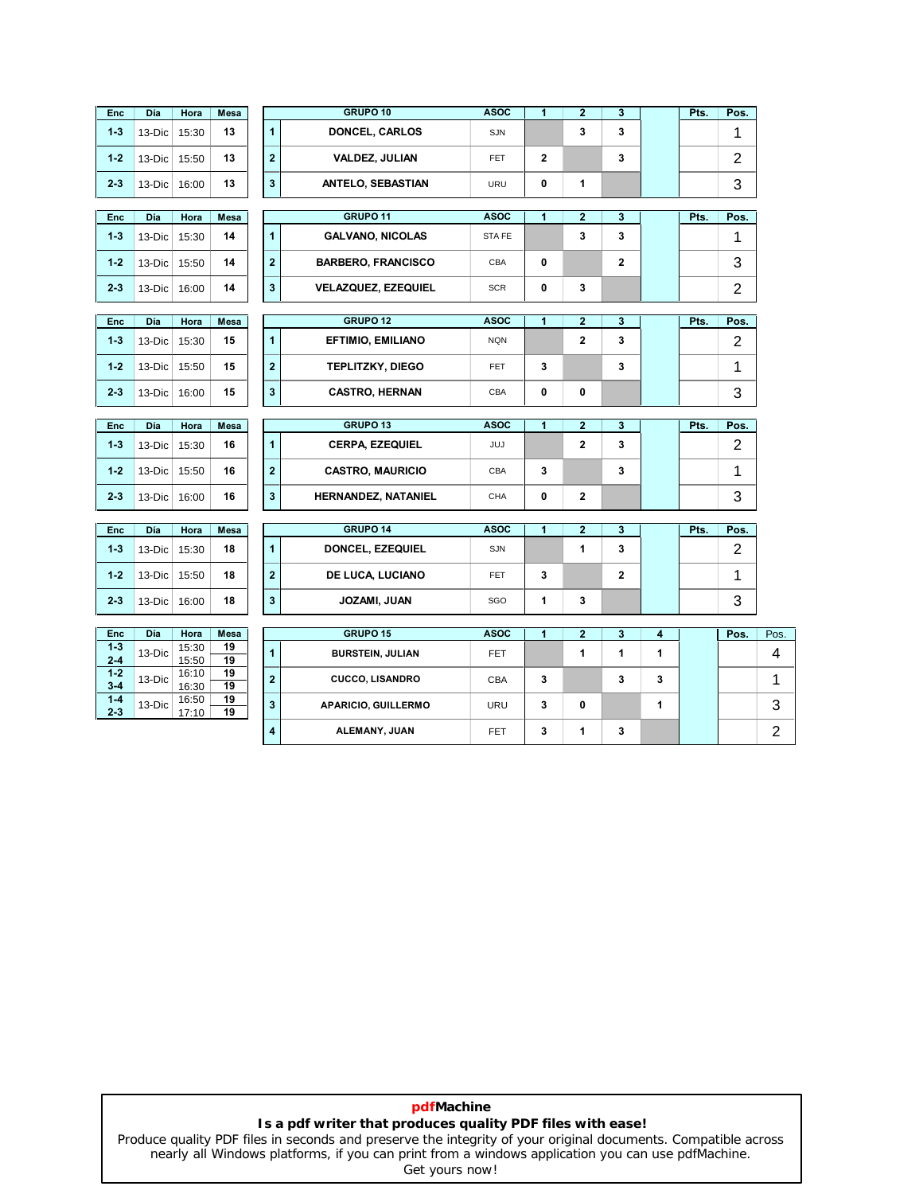| <b>Enc</b>         | Día           | Hora           | Mesa       |                         | GRUPO 10                            | <b>ASOC</b>        | $\overline{1}$ | $\overline{2}$    | $\mathbf{3}$ |                    | Pts. | Pos.                   |
|--------------------|---------------|----------------|------------|-------------------------|-------------------------------------|--------------------|----------------|-------------------|--------------|--------------------|------|------------------------|
| $1 - 3$            | 13-Dic        | 15:30          | 13         | $\mathbf{1}$            | DONCEL, CARLOS                      | SJN                |                | 3                 | 3            |                    |      | 1                      |
| $1 - 2$            | 13-Dic        | 15:50          | 13         | $\mathbf 2$             | <b>VALDEZ, JULIAN</b>               | FET                | $\mathbf{2}$   |                   | 3            |                    |      | $\overline{c}$         |
| $2 - 3$            | 13-Dic        | 16:00          | 13         | 3                       | <b>ANTELO, SEBASTIAN</b>            | URU                | 0              | 1                 |              |                    |      | 3                      |
| <b>Enc</b>         | Día           | Hora           | Mesa       |                         | <b>GRUPO 11</b>                     | <b>ASOC</b>        | 1              | $\mathbf 2$       | 3            |                    | Pts. | Pos.                   |
| $1 - 3$            | 13-Dic        | 15:30          | 14         | $\mathbf{1}$            | <b>GALVANO, NICOLAS</b>             | STA FE             |                | 3                 | 3            |                    |      | 1                      |
| $1 - 2$            | 13-Dic        | 15:50          | 14         | $\mathbf 2$             | <b>BARBERO, FRANCISCO</b>           | CBA                | 0              |                   | $\mathbf 2$  |                    |      | 3                      |
| $2 - 3$            | 13-Dic        | 16:00          | 14         | 3                       | <b>VELAZQUEZ, EZEQUIEL</b>          | <b>SCR</b>         | 0              | 3                 |              |                    |      | 2                      |
|                    |               |                |            |                         |                                     |                    |                |                   |              |                    |      |                        |
| <b>Enc</b>         | Día           | Hora           | Mesa       |                         | GRUPO <sub>12</sub>                 | <b>ASOC</b>        | 1              | $\mathbf{2}$      | 3            |                    | Pts. | Pos.                   |
| $1 - 3$            | 13-Dic        | 15:30          | 15         | 1                       | <b>EFTIMIO, EMILIANO</b>            | <b>NQN</b>         |                | $\mathbf 2$       | 3            |                    |      | 2                      |
| $1 - 2$            | 13-Dic        | 15:50          | 15         | $\mathbf 2$             | <b>TEPLITZKY, DIEGO</b>             | <b>FET</b>         | 3              |                   | 3            |                    |      | 1                      |
| $2 - 3$            | 13-Dic        | 16:00          | 15         | 3                       | <b>CASTRO, HERNAN</b>               | CBA                | 0              | 0                 |              |                    |      | 3                      |
|                    |               |                |            |                         | GRUPO <sub>13</sub>                 |                    |                |                   |              |                    |      |                        |
| <b>Enc</b>         | Día           | Hora           | Mesa       |                         |                                     | <b>ASOC</b>        | 1              | $\overline{2}$    | 3            |                    | Pts. | Pos.                   |
|                    |               |                |            |                         |                                     |                    |                |                   |              |                    |      |                        |
| $1 - 3$            | 13-Dic        | 15:30          | 16         | $\mathbf{1}$            | <b>CERPA, EZEQUIEL</b>              | JUJ                |                | $\mathbf 2$       | 3            |                    |      | $\overline{2}$         |
| $1 - 2$            | 13-Dic        | 15:50          | 16         | $\mathbf 2$             | <b>CASTRO, MAURICIO</b>             | CBA                | 3              |                   | 3            |                    |      | 1                      |
| $2 - 3$            | 13-Dic        | 16:00          | 16         | $\mathbf 3$             | HERNANDEZ, NATANIEL                 | CHA                | 0              | $\mathbf 2$       |              |                    |      | 3                      |
|                    |               |                |            |                         |                                     |                    |                |                   |              |                    |      |                        |
| Enc<br>$1 - 3$     | Día<br>13-Dic | Hora<br>15:30  | Mesa<br>18 | $\mathbf{1}$            | <b>GRUPO 14</b><br>DONCEL, EZEQUIEL | <b>ASOC</b><br>SJN | 1              | $\mathbf{2}$<br>1 | 3<br>3       |                    | Pts. | Pos.<br>$\overline{c}$ |
| $1 - 2$            | 13-Dic        | 15:50          | 18         | $\overline{\mathbf{2}}$ | DE LUCA, LUCIANO                    | FET.               | 3              |                   | $\mathbf{2}$ |                    |      | 1                      |
| $2 - 3$            | 13-Dic        | 16:00          | 18         | 3                       | JOZAMI, JUAN                        | SGO                | 1              | 3                 |              |                    |      | 3                      |
|                    |               |                |            |                         |                                     |                    |                |                   |              |                    |      |                        |
| Enc                | Día           | Hora           | Mesa       |                         | GRUPO 15                            | <b>ASOC</b>        | $\mathbf{1}$   | $\mathbf{2}$      | 3            | $\overline{\bf 4}$ |      | Pos.                   |
| $1 - 3$<br>$2 - 4$ | 13-Dic        | 15:30<br>15:50 | 19<br>19   | $\mathbf{1}$            | <b>BURSTEIN, JULIAN</b>             | <b>FET</b>         |                | 1                 | 1            | 1                  |      |                        |
| $1 - 2$<br>$3 - 4$ | 13-Dic        | 16:10<br>16:30 | 19<br>19   | $\overline{\mathbf{2}}$ | <b>CUCCO, LISANDRO</b>              | CBA                | 3              |                   | 3            | 3                  |      |                        |
| $1 - 4$<br>$2 - 3$ | 13-Dic        | 16:50<br>17:10 | 19<br>19   | 3                       | APARICIO, GUILLERMO                 | URU                | 3              | 0                 |              | 1                  |      |                        |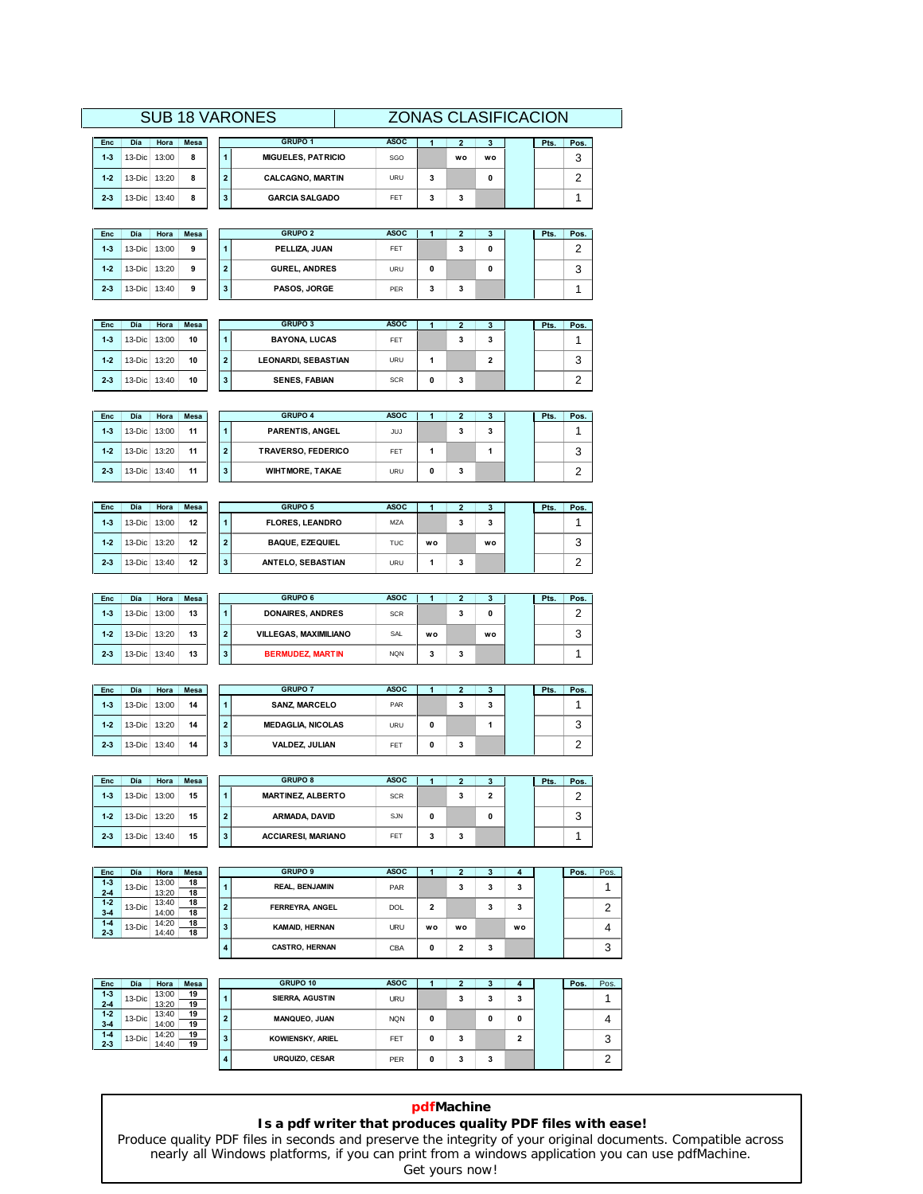### **SUB 18 VARONES**

|         |          |       |             |  | <b>SUB 18 VARONES</b>     | <b>ZONAS CLASIFICACION</b> |    |           |      |      |  |
|---------|----------|-------|-------------|--|---------------------------|----------------------------|----|-----------|------|------|--|
| Enc     | Día      | Hora  | <b>Mesa</b> |  | GRUPO 1                   | <b>ASOC</b>                |    | з         | Pts. | Pos. |  |
| $1 - 3$ | 13-Dic   | 13:00 | 8           |  | <b>MIGUELES, PATRICIO</b> | SGO                        | wo | <b>WO</b> |      | ◠    |  |
| $1-2$   | 13-Dic l | 13:20 | 8           |  | <b>CALCAGNO, MARTIN</b>   | URU                        |    | 0         |      |      |  |
| $2 - 3$ | 13-Dic   | 13:40 | 8           |  | <b>GARCIA SALGADO</b>     | FET                        | 3  |           |      |      |  |

| Día      | Hora  | <b>Mesa</b> |  | <b>GRUPO 1</b>            | <b>ASOC</b> |    |    | Pts. | Pos.            |
|----------|-------|-------------|--|---------------------------|-------------|----|----|------|-----------------|
| 13-Dic I | 13:00 | 8           |  | <b>MIGUELES, PATRICIO</b> | SGO         | wo | wo |      | $\sqrt{2}$<br>w |
| 13-Dic I | 13:20 | 8           |  | <b>CALCAGNO, MARTIN</b>   | URU         |    |    |      |                 |
| 13-Dic I | 13:40 | 8           |  | <b>GARCIA SALGADO</b>     | FET         |    |    |      |                 |

| <b>Enc</b> | Día          | Hora         | <b>Mesa</b> |   | <b>GRUPO 2</b>       | <b>ASOC</b> |   |   | з | Pts. | Pos.   |
|------------|--------------|--------------|-------------|---|----------------------|-------------|---|---|---|------|--------|
| $1 - 3$    | $13-Dic$     | 13:00        | 9           |   | PELLIZA, JUAN        | FET         |   | 3 | 0 |      | ີ<br>c |
| $1 - 2$    |              | 13-Dic 13:20 | 9           | ٠ | <b>GUREL, ANDRES</b> | URU         | 0 |   | 0 |      | 3      |
| $2 - 3$    | 13-Dic 13:40 |              | 9           | 3 | PASOS, JORGE         | PER         | 3 | 3 |   |      |        |

| <b>Enc</b> | <b>Día</b>   | Hora  | <b>Mesa</b> |                         | <b>GRUPO 3</b>             | <b>ASOC</b> |   |   | 3 | Pts. | Pos. |
|------------|--------------|-------|-------------|-------------------------|----------------------------|-------------|---|---|---|------|------|
| $1 - 3$    | $13-Dic$     | 13:00 | 10          |                         | <b>BAYONA, LUCAS</b>       | FET         |   | 3 | 3 |      |      |
| $1 - 2$    | 13-Dic 13:20 |       | 10          | $\overline{\mathbf{2}}$ | <b>LEONARDI, SEBASTIAN</b> | URU         |   |   | 2 |      | 3    |
| $2 - 3$    | $13-Dic$     | 13:40 | 10          | 3                       | <b>SENES, FABIAN</b>       | <b>SCR</b>  | 0 | 3 |   |      | ົ    |

| <b>Enc</b> | Día          | Hora         | <b>Mesa</b> |   | <b>GRUPO 4</b>         | <b>ASOC</b> |   |   |   | Pts. | Pos. |
|------------|--------------|--------------|-------------|---|------------------------|-------------|---|---|---|------|------|
| $1 - 3$    | $13-Dic$     | 13:00        | 11          |   | PARENTIS, ANGEL        | <b>JUJ</b>  |   | 3 | 3 |      |      |
| $1 - 2$    |              | 13-Dic 13:20 | 11          | 2 | TRAVERSO, FEDERICO     | FET         |   |   |   |      | 3    |
| $2 - 3$    | 13-Dic 13:40 |              | 11          |   | <b>WIHTMORE, TAKAE</b> | URU         | 0 | 3 |   |      | ີ    |

| <b>Enc</b> | Día      | Hora         | <b>Mesa</b> |   | <b>GRUPO 5</b>         | <b>ASOC</b> |    | ∠ | 3  | Pts. | Pos.   |
|------------|----------|--------------|-------------|---|------------------------|-------------|----|---|----|------|--------|
| $1 - 3$    | $13-Dic$ | 13:00        | 12          |   | <b>FLORES, LEANDRO</b> | <b>MZA</b>  |    | 3 | 3  |      |        |
| $1 - 2$    |          | 13-Dic 13:20 | 12          | 2 | <b>BAQUE, EZEQUIEL</b> | <b>TUC</b>  | wo |   | wo |      | 3      |
| $2 - 3$    | $13-Dic$ | 13:40        | 12          | 3 | ANTELO, SEBASTIAN      | URU         |    | 3 |    |      | ີ<br>_ |

| <b>Enc</b> | Día          | Hora  | <b>Mesa</b> |                | <b>GRUPO 6</b>               | <b>ASOC</b> |    |   | ٠a | Pts. | Pos.   |
|------------|--------------|-------|-------------|----------------|------------------------------|-------------|----|---|----|------|--------|
| $1 - 3$    | $13-Dic$     | 13:00 | 13          |                | <b>DONAIRES, ANDRES</b>      | <b>SCR</b>  |    | 3 | 0  |      | ົ<br>c |
| $1-2$      | 13-Dic 13:20 |       | 13          | $\overline{2}$ | <b>VILLEGAS, MAXIMILIANO</b> | SAL         | wo |   | wo |      | 3      |
| $2 - 3$    | 13-Dic 13:40 |       | 13          | 3              | <b>BERMUDEZ, MARTIN</b>      | <b>NON</b>  | 3  | 3 |    |      |        |

| Enc     | Día          | Hora  | <b>Mesa</b> |                | <b>GRUPO 7</b>           | <b>ASOC</b> |   | ∍ | 3 | Pts. | Pos.   |
|---------|--------------|-------|-------------|----------------|--------------------------|-------------|---|---|---|------|--------|
| $1 - 3$ | 13-Dic I     | 13:00 | 14          |                | <b>SANZ, MARCELO</b>     | PAR         |   | 3 | 3 |      |        |
| $1 - 2$ | 13-Dic 13:20 |       | 14          | $\overline{2}$ | <b>MEDAGLIA, NICOLAS</b> | URU         | 0 |   |   |      | 3      |
| $2 - 3$ | 13-Dic 13:40 |       | 14          | 3              | VALDEZ, JULIAN           | <b>FET</b>  | 0 | 3 |   |      | ົ<br>- |

| <b>Enc</b> | Día      | Hora         | <b>Mesa</b> |   | <b>GRUPO 8</b>            | <b>ASOC</b>     |   |   |   | Pts. | Pos.   |
|------------|----------|--------------|-------------|---|---------------------------|-----------------|---|---|---|------|--------|
| $1 - 3$    | $13-Dic$ | 13:00        | 15          |   | <b>MARTINEZ, ALBERTO</b>  | <b>SCR</b>      |   | 3 | 2 |      | າ<br>_ |
| $1 - 2$    |          | 13-Dic 13:20 | 15          | 2 | ARMADA, DAVID             | SJN             | 0 |   | 0 |      | 3      |
| $2 - 3$    | $13-Dic$ | 13:40        | 15          | 3 | <b>ACCIARESI, MARIANO</b> | FE <sub>1</sub> | c | 3 |   |      |        |

| <b>Enc</b>         | Día      | Hora           | <b>Mesa</b> |                         | <b>GRUPO 9</b>        | <b>ASOC</b> |    |    |    |    | Pos. | Pos.   |
|--------------------|----------|----------------|-------------|-------------------------|-----------------------|-------------|----|----|----|----|------|--------|
| $1 - 3$<br>$2 - 4$ | $13-Dic$ | 13:00<br>13:20 | 18<br>18    |                         | <b>REAL, BENJAMIN</b> | PAR         |    | 3  | з  | 3  |      |        |
| $1 - 2$<br>$3 - 4$ | $13-Dic$ | 13:40<br>14:00 | 18<br>18    | $\overline{2}$          | FERREYRA, ANGEL       | <b>DOL</b>  | 2  |    |    | 3  |      | ີ<br>ے |
| $1-4$<br>$2 - 3$   | $13-Dic$ | 14:20<br>14:40 | 18<br>18    | $\overline{\mathbf{3}}$ | KAMAID, HERNAN        | <b>URU</b>  | wo | wo |    | wo |      | 4      |
|                    |          |                |             |                         | <b>CASTRO, HERNAN</b> | CBA         | 0  |    | ., |    |      | 3      |

| <b>Enc</b>       | Día      | Hora           | <b>Mesa</b> |                | GRUPO 10                | <b>ASOC</b> |   |   |   | 4 | Pos. | Pos. |
|------------------|----------|----------------|-------------|----------------|-------------------------|-------------|---|---|---|---|------|------|
| $1 - 3$<br>$2-4$ | $13-Dic$ | 13:00<br>13:20 | 19<br>19    | 1              | <b>SIERRA, AGUSTIN</b>  | <b>URU</b>  |   |   | 3 | 3 |      |      |
| $1 - 2$          | $13-Dic$ | 13:40          | 19          | $\overline{2}$ | <b>MANQUEO, JUAN</b>    | <b>NQN</b>  | 0 |   | 0 | 0 |      |      |
| $3-4$            |          | 14:00          | 19          |                |                         |             |   |   |   |   |      | 4    |
| $1-4$<br>$2 - 3$ | $13-Dic$ | 14:20<br>14:40 | 19<br>19    | 3              | <b>KOWIENSKY, ARIEL</b> | FET         | 0 | 3 |   | 2 |      | 3    |
|                  |          |                |             | 4              | URQUIZO, CESAR          | PER         | 0 | з | 3 |   |      | ົ    |

# **pdfMachine**

### **Is a pdf writer that produces quality PDF files with ease!**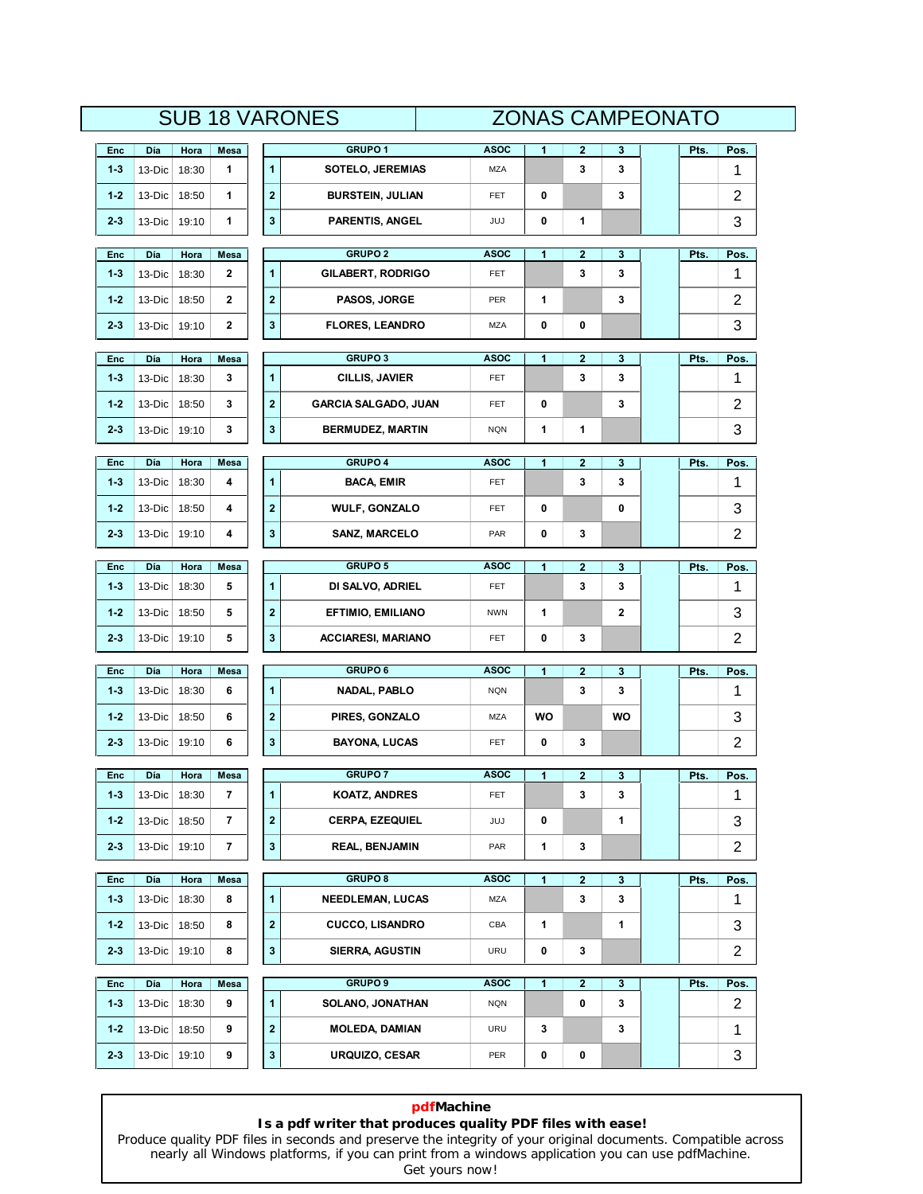|  | <b>ZONAS CAMPEONATO</b> |
|--|-------------------------|

|                |               |               |                          |              | <b>SUB 18 VARONES</b>              |                    | <b>ZONAS CAMPEONATO</b> |                         |             |      |                |
|----------------|---------------|---------------|--------------------------|--------------|------------------------------------|--------------------|-------------------------|-------------------------|-------------|------|----------------|
| Enc            | Día           | Hora          | Mesa                     |              | GRUPO <sub>1</sub>                 | <b>ASOC</b>        | 1                       | 2                       | 3           | Pts. | Pos.           |
| $1 - 3$        | 13-Dic        | 18:30         | 1                        | 1            | <b>SOTELO, JEREMIAS</b>            | <b>MZA</b>         |                         | 3                       | 3           |      | 1              |
| $1 - 2$        | 13-Dic        | 18:50         | 1                        | $\mathbf 2$  | <b>BURSTEIN, JULIAN</b>            | FET                | 0                       |                         | 3           |      | 2              |
| $2 - 3$        | 13-Dic        | 19:10         | 1                        | 3            | <b>PARENTIS, ANGEL</b>             | JUJ                | 0                       | 1                       |             |      | 3              |
| Enc            | Día           | Hora          | Mesa                     |              | <b>GRUPO 2</b>                     | ASOC               | 1                       | $\mathbf 2$             | 3           | Pts. | Pos.           |
| $1 - 3$        | 13-Dic        | 18:30         | 2                        | 1            | <b>GILABERT, RODRIGO</b>           | FET                |                         | 3                       | 3           |      | 1              |
| $1 - 2$        | 13-Dic        | 18:50         | 2                        | $\mathbf 2$  | PASOS, JORGE                       | PER                | 1                       |                         | 3           |      | 2              |
| $2 - 3$        | 13-Dic        | 19:10         | $\mathbf 2$              | 3            | <b>FLORES, LEANDRO</b>             | MZA                | 0                       | 0                       |             |      | 3              |
| Enc            | Día           | Hora          | Mesa                     |              | <b>GRUPO 3</b>                     | <b>ASOC</b>        | 1                       | 2                       | 3           | Pts. | Pos.           |
| $1 - 3$        | 13-Dic        | 18:30         | 3                        | 1            | <b>CILLIS, JAVIER</b>              | FET                |                         | 3                       | 3           |      | 1              |
| $1 - 2$        | 13-Dic        | 18:50         | 3                        | $\mathbf{2}$ | <b>GARCIA SALGADO, JUAN</b>        | FET                | 0                       |                         | 3           |      | $\overline{2}$ |
| $2 - 3$        | 13-Dic        | 19:10         | 3                        | 3            | BERMUDEZ, MARTIN                   | <b>NQN</b>         | 1                       | 1                       |             |      | 3              |
|                |               |               |                          |              | GRUPO 4                            | <b>ASOC</b>        | 1                       | $\overline{\mathbf{2}}$ |             |      |                |
| Enc<br>$1 - 3$ | Día<br>13-Dic | Hora<br>18:30 | Mesa<br>4                | 1            | <b>BACA, EMIR</b>                  | FET                |                         | 3                       | 3<br>3      | Pts. | Pos.<br>1      |
| $1 - 2$        | 13-Dic        | 18:50         | 4                        | $\mathbf 2$  | <b>WULF, GONZALO</b>               | FET                | 0                       |                         | 0           |      | 3              |
| $2 - 3$        | 13-Dic        | 19:10         | 4                        | 3            | <b>SANZ, MARCELO</b>               | PAR                | 0                       | 3                       |             |      | 2              |
|                |               |               |                          |              |                                    |                    |                         |                         |             |      |                |
| Enc<br>$1 - 3$ | Día<br>13-Dic | Hora<br>18:30 | Mesa<br>5                | 1            | <b>GRUPO 5</b><br>DI SALVO, ADRIEL | <b>ASOC</b><br>FET | 1                       | 2<br>3                  | 3<br>3      | Pts. | Pos.<br>1      |
| $1 - 2$        | 13-Dic        | 18:50         | 5                        | $\mathbf 2$  | <b>EFTIMIO, EMILIANO</b>           | <b>NWN</b>         | 1                       |                         | $\mathbf 2$ |      | 3              |
| $2 - 3$        | 13-Dic        | 19:10         | 5                        | 3            | <b>ACCIARESI, MARIANO</b>          | <b>FET</b>         | 0                       | 3                       |             |      | $\overline{2}$ |
|                |               |               |                          |              |                                    |                    |                         |                         |             |      |                |
| Enc            | Día           | Hora          | Mesa                     |              | <b>GRUPO 6</b>                     | <b>ASOC</b>        | 1                       | 2                       | 3           | Pts. | Pos.           |
| $1 - 3$        | 13-Dic        | 18:30         | 6                        | $\mathbf{1}$ | NADAL, PABLO                       | <b>NQN</b>         |                         | 3                       | 3           |      | 1              |
| $1 - 2$        | 13-Dic        | 18:50         | 6                        | $\mathbf 2$  | PIRES, GONZALO                     | MZA                | WO                      |                         | WO          |      | 3              |
| $2 - 3$        | 13-Dic        | 19:10         | 6                        | 3            | <b>BAYONA, LUCAS</b>               | <b>FET</b>         | 0                       | 3                       |             |      | $\overline{2}$ |
| Enc            | Día           | Hora          | Mesa                     |              | <b>GRUPO7</b>                      | <b>ASOC</b>        | 1                       | 2                       | 3           | Pts. | Pos.           |
| $1 - 3$        | 13-Dic        | 18:30         | 7                        | 1            | <b>KOATZ, ANDRES</b>               | <b>FET</b>         |                         | 3                       | 3           |      | 1              |
| $1 - 2$        | 13-Dic        | 18:50         | $\overline{\phantom{a}}$ | $\mathbf 2$  | <b>CERPA, EZEQUIEL</b>             | JUJ                | 0                       |                         | 1           |      | 3              |
| $2 - 3$        | 13-Dic        | 19:10         | 7                        | 3            | <b>REAL, BENJAMIN</b>              | PAR                | 1                       | 3                       |             |      | $\overline{c}$ |
| Enc            | Día           | Hora          | Mesa                     |              | <b>GRUPO 8</b>                     | <b>ASOC</b>        | 1                       | $\overline{\mathbf{2}}$ | 3           | Pts. | Pos.           |
| $1 - 3$        | 13-Dic        | 18:30         | 8                        | 1            | <b>NEEDLEMAN, LUCAS</b>            | <b>MZA</b>         |                         | 3                       | 3           |      | 1              |
| $1 - 2$        | 13-Dic        | 18:50         | 8                        | $\mathbf 2$  | <b>CUCCO, LISANDRO</b>             | CBA                | 1                       |                         | 1           |      | 3              |
| $2 - 3$        | $13-Dic$      | 19:10         | 8                        | 3            | <b>SIERRA, AGUSTIN</b>             | URU                | 0                       | 3                       |             |      | $\overline{c}$ |
| Enc            | Día           | Hora          | Mesa                     |              | <b>GRUPO 9</b>                     | <b>ASOC</b>        | 1                       | $\mathbf{2}$            | 3           | Pts. | Pos.           |
| $1 - 3$        | 13-Dic        | 18:30         | 9                        | $\mathbf{1}$ | <b>SOLANO, JONATHAN</b>            | <b>NQN</b>         |                         | 0                       | 3           |      | $\overline{2}$ |
| $1 - 2$        | 13-Dic        | 18:50         | 9                        | $\mathbf 2$  | <b>MOLEDA, DAMIAN</b>              | URU                | 3                       |                         | 3           |      | 1              |
| $2 - 3$        | 13-Dic        | 19:10         | 9                        | 3            | <b>URQUIZO, CESAR</b>              | PER                | 0                       | 0                       |             |      | 3              |

## **pdfMachine**

### **Is a pdf writer that produces quality PDF files with ease!**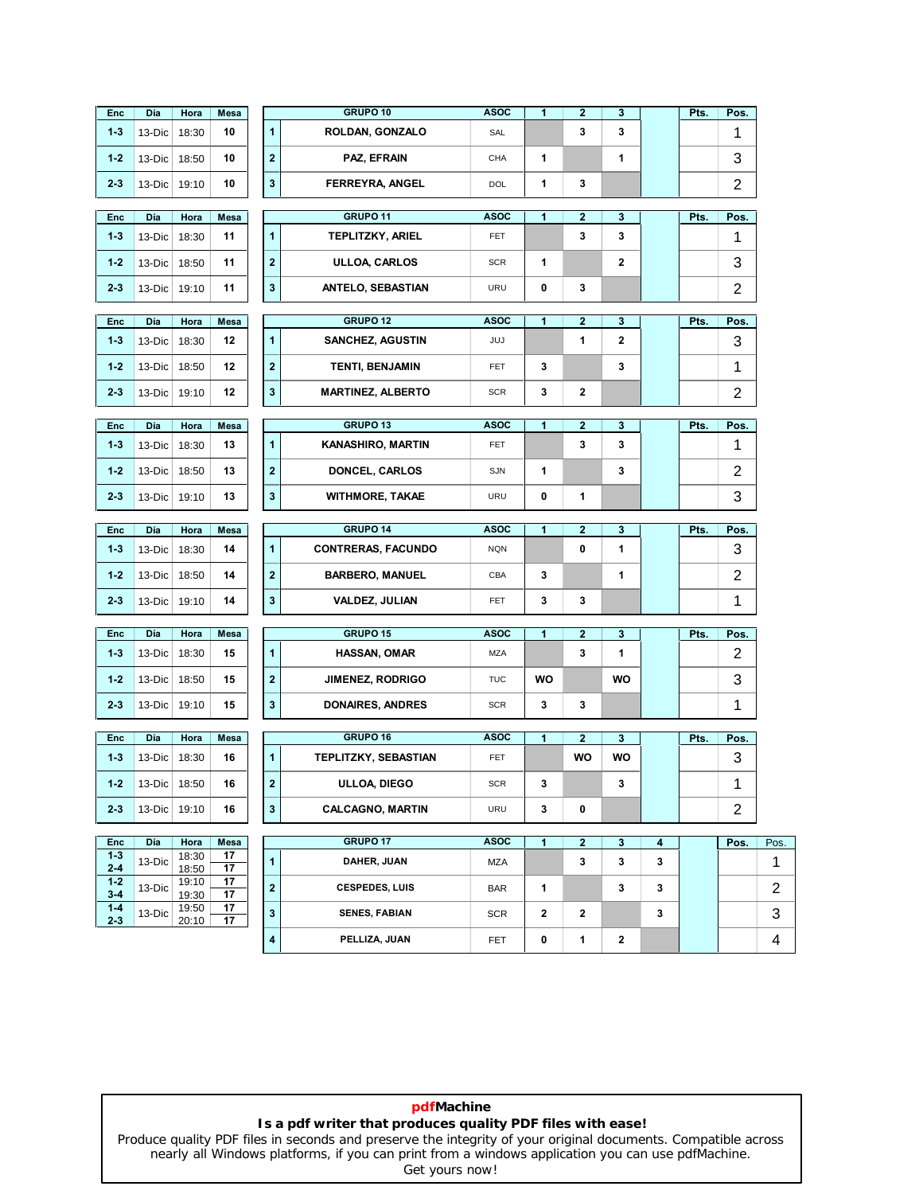| Enc                | Día           | Hora           | Mesa       |                         | GRUPO 10                        | <b>ASOC</b>        | $\mathbf{1}$ | $\mathbf{2}$      | 3                 |        | Pts. | Pos.           |                                        |
|--------------------|---------------|----------------|------------|-------------------------|---------------------------------|--------------------|--------------|-------------------|-------------------|--------|------|----------------|----------------------------------------|
| $1 - 3$            | 13-Dic        | 18:30          | 10         | $\mathbf{1}$            | ROLDAN, GONZALO                 | SAL                |              | 3                 | 3                 |        |      | 1              |                                        |
| $1 - 2$            | 13-Dic        | 18:50          | 10         | $\mathbf 2$             | PAZ, EFRAIN                     | CHA                | 1            |                   | 1                 |        |      | 3              |                                        |
| $2 - 3$            | 13-Dic        | 19:10          | 10         | 3                       | <b>FERREYRA, ANGEL</b>          | DOL                | 1            | 3                 |                   |        |      | 2              |                                        |
|                    | Día           |                |            |                         | GRUPO 11                        | <b>ASOC</b>        | 1            |                   |                   |        |      |                |                                        |
| <b>Enc</b>         |               | Hora           | Mesa       | 1                       |                                 |                    |              | $\mathbf{2}$<br>3 | 3<br>3            |        | Pts. | Pos.           |                                        |
| $1 - 3$            | 13-Dic        | 18:30          | 11         |                         | <b>TEPLITZKY, ARIEL</b>         | FET                |              |                   |                   |        |      | 1              |                                        |
| $1 - 2$            | 13-Dic        | 18:50          | 11         | $\overline{2}$          | <b>ULLOA, CARLOS</b>            | <b>SCR</b>         | 1            |                   | $\mathbf{2}$      |        |      | 3              |                                        |
| $2 - 3$            | $13-Dic$      | 19:10          | 11         | $\mathbf 3$             | <b>ANTELO, SEBASTIAN</b>        | <b>URU</b>         | 0            | 3                 |                   |        |      | $\overline{2}$ |                                        |
| Enc                | Día           | Hora           | Mesa       |                         | <b>GRUPO 12</b>                 | <b>ASOC</b>        | 1            | $\mathbf{2}$      | 3                 |        | Pts. | Pos.           |                                        |
| $1 - 3$            | 13-Dic        | 18:30          | 12         | 1                       | <b>SANCHEZ, AGUSTIN</b>         | JUJ                |              | 1                 | $\mathbf 2$       |        |      | 3              |                                        |
| $1 - 2$            | 13-Dic        | 18:50          | 12         | $\bf{2}$                | <b>TENTI, BENJAMIN</b>          | FET                | 3            |                   | 3                 |        |      | 1              |                                        |
| $2 - 3$            | 13-Dic        | 19:10          | 12         | $\mathbf 3$             | <b>MARTINEZ, ALBERTO</b>        | <b>SCR</b>         | 3            | 2                 |                   |        |      | $\overline{2}$ |                                        |
|                    | Día           |                |            |                         | GRUPO 13                        | <b>ASOC</b>        | 1            | $\overline{2}$    | 3                 |        | Pts. | Pos.           |                                        |
| Enc<br>$1 - 3$     | 13-Dic        | Hora<br>18:30  | Mesa<br>13 | 1                       | <b>KANASHIRO, MARTIN</b>        | FET                |              | 3                 | 3                 |        |      | 1              |                                        |
|                    |               |                |            |                         |                                 |                    |              |                   |                   |        |      |                |                                        |
| $1 - 2$            | 13-Dic        | 18:50          | 13         | $\mathbf{2}$            | <b>DONCEL, CARLOS</b>           | SJN                | 1            |                   | 3                 |        |      | 2              |                                        |
| $2 - 3$            | 13-Dic        | 19:10          | 13         | $\mathbf 3$             | <b>WITHMORE, TAKAE</b>          | <b>URU</b>         | 0            | 1                 |                   |        |      | 3              |                                        |
| Enc                | Día           | Hora           | Mesa       |                         | GRUPO 14                        | <b>ASOC</b>        | 1            | $\mathbf{2}$      | 3                 |        | Pts. | Pos.           |                                        |
|                    |               |                |            |                         |                                 |                    |              |                   |                   |        |      |                |                                        |
| $1 - 3$            | 13-Dic        | 18:30          | 14         | $\mathbf{1}$            | <b>CONTRERAS, FACUNDO</b>       | <b>NQN</b>         |              | 0                 | 1                 |        |      | 3              |                                        |
| $1 - 2$            | 13-Dic        | 18:50          | 14         | $\bf{2}$                | <b>BARBERO, MANUEL</b>          | CBA                | 3            |                   | 1                 |        |      | $\overline{2}$ |                                        |
| $2 - 3$            | 13-Dic        | 19:10          | 14         | 3                       | <b>VALDEZ, JULIAN</b>           | <b>FET</b>         | 3            | 3                 |                   |        |      | 1              |                                        |
|                    |               |                |            |                         |                                 |                    |              |                   |                   |        |      |                |                                        |
| Enc<br>$1 - 3$     | Día<br>13-Dic | Hora<br>18:30  | Mesa<br>15 | $\mathbf{1}$            | GRUPO 15<br><b>HASSAN, OMAR</b> | <b>ASOC</b><br>MZA | 1            | $\mathbf{2}$<br>3 | 3<br>1            |        | Pts. | Pos.<br>2      |                                        |
| $1 - 2$            | 13-Dic        | 18:50          | 15         | $\bf{2}$                | <b>JIMENEZ, RODRIGO</b>         | <b>TUC</b>         | <b>WO</b>    |                   | WO                |        |      |                |                                        |
| $2 - 3$            | $13-Dic$      | 19:10          | 15         | 3                       | <b>DONAIRES, ANDRES</b>         | <b>SCR</b>         | 3            | 3                 |                   |        |      | 3              |                                        |
|                    |               |                |            |                         |                                 |                    |              |                   |                   |        |      | 1              |                                        |
| Enc                | Día           | Hora           | Mesa       |                         | GRUPO 16                        | <b>ASOC</b>        | $\mathbf{1}$ | $\mathbf{2}$      | 3                 |        | Pts. | Pos.           |                                        |
| $1 - 3$            | 13-Dic 18:30  |                | 16         | 1                       | TEPLITZKY, SEBASTIAN            | FET                |              | <b>WO</b>         | WO                |        |      | 3              |                                        |
| $1 - 2$            | $13-Dic$      | 18:50          | 16         | $\overline{2}$          | ULLOA, DIEGO                    | <b>SCR</b>         | 3            |                   | 3                 |        |      | 1              |                                        |
| $2 - 3$            | $13-Dic$      | 19:10          | 16         | 3                       | <b>CALCAGNO, MARTIN</b>         | URU                | 3            | 0                 |                   |        |      | $\overline{2}$ |                                        |
|                    |               |                |            |                         | GRUPO 17                        | <b>ASOC</b>        |              |                   |                   |        |      |                |                                        |
| Enc<br>$1 - 3$     | Día<br>13-Dic | Hora<br>18:30  | Mesa<br>17 | 1                       | DAHER, JUAN                     | MZA                | 1            | $\mathbf{2}$<br>3 | $\mathbf{3}$<br>3 | 4<br>3 |      | Pos.           |                                        |
| $2 - 4$<br>$1 - 2$ | 13-Dic        | 18:50<br>19:10 | 17<br>17   | $\overline{\mathbf{2}}$ | <b>CESPEDES, LUIS</b>           | <b>BAR</b>         | 1            |                   | 3                 | 3      |      |                |                                        |
| $3 - 4$<br>$1 - 4$ | 13-Dic        | 19:30<br>19:50 | 17<br>17   | $\mathbf 3$             | <b>SENES, FABIAN</b>            | <b>SCR</b>         | $\mathbf{2}$ | $\mathbf{2}$      |                   | 3      |      |                |                                        |
| $2 - 3$            |               | 20:10          | 17         | 4                       | PELLIZA, JUAN                   | <b>FET</b>         | 0            | 1                 | 2                 |        |      |                | Pos.<br>1.<br>$\overline{2}$<br>3<br>4 |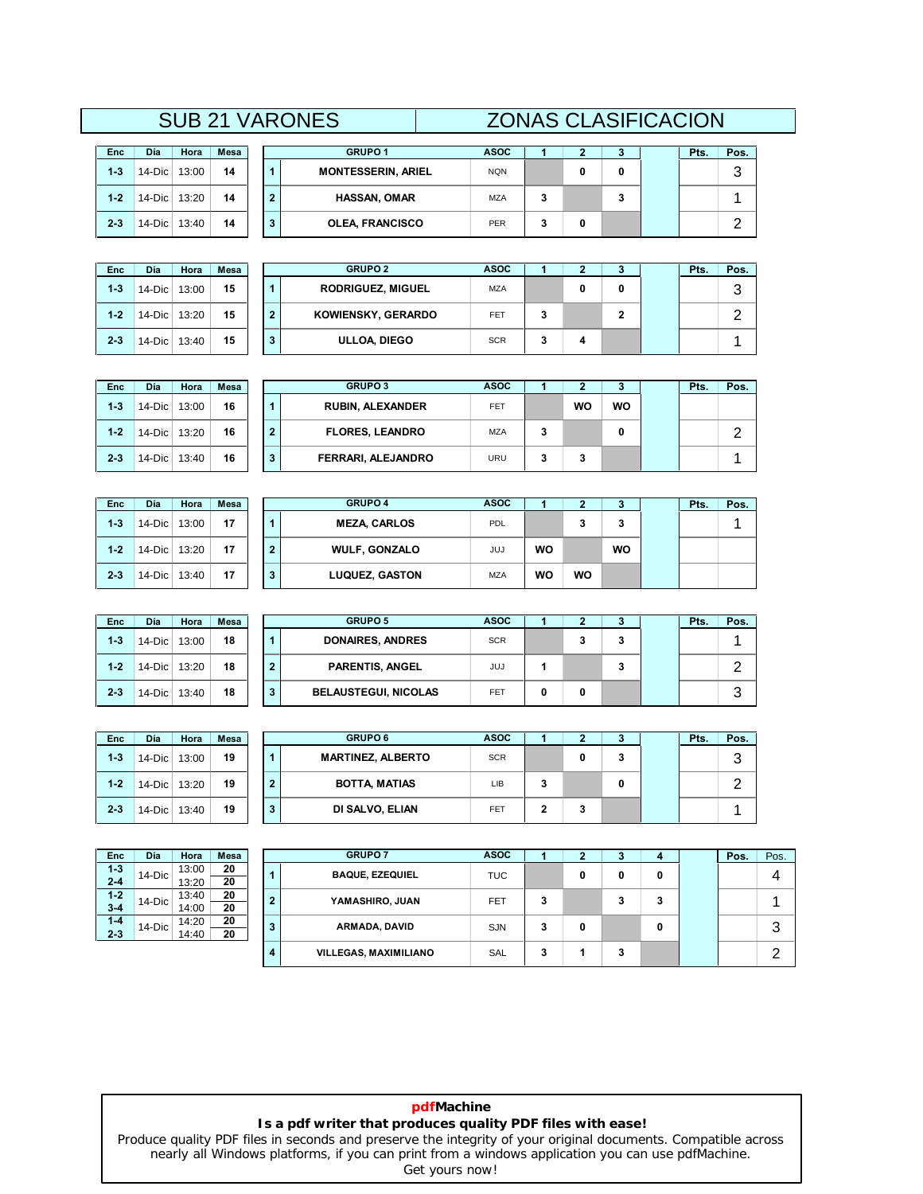|         |              |       |             |              | <b>SUB 21 VARONES</b> |
|---------|--------------|-------|-------------|--------------|-----------------------|
| Enc     | Día          | Hora  | <b>Mesa</b> |              |                       |
| $1 - 3$ | 14-Dic       | 13:00 | 14          | 1            | MON                   |
| $1 - 2$ | 14-Dic 13:20 |       | 14          | $\mathbf{2}$ | н                     |
| $2 - 3$ | $14-Dic$     | 13:40 | 14          | 3            | וח                    |

| Enc     | Día    | Hora  | Mesa |
|---------|--------|-------|------|
| $1 - 3$ | 14-Dic | 13:00 | 15   |
| $1 - 2$ | 14-Dic | 13:20 | 15   |
| $2 - 3$ | 14-Dic | 13:40 | 15   |

|           |       |             |   | <b>SUB 21 VARONES</b>     | <b>ZONAS CLASIFICACION</b> |   |   |      |      |  |
|-----------|-------|-------------|---|---------------------------|----------------------------|---|---|------|------|--|
| Día       | Hora  | <b>Mesa</b> |   | <b>GRUPO 1</b>            | <b>ASOC</b>                |   |   | Pts. | Pos. |  |
| 14-Dic    | 13:00 | 14          |   | <b>MONTESSERIN, ARIEL</b> | <b>NQN</b>                 |   | 0 |      | 3    |  |
| $14$ -Dic | 13:20 | 14          | າ | <b>HASSAN, OMAR</b>       | <b>MZA</b>                 |   |   |      |      |  |
| 14-Dic    | 13:40 | 14          | з | <b>OLEA, FRANCISCO</b>    | PER                        | 0 |   |      | ◠    |  |

| Día    | Hora  | Mesa |  | <b>GRUPO 2</b>           | <b>ASOC</b> |   |   |  | Pts. | Pos.   |
|--------|-------|------|--|--------------------------|-------------|---|---|--|------|--------|
| 14-Dic | 13:00 | 15   |  | <b>RODRIGUEZ, MIGUEL</b> | <b>MZA</b>  |   | 0 |  |      | າ<br>w |
| 14-Dic | 13:20 | 15   |  | KOWIENSKY, GERARDO       | <b>FET</b>  | 3 |   |  |      | ╭      |
| 14-Dic | 13:40 | 15   |  | ULLOA, DIEGO             | <b>SCR</b>  | 3 | 4 |  |      |        |

| Día    | Hora  | <b>Mesa</b> |  | <b>GRUPO 3</b>          | <b>ASOC</b> |   |    |           | Pts. | Pos. |
|--------|-------|-------------|--|-------------------------|-------------|---|----|-----------|------|------|
| 14-Dic | 13:00 | 16          |  | <b>RUBIN, ALEXANDER</b> | <b>FET</b>  |   | WO | <b>WO</b> |      |      |
| 14-Dic | 13:20 | 16          |  | <b>FLORES, LEANDRO</b>  | <b>MZA</b>  | 3 |    |           |      |      |
| 14-Dic | 13:40 | 16          |  | FERRARI, ALEJANDRO      | URU         | 3 | 3  |           |      |      |

| <b>Enc</b> | Día       | Hora  | Mesa |   | <b>GRUPO 4</b>        | <b>ASOC</b> |           |           | з  | P <sub>ts</sub> | Pos. |
|------------|-----------|-------|------|---|-----------------------|-------------|-----------|-----------|----|-----------------|------|
| $1 - 3$    | 14-Dic    | 13:00 | 17   |   | <b>MEZA, CARLOS</b>   | PDL         |           | o         | 3  |                 |      |
| $1 - 2$    | $14-Dic$  | 13:20 | 17   | 2 | <b>WULF, GONZALO</b>  | JUJ         | <b>WO</b> |           | WO |                 |      |
| $2 - 3$    | $14$ -Dic | 13:40 | 17   | 3 | <b>LUQUEZ, GASTON</b> | <b>MZA</b>  | WO        | <b>WO</b> |    |                 |      |

| Día    | Hora  | <b>Mesa</b> |   | <b>GRUPO 5</b>              | <b>ASOC</b> |   |    |   | Pts. | Pos.   |
|--------|-------|-------------|---|-----------------------------|-------------|---|----|---|------|--------|
| 14-Dic | 13:00 | 18          |   | <b>DONAIRES, ANDRES</b>     | <b>SCR</b>  |   | J. | 3 |      |        |
| 14-Dic | 13:20 | 18          |   | <b>PARENTIS, ANGEL</b>      | JUJ         |   |    | 3 |      |        |
| 14-Dic | 13:40 | 18          | 3 | <b>BELAUSTEGUI, NICOLAS</b> | <b>FET</b>  | 0 | 0  |   |      | っ<br>O |

| Enc     | Día    | Hora  | Mesa |
|---------|--------|-------|------|
| $1 - 3$ | 14-Dic | 13:00 | 19   |
| $1 - 2$ | 14-Dic | 13:20 | 19   |
| $2-3$   | 14-Dic | 13:40 | 19   |

**2-3**

 $2 - 3$ 

**1-2**

**1-3**

**2-3**

 $2 - 3$ 

**1-2**

**1-3** 

| Día    | Hora  | Mesa |  | <b>GRUPO 6</b>           | <b>ASOC</b> |   |   |   | Pts. | Pos.   |
|--------|-------|------|--|--------------------------|-------------|---|---|---|------|--------|
| 14-Dic | 13:00 | 19   |  | <b>MARTINEZ, ALBERTO</b> | <b>SCR</b>  |   | 0 | 3 |      | っ<br>J |
| 14-Dic | 13:20 | 19   |  | <b>BOTTA, MATIAS</b>     | LIB         | 3 |   |   |      | ┍      |
| 14-Dic | 13:40 | 19   |  | DI SALVO, ELIAN          | <b>FET</b>  | 2 | 3 |   |      |        |

| Enc     | Día    | Hora  | Mesa |
|---------|--------|-------|------|
| $1 - 3$ | 14-Dic | 13:00 | 20   |
| $2 - 4$ |        | 13:20 | 20   |
| $1 - 2$ | 14-Dic | 13:40 | 20   |
| $3 - 4$ |        | 14:00 | 20   |
| $1 - 4$ | 14-Dic | 14:20 | 20   |
| $2 - 3$ |        | 14:40 | 20   |

| Enc                | Día       | Hora           | <b>Mesa</b> |                | <b>GRUPO 7</b>               | <b>ASOC</b> |   |   |        |   | Pos. | Pos.   |
|--------------------|-----------|----------------|-------------|----------------|------------------------------|-------------|---|---|--------|---|------|--------|
| $1 - 3$<br>$2 - 4$ | $14-Dic$  | 13:00<br>13:20 | 20<br>20    | 1              | <b>BAQUE, EZEQUIEL</b>       | <b>TUC</b>  |   | 0 | 0      | 0 |      | 4      |
| $1-2$<br>$3-4$     | $14-Dic$  | 13:40<br>14:00 | 20<br>20    | $\overline{2}$ | YAMASHIRO, JUAN              | FET         | 3 |   | っ<br>c | 3 |      |        |
| $1 - 4$<br>2-3     | $14$ -Dic | 14:20<br>14:40 | 20<br>20    | 3              | ARMADA, DAVID                | <b>SJN</b>  | 3 | 0 |        | 0 |      | 3      |
|                    |           |                |             | 4              | <b>VILLEGAS, MAXIMILIANO</b> | <b>SAL</b>  | 3 |   | c      |   |      | ◠<br>▃ |

### **pdfMachine Is a pdf writer that produces quality PDF files with ease!**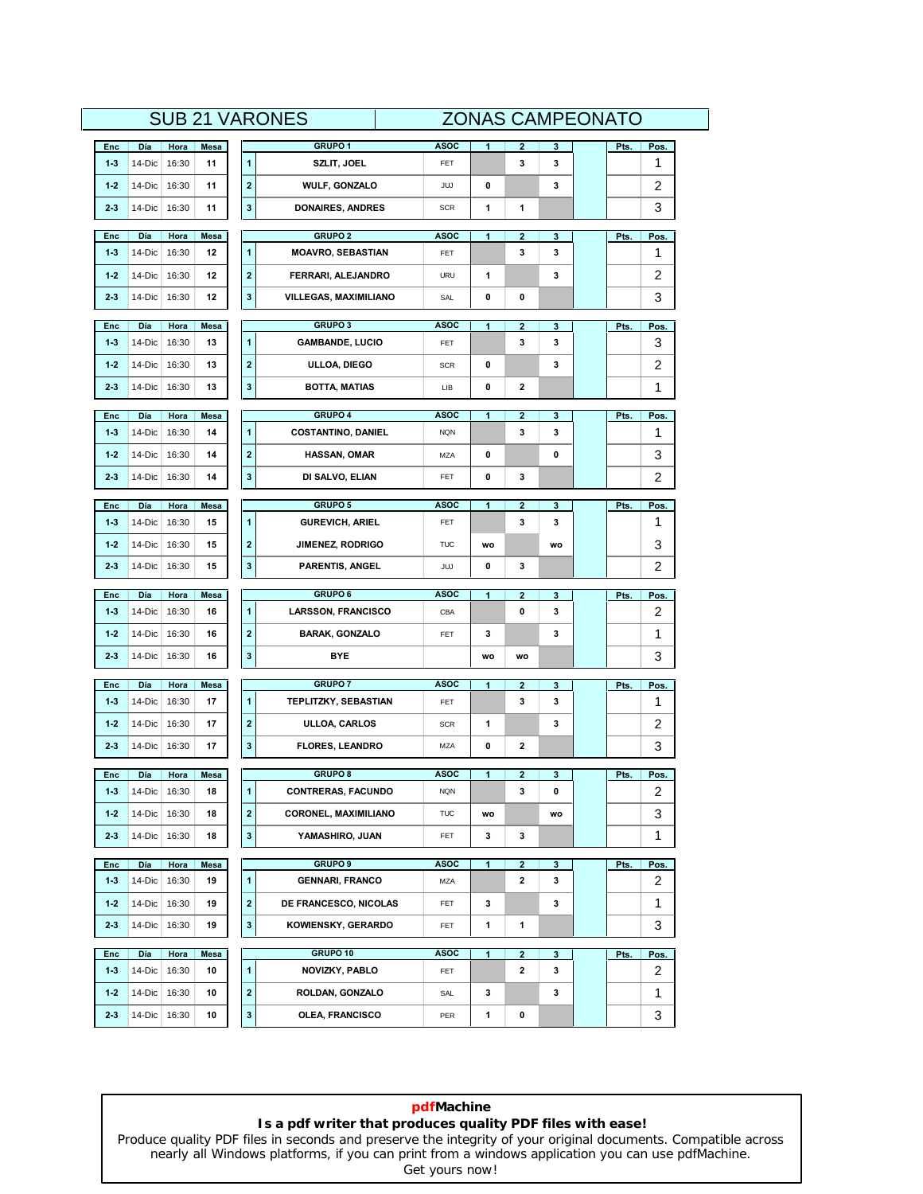|              |                          |               |             |                         | <b>SUB 21 VARONES</b>                                    |                    | <b>ZONAS CAMPEONATO</b> |                   |              |      |           |
|--------------|--------------------------|---------------|-------------|-------------------------|----------------------------------------------------------|--------------------|-------------------------|-------------------|--------------|------|-----------|
| Enc          | Día                      | Hora          | Mesa        |                         | GRUPO <sub>1</sub>                                       | <b>ASOC</b>        | 1                       | $\mathbf{2}$      | 3            | Pts. | Pos.      |
| $1-3$        | 14-Dic                   | 16:30         | 11          | 1                       | SZLIT, JOEL                                              | FET                |                         | 3                 | 3            |      | 1         |
| $1-2$        | 14-Dic                   | 16:30         | 11          | $\overline{\mathbf{2}}$ | <b>WULF, GONZALO</b>                                     | JUJ                | 0                       |                   | 3            |      | 2         |
| 23           | 14-Dic                   | 16:30         | 11          | $\mathbf 3$             | <b>DONAIRES, ANDRES</b>                                  | <b>SCR</b>         | 1                       | 1                 |              |      | 3         |
| Enc          |                          |               | Mesa        |                         | <b>GRUPO 2</b>                                           | <b>ASOC</b>        | 1                       | $\mathbf{2}$      | 3            | Pts. | Pos.      |
| $1-3$        | Día<br>14-Dic            | Hora<br>16:30 | 12          | 1                       | <b>MOAVRO, SEBASTIAN</b>                                 | FET                |                         | 3                 | 3            |      | 1         |
| $1-2$        | 14-Dic                   | 16:30         | 12          | $\overline{\mathbf{2}}$ | FERRARI, ALEJANDRO                                       | <b>URU</b>         | 1                       |                   | 3            |      | 2         |
| $2-3$        | 14-Dic                   | 16:30         | 12          | 3                       | <b>VILLEGAS, MAXIMILIANO</b>                             | SAL                | 0                       | 0                 |              |      | 3         |
|              |                          |               |             |                         |                                                          |                    |                         |                   |              |      |           |
| Enc<br>$1-3$ | Día<br>14-Dic            | Hora<br>16:30 | Mesa<br>13  | 1                       | <b>GRUPO 3</b><br><b>GAMBANDE, LUCIO</b>                 | <b>ASOC</b><br>FET | 1                       | $\mathbf{2}$<br>3 | 3<br>3       | Pts. | Pos.<br>3 |
| $1-2$        | 14-Dic                   | 16:30         | 13          | $\boldsymbol{2}$        |                                                          | <b>SCR</b>         | 0                       |                   | 3            |      | 2         |
| 23           | 14-Dic                   | 16:30         | 13          | 3                       | ULLOA, DIEGO<br><b>BOTTA, MATIAS</b>                     | LIB                | 0                       | $\mathbf{2}$      |              |      | 1         |
|              |                          |               |             |                         |                                                          |                    |                         |                   |              |      |           |
| Enc          | Día                      | Hora          | Mesa        |                         | GRUPO 4                                                  | <b>ASOC</b>        | 1                       | $\mathbf{2}$      | 3            | Pts. | Pos.      |
| $1-3$        | 14-Dic                   | 16:30         | 14          | $\mathbf{1}$            | <b>COSTANTINO, DANIEL</b>                                | <b>NQN</b>         |                         | 3                 | 3            |      | 1         |
| 1.2          | 14-Dic                   | 16:30         | 14          | $\boldsymbol{2}$        | <b>HASSAN, OMAR</b>                                      | MZA                | 0                       |                   | 0            |      | 3         |
| 23           | 14-Dic                   | 16:30         | 14          | $\mathbf 3$             | DI SALVO, ELIAN                                          | FET                | 0                       | 3                 |              |      | 2         |
| Enc          | Día                      | Hora          | Mesa        |                         | <b>GRUPO 5</b>                                           | <b>ASOC</b>        | 1                       | $\overline{2}$    | 3            | Pts. | Pos.      |
| $1-3$        | 14-Dic                   | 16:30         | 15          | 1                       | <b>GUREVICH, ARIEL</b>                                   | FET                |                         | 3                 | 3            |      | 1         |
| $1-2$        | 14-Dic                   | 16:30         | 15          | $\boldsymbol{2}$        | JIMENEZ, RODRIGO                                         | <b>TUC</b>         | WO                      |                   | wo           |      | 3         |
|              |                          |               |             |                         |                                                          |                    |                         |                   |              |      |           |
| 23           | 14-Dic                   | 16:30         | 15          | 3                       | <b>PARENTIS, ANGEL</b>                                   | JUJ                | 0                       | 3                 |              |      | 2         |
| Enc          | Día                      | Hora          | <b>Mesa</b> |                         | <b>GRUPO 6</b>                                           | <b>ASOC</b>        | 1                       | $\mathbf{2}$      | 3            | Pts. | Pos.      |
| $1-3$        | 14-Dic                   | 16:30         | 16          | 1                       | <b>LARSSON, FRANCISCO</b>                                | CBA                |                         | 0                 | 3            |      | 2         |
| 1.2          | 14-Dic                   | 16:30         | 16          | $\overline{\mathbf{2}}$ | <b>BARAK, GONZALO</b>                                    | FET                | 3                       |                   | 3            |      | 1         |
| 23           | 14-Dic                   | 16:30         | 16          | $\mathbf 3$             | <b>BYE</b>                                               |                    | WO                      | wo                |              |      | 3         |
| Enc          | Día                      | Hora          |             |                         | <b>GRUPO 7</b>                                           | <b>ASOC</b>        | 1                       | $\overline{2}$    |              |      |           |
| $1-3$        | 14-Dic                   | 16:30         | Mesa<br>17  | 1                       | TEPLITZKY, SEBASTIAN                                     | FET                |                         | 3                 | 3<br>3       | Pts. | Pos.<br>1 |
| $1-2$        | 14-Dic                   | 16:30         | 17          | $\overline{2}$          | ULLOA, CARLOS                                            | <b>SCR</b>         | 1                       |                   | 3            |      | 2         |
| 23           | 14-Dic                   | 16:30         | 17          | $\mathbf 3$             | <b>FLORES, LEANDRO</b>                                   | <b>MZA</b>         | 0                       | 2                 |              |      | 3         |
|              |                          |               |             |                         |                                                          |                    |                         |                   |              |      |           |
| Enc          | Día                      | Hora          | Mesa        |                         | <b>GRUPO 8</b>                                           | <b>ASOC</b>        | 1                       | $\mathbf{2}$      | 3<br>0       | Pts. | Pos.      |
| $1-3$<br>1.2 | 14-Dic   16:30<br>14-Dic | 16:30         | 18<br>18    | 1<br>$\mathbf{2}$       | <b>CONTRERAS, FACUNDO</b><br><b>CORONEL, MAXIMILIANO</b> | <b>NQN</b><br>TUC  | wo                      | 3                 | wo           |      | 2         |
| $2-3$        | 14-Dic   16:30           |               | 18          |                         | YAMASHIRO, JUAN                                          | FET                | 3                       | 3                 |              |      | 3         |
|              |                          |               |             | 3                       |                                                          |                    |                         |                   |              |      | 1         |
| Enc          | Día                      | Hora          | Mesa        |                         | <b>GRUPO 9</b>                                           | <b>ASOC</b>        | $\mathbf{1}$            | $\mathbf{2}$      | $\mathbf{3}$ | Pts. | Pos.      |
| 13           | 14-Dic                   | 16:30         | 19          | $\mathbf{1}$            | <b>GENNARI, FRANCO</b>                                   | MZA                |                         | 2                 | 3            |      | 2         |
| 1.2          | 14-Dic   16:30           |               | 19          | $\mathbf{2}$            | DE FRANCESCO, NICOLAS                                    | FET                | 3                       |                   | 3            |      | 1         |
| 23           | $14-Dic$                 | 16:30         | 19          | $\mathbf 3$             | KOWIENSKY, GERARDO                                       | FET                | 1                       | 1                 |              |      | 3         |
| Enc          | Día                      | Hora          | Mesa        |                         | GRUPO 10                                                 | <b>ASOC</b>        | 1                       | $\mathbf{2}$      | 3            | Pts. | Pos.      |
| 13           | $14-Dic$                 | 16:30         | 10          | $\mathbf{1}$            | NOVIZKY, PABLO                                           | FET                |                         | $\mathbf{2}$      | 3            |      | 2         |
| 1.2          | 14-Dic   16:30           |               | 10          | $\mathbf{2}$            | ROLDAN, GONZALO                                          | SAL                | 3                       |                   | 3            |      | 1         |

# **pdfMachine**

### **Is a pdf writer that produces quality PDF files with ease!**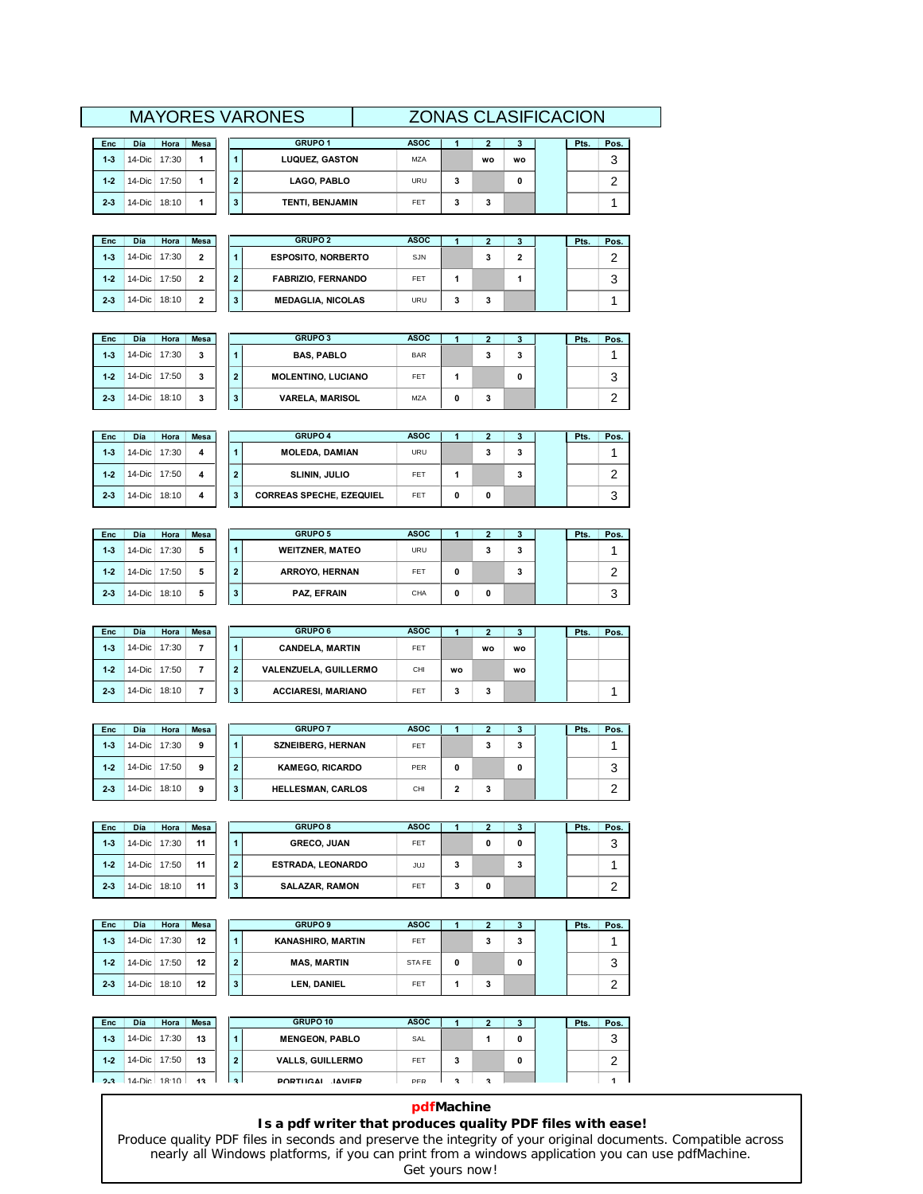|         |                                                                             |  |  |   | <b>MAYORES VARONES</b> | <b>ZONAS CLASIFICACION</b> |   |           |           |  |        |  |
|---------|-----------------------------------------------------------------------------|--|--|---|------------------------|----------------------------|---|-----------|-----------|--|--------|--|
| Enc     | <b>GRUPO 1</b><br><b>ASOC</b><br>Día<br><b>Mesa</b><br>Hora<br>Pos.<br>Pts. |  |  |   |                        |                            |   |           |           |  |        |  |
| $1-3$   | 14-Dic 17:30                                                                |  |  |   | <b>LUQUEZ, GASTON</b>  | MZA                        |   | <b>WO</b> | <b>WO</b> |  | ົ<br>J |  |
| $1 - 2$ | 14-Dic 17:50                                                                |  |  | 2 | LAGO, PABLO            | URU                        | 3 |           |           |  | ົ      |  |
| $2-3$   | 14-Dic 18:10                                                                |  |  |   | <b>TENTI, BENJAMIN</b> | <b>FFT</b>                 |   | 3         |           |  |        |  |

| Enc   | Día       | Hora  | <b>Mesa</b>    |   | <b>GRUPO 2</b>            | <b>ASOC</b> |   | .,     |   | Pts. | Pos. |
|-------|-----------|-------|----------------|---|---------------------------|-------------|---|--------|---|------|------|
| $1-3$ | $14$ -Dic | 17:30 | $\mathbf{2}$   |   | <b>ESPOSITO, NORBERTO</b> | SJN         |   | ۰<br>c | 2 |      | ◠    |
| $1-2$ | $14$ -Dic | 17:50 | 2              | 2 | <b>FABRIZIO, FERNANDO</b> | FET         |   |        |   |      | 3    |
| $2-3$ | $14$ -Dic | 18:10 | $\overline{2}$ | 3 | <b>MEDAGLIA, NICOLAS</b>  | URU         | 3 | з      |   |      |      |

| <b>Enc</b> | Día          | Hora  | <b>Mesa</b> |   | <b>GRUPO 3</b>            | <b>ASOC</b> | っ<br>▴ | 3 | Pts. | Pos. |
|------------|--------------|-------|-------------|---|---------------------------|-------------|--------|---|------|------|
| $1-3$      | $14$ -Dic    | 17:30 | 3           |   | <b>BAS, PABLO</b>         | <b>BAR</b>  | 3      | 3 |      |      |
| $1-2$      | 14-Dic 17:50 |       | 3           | ◠ | <b>MOLENTINO, LUCIANO</b> | FET         |        | 0 |      | 3    |
| $2-3$      | 14-Dic 18:10 |       | 3           | 3 | <b>VARELA, MARISOL</b>    | <b>MZA</b>  | 3      |   |      | ົ    |

| <b>Enc</b> | Día      | Hora  | <b>Mesa</b> |              | <b>GRUPO 4</b>                  | <b>ASOC</b> |   |   |   | Pts. | Pos. |
|------------|----------|-------|-------------|--------------|---------------------------------|-------------|---|---|---|------|------|
| $1-3$      | $14-Dic$ | 17:30 | 4           |              | <b>MOLEDA, DAMIAN</b>           | <b>URU</b>  |   | 3 | 3 |      |      |
| $1-2$      | $14-Dic$ | 17:50 | 4           | $\mathbf{2}$ | <b>SLININ, JULIO</b>            | FET         |   |   | 3 |      | ີ    |
| $2-3$      | $14-Dic$ | 18:10 | 4           | 3            | <b>CORREAS SPECHE, EZEQUIEL</b> | FET         | 0 | 0 |   |      | 3    |

| Enc   | Día            | Hora  | <b>Mesa</b> |                | <b>GRUPO 5</b>         | <b>ASOC</b> |   | 2 | 3 | Pts. | Pos. |
|-------|----------------|-------|-------------|----------------|------------------------|-------------|---|---|---|------|------|
| $1-3$ | $14$ -Dic      | 17:30 | 5           |                | <b>WEITZNER, MATEO</b> | URU         |   | 3 | 3 |      |      |
| $1-2$ | 14-Dic 17:50   |       | 5           | $\overline{2}$ | ARROYO, HERNAN         | FET         | 0 |   | 3 |      | ີ    |
| $2-3$ | 14-Dic $\vert$ | 18:10 | 5           | 3              | PAZ, EFRAIN            | CHA         | 0 | 0 |   |      | 3    |

| <b>Enc</b> | Día            | Hora  | <b>Mesa</b> |                | <b>GRUPO 6</b>            | <b>ASOC</b> |    |    | 3  | Pts. | Pos. |
|------------|----------------|-------|-------------|----------------|---------------------------|-------------|----|----|----|------|------|
| $1 - 3$    | 14-Dic 17:30   |       |             |                | <b>CANDELA, MARTIN</b>    | FET         |    | wo | wo |      |      |
| $1 - 2$    | 14-Dic 17:50   |       |             | $\overline{2}$ | VALENZUELA, GUILLERMO     | CHI         | wo |    | wo |      |      |
| $2-3$      | 14-Dic $\vert$ | 18:10 |             | 3              | <b>ACCIARESI, MARIANO</b> | FET         | 3  | 3  |    |      |      |

| <b>Enc</b> | Día            | Hora  | <b>Mesa</b> |                | <b>GRUPO 7</b>           | <b>ASOC</b> |   |   | 3 | Pts. | Pos.   |
|------------|----------------|-------|-------------|----------------|--------------------------|-------------|---|---|---|------|--------|
| $1 - 3$    | 14-Dic $\vert$ | 17:30 | 9           |                | <b>SZNEIBERG, HERNAN</b> | FET         |   | o | 3 |      |        |
| $1 - 2$    | 14-Dic $\vert$ | 17:50 | 9           | $\overline{2}$ | <b>KAMEGO, RICARDO</b>   | PER         | 0 |   | 0 |      | 2<br>J |
| $2 - 3$    | $14$ -Dic      | 18:10 | 9           | 3              | <b>HELLESMAN, CARLOS</b> | CHI         | 2 | 3 |   |      | ົ      |

| Enc     | Día          | Hora  | <b>Mesa</b> |   | <b>GRUPO 8</b>           | <b>ASOC</b> |   | ., |   | Pts. | Pos. |
|---------|--------------|-------|-------------|---|--------------------------|-------------|---|----|---|------|------|
| $1 - 3$ | $14$ -Dic    | 17:30 | 11          |   | <b>GRECO, JUAN</b>       | FET         |   | 0  | 0 |      | 3    |
| $1-2$   | $14$ -Dic    | 17:50 | 11          | 2 | <b>ESTRADA, LEONARDO</b> | JUJ         | 3 |    | 3 |      |      |
| $2-3$   | 14-Dic 18:10 |       | 11          | 3 | <b>SALAZAR, RAMON</b>    | FET         | 3 | 0  |   |      | ີ    |

| Enc     | Día       | Hora  | <b>Mesa</b> |              | <b>GRUPO 9</b>           | <b>ASOC</b> |   |
|---------|-----------|-------|-------------|--------------|--------------------------|-------------|---|
| $1 - 3$ | $14$ -Dic | 17:30 | 12          |              | <b>KANASHIRO, MARTIN</b> | <b>FET</b>  |   |
| $1 - 2$ | $14$ -Dic | 17:50 | 12          | $\mathbf{2}$ | <b>MAS, MARTIN</b>       | STA FE      | 0 |
| $2 - 3$ | $14$ -Dic | 18:10 | 12          | 3            | LEN, DANIEL              | FET         |   |

| Enc   | Día       | Hora         | <b>Mesa</b> |              | GRUPO 10                | <b>ASOC</b> |   |   | 3 | Pts. | Pos.   |
|-------|-----------|--------------|-------------|--------------|-------------------------|-------------|---|---|---|------|--------|
| $1-3$ | $14$ -Dic | 17:30        | 13          |              | <b>MENGEON, PABLO</b>   | SAL         |   |   | 0 |      | ົ<br>J |
| $1-2$ |           | 14-Dic 17:50 | 13          | $\mathbf{2}$ | <b>VALLS, GUILLERMO</b> | FET         | 3 |   | 0 |      | ີ      |
| 2.3.  |           | 14-Dic 18:10 | 13          | $\mathbf{R}$ | PORTUGAL JAVIER         | PFR         | з | я |   |      |        |

### **pdfMachine**

**<sup>3</sup>**

**3**

 $\overline{\mathbf{3}}$ 

 $\begin{array}{c} 3 \\ 3 \end{array}$ 

 $\mathbf 0$ 

**<sup>2</sup> <sup>3</sup> Pts. Pos.**

2

3

1

### **Is a pdf writer that produces quality PDF files with ease!**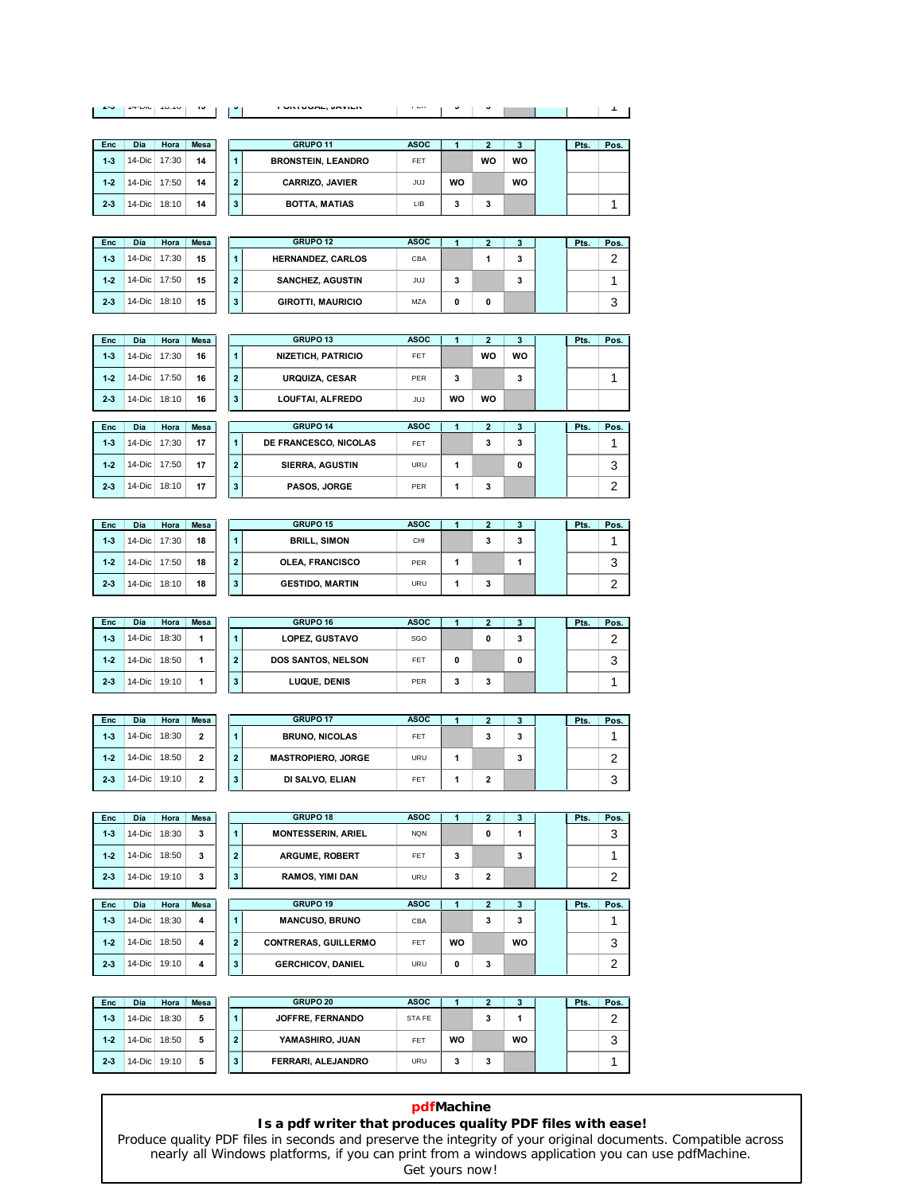| $17 - U10 + 10.10$<br>ïэ<br><b>ALCOHOL:</b><br>$\bullet$ | <b>FURIUUML, JAVILR</b> | <b>FLIV</b> | v |  |  |  |
|----------------------------------------------------------|-------------------------|-------------|---|--|--|--|

| Enc     | Día          | Hora | <b>Mesa</b> |              | GRUPO <sub>11</sub>       | <b>ASOC</b> |   |
|---------|--------------|------|-------------|--------------|---------------------------|-------------|---|
| $1-3$   | 14-Dic 17:30 |      | 14          |              | <b>BRONSTEIN, LEANDRO</b> | FET         |   |
| $1 - 2$ | 14-Dic 17:50 |      | 14          | $\mathbf{2}$ | <b>CARRIZO, JAVIER</b>    | JUJ         | W |
| $2 - 3$ | 14-Dic 18:10 |      | 14          | 3            | <b>BOTTA, MATIAS</b>      | LIB         | 3 |

| Día      | Hora  | <b>Mesa</b> |   | GRUPO 11                  | <b>ASOC</b> |    |    |           | Pts. | Pos. |
|----------|-------|-------------|---|---------------------------|-------------|----|----|-----------|------|------|
| 14-Dic I | 17:30 | 14          |   | <b>BRONSTEIN, LEANDRO</b> | FET         |    | WO | <b>WO</b> |      |      |
| 14-Dic I | 17:50 | 14          | 2 | <b>CARRIZO, JAVIER</b>    | JUJ         | WO |    | wo        |      |      |
| 14-Dic   | 18:10 | 14          |   | <b>BOTTA, MATIAS</b>      | LIB         | 3  | 3  |           |      |      |

| <b>Enc</b> | Día          | Hora  | <b>Mesa</b> |                | <b>GRUPO 12</b>          | <b>ASOC</b> |   |   | 3 | Pts. | Pos. |
|------------|--------------|-------|-------------|----------------|--------------------------|-------------|---|---|---|------|------|
| $1-3$      | $14$ -Dic    | 17:30 | 15          |                | <b>HERNANDEZ, CARLOS</b> | CBA         |   |   | 3 |      | ົ    |
| $1-2$      | 14-Dic 17:50 |       | 15          | $\overline{2}$ | <b>SANCHEZ, AGUSTIN</b>  | JUJ         | 3 |   | 3 |      |      |
| $2-3$      | $14$ -Dic    | 18:10 | 15          | 3              | <b>GIROTTI, MAURICIO</b> | <b>MZA</b>  | 0 | 0 |   |      | 3    |

| <b>Enc</b> | Día       | Hora  | <b>Mesa</b> |                | <b>GRUPO 13</b>           | <b>ASOC</b> |    |    |    | Pts. | Pos.   |
|------------|-----------|-------|-------------|----------------|---------------------------|-------------|----|----|----|------|--------|
| $1-3$      | 14-Dic    | 17:30 | 16          | 1              | <b>NIZETICH, PATRICIO</b> | FET         |    | WO | WO |      |        |
| $1-2$      | $14$ -Dic | 17:50 | 16          | $\overline{2}$ | <b>URQUIZA, CESAR</b>     | PER         | 3  |    | 3  |      |        |
| $2-3$      | 14-Dic    | 18:10 | 16          | 3              | LOUFTAI, ALFREDO          | JUJ         | WO | WO |    |      |        |
|            |           |       |             |                |                           |             |    |    |    |      |        |
| Enc        | Día       | Hora  | <b>Mesa</b> |                | <b>GRUPO 14</b>           | <b>ASOC</b> |    |    |    | Pts. | Pos. I |

| Enc     | <b>Día</b>   | Hora  | <b>Mesa</b> |              | <b>GRUPO 14</b>        | <b>ASOC</b> |  |   | Pts. | Pos. |
|---------|--------------|-------|-------------|--------------|------------------------|-------------|--|---|------|------|
| $1 - 3$ | 14-Dic 17:30 |       | 17          |              | DE FRANCESCO, NICOLAS  | FET         |  | 3 |      |      |
| $1 - 2$ | 14-Dic I     | 17:50 | 17          | $\mathbf{2}$ | <b>SIERRA, AGUSTIN</b> | URU         |  | 0 |      | ⌒    |
| $2-3$   | 14-Dic I     | 18:10 | 17          | 3            | PASOS, JORGE           | PFR         |  |   |      |      |

| <b>Enc</b> | Día            | Hora         | <b>Mesa</b> |                | <b>GRUPO 15</b>        | <b>ASOC</b> |   | з | Pts. | Pos. |
|------------|----------------|--------------|-------------|----------------|------------------------|-------------|---|---|------|------|
| $1-3$      | $14$ -Dic      | 17:30        | 18          |                | <b>BRILL, SIMON</b>    | CHI         | 3 | 3 |      |      |
| $1-2$      |                | 14-Dic 17:50 | 18          | $\overline{2}$ | <b>OLEA, FRANCISCO</b> | PER         |   |   |      | 3    |
| $2-3$      | 14-Dic $\vert$ | 18:10        | 18          | 3              | <b>GESTIDO, MARTIN</b> | <b>URU</b>  | 3 |   |      | ີ    |

| <b>Enc</b> | Día            | Hora  | <b>Mesa</b> |                | <b>GRUPO 16</b>       | <b>ASOC</b> |   |   | 3 | Pts. | Pos. |
|------------|----------------|-------|-------------|----------------|-----------------------|-------------|---|---|---|------|------|
| $1 - 3$    | $14-Dic$       | 18:30 |             |                | <b>LOPEZ, GUSTAVO</b> | SGO         |   | 0 | 3 |      | ົ    |
| $1-2$      | 14-Dic $\vert$ | 18:50 |             | $\overline{2}$ | DOS SANTOS, NELSON    | FET         | 0 |   | 0 |      | 3    |
| $2 - 3$    | 14-Dic $\vert$ | 19:10 |             | 3              | LUQUE, DENIS          | PER         | 3 | 3 |   |      |      |

| Enc   | Día            | Hora  | <b>Mesa</b>    | <b>GRUPO 17</b>                             | <b>ASOC</b> |   | 3 | Pts. | Pos. |
|-------|----------------|-------|----------------|---------------------------------------------|-------------|---|---|------|------|
| $1-3$ | 14-Dic $\vert$ | 18:30 | $\overline{2}$ | <b>BRUNO, NICOLAS</b>                       | FET         | 3 | 3 |      |      |
| $1-2$ | $14$ -Dic      | 18:50 | $\overline{2}$ | <b>MASTROPIERO, JORGE</b><br>$\overline{2}$ | URU         |   | 3 |      | ົ    |
| $2-3$ | 14-Dic $\vert$ | 19:10 | 2              | DI SALVO, ELIAN<br>3                        | FET         | 2 |   |      | 3    |

| Enc        | <b>Día</b> | Hora  | <b>Mesa</b> |                | <b>GRUPO 18</b>             | <b>ASOC</b> |           | $\overline{2}$ | 3         | Pts. | Pos. |
|------------|------------|-------|-------------|----------------|-----------------------------|-------------|-----------|----------------|-----------|------|------|
| $1-3$      | $14$ -Dic  | 18:30 | 3           | 1              | <b>MONTESSERIN, ARIEL</b>   | <b>NQN</b>  |           | 0              | 1         |      | 3    |
| $1 - 2$    | $14-Dic$   | 18:50 | 3           | $\overline{2}$ | <b>ARGUME, ROBERT</b>       | FET         | 3         |                | 3         |      |      |
| $2-3$      | $14-Dic$   | 19:10 | 3           | 3              | <b>RAMOS, YIMI DAN</b>      | URU         | 3         | $\overline{2}$ |           |      | 2    |
|            |            |       |             |                |                             |             |           |                |           |      |      |
| <b>Enc</b> | Día        | Hora  | <b>Mesa</b> |                | GRUPO 19                    | <b>ASOC</b> |           | $\overline{2}$ | 3         | Pts. | Pos. |
| $1 - 3$    | $14-Dic$   | 18:30 | 4           | 1              | <b>MANCUSO, BRUNO</b>       | <b>CBA</b>  |           | 3              | 3         |      |      |
| $1 - 2$    | $14$ -Dic  | 18:50 | 4           | $\overline{2}$ | <b>CONTRERAS, GUILLERMO</b> | FET         | <b>WO</b> |                | <b>WO</b> |      | 3    |
| $2-3$      | $14-Dic$   | 19:10 | 4           | 3              | <b>GERCHICOV, DANIEL</b>    | URU         | 0         | 3              |           |      | 2    |

| <b>Enc</b> | Día            | Hora  | <b>Mesa</b> |   | <b>GRUPO 20</b>    | <b>ASOC</b> |    |   | -3 | Pts. | Pos. |
|------------|----------------|-------|-------------|---|--------------------|-------------|----|---|----|------|------|
| $1-3$      | $14$ -Dic      | 18:30 |             |   | JOFFRE, FERNANDO   | STA FE      |    | 3 |    |      | ົ    |
| $1-2$      | $14$ -Dic      | 18:50 | 5           | 2 | YAMASHIRO, JUAN    | FET         | WO |   | WO |      | 3    |
| $2-3$      | 14-Dic $\vert$ | 19:10 |             | 3 | FERRARI, ALEJANDRO | <b>URU</b>  | 3  | 3 |    |      |      |

# **pdfMachine**

### **Is a pdf writer that produces quality PDF files with ease!**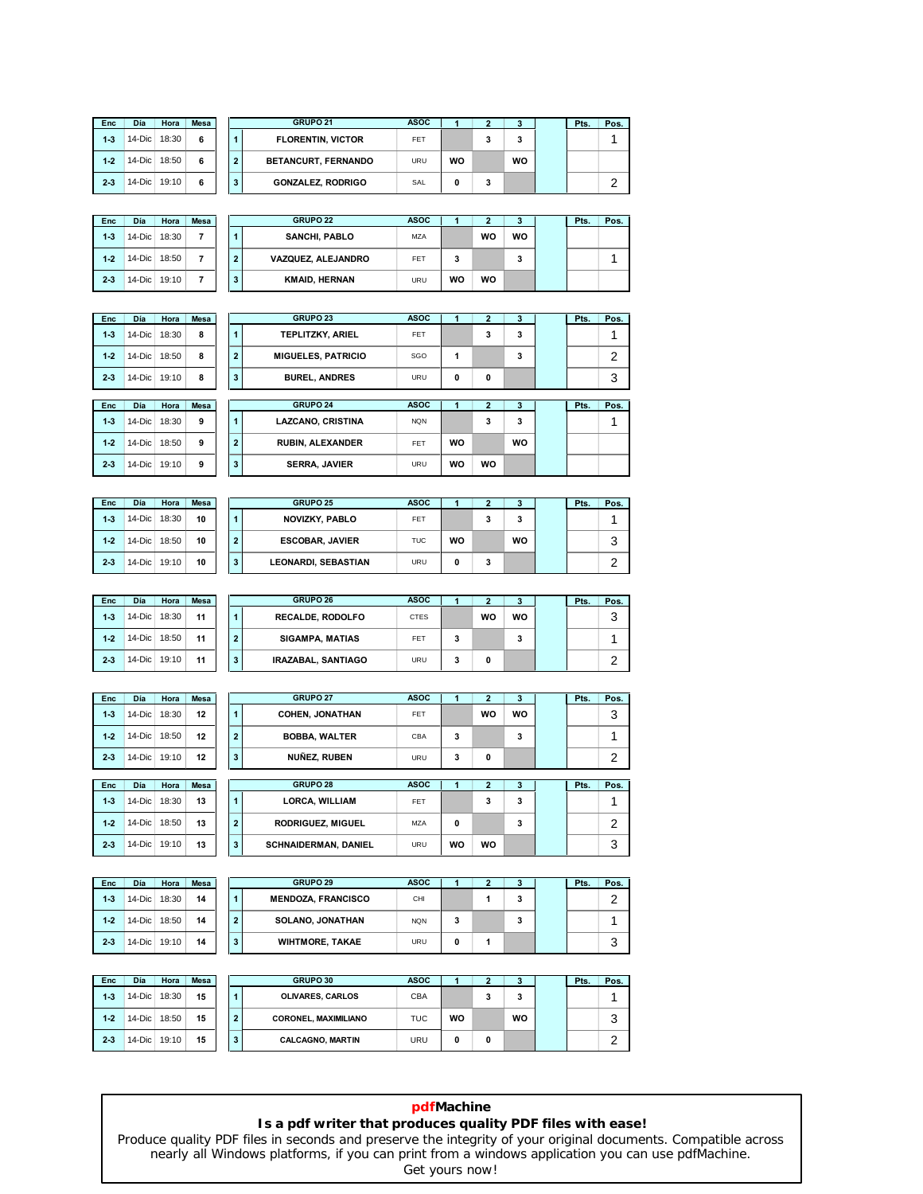| Enc     | Día            | Hora | <b>Mesa</b> |
|---------|----------------|------|-------------|
| $1-3$   | 14-Dic   18:30 |      | 6           |
| $1 - 2$ | 14-Dic   18:50 |      | 6           |
| $2-3$   | 14-Dic   19:10 |      | 6           |

| Día      | Hora  | <b>Mesa</b> |              | <b>GRUPO 21</b>          | <b>ASOC</b> |    |   | 3  | Pts. | Pos. |
|----------|-------|-------------|--------------|--------------------------|-------------|----|---|----|------|------|
| 14-Dic   | 18:30 | 6           |              | <b>FLORENTIN, VICTOR</b> | FET         |    | 3 | 3  |      |      |
| 14-Dic   | 18:50 | 6           | $\mathbf{2}$ | BETANCURT, FERNANDO      | <b>URU</b>  | WO |   | WO |      |      |
| 14-Dic I | 19:10 | 6           | 3            | <b>GONZALEZ, RODRIGO</b> | SAL         | 0  | 3 |    |      | ◠    |

| <b>Enc</b> | Día       | Hora  | <b>Mesa</b> |   | <b>GRUPO 22</b>      | <b>ASOC</b> |    | ., |    | Pts. | Pos. |
|------------|-----------|-------|-------------|---|----------------------|-------------|----|----|----|------|------|
| $1-3$      | $14$ -Dic | 18:30 | 7           |   | <b>SANCHI, PABLO</b> | <b>MZA</b>  |    | WO | WO |      |      |
| $1 - 2$    | $14-Dic$  | 18:50 |             | 2 | VAZQUEZ, ALEJANDRO   | FET         | 3  |    | 3  |      |      |
| $2-3$      | $14$ -Dic | 19:10 | 7           | 3 | <b>KMAID, HERNAN</b> | URU         | WO | WO |    |      |      |

| Enc     | Día      | Hora  | Mesa |
|---------|----------|-------|------|
| $1-3$   | 14-Dic I | 18:30 | ន    |
| $1 - 2$ | 14-Dic   | 18:50 | 8    |
| $2-3$   | 14-Dic   | 19:10 | ឧ    |

| Enc   | Día       | Hora  | <b>Mesa</b> |                      | <b>GRUPO 23</b>           | <b>ASOC</b> |   |   | 3 | Pts. | Pos. |
|-------|-----------|-------|-------------|----------------------|---------------------------|-------------|---|---|---|------|------|
| $1-3$ | 14-Dic    | 18:30 | 8           | $\blacktriangleleft$ | TEPLITZKY, ARIEL          | <b>FET</b>  |   | 3 | 3 |      |      |
| $1-2$ | $14$ -Dic | 18:50 | 8           | $\overline{2}$       | <b>MIGUELES, PATRICIO</b> | SGO         |   |   | 3 |      | ົ    |
| $2-3$ | $14$ -Dic | 19:10 | 8           | 3                    | <b>BUREL, ANDRES</b>      | <b>URU</b>  | 0 | 0 |   |      | 3    |
|       |           |       |             |                      |                           |             |   |   |   |      |      |
| Enc   | Día       | Hora  | <b>Mesa</b> |                      | <b>GRUPO 24</b>           | <b>ASOC</b> |   |   | 3 | Pts. | Pos. |
| $1-3$ | $14$ -Dic | 18:30 | 9           |                      | <b>LAZCANO, CRISTINA</b>  | <b>NQN</b>  |   | 3 | 3 |      |      |

| $1-3$ | 14-Dic 18:30 |       | ٩ |              | <b>LAZCANO, CRISTINA</b> | <b>NQN</b> |    |    | ٠  |  |  |
|-------|--------------|-------|---|--------------|--------------------------|------------|----|----|----|--|--|
| $1-2$ | $14$ -Dic    | 18:50 | ۰ | $\cdot$      | <b>RUBIN, ALEXANDER</b>  | FET        | WO |    | WO |  |  |
| $2-3$ | 14-Dic       | 19:10 | ٩ | $\cdot$<br>o | <b>SERRA, JAVIER</b>     | URU        | WO | WO |    |  |  |

| Enc   | <b>Día</b>     | Hora  | <b>Mesa</b> |                | <b>GRUPO 25</b>        | <b>ASOC</b> |           |   | 3  | Pts. | Pos. |
|-------|----------------|-------|-------------|----------------|------------------------|-------------|-----------|---|----|------|------|
| $1-3$ | 14-Dic $\vert$ | 18:30 | 10          |                | <b>NOVIZKY, PABLO</b>  | FET         |           | 3 | 3  |      |      |
| $1-2$ | 14-Dic $\vert$ | 18:50 | 10          | $\overline{2}$ | <b>ESCOBAR, JAVIER</b> | <b>TUC</b>  | <b>WO</b> |   | wo |      | 3    |
| $2-3$ | 14-Dic $\vert$ | 19:10 | 10          | 3              | LEONARDI, SEBASTIAN    | URU         | 0         | 3 |    |      | ົ    |

| <b>Enc</b> | Día       | Hora  | <b>Mesa</b> |                | <b>GRUPO 26</b>         | <b>ASOC</b> |   |    | 3  | Pts. | Pos. |
|------------|-----------|-------|-------------|----------------|-------------------------|-------------|---|----|----|------|------|
| $1 - 3$    | $14$ -Dic | 18:30 | 11          |                | <b>RECALDE, RODOLFO</b> | <b>CTES</b> |   | WO | WO |      | 3    |
| $1 - 2$    | $14-Dic$  | 18:50 | 11          | $\overline{2}$ | <b>SIGAMPA, MATIAS</b>  | FET         | 3 |    | 3  |      |      |
| $2 - 3$    | $14$ -Dic | 19:10 | 11          | 3              | IRAZABAL, SANTIAGO      | URU         | 3 | 0  |    |      | ົ    |

| Enc     | Día       | Hora  | <b>Mesa</b> |                      | <b>GRUPO 27</b>             | <b>ASOC</b> |           | 2              | 3  | Pts. | Pos. |
|---------|-----------|-------|-------------|----------------------|-----------------------------|-------------|-----------|----------------|----|------|------|
| $1-3$   | 14-Dic    | 18:30 | 12          | $\blacktriangleleft$ | <b>COHEN. JONATHAN</b>      | <b>FET</b>  |           | WO             | wo |      | 3    |
| $1-2$   | $14$ -Dic | 18:50 | 12          | $\overline{2}$       | <b>BOBBA, WALTER</b>        | CBA         | 3         |                | 3  |      | и    |
| $2 - 3$ | $14$ -Dic | 19:10 | 12          | 3                    | NUÑEZ, RUBEN                | URU         | 3         | 0              |    |      | 2    |
|         |           |       |             |                      |                             |             |           |                |    |      |      |
| Enc     | Día       | Hora  | <b>Mesa</b> |                      | GRUPO 28                    | <b>ASOC</b> |           | $\overline{2}$ | 3  | Pts. | Pos. |
| $1 - 3$ | 14-Dic    | 18:30 | 13          | 1                    | <b>LORCA, WILLIAM</b>       | <b>FET</b>  |           | 3              | 3  |      | и    |
| $1-2$   | $14-Dic$  | 18:50 | 13          | $\overline{2}$       | <b>RODRIGUEZ, MIGUEL</b>    | MZA         | 0         |                | 3  |      | 2    |
| $2 - 3$ | $14-Dic$  | 19:10 | 13          | 3                    | <b>SCHNAIDERMAN, DANIEL</b> | <b>URU</b>  | <b>WO</b> | wo             |    |      | 3    |

| Enc   | Día       | Hora  | <b>Mesa</b> |                | <b>GRUPO 29</b>           | <b>ASOC</b> |   | , | c | Pts. | Pos. |
|-------|-----------|-------|-------------|----------------|---------------------------|-------------|---|---|---|------|------|
| $1-3$ | $14-Dic$  | 18:30 | 14          |                | <b>MENDOZA, FRANCISCO</b> | CHI         |   |   | 3 |      | ⌒    |
| $1-2$ | $14$ -Dic | 18:50 | 14          | $\overline{2}$ | <b>SOLANO, JONATHAN</b>   | <b>NQN</b>  | 3 |   | 3 |      |      |
| $2-3$ | $14$ -Dic | 19:10 | 14          | 3              | <b>WIHTMORE, TAKAE</b>    | <b>URU</b>  | 0 |   |   |      | 3    |

| Enc   | Día       | Hora  | <b>Mesa</b> |                | GRUPO 30                    | <b>ASOC</b> |    |   | ÷  | Pts. | Pos. |
|-------|-----------|-------|-------------|----------------|-----------------------------|-------------|----|---|----|------|------|
| $1-3$ | 14-Dic    | 18:30 | 15          |                | <b>OLIVARES, CARLOS</b>     | CBA         |    | 3 | 3  |      |      |
| $1-2$ | $14-Dic$  | 18:50 | 15          | $\overline{2}$ | <b>CORONEL, MAXIMILIANO</b> | <b>TUC</b>  | WO |   | WO |      | 3    |
| $2-3$ | $14$ -Dic | 19:10 | 15          | 3              | <b>CALCAGNO, MARTIN</b>     | <b>URU</b>  | 0  | 0 |    |      | ົ    |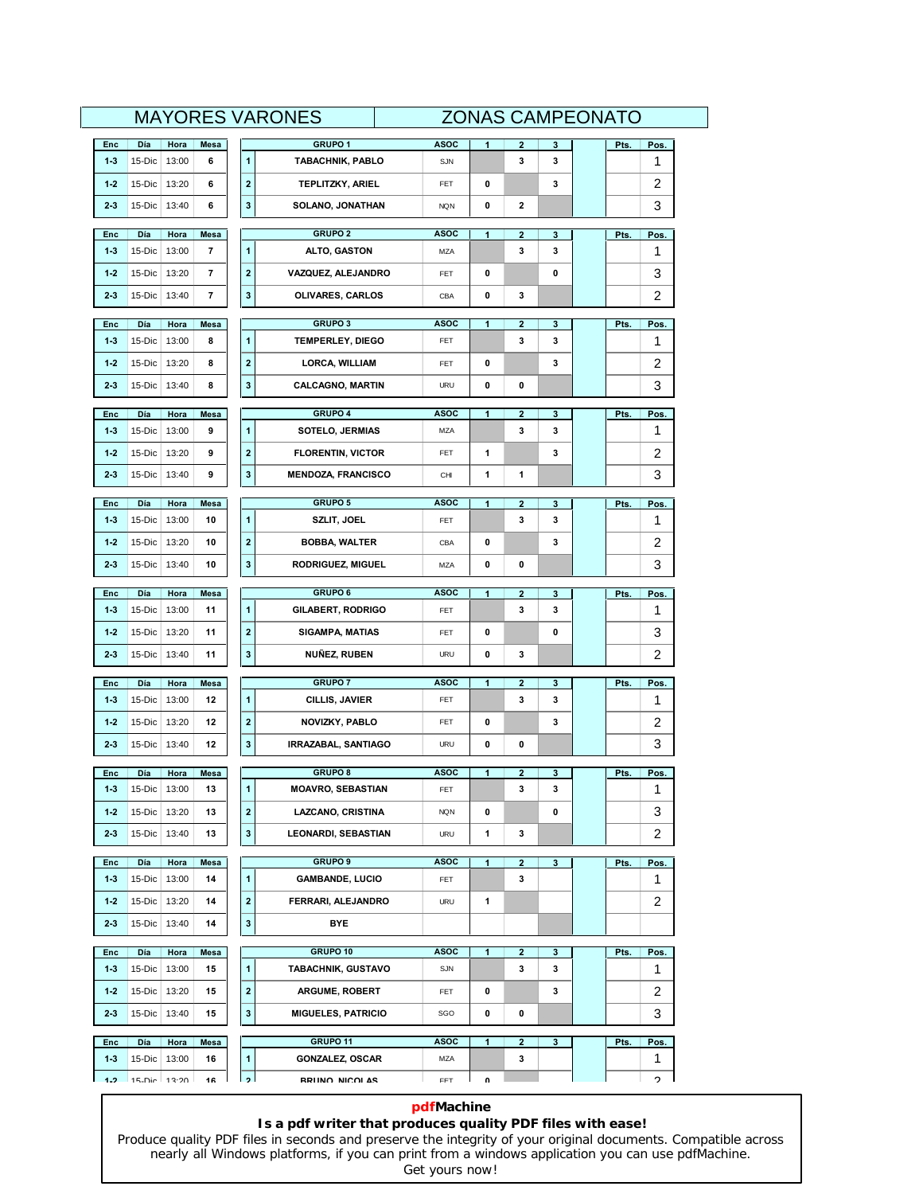|              | <b>MAYORES VARONES</b><br><b>ZONAS CAMPEONATO</b> |               |             |                          |                                          |                    |   |                         |        |  |      |            |
|--------------|---------------------------------------------------|---------------|-------------|--------------------------|------------------------------------------|--------------------|---|-------------------------|--------|--|------|------------|
| Enc          | Día                                               | Hora          | Mesa        |                          | GRUPO <sub>1</sub>                       | <b>ASOC</b>        | 1 | $\mathbf{2}$            | 3      |  | Pts. | Pos.       |
| $1-3$        | 15-Dic                                            | 13:00         | 6           | 1                        | <b>TABACHNIK, PABLO</b>                  | SJN                |   | 3                       | 3      |  |      | 1          |
| $1-2$        | 15-Dic                                            | 13:20         | 6           | $\boldsymbol{2}$         | <b>TEPLITZKY, ARIEL</b>                  | FET                | 0 |                         | 3      |  |      | 2          |
| 23           | 15-Dic                                            | 13:40         | 6           | 3                        | SOLANO, JONATHAN                         | <b>NQN</b>         | 0 | 2                       |        |  |      | 3          |
| Enc          | Día                                               | Hora          | Mesa        |                          | <b>GRUPO 2</b>                           | <b>ASOC</b>        | 1 | 2                       | 3      |  | Pts. | Pos.       |
| $1-3$        | 15-Dic                                            | 13:00         | 7           | 1                        | ALTO, GASTON                             | MZA                |   | 3                       | 3      |  |      | 1          |
| $1-2$        | 15-Dic                                            | 13:20         | 7           | $\overline{\mathbf{2}}$  | VAZQUEZ, ALEJANDRO                       | FET                | 0 |                         | 0      |  |      | 3          |
| 23           | 15-Dic                                            | 13:40         | 7           | 3                        | OLIVARES, CARLOS                         | CBA                | 0 | 3                       |        |  |      | 2          |
| Enc          | Día                                               | Hora          | <b>Mesa</b> |                          | <b>GRUPO 3</b>                           | <b>ASOC</b>        | 1 | $\overline{2}$          | 3      |  | Pts. | Pos.       |
| $1-3$        | 15-Dic                                            | 13:00         | 8           | 1                        | <b>TEMPERLEY, DIEGO</b>                  | FET                |   | 3                       | 3      |  |      | 1          |
| $1-2$        | 15-Dic                                            | 13:20         | 8           | $\overline{\mathbf{2}}$  | LORCA, WILLIAM                           | FET                | 0 |                         | 3      |  |      | 2          |
| $2-3$        | 15-Dic                                            | 13:40         | 8           | 3                        | <b>CALCAGNO, MARTIN</b>                  | <b>URU</b>         | 0 | 0                       |        |  |      | 3          |
| Enc          | Día                                               | Hora          | Mesa        |                          | GRUPO 4                                  | <b>ASOC</b>        | 1 | $\overline{\mathbf{2}}$ | 3      |  | Pts. | Pos.       |
| $1-3$        | 15-Dic                                            | 13:00         | 9           | 1                        | <b>SOTELO, JERMIAS</b>                   | MZA                |   | 3                       | 3      |  |      | 1          |
| $1-2$        | 15-Dic                                            | 13:20         | 9           | $\overline{\mathbf{c}}$  | <b>FLORENTIN, VICTOR</b>                 | FET                | 1 |                         | 3      |  |      | 2          |
| 23           | 15-Dic                                            | 13:40         | 9           | 3                        | <b>MENDOZA, FRANCISCO</b>                | CHI                | 1 | 1                       |        |  |      | 3          |
| Enc          | Día                                               | Hora          | <b>Mesa</b> |                          | <b>GRUPO 5</b>                           | <b>ASOC</b>        | 1 | $\overline{2}$          | 3      |  | Pts. | Pos.       |
| $1-3$        | 15-Dic                                            | 13:00         | 10          | 1                        | SZLIT, JOEL                              | FET                |   | 3                       | 3      |  |      | 1          |
| $1-2$        | 15-Dic                                            | 13:20         | 10          | $\overline{2}$           | <b>BOBBA, WALTER</b>                     | CBA                | 0 |                         | 3      |  |      | 2          |
| 23           | 15-Dic                                            | 13:40         | 10          | 3                        | <b>RODRIGUEZ, MIGUEL</b>                 | MZA                | 0 | 0                       |        |  |      | 3          |
| Enc          | Día                                               | Hora          | Mesa        |                          | <b>GRUPO 6</b>                           | <b>ASOC</b>        | 1 | 2                       | 3      |  | Pts. | Pos.       |
| $1-3$        | 15-Dic                                            | 13:00         | 11          | 1                        | <b>GILABERT, RODRIGO</b>                 | FET                |   | 3                       | 3      |  |      | 1          |
| $1-2$        | 15-Dic                                            | 13:20         | 11          | $\overline{2}$           | <b>SIGAMPA, MATIAS</b>                   | FET                | 0 |                         | 0      |  |      | 3          |
| 23           | 15-Dic                                            | 13:40         | 11          | 3                        | NUÑEZ, RUBEN                             | <b>URU</b>         | 0 | 3                       |        |  |      | 2          |
| Enc          | Día                                               | Hora          | Mesa        |                          | <b>GRUPO 7</b>                           | <b>ASOC</b>        | 1 | $\overline{\mathbf{2}}$ | 3      |  | Pts. | Pos.       |
| $1-3$        | 15-Dic                                            | 13:00         | 12          | $\mathbf{1}$             | CILLIS, JAVIER                           | FET                |   | 3                       | 3      |  |      | 1          |
| $1-2$        | 15-Dic                                            | 13:20         | 12          | $\boldsymbol{2}$         | NOVIZKY, PABLO                           | FET                | 0 |                         | 3      |  |      | 2          |
| 23           | 15-Dic                                            | 13:40         | 12          | 3                        | <b>IRRAZABAL, SANTIAGO</b>               | <b>URU</b>         | 0 | 0                       |        |  |      | 3          |
| Enc          | Día                                               | Hora          | Mesa        |                          | <b>GRUPO 8</b>                           | <b>ASOC</b>        | 1 | 2                       | 3      |  | Pts. | Pos.       |
| $1-3$        | 15-Dic                                            | 13:00         | 13          | 1                        | <b>MOAVRO, SEBASTIAN</b>                 | FET                |   | 3                       | 3      |  |      | 1          |
| $1-2$        | 15-Dic                                            | 13:20         | 13          | $\mathbf{2}$             | LAZCANO, CRISTINA                        | <b>NQN</b>         | 0 |                         | 0      |  |      | 3          |
| $2-3$        | 15-Dic                                            | 13:40         | 13          | 3                        | <b>LEONARDI, SEBASTIAN</b>               | <b>URU</b>         | 1 | 3                       |        |  |      | 2          |
|              |                                                   |               |             |                          |                                          |                    |   |                         |        |  |      |            |
| Enc<br>$1-3$ | Día<br>15-Dic                                     | Hora<br>13:00 | Mesa<br>14  | $\mathbf{1}$             | <b>GRUPO 9</b><br><b>GAMBANDE, LUCIO</b> | <b>ASOC</b><br>FET | 1 | $\mathbf{2}$<br>3       | 3      |  | Pts. | Pos.<br>1. |
| $1-2$        | 15-Dic                                            | 13:20         | 14          | $\mathbf{2}$             | FERRARI, ALEJANDRO                       | <b>URU</b>         | 1 |                         |        |  |      | 2          |
| $2-3$        | 15-Dic                                            | 13:40         | 14          | $\mathbf 3$              | BYE                                      |                    |   |                         |        |  |      |            |
|              |                                                   |               |             |                          |                                          |                    |   |                         |        |  |      |            |
| Enc<br>$1-3$ | Día<br>15-Dic                                     | Hora<br>13:00 | Mesa<br>15  | $\mathbf{1}$             | GRUPO 10<br>TABACHNIK, GUSTAVO           | <b>ASOC</b><br>SJN | 1 | $\mathbf{2}$<br>3       | 3<br>3 |  | Pts. | Pos.<br>1  |
| $1-2$        | 15-Dic                                            | 13:20         | 15          | $\mathbf 2$              | <b>ARGUME, ROBERT</b>                    | FET                | 0 |                         | 3      |  |      | 2          |
| $2-3$        | 15-Dic                                            | 13:40         | 15          | 3                        | <b>MIGUELES, PATRICIO</b>                | SGO                | 0 | 0                       |        |  |      | 3          |
|              |                                                   |               |             |                          |                                          |                    |   |                         |        |  |      |            |
| Enc          | Día                                               | Hora          | Mesa        |                          | GRUPO 11                                 | <b>ASOC</b>        | 1 | $\mathbf{2}$            | 3      |  | Pts. | Pos.       |
| $1-3$        | 15-Dic                                            | 13:00         | 16          | 1                        | <b>GONZALEZ, OSCAR</b>                   | MZA                |   | 3                       |        |  |      | 1          |
| 1.2          | 15-Dic 13:20                                      |               | 16          | $\overline{\phantom{a}}$ | <b>RRIINO NICOLAS</b>                    | <b>FFT</b>         | U |                         |        |  |      | C          |

### **pdfMachine**

### **Is a pdf writer that produces quality PDF files with ease!**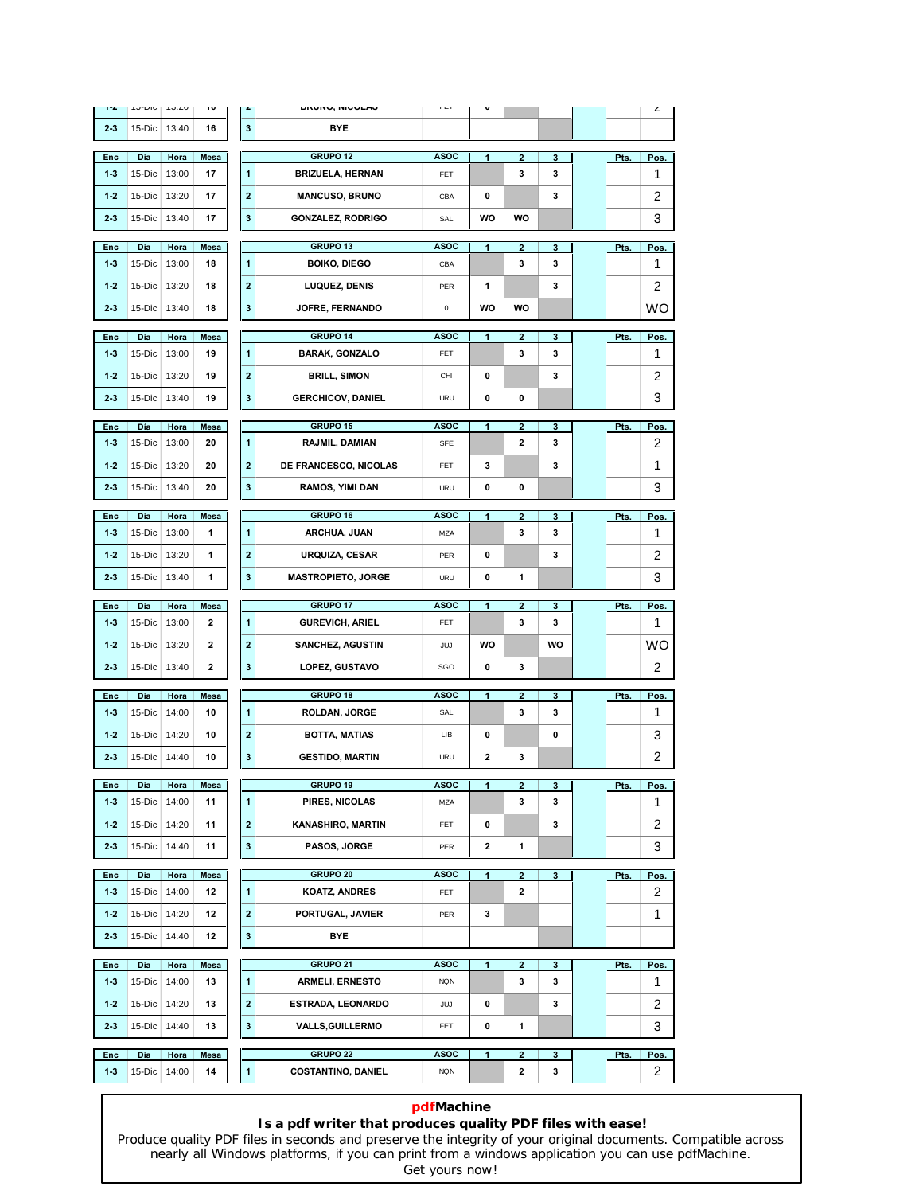| T.           | $10 - U10$    | 13.20         | $\overline{\phantom{a}}$ | £                       | DRUINU, INIUULAJ                 | $\Gamma \sqsubseteq 1$    | v            |                              |              |      | ۷                       |
|--------------|---------------|---------------|--------------------------|-------------------------|----------------------------------|---------------------------|--------------|------------------------------|--------------|------|-------------------------|
| $2-3$        | 15-Dic        | 13:40         | 16                       | 3                       | BYE                              |                           |              |                              |              |      |                         |
| Enc          | Día           | Hora          | Mesa                     |                         | GRUPO <sub>12</sub>              | <b>ASOC</b>               | 1            | $\overline{\mathbf{2}}$      | 3            | Pts. | Pos.                    |
| 13           | 15-Dic        | 13:00         | 17                       | $\mathbf{1}$            | <b>BRIZUELA, HERNAN</b>          | <b>FET</b>                |              | 3                            | 3            |      | 1                       |
| $1-2$        | 15-Dic        | 13:20         | 17                       | $\overline{\mathbf{2}}$ | <b>MANCUSO, BRUNO</b>            | CBA                       | 0            |                              | 3            |      | 2                       |
| $2-3$        | 15-Dic        | 13:40         | 17                       | 3                       | <b>GONZALEZ, RODRIGO</b>         | SAL                       | WO           | wo                           |              |      | 3                       |
| Enc          | Día           | Hora          | Mesa                     |                         | GRUPO 13                         | <b>ASOC</b>               | 1            | $\overline{\mathbf{2}}$      | 3            | Pts. | Pos.                    |
| $1-3$        | 15-Dic        | 13:00         | 18                       | $\mathbf{1}$            | <b>BOIKO, DIEGO</b>              | CBA                       |              | 3                            | 3            |      | 1                       |
| $1-2$        | 15-Dic        | 13:20         | 18                       | $\overline{\mathbf{2}}$ | <b>LUQUEZ, DENIS</b>             | PER                       | 1            |                              | 3            |      | 2                       |
| $2-3$        | 15-Dic        | 13:40         | 18                       | 3                       | <b>JOFRE, FERNANDO</b>           | 0                         | WO           | wo                           |              |      | wo                      |
| Enc          | Día           | Hora          | Mesa                     |                         | GRUPO 14                         | <b>ASOC</b>               | 1            | $\overline{\mathbf{2}}$      | 3            | Pts. | Pos.                    |
| $1-3$        | 15-Dic        | 13:00         | 19                       | $\mathbf{1}$            | <b>BARAK, GONZALO</b>            | FET                       |              | 3                            | 3            |      | 1                       |
| $1-2$        | 15-Dic        | 13:20         | 19                       | $\overline{\mathbf{2}}$ | <b>BRILL, SIMON</b>              | CHI                       | 0            |                              | 3            |      | 2                       |
| $2-3$        | 15-Dic        | 13:40         | 19                       | 3                       | <b>GERCHICOV, DANIEL</b>         | <b>URU</b>                | 0            | 0                            |              |      | 3                       |
|              |               |               |                          |                         |                                  |                           |              |                              |              |      |                         |
| Enc          | Día           | Hora          | Mesa                     |                         | GRUPO 15                         | <b>ASOC</b>               | 1            | $\overline{2}$               | 3            | Pts. | Pos.                    |
| $1-3$        | 15-Dic        | 13:00         | 20                       | $\mathbf{1}$            | RAJMIL, DAMIAN                   | <b>SFE</b>                |              | 2                            | 3            |      | 2                       |
| $1-2$        | 15-Dic        | 13:20         | 20                       | $\overline{\mathbf{2}}$ | DE FRANCESCO, NICOLAS            | FET                       | 3            |                              | 3            |      | 1                       |
| $2-3$        | 15-Dic        | 13:40         | 20                       | 3                       | <b>RAMOS, YIMI DAN</b>           | <b>URU</b>                | 0            | 0                            |              |      | 3                       |
| Enc          | Día           | Hora          | <b>Mesa</b>              |                         | GRUPO 16                         | <b>ASOC</b>               | 1            | $\overline{2}$               | 3            | Pts. | Pos.                    |
| $1-3$        | 15-Dic        | 13:00         | 1                        | $\mathbf{1}$            | <b>ARCHUA, JUAN</b>              | MZA                       |              | 3                            | 3            |      | 1                       |
| $1-2$        | 15-Dic        | 13:20         | 1                        | $\overline{\mathbf{2}}$ | URQUIZA, CESAR                   | PER                       | 0            |                              | 3            |      | 2                       |
| $2-3$        | 15-Dic        | 13:40         | 1                        | 3                       | <b>MASTROPIETO, JORGE</b>        | <b>URU</b>                | 0            | 1                            |              |      | 3                       |
| Enc          | Día           | Hora          | Mesa                     |                         | GRUPO 17                         | <b>ASOC</b>               | 1            | $\overline{2}$               | 3            | Pts. | Pos.                    |
| $1-3$        | 15-Dic        | 13:00         | 2                        | $\mathbf{1}$            | <b>GUREVICH, ARIEL</b>           | FET                       |              | 3                            | 3            |      | 1                       |
| $1-2$        | 15-Dic        | 13:20         | 2                        | $\overline{\mathbf{2}}$ | <b>SANCHEZ, AGUSTIN</b>          | JUJ                       | WO           |                              | WO           |      | WO                      |
| 23           | 15-Dic        | 13:40         | 2                        | 3                       | <b>LOPEZ, GUSTAVO</b>            | SGO                       | 0            | 3                            |              |      | 2                       |
| Enc          | Día           | Hora          | Mesa                     |                         | GRUPO 18                         | <b>ASOC</b>               | 1            | $\mathbf{2}$                 | 3            | Pts. | <b>Pos</b>              |
| $1-3$        | 15-Dic        | 14:00         | 10                       | 1                       | <b>ROLDAN, JORGE</b>             | SAL                       |              | 3                            | 3            |      | 1                       |
| 1.2          | 15-Dic        | 14:20         | 10                       | $\overline{\mathbf{2}}$ | BOTTA, MATIAS                    | LIB                       | 0            |                              | 0            |      | 3                       |
| $2-3$        | 15-Dic 14:40  |               | 10                       | 3                       | <b>GESTIDO, MARTIN</b>           | URU                       | 2            | 3                            |              |      | $\overline{\mathbf{c}}$ |
| Enc          | Día           | Hora          | Mesa                     |                         | GRUPO 19                         | <b>ASOC</b>               | 1            | $\overline{2}$               | 3            | Pts. | Pos.                    |
| $1-3$        | 15-Dic        | 14:00         | 11                       | 1                       | PIRES, NICOLAS                   | MZA                       |              | 3                            | 3            |      | 1                       |
| $1-2$        | 15-Dic        | 14:20         | 11                       | $\overline{\mathbf{2}}$ | <b>KANASHIRO, MARTIN</b>         | <b>FET</b>                | 0            |                              | 3            |      | 2                       |
| $2-3$        | 15-Dic        | 14:40         | 11                       | $\mathbf{3}$            | PASOS, JORGE                     | PER                       | $\mathbf{2}$ | 1                            |              |      | 3                       |
|              |               |               |                          |                         |                                  |                           |              |                              |              |      |                         |
| Enc<br>$1-3$ | Día<br>15-Dic | Hora<br>14:00 | Mesa<br>12               | $\mathbf{1}$            | GRUPO 20<br><b>KOATZ, ANDRES</b> | <b>ASOC</b><br><b>FET</b> | 1            | $\mathbf{2}$<br>$\mathbf{2}$ | $\mathbf{3}$ | Pts. | Pos.<br>2               |
| $1-2$        | 15-Dic        | 14:20         | 12                       | $\overline{\mathbf{2}}$ | PORTUGAL, JAVIER                 | PER                       | 3            |                              |              |      | 1                       |
| $2-3$        | 15-Dic        | 14:40         | 12                       | $\mathbf{3}$            | <b>BYE</b>                       |                           |              |                              |              |      |                         |
|              |               |               |                          |                         |                                  |                           |              |                              |              |      |                         |
| Enc          | Día           | Hora          | Mesa                     |                         | GRUPO 21                         | <b>ASOC</b>               | $\mathbf{1}$ | $\mathbf{2}$                 | 3            | Pts. | Pos.                    |
| $1-3$        | 15-Dic        | 14:00         | 13                       | $\mathbf{1}$            | ARMELI, ERNESTO                  | <b>NQN</b>                |              | 3                            | 3            |      | 1                       |
| $1-2$        | 15-Dic        | 14:20         | 13                       | $\overline{\mathbf{2}}$ | ESTRADA, LEONARDO                | JUJ                       | 0            |                              | 3            |      | 2                       |
| $2-3$        | 15-Dic        | 14:40         | 13                       | $\mathbf{3}$            | <b>VALLS, GUILLERMO</b>          | FET                       | 0            | 1                            |              |      | 3                       |
|              |               |               | Mesa                     |                         | GRUPO <sub>22</sub>              | <b>ASOC</b>               | 1            | $\overline{\mathbf{2}}$      | 3            | Pts. | Pos.                    |
| Enc          | Día           | Hora          |                          |                         |                                  |                           |              |                              |              |      |                         |

### **pdfMachine**

### **Is a pdf writer that produces quality PDF files with ease!**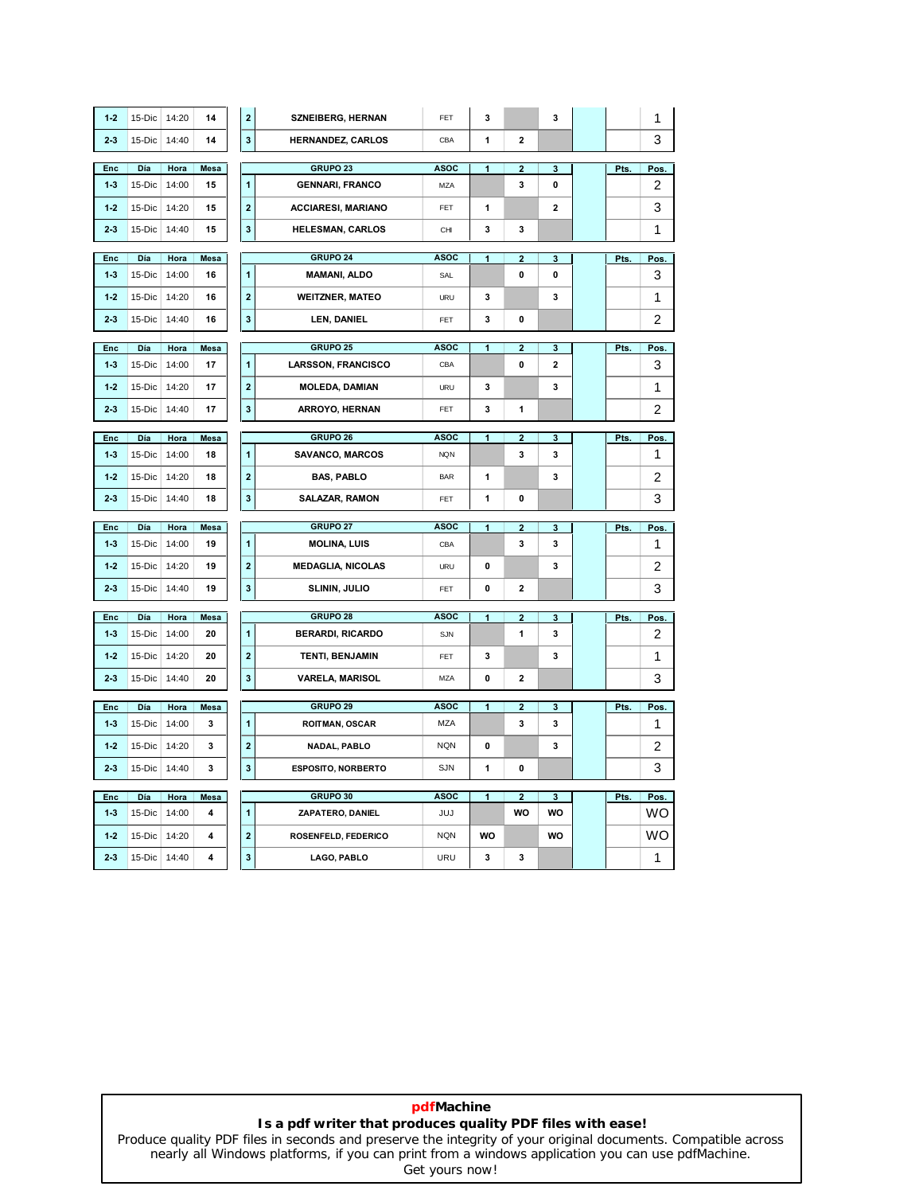| 1.2   | 15-Dic | 14:20 | 14          | $\overline{\mathbf{2}}$ | <b>SZNEIBERG, HERNAN</b>  | FET         | 3              |                         | 3                       |      | 1    |
|-------|--------|-------|-------------|-------------------------|---------------------------|-------------|----------------|-------------------------|-------------------------|------|------|
| 23    | 15-Dic | 14:40 | 14          | $\mathbf{3}$            | <b>HERNANDEZ, CARLOS</b>  | CBA         | 1              | $\overline{2}$          |                         |      | 3    |
|       |        |       |             |                         | GRUPO <sub>23</sub>       | <b>ASOC</b> |                |                         |                         |      |      |
| Enc   | Día    | Hora  | Mesa        |                         |                           |             | 1              | $\mathbf{2}$            | 3                       | Pts. | Pos. |
| $1-3$ | 15-Dic | 14:00 | 15          | 1                       | <b>GENNARI, FRANCO</b>    | MZA         |                | 3                       | 0                       |      | 2    |
| 1.2   | 15-Dic | 14:20 | 15          | $\overline{2}$          | <b>ACCIARESI, MARIANO</b> | <b>FFT</b>  | 1              |                         | $\overline{\mathbf{2}}$ |      | 3    |
| 23    | 15-Dic | 14:40 | 15          | 3                       | <b>HELESMAN, CARLOS</b>   | CHI         | 3              | 3                       |                         |      | 1    |
| Enc   | Día    | Hora  | Mesa        |                         | GRUPO 24                  | <b>ASOC</b> | 1              | $\overline{2}$          | 3                       | Pts. | Pos  |
| $1-3$ | 15-Dic | 14:00 | 16          | 1                       | <b>MAMANI, ALDO</b>       | SAL         |                | 0                       | $\mathbf 0$             |      | 3    |
| 1.2   | 15-Dic | 14:20 | 16          | $\overline{\mathbf{2}}$ | <b>WEITZNER, MATEO</b>    | <b>URU</b>  | 3              |                         | 3                       |      | 1    |
| 23    | 15-Dic | 14:40 | 16          | $\mathbf{3}$            | LEN, DANIEL               | <b>FET</b>  | 3              | 0                       |                         |      | 2    |
|       |        |       |             |                         |                           |             |                |                         |                         |      |      |
| Enc   | Día    | Hora  | <b>Mesa</b> |                         | GRUPO 25                  | <b>ASOC</b> | 1              | $\overline{\mathbf{2}}$ | 3                       | Pts. | Pos. |
| $1-3$ | 15-Dic | 14:00 | 17          | 1                       | <b>LARSSON, FRANCISCO</b> | CBA         |                | 0                       | $\overline{\mathbf{2}}$ |      | 3    |
| 1.2   | 15-Dic | 14:20 | 17          | $\overline{\mathbf{2}}$ | <b>MOLEDA, DAMIAN</b>     | URU         | 3              |                         | 3                       |      | 1    |
| 23    | 15-Dic | 14:40 | 17          | $\mathbf{3}$            | ARROYO, HERNAN            | FET         | 3              | 1                       |                         |      | 2    |
| Enc   | Día    | Hora  | Mesa        |                         | GRUPO 26                  | <b>ASOC</b> | 1              | $\overline{2}$          | 3                       | Pts. | Pos. |
| $1-3$ | 15-Dic | 14:00 | 18          | $\mathbf{1}$            | <b>SAVANCO, MARCOS</b>    | <b>NQN</b>  |                | 3                       | 3                       |      | 1    |
| $1-2$ | 15-Dic | 14:20 | 18          | $\overline{\mathbf{2}}$ | <b>BAS, PABLO</b>         | <b>BAR</b>  | 1              |                         | 3                       |      | 2    |
| $2-3$ | 15-Dic | 14:40 | 18          | 3                       | <b>SALAZAR, RAMON</b>     | <b>FET</b>  | 1              | 0                       |                         |      | 3    |
|       |        |       |             |                         | GRUPO 27                  |             |                |                         |                         |      |      |
| Enc   | Día    | Hora  | Mesa        |                         |                           | <b>ASOC</b> | 1              | $\overline{\mathbf{2}}$ | 3                       | Pts. | Pos. |
| $1-3$ | 15-Dic | 14:00 | 19          | 1                       | <b>MOLINA, LUIS</b>       | CBA         |                | 3                       | 3                       |      | 1    |
| 1.2   | 15-Dic | 14:20 | 19          | $\overline{\mathbf{2}}$ | <b>MEDAGLIA, NICOLAS</b>  | <b>URU</b>  | 0              |                         | 3                       |      | 2    |
| 23    | 15-Dic | 14:40 | 19          | $\mathbf{3}$            | SLININ, JULIO             | FET         | 0              | 2                       |                         |      | 3    |
| Enc   | Día    | Hora  | Mesa        |                         | GRUPO 28                  | <b>ASOC</b> | 1              | $\overline{\mathbf{2}}$ | 3                       | Pts. | Pos. |
| $1-3$ | 15-Dic | 14:00 | 20          | 1                       | <b>BERARDI, RICARDO</b>   | SJN         |                | 1                       | 3                       |      | 2    |
| 1.2   | 15-Dic | 14:20 | 20          | $\overline{2}$          | <b>TENTI, BENJAMIN</b>    | FET         | 3              |                         | 3                       |      | 1    |
| 23    | 15-Dic | 14:40 | 20          | $\mathbf 3$             | <b>VARELA, MARISOL</b>    | MZA         | 0              | 2                       |                         |      | 3    |
|       |        |       |             |                         |                           |             |                |                         |                         |      |      |
| Enc   | Día    | Hora  | <b>Mesa</b> |                         | GRUPO 29                  | <b>ASOC</b> | 1              | $\overline{2}$          | 3                       | Pts. | Pos  |
| $1-3$ | 15-Dic | 14:00 | 3           | 1                       | <b>ROITMAN, OSCAR</b>     | <b>MZA</b>  |                | 3                       | 3                       |      | 1    |
| 1.2   | 15-Dic | 14:20 | 3           | $\overline{\mathbf{2}}$ | <b>NADAL, PABLO</b>       | <b>NQN</b>  | 0              |                         | 3                       |      | 2    |
| 23    | 15-Dic | 14:40 | 3           | 3                       | <b>ESPOSITO, NORBERTO</b> | <b>SJN</b>  | 1              | 0                       |                         |      | 3    |
| Enc   | Día    | Hora  | Mesa        |                         | GRUPO 30                  | <b>ASOC</b> | $\overline{1}$ | $\overline{2}$          | $\mathbf{3}$            | Pts. | Pos. |
| $1-3$ | 15-Dic | 14:00 | 4           | 1                       | ZAPATERO, DANIEL          | JUJ         |                | <b>WO</b>               | <b>WO</b>               |      | wo   |
| 1.2   | 15-Dic | 14:20 | 4           | $\mathbf{2}$            | ROSENFELD, FEDERICO       | <b>NQN</b>  | WO             |                         | WO                      |      | wo   |
| 23    | 15-Dic | 14:40 | 4           | 3                       | LAGO, PABLO               | URU         | 3              | 3                       |                         |      | 1    |
|       |        |       |             |                         |                           |             |                |                         |                         |      |      |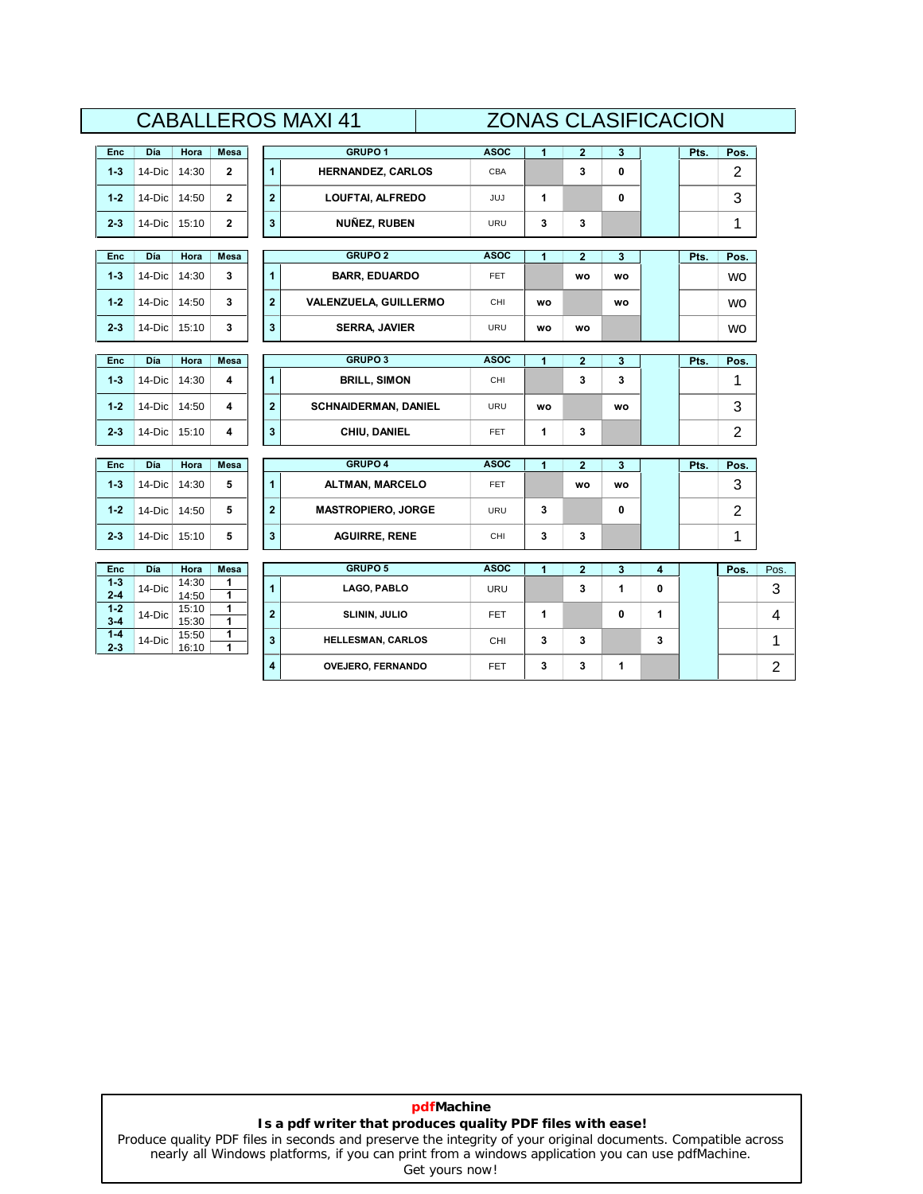|                    |          |                |              |                         | UADALLENUƏ IVIAAI 4 I        |             | ZUIYAƏ ULAƏIFIUAUIUIY |                |              |   |      |                |
|--------------------|----------|----------------|--------------|-------------------------|------------------------------|-------------|-----------------------|----------------|--------------|---|------|----------------|
| <b>Enc</b>         | Día      | Hora           | Mesa         |                         | GRUPO <sub>1</sub>           | <b>ASOC</b> | $\mathbf{1}$          | $\mathbf{2}$   | $\mathbf{3}$ |   | Pts. | Pos.           |
| $1 - 3$            | 14-Dic   | 14:30          | $\mathbf{2}$ | $\blacksquare$          | <b>HERNANDEZ, CARLOS</b>     | CBA         |                       | 3              | 0            |   |      | $\overline{2}$ |
| $1 - 2$            | 14-Dic   | 14:50          | $\mathbf{2}$ | $\overline{\mathbf{2}}$ | LOUFTAI, ALFREDO             | JUJ         | 1                     |                | 0            |   |      | 3              |
| $2 - 3$            | $14-Dic$ | 15:10          | $\mathbf{2}$ | 3                       | <b>NUÑEZ, RUBEN</b>          | URU         | 3                     | 3              |              |   |      | 1              |
| <b>Enc</b>         | Día      | Hora           | Mesa         |                         | <b>GRUPO 2</b>               | <b>ASOC</b> | 1                     | $\overline{2}$ | 3            |   | Pts. | Pos.           |
| $1 - 3$            | 14-Dic   | 14:30          | 3            | $\overline{1}$          | <b>BARR, EDUARDO</b>         | <b>FET</b>  |                       | <b>WO</b>      | wo           |   |      | <b>WO</b>      |
| $1 - 2$            | 14-Dic   | 14:50          | 3            | $\overline{2}$          | <b>VALENZUELA, GUILLERMO</b> | CHI         | <b>WO</b>             |                | wo           |   |      | <b>WO</b>      |
| $2 - 3$            | $14-Dic$ | 15:10          | 3            | 3                       | <b>SERRA, JAVIER</b>         | URU         | wo                    | WO             |              |   |      | <b>WO</b>      |
| Enc                | Día      | Hora           | Mesa         |                         | GRUPO <sub>3</sub>           | <b>ASOC</b> | 1                     | $\overline{2}$ | 3            |   | Pts. | Pos.           |
| $1 - 3$            | 14-Dic   | 14:30          | 4            | $\blacksquare$          | <b>BRILL, SIMON</b>          | CHI         |                       | 3              | 3            |   |      | 1              |
| $1 - 2$            | 14-Dic   | 14:50          | 4            | $\overline{\mathbf{2}}$ | <b>SCHNAIDERMAN, DANIEL</b>  | <b>URU</b>  | WO                    |                | wo           |   |      | 3              |
| $2 - 3$            | 14-Dic   | 15:10          | 4            | 3                       | CHIU, DANIEL                 | <b>FET</b>  | 1                     | 3              |              |   |      | $\overline{2}$ |
| <b>Enc</b>         | Día      | Hora           | Mesa         |                         | <b>GRUPO 4</b>               | <b>ASOC</b> | 1                     | $\overline{2}$ | 3            |   | Pts. | Pos.           |
| $1 - 3$            | 14-Dic   | 14:30          | 5            | 1                       | ALTMAN, MARCELO              | <b>FET</b>  |                       | wo             | WO           |   |      | 3              |
| $1 - 2$            | 14-Dic   | 14:50          | 5            | $\overline{\mathbf{2}}$ | <b>MASTROPIERO, JORGE</b>    | URU         | 3                     |                | 0            |   |      | $\overline{2}$ |
| $2 - 3$            | $14-Dic$ | 15:10          | 5            | 3                       | <b>AGUIRRE, RENE</b>         | CHI         | 3                     | 3              |              |   |      | 1              |
| <b>Enc</b>         | Día      | Hora           | Mesa         |                         | GRUPO 5                      | <b>ASOC</b> | 1                     | $\overline{2}$ | 3            | 4 |      | Pos.           |
| $1 - 3$<br>$2 - 4$ | 14-Dic   | 14:30<br>14:50 | 1<br>1       | $\overline{1}$          | LAGO, PABLO                  | URU         |                       | 3              | 1            | 0 |      |                |
| $1 - 2$<br>$3 - 4$ | 14-Dic   | 15:10<br>15:30 | 1<br>1       | $\overline{\mathbf{2}}$ | SLININ, JULIO                | FET.        | 1                     |                | 0            | 1 |      |                |
| $1 - 4$<br>$2 - 3$ | 14-Dic   | 15:50<br>16:10 | 1<br>1       | 3                       | <b>HELLESMAN, CARLOS</b>     | <b>CHI</b>  | 3                     | 3              |              | 3 |      |                |
|                    |          |                |              | 4                       | <b>OVEJERO, FERNANDO</b>     | <b>FET</b>  | 3                     | 3              | 1            |   |      |                |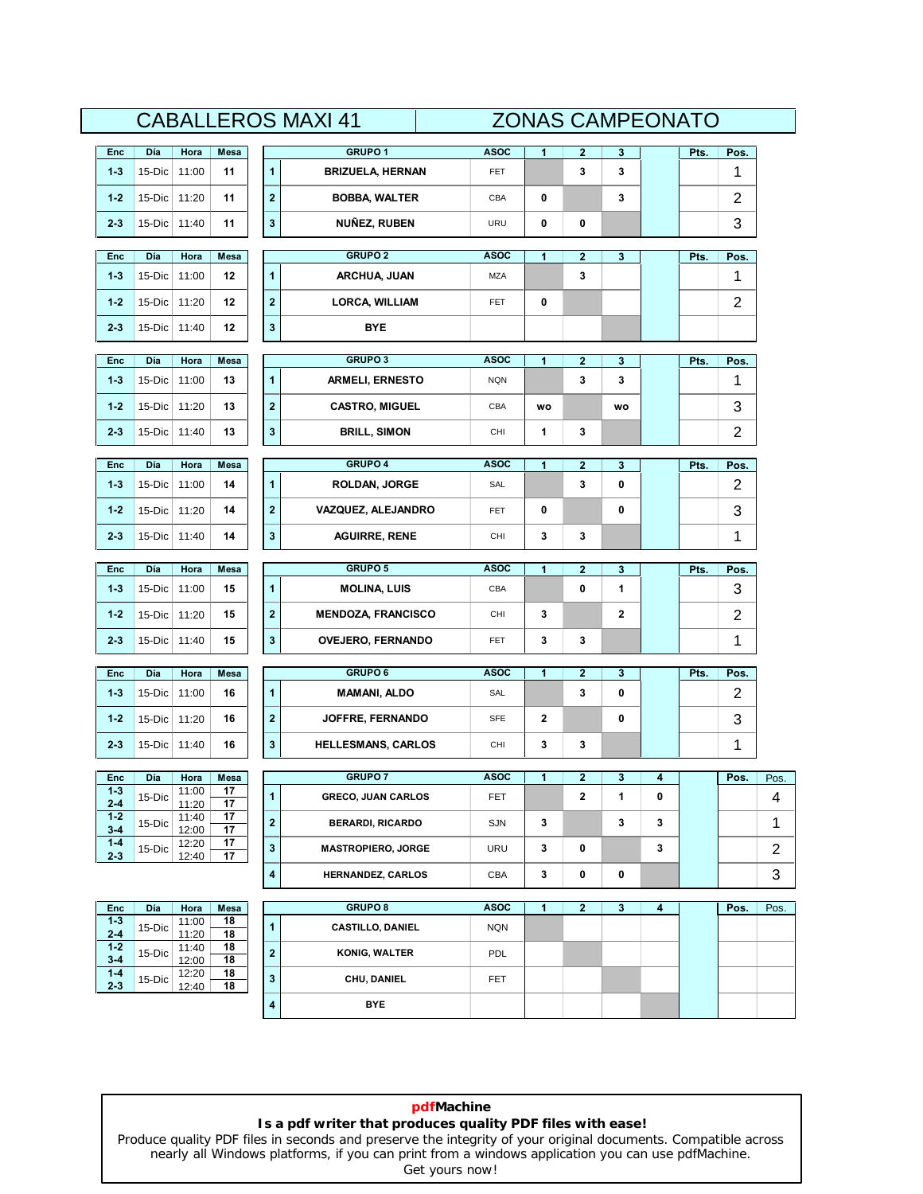|                    |                |                |          |                      | <b>CABALLEROS MAXI 41</b> |             | <b>ZONAS CAMPEONATO</b> |              |    |   |      |                |                |
|--------------------|----------------|----------------|----------|----------------------|---------------------------|-------------|-------------------------|--------------|----|---|------|----------------|----------------|
| Enc                | Día            | Hora           | Mesa     |                      | <b>GRUPO1</b>             | <b>ASOC</b> | 1                       | 2            | 3  |   | Pts. | Pos.           |                |
| $1 - 3$            | 15-Dic         | 11:00          | 11       | $\mathbf{1}$         | <b>BRIZUELA, HERNAN</b>   | FET         |                         | 3            | 3  |   |      | 1              |                |
| $1 - 2$            | 15-Dic         | 11:20          | 11       | $\mathbf 2$          | <b>BOBBA, WALTER</b>      | CBA         | 0                       |              | 3  |   |      | 2              |                |
| $2 - 3$            | 15-Dic         | 11:40          | 11       | 3                    | <b>NUÑEZ, RUBEN</b>       | URU         | 0                       | 0            |    |   |      | 3              |                |
|                    |                |                |          |                      |                           |             |                         |              |    |   |      |                |                |
| Enc                | Día            | Hora           | Mesa     |                      | <b>GRUPO 2</b>            | <b>ASOC</b> | 1                       | $\mathbf{2}$ | 3  |   | Pts. | Pos.           |                |
| $1 - 3$            | 15-Dic         | 11:00          | 12       | $\mathbf{1}$         | ARCHUA, JUAN              | MZA         |                         | 3            |    |   |      | 1              |                |
| $1 - 2$            | 15-Dic         | 11:20          | 12       | $\mathbf 2$          | <b>LORCA, WILLIAM</b>     | FET         | 0                       |              |    |   |      | 2              |                |
| $2 - 3$            | $15-Dic$       | 11:40          | 12       | 3                    | BYE                       |             |                         |              |    |   |      |                |                |
| Enc                | Día            | Hora           | Mesa     |                      | <b>GRUPO3</b>             | <b>ASOC</b> | 1                       | $\mathbf{2}$ | 3  |   | Pts. | Pos.           |                |
| $1 - 3$            | 15-Dic         | 11:00          | 13       | 1                    | <b>ARMELI, ERNESTO</b>    | <b>NQN</b>  |                         | 3            | 3  |   |      | 1              |                |
| $1 - 2$            | 15-Dic         | 11:20          | 13       | $\mathbf 2$          | <b>CASTRO, MIGUEL</b>     | CBA         | WO                      |              | WO |   |      | 3              |                |
| $2 - 3$            | 15-Dic   11:40 |                | 13       | 3                    | <b>BRILL, SIMON</b>       | CHI         | 1                       | 3            |    |   |      | 2              |                |
|                    |                |                |          |                      |                           |             |                         |              |    |   |      |                |                |
| Enc                | Día            | Hora           | Mesa     |                      | <b>GRUPO 4</b>            | <b>ASOC</b> | 1                       | $\mathbf{2}$ | 3  |   | Pts. | Pos.           |                |
| $1 - 3$            | 15-Dic         | 11:00          | 14       | 1                    | <b>ROLDAN, JORGE</b>      | SAL         |                         | 3            | 0  |   |      | 2              |                |
| $1 - 2$            | 15-Dic         | 11:20          | 14       | $\bf{2}$             | VAZQUEZ, ALEJANDRO        | FET         | 0                       |              | 0  |   |      | 3              |                |
| $2 - 3$            | $15-Dic$       | 11:40          | 14       | $\mathbf 3$          | <b>AGUIRRE, RENE</b>      | CHI         | 3                       | 3            |    |   |      | 1              |                |
| Enc                | Día            | Hora           | Mesa     |                      | <b>GRUPO 5</b>            | <b>ASOC</b> | 1                       | $\mathbf 2$  | 3  |   | Pts. | Pos.           |                |
| $1 - 3$            | 15-Dic         | 11:00          | 15       | $\mathbf{1}$         | <b>MOLINA, LUIS</b>       | CBA         |                         | 0            | 1  |   |      | 3              |                |
| $1 - 2$            | 15-Dic         | 11:20          | 15       | $\mathbf 2$          | <b>MENDOZA, FRANCISCO</b> | CHI         | 3                       |              | 2  |   |      | $\overline{c}$ |                |
| $2 - 3$            | 15-Dic         | 11:40          | 15       | 3                    | <b>OVEJERO, FERNANDO</b>  | <b>FET</b>  | 3                       | 3            |    |   |      | 1              |                |
| Enc                | Día            | Hora           | Mesa     |                      | <b>GRUPO6</b>             | <b>ASOC</b> | 1                       | $\mathbf{2}$ | 3  |   | Pts. | Pos.           |                |
| $1 - 3$            | 15-Dic         | 11:00          | 16       | $\ddot{\phantom{1}}$ | <b>MAMANI, ALDO</b>       | SAL         |                         | 3            | 0  |   |      | $\overline{c}$ |                |
| $1 - 2$            | 15-Dic         | 11:20          | 16       | 2                    | JOFFRE, FERNANDO          | <b>SFE</b>  | 2                       |              | 0  |   |      | 3              |                |
| $2 - 3$            | 15-Dic         | 11:40          | 16       | $\mathbf 3$          | <b>HELLESMANS, CARLOS</b> | CHI         | 3                       | 3            |    |   |      | 1              |                |
|                    |                |                |          |                      |                           |             |                         |              |    |   |      |                |                |
| Enc                | Día            | Hora           | Mesa     |                      | <b>GRUPO7</b>             | <b>ASOC</b> | 1                       | $\mathbf 2$  | 3  | 4 |      | Pos.           | Pos.           |
| 1-3<br>$2 - 4$     | 15-Dic         | 11:00<br>11:20 | 17<br>17 | 1                    | <b>GRECO, JUAN CARLOS</b> | <b>FET</b>  |                         | $\mathbf 2$  | 1  | 0 |      |                | 4              |
| $1 - 2$<br>$3 - 4$ | 15-Dic         | 11:40<br>12:00 | 17<br>17 | $\mathbf 2$          | <b>BERARDI, RICARDO</b>   | SJN         | 3                       |              | 3  | 3 |      |                | 1              |
| $1 - 4$<br>$2 - 3$ | 15-Dic         | 12:20<br>12:40 | 17<br>17 | 3                    | <b>MASTROPIERO, JORGE</b> | URU         | 3                       | 0            |    | 3 |      |                | $\overline{2}$ |
|                    |                |                |          | 4                    | <b>HERNANDEZ, CARLOS</b>  | CBA         | 3                       | 0            | 0  |   |      |                | 3              |
| Enc                | Día            | Hora           | Mesa     |                      | <b>GRUPO 8</b>            | <b>ASOC</b> | 1                       | $\mathbf{2}$ | 3  | 4 |      | Pos.           | Pos.           |
| $1 - 3$            | 15-Dic         | 11:00          | 18       | $\mathbf{1}$         | <b>CASTILLO, DANIEL</b>   | <b>NQN</b>  |                         |              |    |   |      |                |                |
| $2 - 4$<br>$1 - 2$ | 15-Dic         | 11:20<br>11:40 | 18<br>18 | $\mathbf 2$          | <b>KONIG, WALTER</b>      | <b>PDL</b>  |                         |              |    |   |      |                |                |
| $3 - 4$<br>$1 - 4$ | 15-Dic         | 12:00<br>12:20 | 18<br>18 | 3                    | CHU, DANIEL               | <b>FET</b>  |                         |              |    |   |      |                |                |
|                    |                | 12:40          | 18       |                      |                           |             |                         |              |    |   |      |                |                |
| $2 - 3$            |                |                |          | 4                    | <b>BYE</b>                |             |                         |              |    |   |      |                |                |

**pdfMachine Is a pdf writer that produces quality PDF files with ease!** [Produce quality PDF files in seconds and preserve the integrity of your original documents. Compatible across](http://www.pdfmachine.com?cl)  nearly all Windows platforms, if you can print from a windows application you can use pdfMachine.

Get yours now!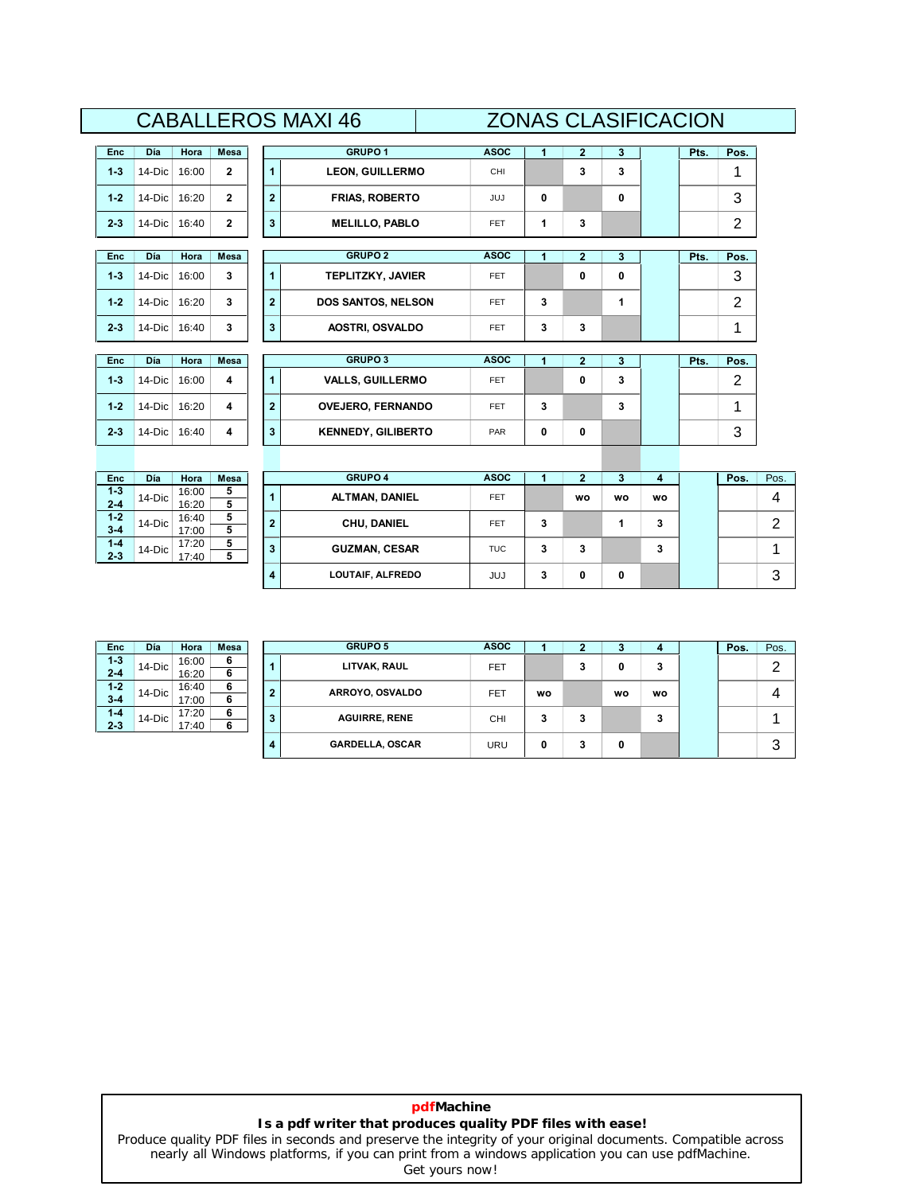# **DÌa Hora Mesa <sup>1</sup>**CABALLEROS MAXI 46 ZONAS CLASIFICACION **GRUPO1 ASOC ASOC**

# **20NAS CLASIFICACION**<br>Asoc | 1 | 2 | 3 | Pts. | Pos.

| Enc     | Día    | Hora  | Mesa |
|---------|--------|-------|------|
| $1-3$   | 14-Dic | 16:00 | 2    |
| $1 - 2$ | 14-Dic | 16:20 | 2    |
| $2 - 3$ | 14-Dic | 16:40 | 2    |

| Enc     | Día    | Hora  | Mesa |
|---------|--------|-------|------|
| $1-3$   | 14-Dic | 16:00 | 3    |
| $1 - 2$ | 14-Dic | 16:20 | 3    |
| $2-3$   | 14-Dic | 16:40 | 3    |

| Enc     | Día    | Hora  | Mesa |
|---------|--------|-------|------|
| $1 - 3$ | 14-Dic | 16:00 | 4    |
| $1 - 2$ | 14-Dic | 16:20 | 4    |
| $2-3$   | 14-Dic | 16:40 | 4    |

| Enc     | Día             | Hora  | Mesa |
|---------|-----------------|-------|------|
| $1 - 3$ | 14-Dic          | 16:00 | 5    |
| $2 - 4$ |                 | 16:20 | 5    |
| $1 - 2$ | 16:40<br>14-Dic |       | 5    |
| $3 - 4$ |                 | 17:00 | 5    |
| $1 - 4$ | 14-Dic          | 17:20 | 5    |
| $2 - 3$ |                 | 17:40 | 5    |

| Día        | Hora  | <b>Mesa</b>  |                | <b>GRUPO1</b>             | <b>ASOC</b> | 1 | $\overline{2}$ | 3 | Pts. | Pos.           |
|------------|-------|--------------|----------------|---------------------------|-------------|---|----------------|---|------|----------------|
| 14-Dic     | 16:00 | $\mathbf{2}$ |                | <b>LEON, GUILLERMO</b>    | CHI         |   | 3              | 3 |      | 1              |
| 14-Dic     | 16:20 | $\mathbf{2}$ | $\mathbf{2}$   | <b>FRIAS, ROBERTO</b>     | <b>JUJ</b>  | 0 |                | 0 |      | 3              |
| $14-Dic$   | 16:40 | $\mathbf{2}$ | 3              | <b>MELILLO, PABLO</b>     | <b>FET</b>  | 1 | 3              |   |      | $\overline{2}$ |
|            |       |              |                |                           |             |   |                |   |      |                |
| <b>Día</b> | Hora  | Mesa         |                | <b>GRUPO 2</b>            | <b>ASOC</b> | 1 | $\overline{2}$ | 3 | Pts. | Pos.           |
| 14-Dic     | 16:00 | 3            |                | <b>TEPLITZKY, JAVIER</b>  | <b>FET</b>  |   | 0              | 0 |      | 3              |
| 14-Dic     | 16:20 | 3            | $\overline{2}$ | <b>DOS SANTOS, NELSON</b> | <b>FET</b>  | 3 |                | 1 |      | $\overline{2}$ |
| $14-Dic$   | 16:40 | 3            | 3              | <b>AOSTRI, OSVALDO</b>    | <b>FET</b>  | 3 | 3              |   |      | 1              |
|            |       |              |                |                           |             |   |                |   |      |                |
| Día        | Hora  | Mesa         |                | <b>GRUPO 3</b>            | <b>ASOC</b> | 1 | $\mathbf{2}$   | 3 | Pts. | Pos.           |
| 14-Dic     | 16:00 | 4            |                | <b>VALLS, GUILLERMO</b>   | <b>FET</b>  |   | 0              | 3 |      | $\overline{2}$ |
| 14-Dic     | 16:20 | 4            | $\overline{2}$ | <b>OVEJERO, FERNANDO</b>  | <b>FET</b>  | 3 |                | 3 |      | 1              |
| $14-Dic$   | 16:40 | 4            | 3              | <b>KENNEDY, GILIBERTO</b> | PAR         | 0 | 0              |   |      | 3              |

| Enc     | Día       | Hora  | <b>Mesa</b> |                | <b>GRUPO 4</b>       | <b>ASOC</b> |   |           |    |    | Pos. | Pos. |
|---------|-----------|-------|-------------|----------------|----------------------|-------------|---|-----------|----|----|------|------|
| $1 - 3$ | $14-Dic$  | 16:00 | 5           |                | ALTMAN, DANIEL       | <b>FET</b>  |   | <b>WO</b> | wo | wo |      | 4    |
| 2-4     |           | 16:20 | 5           |                |                      |             |   |           |    |    |      |      |
| $1-2$   | $14$ -Dic | 16:40 | 5           | $\overline{2}$ | CHU, DANIEL          | <b>FET</b>  | 3 |           |    | 3  |      | ◠    |
| $3 - 4$ |           | 17:00 | 5           |                |                      |             |   |           |    |    |      | ▃    |
| $1 - 4$ | $14$ -Dic | 17:20 | 5           | 3              | <b>GUZMAN, CESAR</b> | TUC         | 3 | 3         |    | ۰  |      |      |
| 2-3     |           | 17:40 | 5           |                |                      |             |   |           |    | ٠J |      |      |
|         |           |       |             | 4              | LOUTAIF, ALFREDO     | <b>JUJ</b>  | 3 | 0         | 0  |    |      | 3    |

| Enc     | Día    | Hora  | Mesa |
|---------|--------|-------|------|
| $1 - 3$ | 14-Dic | 16:00 | 6    |
| $2 - 4$ |        | 16:20 | 6    |
| $1 - 2$ | 14-Dic | 16:40 | 6    |
| $3 - 4$ |        | 17:00 | 6    |
| $1 - 4$ | 14-Dic | 17.20 | 6    |
| $2 - 3$ |        | 17:40 | 6    |

| Enc                | Día       | Hora           | <b>Mesa</b> |                | <b>GRUPO 5</b>         | <b>ASOC</b> |    |   |    |           | Pos. | Pos.   |
|--------------------|-----------|----------------|-------------|----------------|------------------------|-------------|----|---|----|-----------|------|--------|
| $1 - 3$<br>$2 - 4$ | $14-Dic$  | 16:00<br>16:20 | 6<br>6      |                | LITVAK, RAUL           | FET         |    | 3 | 0  | 3         |      | ◠<br>▃ |
| $1-2$<br>$3 - 4$   | $14$ -Dic | 16:40<br>17:00 | 6<br>6      | $\overline{2}$ | ARROYO, OSVALDO        | <b>FET</b>  | wo |   | wo | <b>WO</b> |      | 4      |
| $1 - 4$<br>2-3     | $14$ -Dic | 17:20<br>17:40 | 6<br>Б.     | 3              | <b>AGUIRRE, RENE</b>   | <b>CHI</b>  | 3  | 3 |    | ۰<br>c    |      |        |
|                    |           |                |             | 4              | <b>GARDELLA, OSCAR</b> | URU         | 0  | 3 | 0  |           |      | 3      |

### **pdfMachine Is a pdf writer that produces quality PDF files with ease!**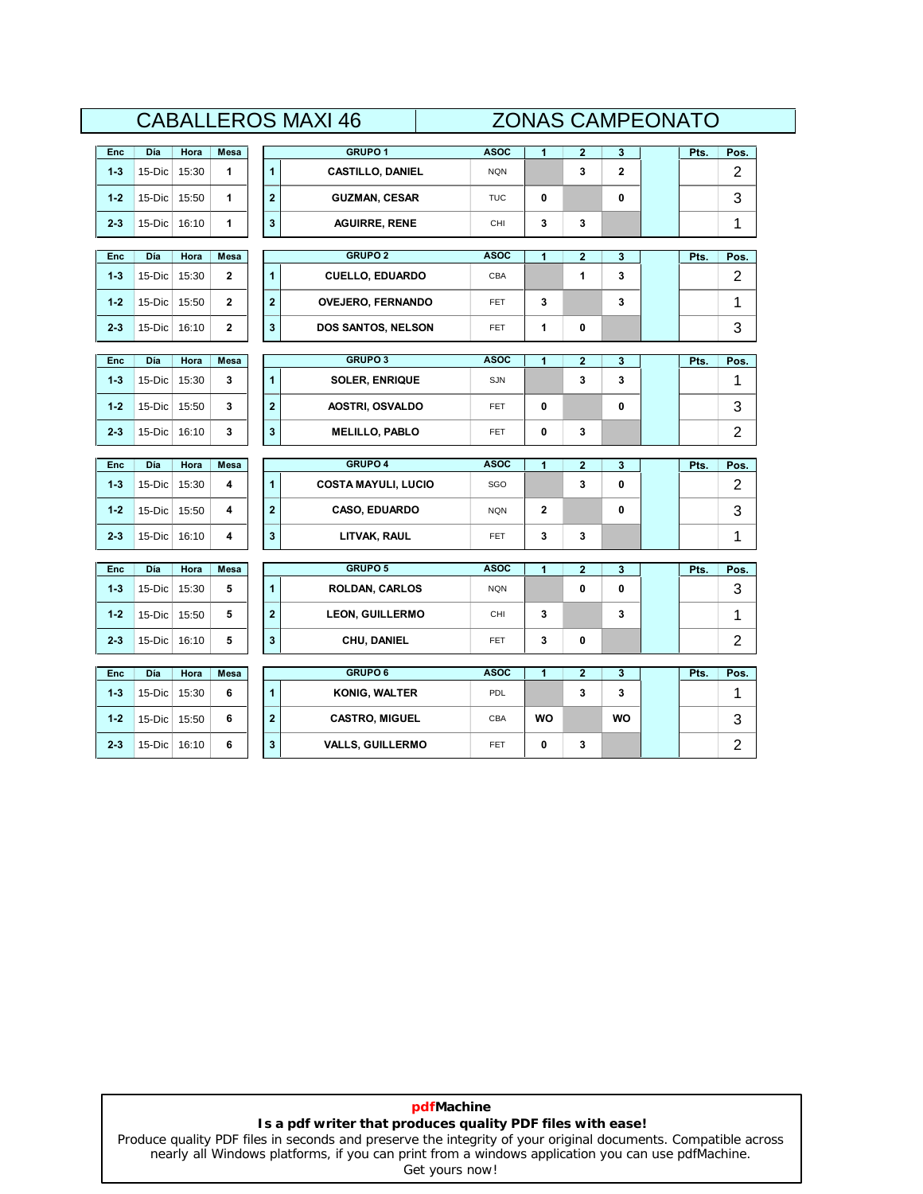|         |        |       |              | GRUPO <sub>1</sub><br><b>ASOC</b><br>1<br>$\overline{\mathbf{2}}$<br>3<br>Pts.<br>$\overline{2}$<br>3<br><b>CASTILLO, DANIEL</b><br><b>NQN</b><br>0<br>0<br><b>GUZMAN, CESAR</b><br><b>TUC</b>                                  |                                                                                                                                                                                                                                                                                                                                                                                                                                                                                                                     |      |   |  |  |                |                |
|---------|--------|-------|--------------|---------------------------------------------------------------------------------------------------------------------------------------------------------------------------------------------------------------------------------|---------------------------------------------------------------------------------------------------------------------------------------------------------------------------------------------------------------------------------------------------------------------------------------------------------------------------------------------------------------------------------------------------------------------------------------------------------------------------------------------------------------------|------|---|--|--|----------------|----------------|
| Enc     | Día    | Hora  | Mesa         |                                                                                                                                                                                                                                 | <b>AGUIRRE, RENE</b><br>3<br>3<br>CHI<br><b>GRUPO 2</b><br><b>ASOC</b><br>$\overline{\mathbf{2}}$<br>1<br>3<br>Pts.<br>1<br>3<br><b>CUELLO, EDUARDO</b><br>CBA<br>3<br>3<br><b>OVEJERO, FERNANDO</b><br><b>FET</b><br>0<br>DOS SANTOS, NELSON<br>1<br><b>FET</b><br><b>GRUPO 3</b><br><b>ASOC</b><br>$\overline{\mathbf{2}}$<br>1<br>3<br>Pts.<br>3<br>3<br><b>SOLER, ENRIQUE</b><br><b>SJN</b>                                                                                                                     |      |   |  |  | Pos.           |                |
| $1 - 3$ | 15-Dic | 15:30 | 1            |                                                                                                                                                                                                                                 | 0<br>0<br><b>AOSTRI, OSVALDO</b><br><b>FET</b><br><b>MELILLO, PABLO</b><br>0<br>3<br><b>FET</b><br><b>GRUPO 4</b><br>$\overline{\mathbf{2}}$<br><b>ASOC</b><br>1<br>3<br>Pts.<br>0<br><b>COSTA MAYULI, LUCIO</b><br>3<br>SGO<br>0<br><b>CASO, EDUARDO</b><br>$\mathbf{2}$<br><b>NQN</b><br>LITVAK, RAUL<br>3<br>3<br><b>FET</b><br><b>GRUPO 5</b><br><b>ASOC</b><br>$\overline{\mathbf{2}}$<br>1<br>3<br>Pts.<br>$\mathbf 0$<br><b>ROLDAN, CARLOS</b><br><b>NQN</b><br>0<br><b>LEON, GUILLERMO</b><br>CHI<br>3<br>3 |      |   |  |  | $\overline{2}$ |                |
| $1 - 2$ | 15-Dic | 15:50 | 1            | CHU, DANIEL<br>3<br>0<br><b>FET</b><br><b>GRUPO 6</b><br><b>ASOC</b><br>$\overline{\mathbf{2}}$<br>1<br>3<br>Pts.<br>3<br><b>KONIG, WALTER</b><br>3<br>PDL<br><b>CASTRO, MIGUEL</b><br><b>WO</b><br><b>WO</b><br>CBA            |                                                                                                                                                                                                                                                                                                                                                                                                                                                                                                                     |      | 3 |  |  |                |                |
| $2 - 3$ | 15-Dic | 16:10 | 1            |                                                                                                                                                                                                                                 |                                                                                                                                                                                                                                                                                                                                                                                                                                                                                                                     |      |   |  |  |                | 1              |
|         |        |       |              | <b>CABALLEROS MAXI 46</b><br><b>ZONAS CAMPEONATO</b><br>1<br>$\overline{\mathbf{2}}$<br>3<br>1<br>$\overline{2}$<br>3<br>$\mathbf{1}$<br>$\overline{2}$<br>3<br>1<br>$\overline{2}$<br>3<br>$\mathbf{1}$<br>$\overline{2}$<br>3 |                                                                                                                                                                                                                                                                                                                                                                                                                                                                                                                     |      |   |  |  |                |                |
| Enc     | Día    | Hora  | Mesa         |                                                                                                                                                                                                                                 |                                                                                                                                                                                                                                                                                                                                                                                                                                                                                                                     |      |   |  |  |                | Pos.           |
| $1 - 3$ | 15-Dic | 15:30 | $\mathbf{2}$ |                                                                                                                                                                                                                                 |                                                                                                                                                                                                                                                                                                                                                                                                                                                                                                                     |      |   |  |  |                | $\overline{2}$ |
| $1 - 2$ | 15-Dic | 15:50 | $\mathbf{2}$ | $\mathbf{1}$<br>$\overline{2}$<br>3<br><b>VALLS, GUILLERMO</b><br><b>FET</b><br>0<br>3                                                                                                                                          |                                                                                                                                                                                                                                                                                                                                                                                                                                                                                                                     | 1    |   |  |  |                |                |
| $2 - 3$ | 15-Dic | 16:10 | $\mathbf{2}$ |                                                                                                                                                                                                                                 |                                                                                                                                                                                                                                                                                                                                                                                                                                                                                                                     | 3    |   |  |  |                |                |
| Enc     | Día    | Hora  | Mesa         |                                                                                                                                                                                                                                 |                                                                                                                                                                                                                                                                                                                                                                                                                                                                                                                     | Pos. |   |  |  |                |                |
|         |        |       |              |                                                                                                                                                                                                                                 |                                                                                                                                                                                                                                                                                                                                                                                                                                                                                                                     |      |   |  |  |                |                |
| $1 - 3$ | 15-Dic | 15:30 | 3            |                                                                                                                                                                                                                                 |                                                                                                                                                                                                                                                                                                                                                                                                                                                                                                                     |      |   |  |  |                | 1              |
| $1 - 2$ | 15-Dic | 15:50 | 3            |                                                                                                                                                                                                                                 |                                                                                                                                                                                                                                                                                                                                                                                                                                                                                                                     |      |   |  |  |                | 3              |
| $2 - 3$ | 15-Dic | 16:10 | 3            |                                                                                                                                                                                                                                 |                                                                                                                                                                                                                                                                                                                                                                                                                                                                                                                     |      |   |  |  |                | $\overline{2}$ |
| Enc     | Día    | Hora  | Mesa         |                                                                                                                                                                                                                                 |                                                                                                                                                                                                                                                                                                                                                                                                                                                                                                                     |      |   |  |  |                | Pos.           |
| $1 - 3$ | 15-Dic | 15:30 | 4            |                                                                                                                                                                                                                                 |                                                                                                                                                                                                                                                                                                                                                                                                                                                                                                                     |      |   |  |  |                | 2              |
| $1 - 2$ | 15-Dic | 15:50 | 4            |                                                                                                                                                                                                                                 |                                                                                                                                                                                                                                                                                                                                                                                                                                                                                                                     |      |   |  |  |                | 3              |
| $2 - 3$ | 15-Dic | 16:10 | 4            |                                                                                                                                                                                                                                 |                                                                                                                                                                                                                                                                                                                                                                                                                                                                                                                     |      |   |  |  |                | 1              |
|         |        |       |              |                                                                                                                                                                                                                                 |                                                                                                                                                                                                                                                                                                                                                                                                                                                                                                                     |      |   |  |  |                |                |
| Enc     | Día    | Hora  | Mesa         |                                                                                                                                                                                                                                 |                                                                                                                                                                                                                                                                                                                                                                                                                                                                                                                     |      |   |  |  |                | Pos.           |
| $1 - 3$ | 15-Dic | 15:30 | 5            |                                                                                                                                                                                                                                 |                                                                                                                                                                                                                                                                                                                                                                                                                                                                                                                     |      |   |  |  |                | 3              |
| $1 - 2$ | 15-Dic | 15:50 | 5            |                                                                                                                                                                                                                                 |                                                                                                                                                                                                                                                                                                                                                                                                                                                                                                                     |      |   |  |  |                | 1              |
| $2 - 3$ | 15-Dic | 16:10 | 5            |                                                                                                                                                                                                                                 |                                                                                                                                                                                                                                                                                                                                                                                                                                                                                                                     |      |   |  |  |                | $\overline{2}$ |
|         |        |       |              |                                                                                                                                                                                                                                 |                                                                                                                                                                                                                                                                                                                                                                                                                                                                                                                     |      |   |  |  |                |                |
| Enc     | Día    | Hora  | Mesa         |                                                                                                                                                                                                                                 |                                                                                                                                                                                                                                                                                                                                                                                                                                                                                                                     |      |   |  |  |                | Pos.           |
| $1 - 3$ | 15-Dic | 15:30 | 6            |                                                                                                                                                                                                                                 |                                                                                                                                                                                                                                                                                                                                                                                                                                                                                                                     |      |   |  |  |                | 1              |
| $1 - 2$ | 15-Dic | 15:50 | 6            |                                                                                                                                                                                                                                 |                                                                                                                                                                                                                                                                                                                                                                                                                                                                                                                     |      |   |  |  |                | 3              |
| $2 - 3$ | 15-Dic | 16:10 | 6            |                                                                                                                                                                                                                                 |                                                                                                                                                                                                                                                                                                                                                                                                                                                                                                                     |      |   |  |  |                | $\overline{2}$ |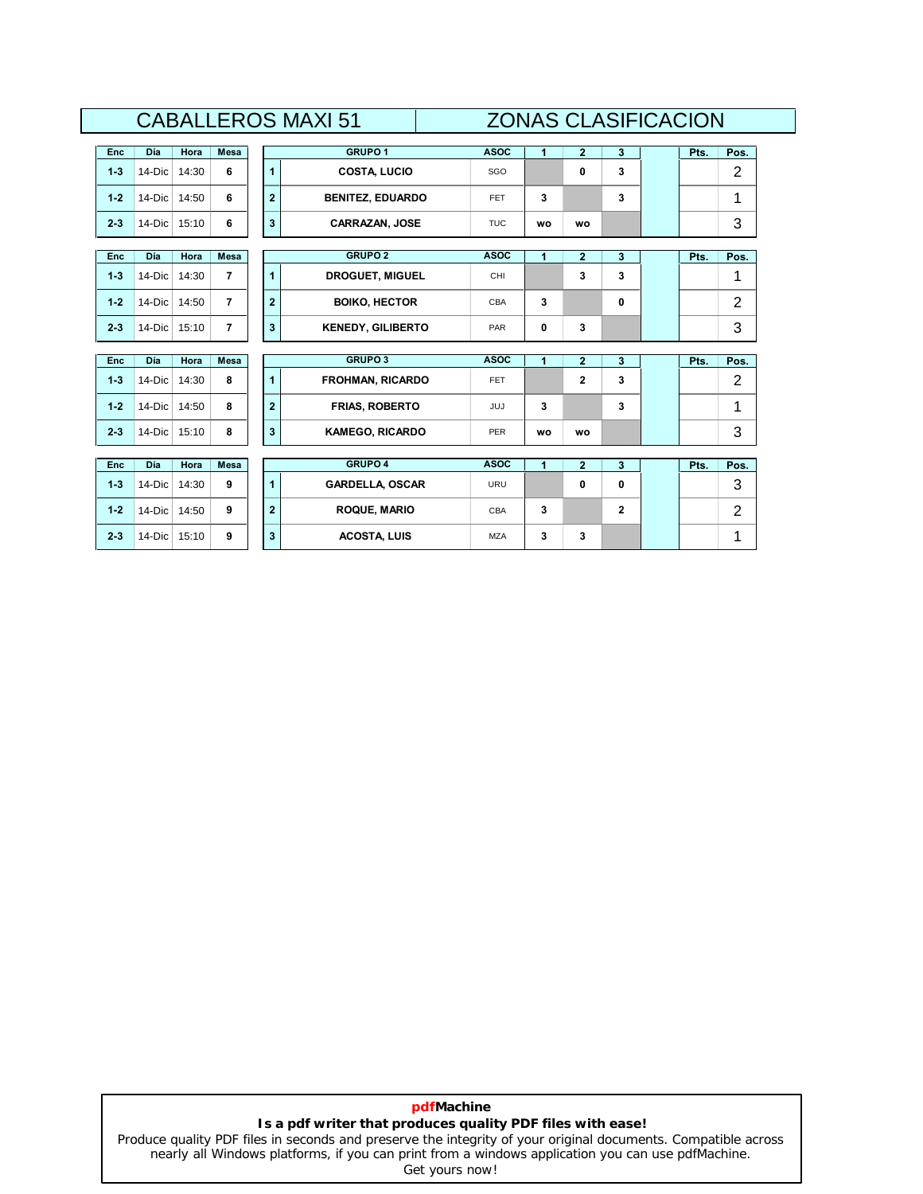| <b>GRUPO1</b><br><b>ASOC</b><br>$\mathbf{1}$<br>Pos.<br>$\mathbf{2}$<br>3<br>Pts.<br>Enc<br>Día<br>Mesa<br>Hora<br>$\overline{2}$<br>3<br>$1 - 3$<br>6<br>$\mathbf{1}$<br><b>COSTA, LUCIO</b><br>0<br>14-Dic<br>14:30<br>SGO<br>$1 - 2$<br>6<br>$\overline{2}$<br>3<br><b>BENITEZ, EDUARDO</b><br>3<br>14-Dic<br>14:50<br><b>FET</b><br>1<br>3<br>6<br>3<br>$2 - 3$<br>14-Dic<br>15:10<br><b>CARRAZAN, JOSE</b><br><b>TUC</b><br><b>WO</b><br><b>WO</b><br><b>GRUPO 2</b><br><b>ASOC</b><br>$\mathbf{1}$<br>$\overline{2}$<br>3<br>Pos.<br>Día<br>Hora<br>Mesa<br>Pts.<br>Enc<br>$\overline{7}$<br>3<br>14-Dic<br><b>DROGUET, MIGUEL</b><br>CHI<br>3<br>$1 - 3$<br>14:30<br>1<br>1<br>2<br>14-Dic<br>$\overline{7}$<br>$\overline{2}$<br>$1 - 2$<br>14:50<br><b>BOIKO, HECTOR</b><br>3<br>0<br>CBA<br>3<br>$\overline{7}$<br>$2 - 3$<br>3<br>3<br>14-Dic<br><b>KENEDY, GILIBERTO</b><br>0<br>15:10<br>PAR<br><b>GRUPO 3</b><br><b>ASOC</b><br>$\overline{1}$<br>$\overline{2}$<br>Mesa<br>3<br>Enc<br>Día<br>Hora<br>Pts.<br>Pos.<br>2<br>8<br>$\mathbf{2}$<br>3<br>$1 - 3$<br>1<br><b>FROHMAN, RICARDO</b><br>14-Dic<br>14:30<br><b>FET</b><br>1<br>$\overline{2}$<br>$1 - 2$<br>8<br><b>FRIAS, ROBERTO</b><br>3<br>3<br>14-Dic<br>14:50<br><b>JUJ</b><br>3<br>$2 - 3$<br>14-Dic<br>15:10<br>8<br>3<br><b>PER</b><br><b>KAMEGO, RICARDO</b><br><b>WO</b><br><b>WO</b><br><b>GRUPO 4</b><br><b>ASOC</b><br>$\overline{1}$<br>$\overline{2}$<br>3<br>Pts.<br>Día<br>Mesa<br><b>Enc</b><br>Hora<br>3<br>$1 - 3$<br>9<br>$\mathbf{1}$<br><b>GARDELLA, OSCAR</b><br>0<br>$\mathbf{0}$<br>14-Dic<br><b>URU</b><br>14:30<br>$\overline{2}$<br>$\overline{2}$<br>$1 - 2$<br>9<br><b>ROQUE, MARIO</b><br>3<br>$\mathbf{2}$<br>14-Dic<br>14:50<br>CBA<br>1<br>3<br>$2 - 3$<br>9<br>3<br><b>ACOSTA, LUIS</b><br>3<br>14-Dic<br>15:10<br><b>MZA</b> |  |  |  | UADALLENUƏ IVIAAI ƏT |  | ZUIYAƏ ULAƏIFIUAUIUIY |  |  |      |
|------------------------------------------------------------------------------------------------------------------------------------------------------------------------------------------------------------------------------------------------------------------------------------------------------------------------------------------------------------------------------------------------------------------------------------------------------------------------------------------------------------------------------------------------------------------------------------------------------------------------------------------------------------------------------------------------------------------------------------------------------------------------------------------------------------------------------------------------------------------------------------------------------------------------------------------------------------------------------------------------------------------------------------------------------------------------------------------------------------------------------------------------------------------------------------------------------------------------------------------------------------------------------------------------------------------------------------------------------------------------------------------------------------------------------------------------------------------------------------------------------------------------------------------------------------------------------------------------------------------------------------------------------------------------------------------------------------------------------------------------------------------------------------------------------------------------------------------|--|--|--|----------------------|--|-----------------------|--|--|------|
|                                                                                                                                                                                                                                                                                                                                                                                                                                                                                                                                                                                                                                                                                                                                                                                                                                                                                                                                                                                                                                                                                                                                                                                                                                                                                                                                                                                                                                                                                                                                                                                                                                                                                                                                                                                                                                          |  |  |  |                      |  |                       |  |  |      |
|                                                                                                                                                                                                                                                                                                                                                                                                                                                                                                                                                                                                                                                                                                                                                                                                                                                                                                                                                                                                                                                                                                                                                                                                                                                                                                                                                                                                                                                                                                                                                                                                                                                                                                                                                                                                                                          |  |  |  |                      |  |                       |  |  |      |
|                                                                                                                                                                                                                                                                                                                                                                                                                                                                                                                                                                                                                                                                                                                                                                                                                                                                                                                                                                                                                                                                                                                                                                                                                                                                                                                                                                                                                                                                                                                                                                                                                                                                                                                                                                                                                                          |  |  |  |                      |  |                       |  |  |      |
|                                                                                                                                                                                                                                                                                                                                                                                                                                                                                                                                                                                                                                                                                                                                                                                                                                                                                                                                                                                                                                                                                                                                                                                                                                                                                                                                                                                                                                                                                                                                                                                                                                                                                                                                                                                                                                          |  |  |  |                      |  |                       |  |  |      |
|                                                                                                                                                                                                                                                                                                                                                                                                                                                                                                                                                                                                                                                                                                                                                                                                                                                                                                                                                                                                                                                                                                                                                                                                                                                                                                                                                                                                                                                                                                                                                                                                                                                                                                                                                                                                                                          |  |  |  |                      |  |                       |  |  |      |
|                                                                                                                                                                                                                                                                                                                                                                                                                                                                                                                                                                                                                                                                                                                                                                                                                                                                                                                                                                                                                                                                                                                                                                                                                                                                                                                                                                                                                                                                                                                                                                                                                                                                                                                                                                                                                                          |  |  |  |                      |  |                       |  |  |      |
|                                                                                                                                                                                                                                                                                                                                                                                                                                                                                                                                                                                                                                                                                                                                                                                                                                                                                                                                                                                                                                                                                                                                                                                                                                                                                                                                                                                                                                                                                                                                                                                                                                                                                                                                                                                                                                          |  |  |  |                      |  |                       |  |  |      |
|                                                                                                                                                                                                                                                                                                                                                                                                                                                                                                                                                                                                                                                                                                                                                                                                                                                                                                                                                                                                                                                                                                                                                                                                                                                                                                                                                                                                                                                                                                                                                                                                                                                                                                                                                                                                                                          |  |  |  |                      |  |                       |  |  |      |
|                                                                                                                                                                                                                                                                                                                                                                                                                                                                                                                                                                                                                                                                                                                                                                                                                                                                                                                                                                                                                                                                                                                                                                                                                                                                                                                                                                                                                                                                                                                                                                                                                                                                                                                                                                                                                                          |  |  |  |                      |  |                       |  |  |      |
|                                                                                                                                                                                                                                                                                                                                                                                                                                                                                                                                                                                                                                                                                                                                                                                                                                                                                                                                                                                                                                                                                                                                                                                                                                                                                                                                                                                                                                                                                                                                                                                                                                                                                                                                                                                                                                          |  |  |  |                      |  |                       |  |  |      |
|                                                                                                                                                                                                                                                                                                                                                                                                                                                                                                                                                                                                                                                                                                                                                                                                                                                                                                                                                                                                                                                                                                                                                                                                                                                                                                                                                                                                                                                                                                                                                                                                                                                                                                                                                                                                                                          |  |  |  |                      |  |                       |  |  |      |
|                                                                                                                                                                                                                                                                                                                                                                                                                                                                                                                                                                                                                                                                                                                                                                                                                                                                                                                                                                                                                                                                                                                                                                                                                                                                                                                                                                                                                                                                                                                                                                                                                                                                                                                                                                                                                                          |  |  |  |                      |  |                       |  |  |      |
|                                                                                                                                                                                                                                                                                                                                                                                                                                                                                                                                                                                                                                                                                                                                                                                                                                                                                                                                                                                                                                                                                                                                                                                                                                                                                                                                                                                                                                                                                                                                                                                                                                                                                                                                                                                                                                          |  |  |  |                      |  |                       |  |  |      |
|                                                                                                                                                                                                                                                                                                                                                                                                                                                                                                                                                                                                                                                                                                                                                                                                                                                                                                                                                                                                                                                                                                                                                                                                                                                                                                                                                                                                                                                                                                                                                                                                                                                                                                                                                                                                                                          |  |  |  |                      |  |                       |  |  |      |
|                                                                                                                                                                                                                                                                                                                                                                                                                                                                                                                                                                                                                                                                                                                                                                                                                                                                                                                                                                                                                                                                                                                                                                                                                                                                                                                                                                                                                                                                                                                                                                                                                                                                                                                                                                                                                                          |  |  |  |                      |  |                       |  |  |      |
|                                                                                                                                                                                                                                                                                                                                                                                                                                                                                                                                                                                                                                                                                                                                                                                                                                                                                                                                                                                                                                                                                                                                                                                                                                                                                                                                                                                                                                                                                                                                                                                                                                                                                                                                                                                                                                          |  |  |  |                      |  |                       |  |  |      |
|                                                                                                                                                                                                                                                                                                                                                                                                                                                                                                                                                                                                                                                                                                                                                                                                                                                                                                                                                                                                                                                                                                                                                                                                                                                                                                                                                                                                                                                                                                                                                                                                                                                                                                                                                                                                                                          |  |  |  |                      |  |                       |  |  | Pos. |
|                                                                                                                                                                                                                                                                                                                                                                                                                                                                                                                                                                                                                                                                                                                                                                                                                                                                                                                                                                                                                                                                                                                                                                                                                                                                                                                                                                                                                                                                                                                                                                                                                                                                                                                                                                                                                                          |  |  |  |                      |  |                       |  |  |      |
|                                                                                                                                                                                                                                                                                                                                                                                                                                                                                                                                                                                                                                                                                                                                                                                                                                                                                                                                                                                                                                                                                                                                                                                                                                                                                                                                                                                                                                                                                                                                                                                                                                                                                                                                                                                                                                          |  |  |  |                      |  |                       |  |  |      |
|                                                                                                                                                                                                                                                                                                                                                                                                                                                                                                                                                                                                                                                                                                                                                                                                                                                                                                                                                                                                                                                                                                                                                                                                                                                                                                                                                                                                                                                                                                                                                                                                                                                                                                                                                                                                                                          |  |  |  |                      |  |                       |  |  |      |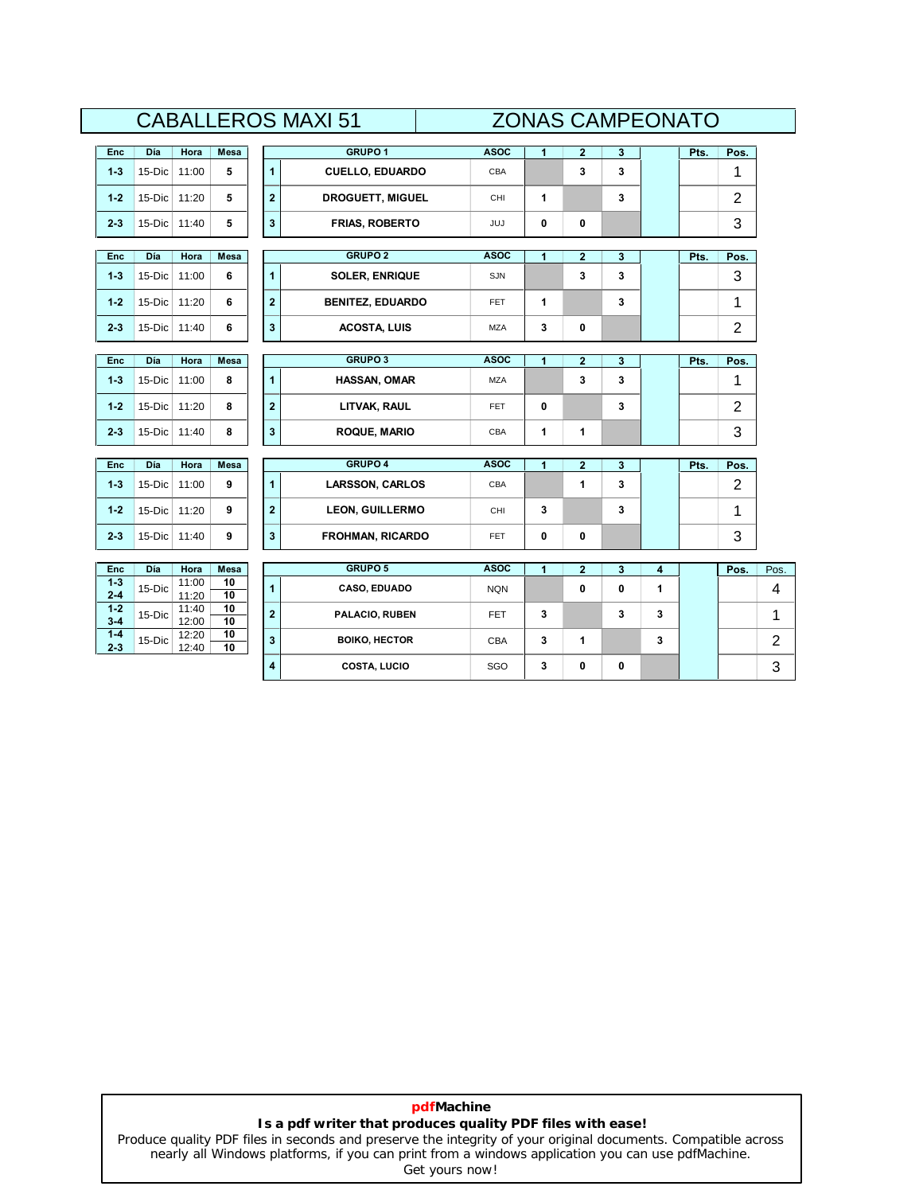|                    |        |                |                   |                         | <b>CABALLEROS MAXI 51</b> |             | <b>ZONAS CAMPEONATO</b> |                         |        |   |      |                |                |
|--------------------|--------|----------------|-------------------|-------------------------|---------------------------|-------------|-------------------------|-------------------------|--------|---|------|----------------|----------------|
| Enc                | Día    | Hora           | Mesa              |                         | <b>GRUPO1</b>             | <b>ASOC</b> | 1                       | $\mathbf{2}$            | 3      |   | Pts. | Pos.           |                |
| $1 - 3$            | 15-Dic | 11:00          | 5                 | $\blacktriangleleft$    | <b>CUELLO, EDUARDO</b>    | CBA         |                         | 3                       | 3      |   |      | 1              |                |
| $1 - 2$            | 15-Dic | 11:20          | 5                 | $\overline{\mathbf{2}}$ | <b>DROGUETT, MIGUEL</b>   | CHI         | 1                       |                         | 3      |   |      | $\overline{2}$ |                |
| $2 - 3$            | 15-Dic | 11:40          | 5                 | 3                       | <b>FRIAS, ROBERTO</b>     | JUJ         | 0                       | 0                       |        |   |      | 3              |                |
| Enc                | Día    | Hora           | Mesa              |                         | <b>GRUPO 2</b>            | <b>ASOC</b> | 1                       | $\overline{\mathbf{2}}$ | 3      |   | Pts. | Pos.           |                |
| $1 - 3$            | 15-Dic | 11:00          | 6                 | 1                       | <b>SOLER, ENRIQUE</b>     | SJN         |                         | 3                       | 3      |   |      | 3              |                |
| $1 - 2$            | 15-Dic | 11:20          | 6                 | $\bf{2}$                | <b>BENITEZ, EDUARDO</b>   | FET         | 1                       |                         | 3      |   |      | 1              |                |
| $2 - 3$            | 15-Dic | 11:40          | 6                 | 3                       | <b>ACOSTA, LUIS</b>       | <b>MZA</b>  | 3                       | 0                       |        |   |      | $\overline{c}$ |                |
|                    | Día    | Hora           | Mesa              |                         | <b>GRUPO 3</b>            | <b>ASOC</b> | 1                       | $\overline{\mathbf{2}}$ |        |   | Pts. | Pos.           |                |
| Enc<br>$1 - 3$     | 15-Dic | 11:00          | 8                 | 1                       | <b>HASSAN, OMAR</b>       | <b>MZA</b>  |                         | 3                       | 3<br>3 |   |      | 1              |                |
| $1 - 2$            | 15-Dic | 11:20          | 8                 | $\overline{2}$          | LITVAK, RAUL              | FET         | 0                       |                         | 3      |   |      | $\overline{2}$ |                |
| $2 - 3$            | 15-Dic | 11:40          | 8                 | 3                       | <b>ROQUE, MARIO</b>       | CBA         | 1                       | 1                       |        |   |      | 3              |                |
|                    |        |                |                   |                         |                           |             |                         |                         |        |   |      |                |                |
| Enc                | Día    | Hora           | Mesa              |                         | <b>GRUPO 4</b>            | <b>ASOC</b> | 1                       | $\overline{\mathbf{2}}$ | 3      |   | Pts. | Pos.           |                |
| $1 - 3$            | 15-Dic | 11:00          | 9                 | 1                       | <b>LARSSON, CARLOS</b>    | CBA         |                         | 1                       | 3      |   |      | 2              |                |
| $1 - 2$            | 15-Dic | 11:20          | 9                 | $\bf{2}$                | <b>LEON, GUILLERMO</b>    | CHI         | 3                       |                         | 3      |   |      | 1              |                |
| $2 - 3$            | 15-Dic | 11:40          | 9                 | 3                       | <b>FROHMAN, RICARDO</b>   | FET         | 0                       | 0                       |        |   |      | 3              |                |
|                    |        |                |                   |                         | <b>GRUPO 5</b>            | <b>ASOC</b> |                         |                         |        |   |      |                |                |
| Enc<br>$1 - 3$     | Día    | Hora<br>11:00  | <b>Mesa</b><br>10 |                         |                           |             | 1                       | $\overline{\mathbf{2}}$ | 3      | 4 |      | Pos.           | Pos.           |
| $2 - 4$            | 15-Dic | 11:20          | 10                | 1                       | CASO, EDUADO              | <b>NQN</b>  |                         | 0                       | 0      | 1 |      |                | 4              |
| $1 - 2$<br>$3 - 4$ | 15-Dic | 11:40<br>12:00 | 10<br>10          | $\overline{\mathbf{2}}$ | PALACIO, RUBEN            | FET         | 3                       |                         | 3      | 3 |      |                | 1              |
| $1 - 4$<br>$2 - 3$ | 15-Dic | 12:20<br>12:40 | 10<br>10          | 3                       | <b>BOIKO, HECTOR</b>      | CBA         | 3                       | 1                       |        | 3 |      |                | $\overline{c}$ |
|                    |        |                |                   | 4                       | <b>COSTA, LUCIO</b>       | SGO         | 3                       | 0                       | 0      |   |      |                | 3              |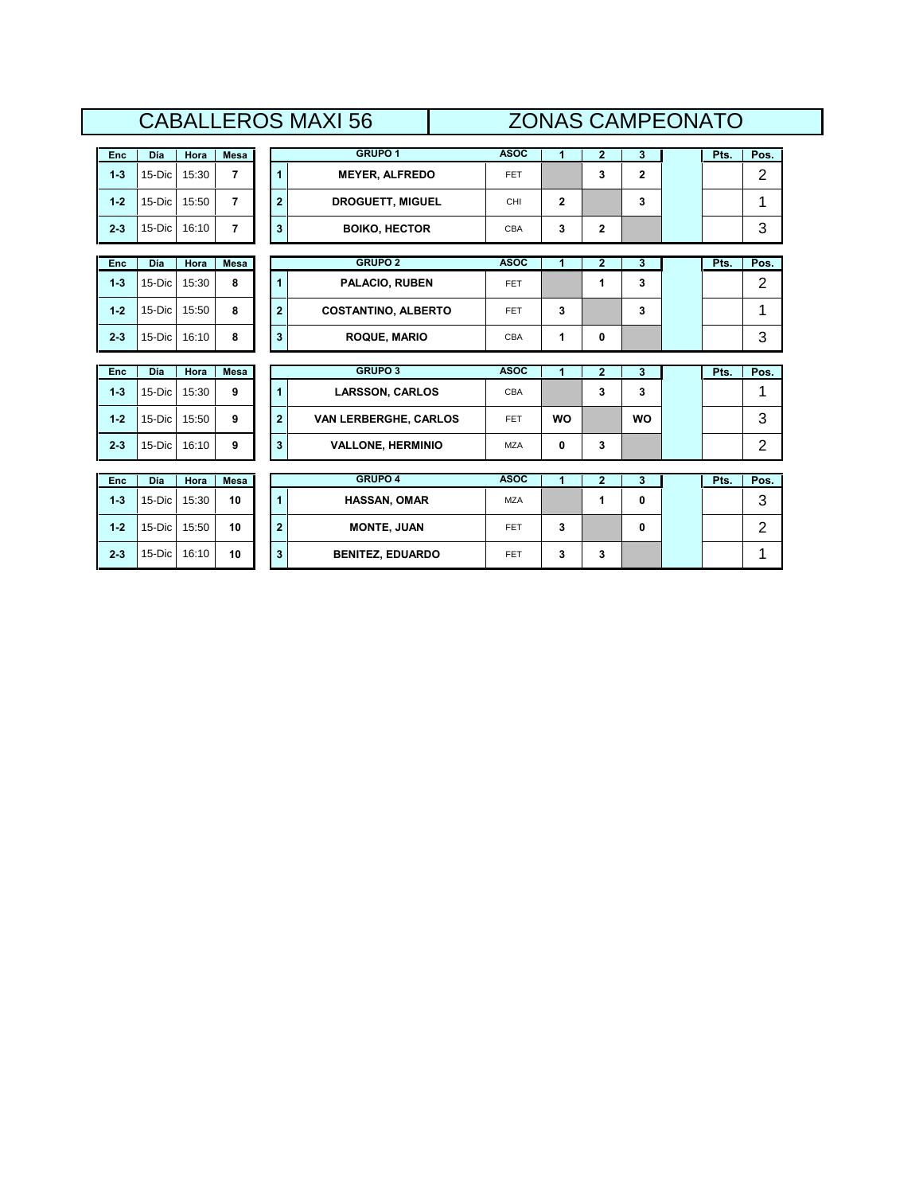| 56<br><b>NIA</b><br>$\mathcal{L}$<br>$\checkmark$<br>$\check{~}$ | $\bf{N}$<br>1 U<br>ww              |
|------------------------------------------------------------------|------------------------------------|
| <b>GRUPO</b><br>Día<br><b>Enc</b><br>Hora<br><b>Mesa</b>         | <b>ASOC</b><br>Pts.<br>Pos.<br>. . |

|         |        |       |                |                         | UADALLENUJ IVIAAI JU         |             |                      |                | ZUINAJ UAIVIFEUNATU |      |                |
|---------|--------|-------|----------------|-------------------------|------------------------------|-------------|----------------------|----------------|---------------------|------|----------------|
| Enc     | Día    | Hora  | <b>Mesa</b>    |                         | <b>GRUPO 1</b>               | <b>ASOC</b> | $\blacktriangleleft$ | $\overline{2}$ | $\mathbf{3}$        | Pts. | Pos.           |
| $1-3$   | 15-Dic | 15:30 | $\overline{7}$ | $\overline{1}$          | <b>MEYER, ALFREDO</b>        | <b>FET</b>  |                      | 3              | $\mathbf{2}$        |      | $\overline{2}$ |
| $1 - 2$ | 15-Dic | 15:50 | $\overline{7}$ | $\overline{2}$          | <b>DROGUETT, MIGUEL</b>      | CHI         | $\mathbf{2}$         |                | 3                   |      | 1              |
| $2 - 3$ | 15-Dic | 16:10 | $\overline{7}$ | $\overline{\mathbf{3}}$ | <b>BOIKO, HECTOR</b>         | CBA         | 3                    | $\mathbf{2}$   |                     |      | 3              |
| Enc     | Día    | Hora  | Mesa           |                         | <b>GRUPO 2</b>               | <b>ASOC</b> | 1                    | $\mathbf{2}$   | $\mathbf{3}$        | Pts. | Pos.           |
| $1 - 3$ | 15-Dic | 15:30 | 8              | $\mathbf{1}$            | PALACIO, RUBEN               | <b>FET</b>  |                      | 1              | 3                   |      | 2              |
| $1 - 2$ | 15-Dic | 15:50 | 8              | $\overline{2}$          | <b>COSTANTINO, ALBERTO</b>   | <b>FET</b>  | 3                    |                | 3                   |      | 1              |
| $2 - 3$ | 15-Dic | 16:10 | 8              | 3                       | <b>ROQUE, MARIO</b>          | CBA         | 1                    | 0              |                     |      | 3              |
| Enc     | Día    | Hora  | Mesa           |                         | <b>GRUPO 3</b>               | <b>ASOC</b> | 1                    | $\overline{2}$ | 3                   | Pts. | Pos.           |
| $1-3$   | 15-Dic | 15:30 | 9              | $\overline{1}$          | <b>LARSSON, CARLOS</b>       | CBA         |                      | 3              | 3                   |      | 1              |
| $1 - 2$ | 15-Dic | 15:50 | 9              | $\overline{2}$          | <b>VAN LERBERGHE, CARLOS</b> | <b>FET</b>  | <b>WO</b>            |                | <b>WO</b>           |      | 3              |
| $2 - 3$ | 15-Dic | 16:10 | 9              | 3                       | <b>VALLONE, HERMINIO</b>     | <b>MZA</b>  | 0                    | 3              |                     |      | $\overline{2}$ |
|         |        |       |                |                         | <b>GRUPO 4</b>               | <b>ASOC</b> |                      |                |                     |      |                |
| Enc     | Día    | Hora  | <b>Mesa</b>    |                         |                              |             | 1                    | $\overline{2}$ | 3                   | Pts. | Pos.           |
| $1 - 3$ | 15-Dic | 15:30 | 10             | $\mathbf{1}$            | <b>HASSAN, OMAR</b>          | <b>MZA</b>  |                      | 1              | $\mathbf{0}$        |      | 3              |
| $1 - 2$ | 15-Dic | 15:50 | 10             | $\overline{2}$          | <b>MONTE, JUAN</b>           | <b>FET</b>  | 3                    |                | 0                   |      | $\overline{2}$ |
| $2 - 3$ | 15-Dic | 16:10 | 10             | 3                       | <b>BENITEZ, EDUARDO</b>      | FET         | 3                    | 3              |                     |      | 1              |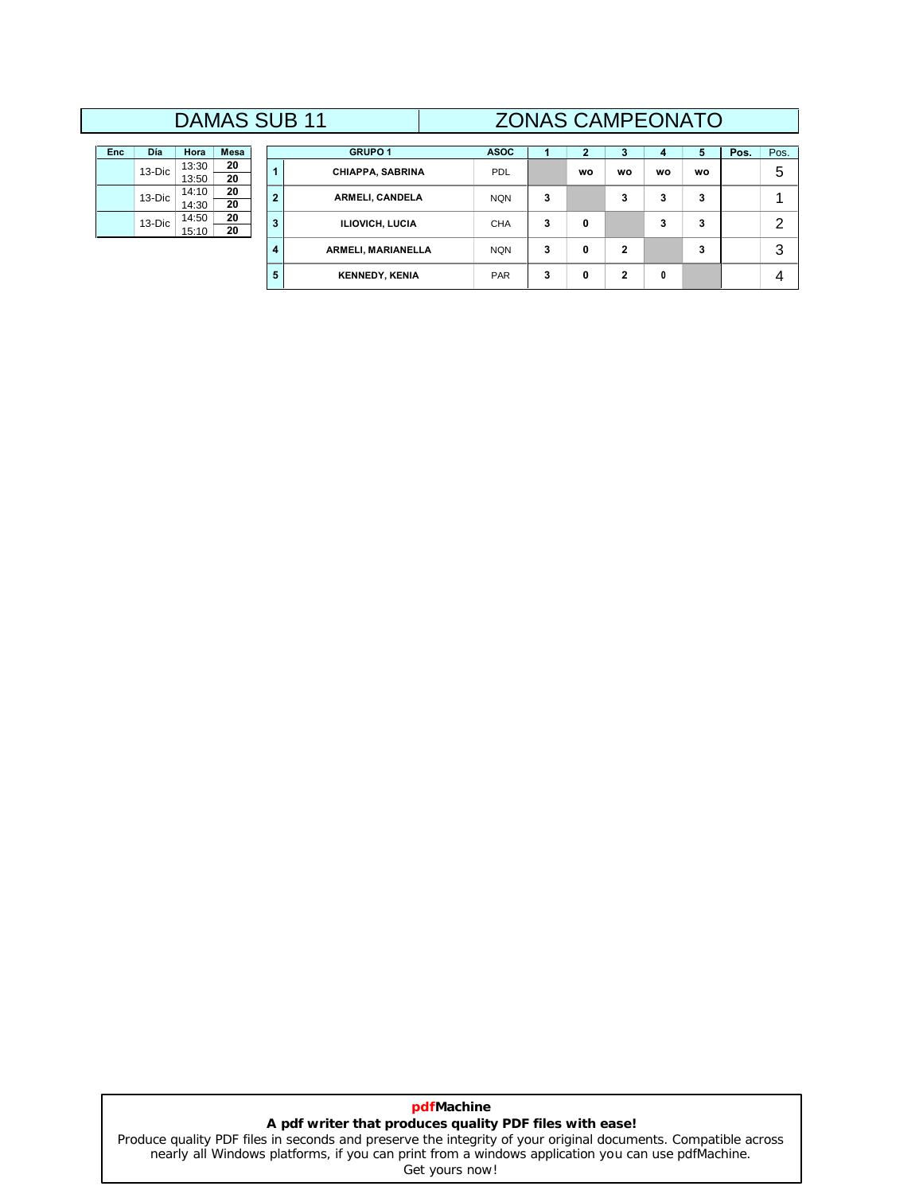# **DAMAS SUB 11**

| Día | Hora                             | <b>Mesa</b> |
|-----|----------------------------------|-------------|
|     | 13:30                            | 20          |
|     | 13:50                            | 20          |
|     | 14.10                            | 20          |
|     | 14:30                            | 20          |
|     | 14:50                            | 20          |
|     | 15:10                            | 20          |
|     | $13-Dic$<br>$13-Dic$<br>$13-Dic$ |             |

|          |                | <b>DAMAS SUB 11</b> |                |                           |             |   |           |              | <b>ZONAS CAMPEONATO</b> |           |      |                |
|----------|----------------|---------------------|----------------|---------------------------|-------------|---|-----------|--------------|-------------------------|-----------|------|----------------|
| Día      | Hora           | <b>Mesa</b>         |                | <b>GRUPO1</b>             | <b>ASOC</b> |   |           | 3            | 4                       | 5         | Pos. | Pos.           |
| 13-Dic   | 13:30<br>13:50 | 20<br>20            |                | CHIAPPA, SABRINA          | <b>PDL</b>  |   | <b>WO</b> | wo           | wo                      | <b>WO</b> |      | 5              |
| $13-Dic$ | 14:10<br>14:30 | 20<br>20            | $\overline{2}$ | ARMELI, CANDELA           | <b>NQN</b>  | 3 |           | 3            | 3                       | 3         |      |                |
| 13-Dic   | 14:50<br>15:10 | 20<br>20            | 3              | <b>ILIOVICH, LUCIA</b>    | <b>CHA</b>  | 3 | 0         |              | 3                       | 3         |      | $\overline{2}$ |
|          |                |                     | 4              | <b>ARMELI, MARIANELLA</b> | <b>NQN</b>  | 3 | 0         | $\mathbf 2$  |                         | 3         |      | 3              |
|          |                |                     | 5              | <b>KENNEDY, KENIA</b>     | <b>PAR</b>  | 3 | 0         | $\mathbf{2}$ | 0                       |           |      | 4              |

### **pdfMachine A pdf writer that produces quality PDF files with ease!** [Produce quality PDF files in seconds and preserve the integrity of your original documents. Compatible across](http://www.pdfmachine.com?cl)

nearly all Windows platforms, if you can print from a windows application you can use pdfMachine. Get yours now!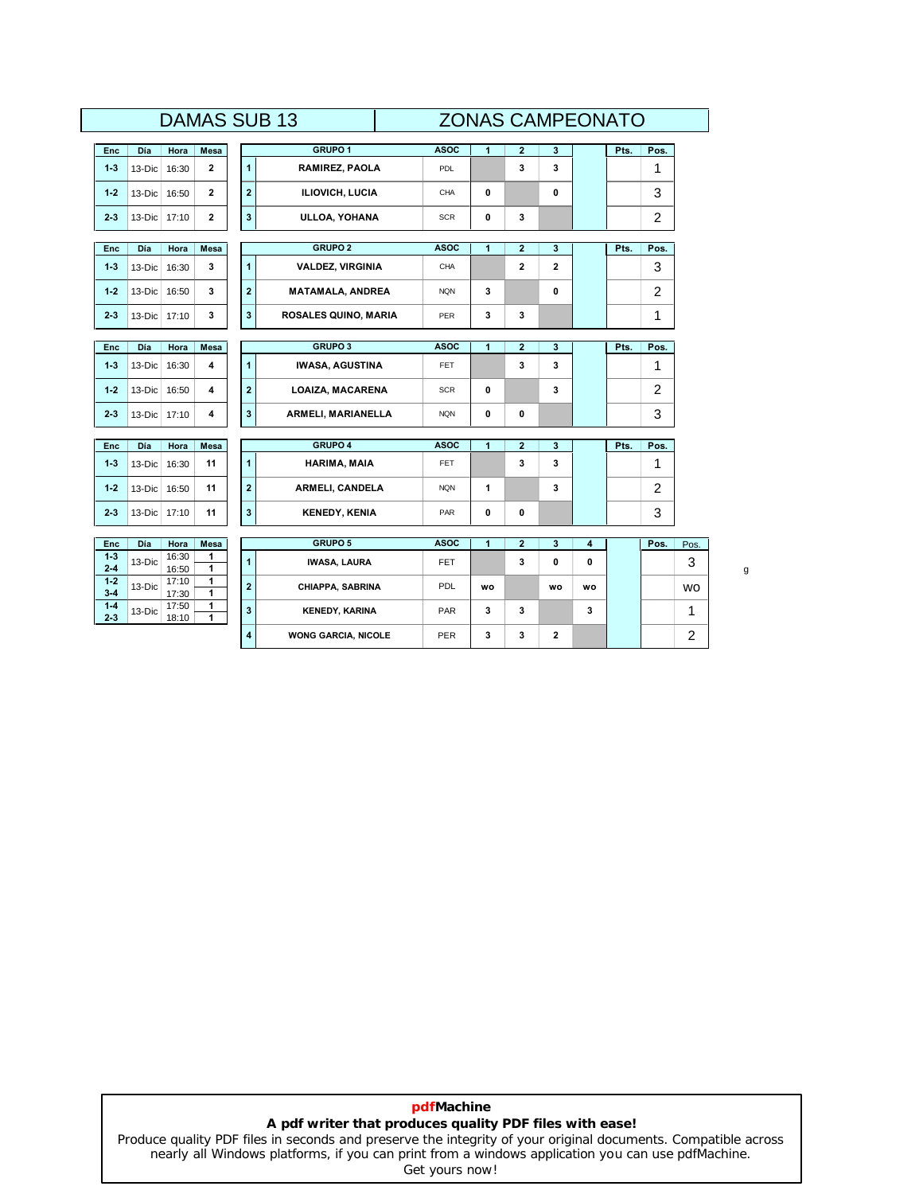|                    |              |                |              |                         | <b>DAMAS SUB 13</b>     |             |             |                         | <b>ZONAS CAMPEONATO</b> |    |      |                |           |
|--------------------|--------------|----------------|--------------|-------------------------|-------------------------|-------------|-------------|-------------------------|-------------------------|----|------|----------------|-----------|
| Enc                | Día          | Hora           | Mesa         |                         | GRUPO <sub>1</sub>      | <b>ASOC</b> | 1           | $\overline{2}$          | 3                       |    | Pts. | Pos.           |           |
| $1 - 3$            | 13-Dic       | 16:30          | $\mathbf{2}$ | $\mathbf{1}$            | <b>RAMIREZ, PAOLA</b>   | PDL         |             | 3                       | 3                       |    |      | 1              |           |
| $1 - 2$            | $13-Dic$     | 16:50          | 2            | $\overline{\mathbf{2}}$ | ILIOVICH, LUCIA         | CHA         | 0           |                         | 0                       |    |      | 3              |           |
| $2 - 3$            | 13-Dic 17:10 |                | 2            | $\mathbf{3}$            | ULLOA, YOHANA           | <b>SCR</b>  | 0           | 3                       |                         |    |      | $\overline{2}$ |           |
|                    | Día          |                |              |                         | <b>GRUPO 2</b>          | <b>ASOC</b> | 1           | $\overline{\mathbf{2}}$ | 3                       |    | Pts. | Pos.           |           |
| Enc                |              | Hora           | Mesa         |                         |                         |             |             |                         |                         |    |      |                |           |
| $1 - 3$            | $13-Dic$     | 16:30          | 3            | $\overline{1}$          | <b>VALDEZ, VIRGINIA</b> | CHA         |             | $\overline{2}$          | $\overline{2}$          |    |      | 3              |           |
| $1 - 2$            | $13-Dic$     | 16:50          | 3            | $\overline{\mathbf{2}}$ | <b>MATAMALA, ANDREA</b> | <b>NQN</b>  | 3           |                         | 0                       |    |      | $\overline{2}$ |           |
| $2 - 3$            | $13-Dic$     | 17:10          | 3            | 3                       | ROSALES QUINO, MARIA    | PER         | 3           | 3                       |                         |    |      | 1              |           |
|                    |              |                |              |                         |                         |             |             |                         |                         |    |      |                |           |
| <b>Enc</b>         | Día          | Hora           | <b>Mesa</b>  |                         | <b>GRUPO 3</b>          | <b>ASOC</b> | 1           | $\overline{2}$          | 3                       |    | Pts. | Pos.           |           |
| $1 - 3$            | 13-Dic       | 16:30          | 4            | $\mathbf{1}$            | <b>IWASA, AGUSTINA</b>  | FET.        |             | 3                       | 3                       |    |      | 1              |           |
| $1 - 2$            | $13-Dic$     | 16:50          | 4            | $\bf{2}$                | <b>LOAIZA, MACARENA</b> | <b>SCR</b>  | $\mathbf 0$ |                         | 3                       |    |      | 2              |           |
| $2 - 3$            | $13-Dic$     | 17:10          | 4            | $\mathbf{3}$            | ARMELI, MARIANELLA      | <b>NQN</b>  | 0           | 0                       |                         |    |      | 3              |           |
|                    |              |                |              |                         |                         |             |             |                         |                         |    |      |                |           |
| Enc                | Día          | Hora           | Mesa         |                         | GRUPO 4                 | <b>ASOC</b> | 1           | $\overline{\mathbf{2}}$ | 3                       |    | Pts. | Pos.           |           |
| $1 - 3$            | $13-Dic$     | 16:30          | 11           | $\mathbf{1}$            | HARIMA, MAIA            | <b>FET</b>  |             | 3                       | 3                       |    |      | 1              |           |
| $1 - 2$            | $13-Dic$     | 16:50          | 11           | $\bf{2}$                | ARMELI, CANDELA         | <b>NQN</b>  | 1           |                         | 3                       |    |      | $\overline{2}$ |           |
| $2 - 3$            | $13-Dic$     | 17:10          | 11           | $\overline{\mathbf{3}}$ | <b>KENEDY, KENIA</b>    | <b>PAR</b>  | 0           | 0                       |                         |    |      | 3              |           |
|                    |              |                |              |                         |                         |             |             |                         |                         |    |      |                |           |
| Enc                | Día          | Hora           | Mesa         |                         | <b>GRUPO 5</b>          | <b>ASOC</b> | 1           | $\overline{\mathbf{2}}$ | 3                       | 4  |      | Pos.           | Pos.      |
| $1 - 3$<br>$2 - 4$ | 13-Dic       | 16:30<br>16:50 | 1<br>1       | $\mathbf{1}$            | <b>IWASA, LAURA</b>     | <b>FET</b>  |             | 3                       | 0                       | 0  |      |                | 3         |
| $1 - 2$<br>$3 - 4$ | 13-Dic       | 17:10<br>17:30 | 1<br>1       | $\overline{\mathbf{2}}$ | CHIAPPA, SABRINA        | <b>PDL</b>  | <b>WO</b>   |                         | wo                      | wo |      |                | <b>WO</b> |
| $1 - 4$            | 13-Dic       | 17:50<br>18:10 | 1<br>1       | 3                       | <b>KENEDY, KARINA</b>   | <b>PAR</b>  | 3           | 3                       |                         | 3  |      |                | 1         |
| $2 - 3$            |              |                |              |                         |                         |             |             |                         |                         |    |      |                |           |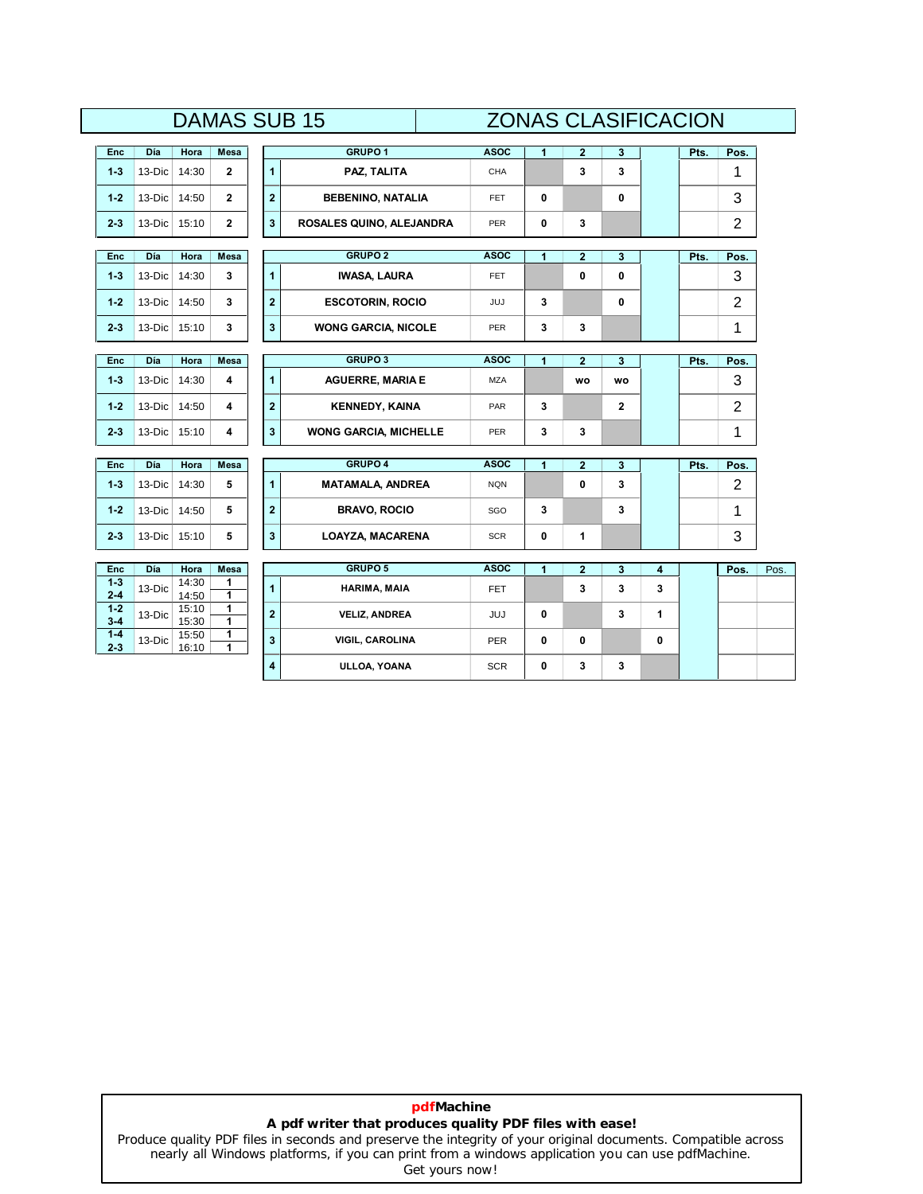# **DAMAS SUB 15**

|                    |        |                |                              |                         | <b>DAMAS SUB 15</b>          |             |             | <b>ZONAS CLASIFICACION</b> |             |              |      |                |      |
|--------------------|--------|----------------|------------------------------|-------------------------|------------------------------|-------------|-------------|----------------------------|-------------|--------------|------|----------------|------|
| Enc                | Día    | Hora           | Mesa                         |                         | <b>GRUPO 1</b>               | <b>ASOC</b> | 1           | $\mathbf{2}$               | 3           |              | Pts. | Pos.           |      |
| $1 - 3$            | 13-Dic | 14:30          | $\mathbf{2}$                 | $\overline{1}$          | PAZ, TALITA                  | CHA         |             | 3                          | 3           |              |      | 1              |      |
| $1 - 2$            | 13-Dic | 14:50          | $\mathbf{2}$                 | $\bf{2}$                | <b>BEBENINO, NATALIA</b>     | <b>FET</b>  | 0           |                            | $\mathbf 0$ |              |      | 3              |      |
| $2 - 3$            | 13-Dic | 15:10          | $\mathbf 2$                  | $\overline{\mathbf{3}}$ | ROSALES QUINO, ALEJANDRA     | PER         | 0           | 3                          |             |              |      | $\overline{c}$ |      |
| <b>Enc</b>         | Día    | Hora           | Mesa                         |                         | <b>GRUPO 2</b>               | <b>ASOC</b> | 1           | $\mathbf 2$                | 3           |              | Pts. | Pos.           |      |
| $1 - 3$            | 13-Dic | 14:30          | 3                            | $\blacksquare$          | <b>IWASA, LAURA</b>          | <b>FET</b>  |             | 0                          | $\mathbf 0$ |              |      | 3              |      |
| $1 - 2$            | 13-Dic | 14:50          | 3                            | $\mathbf 2$             | <b>ESCOTORIN, ROCIO</b>      | JUJ         | 3           |                            | 0           |              |      | $\overline{2}$ |      |
| $2 - 3$            | 13-Dic | 15:10          | 3                            | 3                       | <b>WONG GARCIA, NICOLE</b>   | PER         | 3           | 3                          |             |              |      | 1              |      |
| <b>Enc</b>         | Día    | Hora           | <b>Mesa</b>                  |                         | <b>GRUPO 3</b>               | <b>ASOC</b> | 1           | $\overline{2}$             | 3           |              | Pts. | Pos.           |      |
| $1 - 3$            | 13-Dic | 14:30          | 4                            | $\overline{1}$          | <b>AGUERRE, MARIA E</b>      | <b>MZA</b>  |             | <b>WO</b>                  | wo          |              |      | 3              |      |
|                    |        |                |                              |                         |                              |             |             |                            |             |              |      |                |      |
| $1 - 2$            | 13-Dic | 14:50          | 4                            | $\overline{\mathbf{2}}$ | <b>KENNEDY, KAINA</b>        | PAR         | 3           |                            | 2           |              |      | $\overline{2}$ |      |
| $2 - 3$            | 13-Dic | 15:10          | 4                            | 3                       | <b>WONG GARCIA, MICHELLE</b> | <b>PER</b>  | 3           | 3                          |             |              |      | 1              |      |
| Enc                | Día    | Hora           | Mesa                         |                         | GRUPO 4                      | <b>ASOC</b> | 1           | $\overline{\mathbf{2}}$    | 3           |              | Pts. | Pos.           |      |
| $1 - 3$            | 13-Dic | 14:30          | 5                            | $\overline{1}$          | <b>MATAMALA, ANDREA</b>      | <b>NQN</b>  |             | 0                          | 3           |              |      | $\overline{c}$ |      |
| $1 - 2$            | 13-Dic | 14:50          | 5                            | $\overline{\mathbf{2}}$ | <b>BRAVO, ROCIO</b>          | SGO         | 3           |                            | 3           |              |      | 1              |      |
| $2 - 3$            | 13-Dic | 15:10          | 5                            | 3                       | <b>LOAYZA, MACARENA</b>      | <b>SCR</b>  | 0           | $\mathbf{1}$               |             |              |      | 3              |      |
|                    |        |                |                              |                         | GRUPO 5                      |             |             |                            |             |              |      |                |      |
| Enc<br>$1-3$       | Día    | Hora<br>14:30  | Mesa<br>1                    |                         |                              | <b>ASOC</b> | 1           | $\mathbf{2}$               | 3           | 4            |      | Pos.           | Pos. |
| $2 - 4$            | 13-Dic | 14:50          | $\mathbf{1}$                 | 1                       | HARIMA, MAIA                 | <b>FET</b>  |             | 3                          | 3           | 3            |      |                |      |
| $1 - 2$<br>$3 - 4$ | 13-Dic | 15:10<br>15:30 | $\mathbf{1}$<br>$\mathbf{1}$ | $\overline{2}$          | <b>VELIZ, ANDREA</b>         | <b>JUJ</b>  | $\mathbf 0$ |                            | 3           | $\mathbf{1}$ |      |                |      |
| $1 - 4$<br>$2 - 3$ | 13-Dic | 15:50<br>16:10 | 1<br>1                       | 3                       | VIGIL, CAROLINA              | PER         | 0           | 0                          |             | 0            |      |                |      |
|                    |        |                |                              | 4                       | ULLOA, YOANA                 | <b>SCR</b>  | 0           | 3                          | 3           |              |      |                |      |

# **pdfMachine A pdf writer that produces quality PDF files with ease!**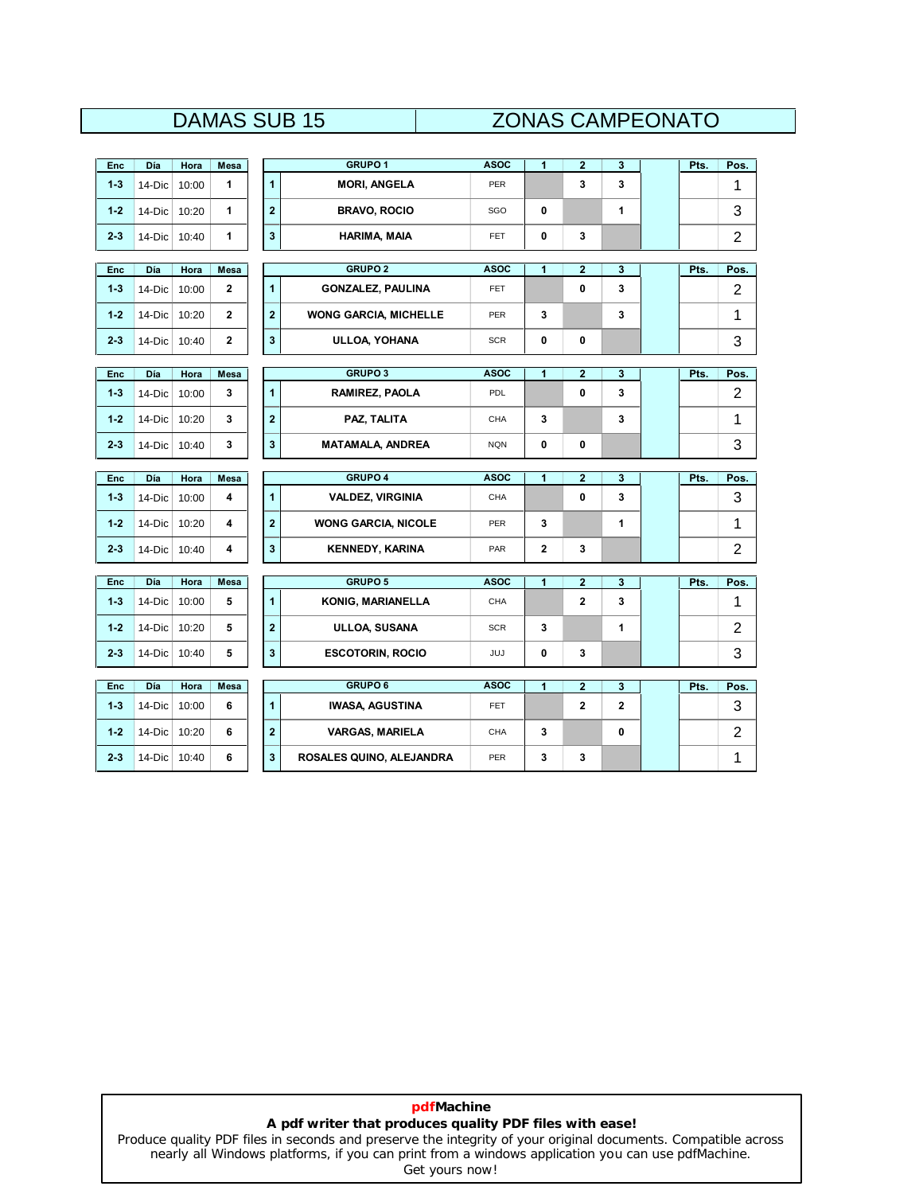# DAMAS SUB 15 ZONAS CAMPEONATO

| <b>Enc</b> | <b>Día</b> | Hora  | Mesa         |                         | <b>GRUPO 1</b>               | <b>ASOC</b> | $\blacksquare$ | $\overline{2}$          | 3                       | Pts. | Pos.           |
|------------|------------|-------|--------------|-------------------------|------------------------------|-------------|----------------|-------------------------|-------------------------|------|----------------|
| $1 - 3$    | 14-Dic     | 10:00 | 1            | $\blacksquare$          | <b>MORI, ANGELA</b>          | <b>PER</b>  |                | 3                       | 3                       |      | 1              |
| $1 - 2$    | 14-Dic     | 10:20 | 1            | $\mathbf{2}$            | <b>BRAVO, ROCIO</b>          | SGO         | 0              |                         | 1                       |      | 3              |
| $2 - 3$    | 14-Dic     | 10:40 | 1            | $\mathbf{3}$            | HARIMA, MAIA                 | <b>FET</b>  | 0              | 3                       |                         |      | $\overline{2}$ |
|            |            |       |              |                         |                              |             |                |                         |                         |      |                |
| <b>Enc</b> | Día        | Hora  | Mesa         |                         | <b>GRUPO 2</b>               | <b>ASOC</b> | 1              | $\overline{2}$          | 3                       | Pts. | Pos.           |
| $1 - 3$    | 14-Dic     | 10:00 | $\mathbf{2}$ | $\blacktriangleleft$    | <b>GONZALEZ, PAULINA</b>     | <b>FET</b>  |                | 0                       | 3                       |      | 2              |
| $1 - 2$    | $14-Dic$   | 10:20 | $\mathbf{2}$ | $\overline{2}$          | <b>WONG GARCIA, MICHELLE</b> | PER         | 3              |                         | 3                       |      | 1              |
| $2 - 3$    | 14-Dic     | 10:40 | $\mathbf{2}$ | 3                       | ULLOA, YOHANA                | <b>SCR</b>  | 0              | 0                       |                         |      | 3              |
|            |            |       |              |                         |                              |             |                |                         |                         |      |                |
| Enc        | Día        | Hora  | Mesa         |                         | <b>GRUPO 3</b>               | <b>ASOC</b> | 1              | $\overline{\mathbf{2}}$ | 3                       | Pts. | Pos.           |
| $1 - 3$    | 14-Dic     | 10:00 | 3            | $\mathbf{1}$            | RAMIREZ, PAOLA               | PDL         |                | 0                       | 3                       |      | 2              |
| $1 - 2$    | 14-Dic     | 10:20 | 3            | $\overline{\mathbf{2}}$ | PAZ, TALITA                  | CHA         | 3              |                         | 3                       |      | 1              |
| $2 - 3$    | 14-Dic     | 10:40 | 3            | $\mathbf{3}$            | <b>MATAMALA, ANDREA</b>      | <b>NQN</b>  | 0              | 0                       |                         |      | 3              |
|            |            |       |              |                         |                              |             |                |                         |                         |      |                |
| <b>Enc</b> | <b>Día</b> | Hora  | Mesa         |                         | <b>GRUPO 4</b>               | <b>ASOC</b> | 1              | $\overline{2}$          | 3                       | Pts. | Pos.           |
| $1 - 3$    | 14-Dic     | 10:00 | 4            | $\mathbf{1}$            | <b>VALDEZ, VIRGINIA</b>      | CHA         |                | 0                       | 3                       |      | 3              |
| $1 - 2$    | 14-Dic     | 10:20 | 4            | $\overline{2}$          | <b>WONG GARCIA, NICOLE</b>   | <b>PER</b>  | 3              |                         | 1                       |      | 1              |
| $2 - 3$    | 14-Dic     | 10:40 | 4            | $\mathbf{3}$            | <b>KENNEDY, KARINA</b>       | PAR         | $\overline{2}$ | 3                       |                         |      | 2              |
|            | Día        | Hora  |              |                         | <b>GRUPO 5</b>               | <b>ASOC</b> | 1              |                         |                         |      |                |
| <b>Enc</b> |            |       | Mesa         |                         |                              |             |                | $\overline{2}$          | 3                       | Pts. | Pos.           |
| $1 - 3$    | 14-Dic     | 10:00 | 5            | $\mathbf{1}$            | KONIG, MARIANELLA            | CHA         |                | $\overline{2}$          | 3                       |      | 1              |
| $1 - 2$    | 14-Dic     | 10:20 | 5            | $\overline{2}$          | ULLOA, SUSANA                | <b>SCR</b>  | 3              |                         | 1                       |      | $\overline{2}$ |
|            | 14-Dic     | 10:40 | 5            | $\mathbf{3}$            | <b>ESCOTORIN, ROCIO</b>      | JUJ         | 0              | 3                       |                         |      | 3              |
| $2 - 3$    |            |       |              |                         |                              |             |                |                         |                         |      |                |
|            |            |       |              |                         |                              |             |                |                         |                         |      |                |
| Enc        | Día        | Hora  | Mesa         |                         | <b>GRUPO 6</b>               | <b>ASOC</b> | 1              | $\overline{2}$          | 3                       | Pts. | Pos.           |
| $1 - 3$    | 14-Dic     | 10:00 | 6            | $\blacktriangleleft$    | <b>IWASA, AGUSTINA</b>       | <b>FET</b>  |                | $\mathbf{2}$            | $\overline{\mathbf{2}}$ |      | 3              |
| $1 - 2$    | 14-Dic     | 10:20 | 6            | $\overline{2}$          | <b>VARGAS, MARIELA</b>       | CHA         | 3              |                         | 0                       |      | 2              |

# **pdfMachine A pdf writer that produces quality PDF files with ease!**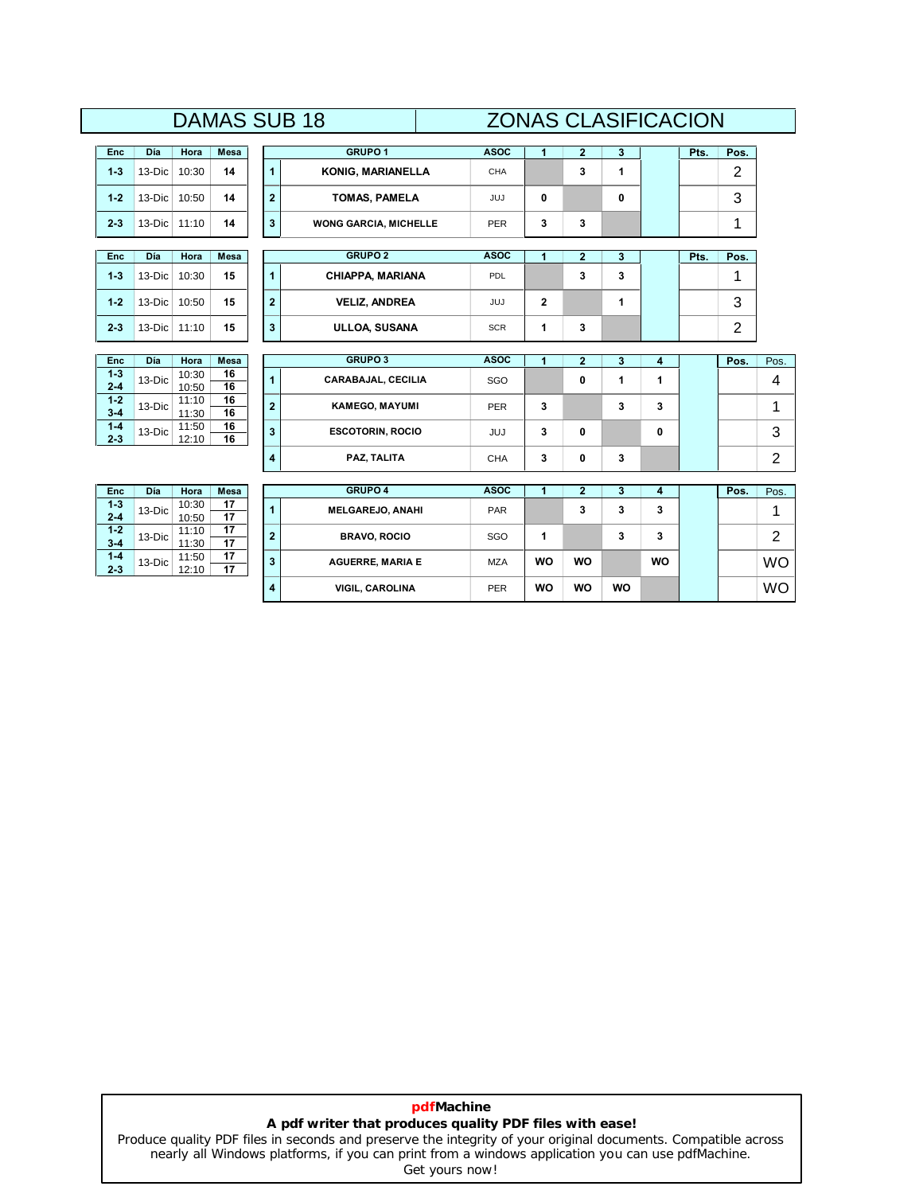### **DAIVIAS SUD 10**<br> **Dia | Hora Mesa 1 GRUPO 1 ASOC 1 <sup>2</sup> <sup>3</sup> Pts. Pos.** DAMAS SUB 18 ZONAS CLASIFICACION **1 ASOC ASOC**

| <b>Enc</b> | Día        | Hora  | <b>Mesa</b> |   | <b>GRUPO 1</b>               | <b>ASOC</b> |   | 3 | Pts. | Pos. |
|------------|------------|-------|-------------|---|------------------------------|-------------|---|---|------|------|
| $1 - 3$    | $13-Dic$   | 10:30 | 14          |   | <b>KONIG, MARIANELLA</b>     | CHA         | 3 |   |      | ⌒    |
| $1 - 2$    | $13-Dic$   | 10:50 | 14          | ຳ | TOMAS, PAMELA                | JUJ         |   | 0 |      | 3    |
| $2 - 3$    | $13-Dic$   | 11:10 | 14          | 3 | <b>WONG GARCIA, MICHELLE</b> | <b>PER</b>  | 3 |   |      |      |
| <b>Enc</b> | <b>Día</b> | Hora  | Mesa        |   | <b>GRUPO 2</b>               | <b>ASOC</b> |   |   | Pts. | Pos. |

| <b>Enc</b> | Día      | Hora  | <b>Mesa</b> |         | <b>GRUPO 2</b>          | <b>ASOC</b> |         | a | Pts. | Pos.   |
|------------|----------|-------|-------------|---------|-------------------------|-------------|---------|---|------|--------|
| $1 - 3$    | $13-Dic$ | 10:30 | 15          |         | <b>CHIAPPA, MARIANA</b> | PDL         | ∽<br>v. | 3 |      |        |
| $1 - 2$    | $13-Dic$ | 10:50 | 15          | n       | <b>VELIZ, ANDREA</b>    | JUJ         |         |   |      | ⌒<br>ື |
| $2 - 3$    | $13-Dic$ | 11:10 | 15          | ົ<br>-3 | ULLOA, SUSANA           | <b>SCR</b>  | J       |   |      |        |

| Enc     | Día    | Hora  | Mesa |  |  |
|---------|--------|-------|------|--|--|
| $1 - 3$ | 13-Dic | 10:30 | 16   |  |  |
| $2 - 4$ |        | 10:50 | 16   |  |  |
| $1 - 2$ | 13-Dic | 11:10 | 16   |  |  |
| $3 - 4$ |        | 11:30 | 16   |  |  |
| $1 - 4$ | 13-Dic | 11:50 | 16   |  |  |
| $2 - 3$ |        | 12:10 | 16   |  |  |

**2012** 

**1-2**

**3-4**

**1-4**

**2-3**

 $1-4$  $2 - 3$ 

| $1-3$            | $13-Dic$   | 10:30          | 15          | 1              | <b>CHIAPPA, MARIANA</b> | <b>PDL</b>  |              | 3            | 3 |   |                |      |
|------------------|------------|----------------|-------------|----------------|-------------------------|-------------|--------------|--------------|---|---|----------------|------|
| $1-2$            | $13-Dic$   | 10:50          | 15          | $\overline{2}$ | <b>VELIZ, ANDREA</b>    | <b>JUJ</b>  | $\mathbf{2}$ |              |   |   | 3              |      |
| 2-3              | $13-Dic$   | 11:10          | 15          | 3              | ULLOA, SUSANA           | <b>SCR</b>  | 1            | 3            |   |   | $\overline{2}$ |      |
|                  |            |                |             |                |                         |             |              |              |   |   |                |      |
| Enc              | <b>Día</b> | Hora           | <b>Mesa</b> |                | <b>GRUPO 3</b>          | <b>ASOC</b> |              |              | 3 | 4 | Pos.           | Pos. |
| $1 - 3$          | $13-Dic$   | 10:30          | 16<br>16    | 1              | CARABAJAL, CECILIA      | SGO         |              | 0            |   |   |                | 4    |
| 2-4              |            | 10:50          |             |                |                         |             |              |              |   |   |                |      |
| $1-2$<br>$3 - 4$ | $13-Dic$   | 11:10<br>11:30 | 16<br>16    | $\overline{2}$ | <b>KAMEGO, MAYUMI</b>   | <b>PER</b>  | 3            |              | 3 | 3 |                | 4    |
| $1 - 4$<br>2-3   | $13-Dic$   | 11:50<br>12:10 | 16<br>16    | 3              | <b>ESCOTORIN, ROCIO</b> | <b>JUJ</b>  | 3            | 0            |   | 0 |                | 3    |
|                  |            |                |             | 4              | PAZ, TALITA             | <b>CHA</b>  | 3            | $\mathbf{0}$ | 3 |   |                | 2    |

|                    |          |                |             |                | <b>FAL, IALIA</b>       | ◡⊓៳         | υ         | u         | ◡         |           |      | ∠         |
|--------------------|----------|----------------|-------------|----------------|-------------------------|-------------|-----------|-----------|-----------|-----------|------|-----------|
| Enc                | Día      | Hora           | <b>Mesa</b> |                | <b>GRUPO 4</b>          | <b>ASOC</b> |           |           |           |           | Pos. | Pos.      |
| $1 - 3$<br>$2 - 4$ | $13-Dic$ | 10:30<br>10:50 | 17<br>17    |                | <b>MELGAREJO, ANAHI</b> | <b>PAR</b>  |           | 3         | 3         | 3         |      |           |
| $1-2$<br>$3 - 4$   | $13-Dic$ | 11:10<br>11:30 | 17<br>17    | $\overline{2}$ | <b>BRAVO, ROCIO</b>     | SGO         |           |           | 3         | 3         |      | ◠<br>_    |
| $1 - 4$<br>2-3     | $13-Dic$ | 11:50<br>12:10 | 17<br>17    | 3              | <b>AGUERRE, MARIA E</b> | <b>MZA</b>  | <b>WO</b> | <b>WO</b> |           | <b>WO</b> |      | <b>WO</b> |
|                    |          |                |             | 4              | <b>VIGIL, CAROLINA</b>  | PER         | <b>WO</b> | <b>WO</b> | <b>WO</b> |           |      | <b>WO</b> |

# **pdfMachine A pdf writer that produces quality PDF files with ease!**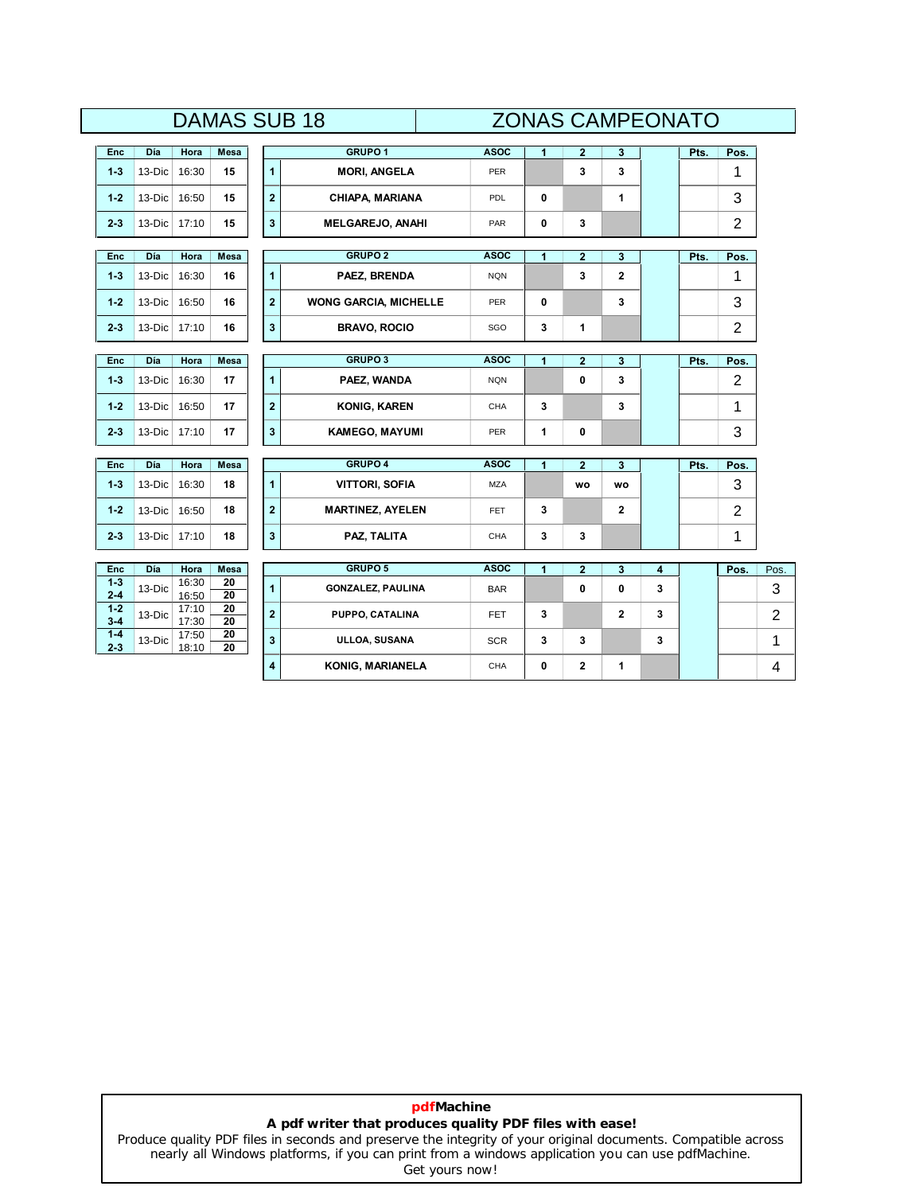# **DAMAS SUB 18**

|                    |        |                |            |                         | <b>DAMAS SUB 18</b>          |             |   |                         |                |   | <b>ZONAS CAMPEONATO</b> |                |                |  |  |  |
|--------------------|--------|----------------|------------|-------------------------|------------------------------|-------------|---|-------------------------|----------------|---|-------------------------|----------------|----------------|--|--|--|
| Enc                | Día    | Hora           | Mesa       |                         | <b>GRUPO 1</b>               | <b>ASOC</b> | 1 | $\mathbf{2}$            | 3              |   | Pts.                    | Pos.           |                |  |  |  |
| $1 - 3$            | 13-Dic | 16:30          | 15         | $\overline{1}$          | <b>MORI, ANGELA</b>          | <b>PER</b>  |   | 3                       | 3              |   |                         | 1              |                |  |  |  |
| $1 - 2$            | 13-Dic | 16:50          | 15         | $\bf{2}$                | CHIAPA, MARIANA              | PDL         | 0 |                         | 1              |   |                         | 3              |                |  |  |  |
| $2 - 3$            | 13-Dic | 17:10          | 15         | $\mathbf{3}$            | <b>MELGAREJO, ANAHI</b>      | PAR         | 0 | 3                       |                |   |                         | $\overline{c}$ |                |  |  |  |
| Enc                | Día    | Hora           | Mesa       |                         | <b>GRUPO 2</b>               | <b>ASOC</b> | 1 | $\mathbf{2}$            | 3              |   | Pts.                    | Pos.           |                |  |  |  |
| $1 - 3$            | 13-Dic | 16:30          | 16         | $\mathbf{1}$            | PAEZ, BRENDA                 | <b>NQN</b>  |   | 3                       | $\overline{2}$ |   |                         | 1              |                |  |  |  |
| $1 - 2$            | 13-Dic | 16:50          | 16         | $\overline{\mathbf{2}}$ | <b>WONG GARCIA, MICHELLE</b> | PER         | 0 |                         | 3              |   |                         | 3              |                |  |  |  |
| $2 - 3$            | 13-Dic | 17:10          | 16         | 3                       | <b>BRAVO, ROCIO</b>          | SGO         | 3 | 1                       |                |   |                         | $\overline{2}$ |                |  |  |  |
| <b>Enc</b>         | Día    | Hora           | Mesa       |                         | <b>GRUPO 3</b>               | <b>ASOC</b> | 1 | $\overline{\mathbf{2}}$ | 3              |   | Pts.                    | Pos.           |                |  |  |  |
| $1 - 3$            | 13-Dic | 16:30          | 17         | 1                       | PAEZ, WANDA                  | <b>NQN</b>  |   | 0                       | 3              |   |                         | $\overline{2}$ |                |  |  |  |
| $1 - 2$            | 13-Dic | 16:50          | 17         | $\overline{\mathbf{2}}$ | <b>KONIG, KAREN</b>          | CHA         | 3 |                         | 3              |   |                         | 1              |                |  |  |  |
| $2 - 3$            | 13-Dic | 17:10          | 17         | $\mathbf{3}$            | <b>KAMEGO, MAYUMI</b>        | <b>PER</b>  | 1 | 0                       |                |   |                         | 3              |                |  |  |  |
| Enc                | Día    | Hora           | Mesa       |                         | <b>GRUPO 4</b>               | <b>ASOC</b> | 1 | $\overline{2}$          | 3              |   | Pts.                    | Pos.           |                |  |  |  |
| $1 - 3$            | 13-Dic | 16:30          | 18         | $\overline{1}$          | <b>VITTORI, SOFIA</b>        | <b>MZA</b>  |   | <b>WO</b>               | WO             |   |                         | 3              |                |  |  |  |
| $1 - 2$            | 13-Dic | 16:50          | 18         | $\overline{\mathbf{2}}$ | <b>MARTINEZ, AYELEN</b>      | FET         | 3 |                         | $\mathbf 2$    |   |                         | 2              |                |  |  |  |
| $2 - 3$            | 13-Dic | 17:10          | 18         | 3                       | PAZ, TALITA                  | CHA         | 3 | 3                       |                |   |                         | 1              |                |  |  |  |
|                    |        |                |            |                         | GRUPO 5                      |             |   |                         |                |   |                         |                |                |  |  |  |
| Enc<br>$1-3$       | Día    | Hora<br>16:30  | Mesa<br>20 | $\overline{1}$          |                              | <b>ASOC</b> | 1 | $\mathbf{2}$            | 3              | 4 |                         | Pos.           | Pos.           |  |  |  |
| $2 - 4$            | 13-Dic | 16:50          | 20         |                         | <b>GONZALEZ, PAULINA</b>     | <b>BAR</b>  |   | 0                       | 0              | 3 |                         |                | 3              |  |  |  |
| $1 - 2$<br>$3-4$   | 13-Dic | 17:10<br>17:30 | 20<br>20   | $\overline{\mathbf{2}}$ | PUPPO, CATALINA              | FET.        | 3 |                         | $\overline{2}$ | 3 |                         |                | $\overline{c}$ |  |  |  |
| $1 - 4$<br>$2 - 3$ | 13-Dic | 17:50<br>18:10 | 20<br>20   | 3                       | ULLOA, SUSANA                | <b>SCR</b>  | 3 | 3                       |                | 3 |                         |                | 1              |  |  |  |
|                    |        |                |            | 4                       | KONIG, MARIANELA             | CHA         | 0 | 2                       | 1              |   |                         |                | 4              |  |  |  |

# **pdfMachine A pdf writer that produces quality PDF files with ease!**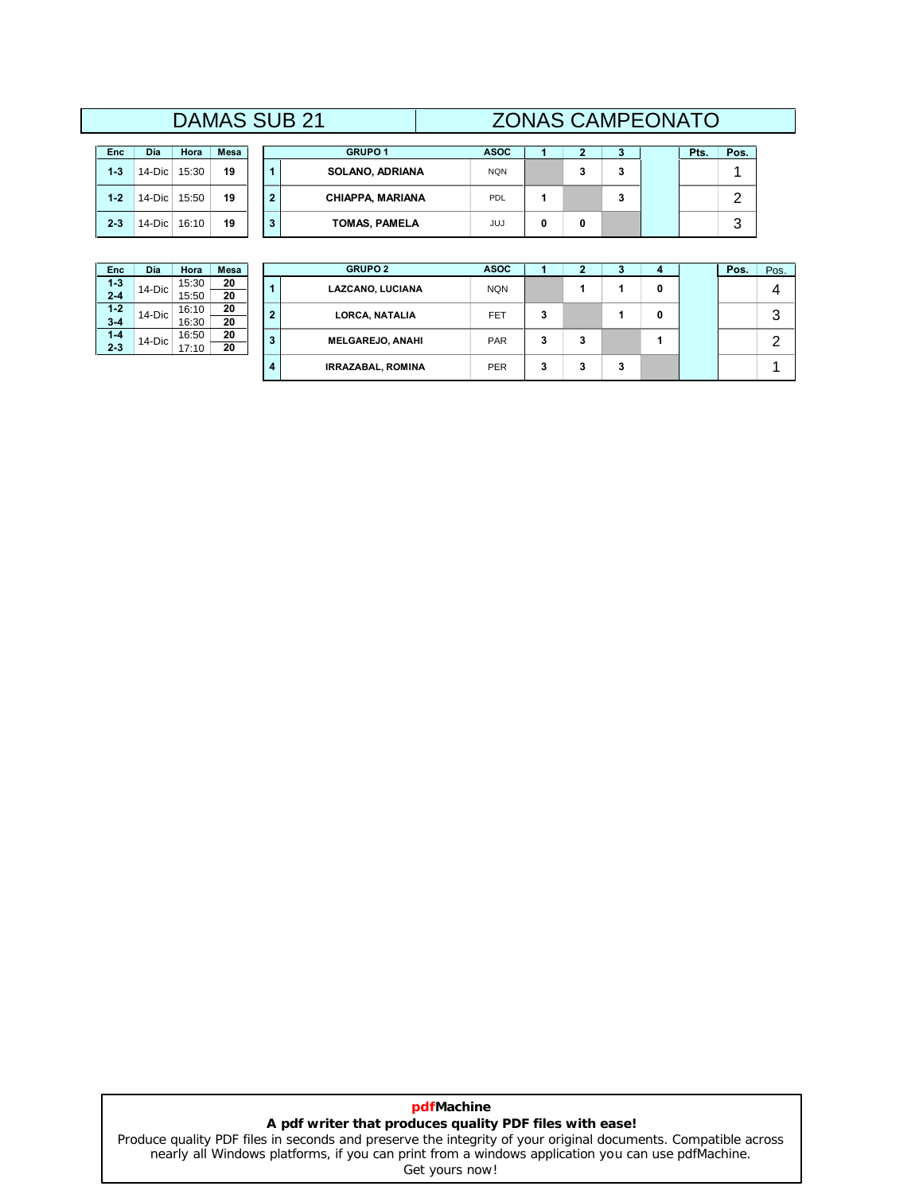# **DAMAS SUB 21**

| <b>Enc</b> | Día    | Hora  | Mesa |
|------------|--------|-------|------|
| $1 - 3$    | 14-Dic | 15:30 | 19   |
| $1 - 2$    | 14-Dic | 15:50 | 19   |
| $2 - 3$    | 14-Dic | 16:10 | 19   |

|           |       |             |    | <b>DAMAS SUB 21</b>     |             | <b>ZONAS CAMPEONATO</b> |   |   |      |      |  |
|-----------|-------|-------------|----|-------------------------|-------------|-------------------------|---|---|------|------|--|
| Día       | Hora  | <b>Mesa</b> |    | <b>GRUPO 1</b>          | <b>ASOC</b> |                         | 2 |   | Pts. | Pos. |  |
| 14-Dic    | 15:30 | 19          |    | <b>SOLANO, ADRIANA</b>  | <b>NQN</b>  |                         | 3 | 3 |      |      |  |
| $14$ -Dic | 15:50 | 19          | -2 | <b>CHIAPPA, MARIANA</b> | PDL         |                         |   |   |      | ◠    |  |
| 14-Dic    | 16:10 | 19          |    | <b>TOMAS, PAMELA</b>    | JUJ         |                         | 0 |   |      | ാ    |  |

| <b>Enc</b> | Día    | Hora  | Mesa |  |  |
|------------|--------|-------|------|--|--|
| $1 - 3$    | 14-Dic | 15:30 | 20   |  |  |
| $2 - 4$    |        | 15:50 | 20   |  |  |
| $1 - 2$    | 14-Dic | 16:10 | 20   |  |  |
| $3 - 4$    |        | 16:30 | 20   |  |  |
| $1 - 4$    | 14-Dic | 16:50 | 20   |  |  |
| $2 - 3$    |        | 17:10 | 20   |  |  |

| Enc.             | Día       | Hora           | <b>Mesa</b> |                | <b>GRUPO 2</b>           | <b>ASOC</b> |   |   |   |   | Pos. | Pos.          |
|------------------|-----------|----------------|-------------|----------------|--------------------------|-------------|---|---|---|---|------|---------------|
| $1-3$<br>$2 - 4$ | $14$ -Dic | 15:30<br>15:50 | 20<br>20    | 1              | LAZCANO, LUCIANA         | <b>NQN</b>  |   |   |   | 0 |      | 4             |
| $1-2$<br>$3 - 4$ | $14$ -Dic | 16:10<br>16:30 | 20<br>20    | $\overline{2}$ | LORCA, NATALIA           | FET         | 3 |   |   | 0 |      | 3             |
| $1 - 4$<br>2-3   | $14$ -Dic | 16:50<br>17:10 | 20<br>20    | 3              | <b>MELGAREJO, ANAHI</b>  | <b>PAR</b>  | 3 | 3 |   |   |      | ◠<br><u>.</u> |
|                  |           |                |             | 4              | <b>IRRAZABAL, ROMINA</b> | <b>PER</b>  | 3 | 3 | 3 |   |      |               |

# **pdfMachine A pdf writer that produces quality PDF files with ease!**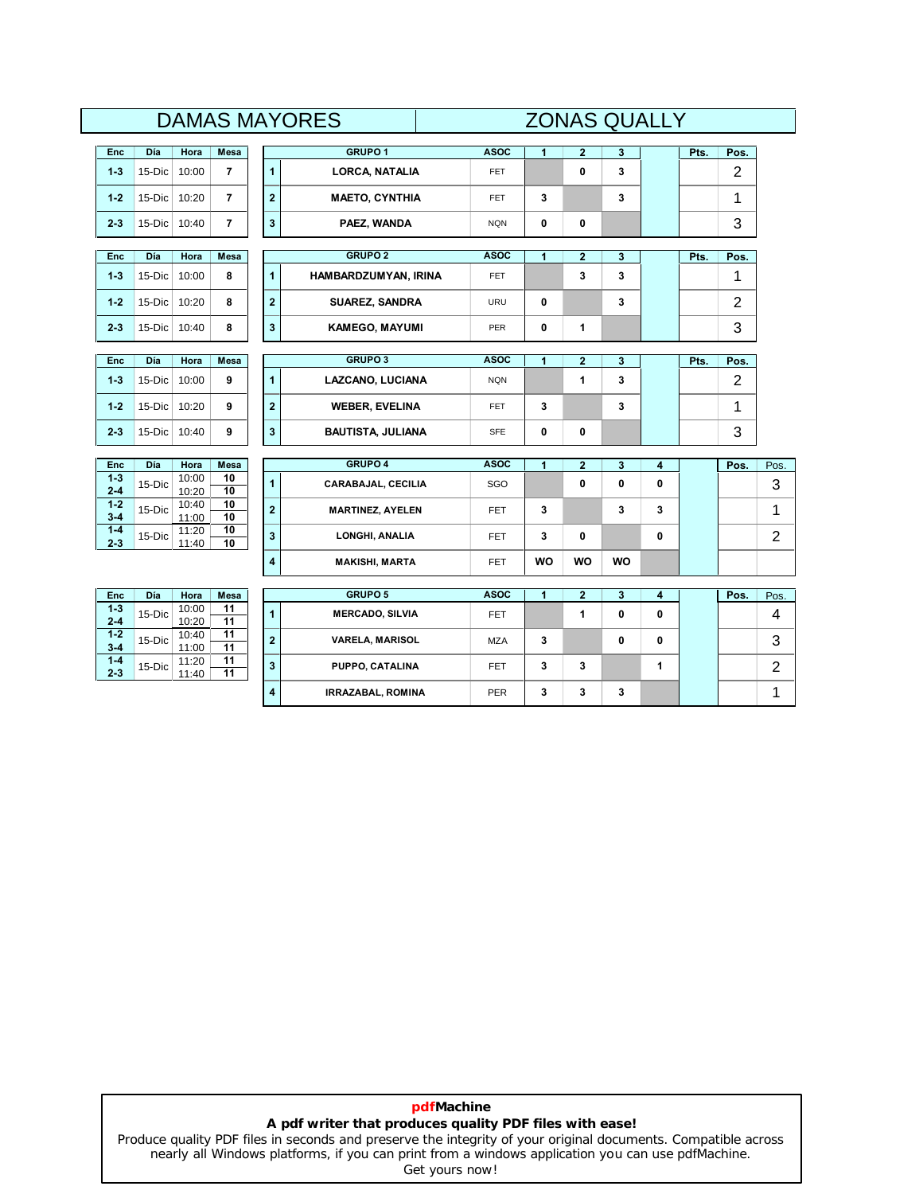|                               |              |                |                       |                         | <b>DAMAS MAYORES</b>     | <b>ZONAS QUALLY</b> |                |                         |           |   |      |      |                |
|-------------------------------|--------------|----------------|-----------------------|-------------------------|--------------------------|---------------------|----------------|-------------------------|-----------|---|------|------|----------------|
| Enc                           | Día          | Hora           | Mesa                  |                         | <b>GRUPO1</b>            | <b>ASOC</b>         | 1              | $\overline{\mathbf{2}}$ | 3         |   | Pts. | Pos. |                |
| $1 - 3$                       | 15-Dic       | 10:00          | $\overline{7}$        | $\blacktriangleleft$    | <b>LORCA, NATALIA</b>    | <b>FET</b>          |                | 0                       | 3         |   |      | 2    |                |
| $1 - 2$                       | $15-Dic$     | 10:20          | $\overline{7}$        | $\overline{\mathbf{2}}$ | <b>MAETO, CYNTHIA</b>    | <b>FET</b>          | 3              |                         | 3         |   |      | 1    |                |
| $2 - 3$                       | 15-Dic       | 10:40          | $\overline{7}$        | $\mathbf{3}$            | PAEZ, WANDA              | <b>NQN</b>          | 0              | 0                       |           |   |      | 3    |                |
| <b>Enc</b>                    | Día          | Hora           | <b>Mesa</b>           |                         | <b>GRUPO 2</b>           | <b>ASOC</b>         | $\overline{1}$ | $\overline{\mathbf{2}}$ | 3         |   | Pts. | Pos. |                |
| $1 - 3$                       | 15-Dic       | 10:00          | 8                     | $\mathbf{1}$            | HAMBARDZUMYAN, IRINA     | <b>FET</b>          |                | 3                       | 3         |   |      | 1    |                |
| $1 - 2$                       | $15-Dic$     | 10:20          | 8                     | $\overline{\mathbf{2}}$ | <b>SUAREZ, SANDRA</b>    | URU                 | 0              |                         | 3         |   |      | 2    |                |
| $2 - 3$                       | 15-Dic 10:40 |                | 8                     | $\overline{\mathbf{3}}$ | <b>KAMEGO, MAYUMI</b>    | PER                 | 0              | 1                       |           |   |      | 3    |                |
| Enc                           | Día          | Hora           | Mesa                  |                         | <b>GRUPO 3</b>           | <b>ASOC</b>         | 1              | $\overline{\mathbf{2}}$ | 3         |   | Pts. | Pos. |                |
| $1 - 3$                       | 15-Dic       | 10:00          | 9                     | $\mathbf{1}$            | LAZCANO, LUCIANA         | <b>NQN</b>          |                | 1                       | 3         |   |      | 2    |                |
| $1 - 2$                       | $15-Dic$     | 10:20          | 9                     | $\overline{\mathbf{2}}$ | <b>WEBER, EVELINA</b>    | <b>FET</b>          | 3              |                         | 3         |   |      | 1    |                |
| $2 - 3$                       | 15-Dic 10:40 |                | 9                     | $\overline{\mathbf{3}}$ | <b>BAUTISTA, JULIANA</b> | <b>SFE</b>          | 0              | 0                       |           |   |      | 3    |                |
| Enc                           | Día          | Hora           | Mesa                  |                         | <b>GRUPO 4</b>           | <b>ASOC</b>         | 1              | $\overline{\mathbf{2}}$ | 3         | 4 |      | Pos. | Pos.           |
| $1-3$<br>$2 - 4$              | 15-Dic       | 10:00<br>10:20 | 10<br>10              | $\mathbf{1}$            | CARABAJAL, CECILIA       | SGO                 |                | 0                       | 0         | 0 |      |      | 3              |
| $1 - 2$<br>$3 - 4$            | 15-Dic       | 10:40<br>11:00 | 10<br>10              | $\bf 2$                 | <b>MARTINEZ, AYELEN</b>  | <b>FET</b>          | 3              |                         | 3         | 3 |      |      | 1              |
| $1-4$<br>$2 - 3$              | 15-Dic       | 11:20<br>11:40 | 10<br>10              | $\overline{\mathbf{3}}$ | LONGHI, ANALIA           | <b>FET</b>          | 3              | 0                       |           | 0 |      |      | $\overline{2}$ |
|                               |              |                |                       | $\overline{\bf 4}$      | <b>MAKISHI, MARTA</b>    | FET                 | <b>WO</b>      | <b>WO</b>               | <b>WO</b> |   |      |      |                |
| Enc                           | Día          | Hora           | Mesa                  |                         | <b>GRUPO 5</b>           | <b>ASOC</b>         | 1              | $\overline{\mathbf{2}}$ | 3         | 4 |      | Pos. | Pos.           |
| $1 - 3$<br>$2 - 4$            | 15-Dic       | 10:00          | 11<br>$\overline{11}$ | $\mathbf{1}$            | <b>MERCADO, SILVIA</b>   | <b>FET</b>          |                | 1                       | 0         | 0 |      |      | 4              |
| $1 - 2$                       | 15-Dic       | 10:20<br>10:40 | 11                    | $\mathbf{2}$            | <b>VARELA, MARISOL</b>   | <b>MZA</b>          | 3              |                         | 0         | 0 |      |      | 3              |
| $3 - 4$<br>$1 - 4$<br>$2 - 3$ | 15-Dic       | 11:00<br>11:20 | 11<br>11<br>11        | 3                       | PUPPO, CATALINA          | FET                 | 3              | 3                       |           | 1 |      |      | $\mathbf{2}$   |
|                               |              | 11:40          |                       | 4                       | <b>IRRAZABAL, ROMINA</b> | <b>PER</b>          | 3              | 3                       | 3         |   |      |      | 1              |

# **pdfMachine A pdf writer that produces quality PDF files with ease!**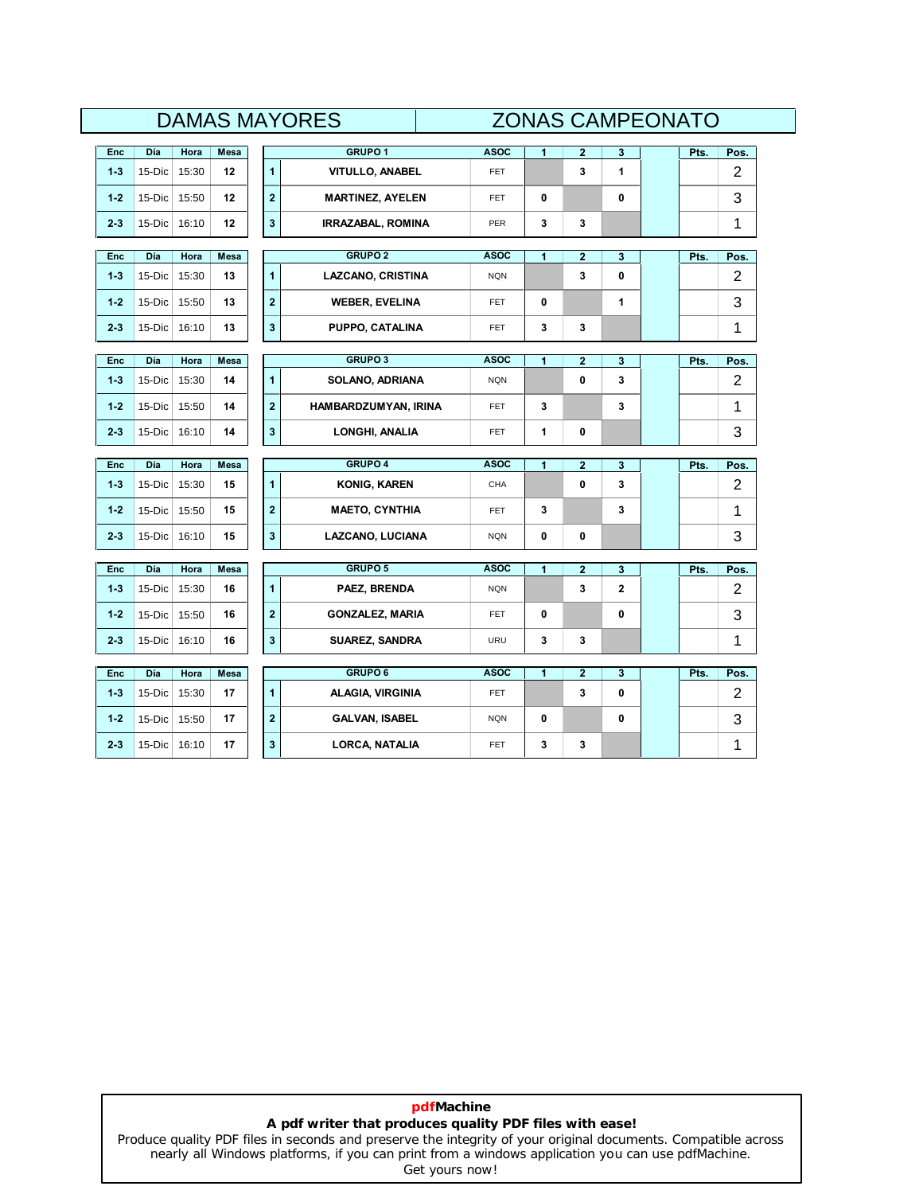| <b>DAMAS MAYORES</b> | <b>ZONAS CAMPEONATO</b> |
|----------------------|-------------------------|
|                      |                         |

|            |           |       |             |                         | UAIVIAJ IVIA I UNEJ      |             | ZUINAJ UAIVIFEUNATU |                         |             |      |                |
|------------|-----------|-------|-------------|-------------------------|--------------------------|-------------|---------------------|-------------------------|-------------|------|----------------|
| <b>Enc</b> | Día       | Hora  | Mesa        |                         | GRUPO <sub>1</sub>       | <b>ASOC</b> | $\mathbf{1}$        | $\mathbf{2}$            | 3           | Pts. | Pos.           |
| $1 - 3$    | 15-Dic    | 15:30 | 12          | $\blacktriangleleft$    | <b>VITULLO, ANABEL</b>   | FET         |                     | 3                       | 1           |      | $\overline{2}$ |
| $1 - 2$    | 15-Dic    | 15:50 | 12          | $\mathbf{2}$            | <b>MARTINEZ, AYELEN</b>  | <b>FET</b>  | 0                   |                         | $\mathbf 0$ |      | 3              |
| $2 - 3$    | 15-Dic    | 16:10 | 12          | $\mathbf{3}$            | <b>IRRAZABAL, ROMINA</b> | <b>PER</b>  | 3                   | 3                       |             |      | 1              |
|            |           |       |             |                         |                          |             |                     |                         |             |      |                |
| <b>Enc</b> | Día       | Hora  | <b>Mesa</b> |                         | <b>GRUPO 2</b>           | <b>ASOC</b> | 1                   | $\overline{2}$          | 3           | Pts. | Pos.           |
| $1 - 3$    | 15-Dic    | 15:30 | 13          | $\mathbf{1}$            | <b>LAZCANO, CRISTINA</b> | <b>NQN</b>  |                     | 3                       | 0           |      | 2              |
| $1 - 2$    | $15$ -Dic | 15:50 | 13          | $\overline{2}$          | <b>WEBER, EVELINA</b>    | <b>FET</b>  | 0                   |                         | 1           |      | 3              |
| $2 - 3$    | 15-Dic    | 16:10 | 13          | $\mathbf{3}$            | PUPPO, CATALINA          | <b>FET</b>  | 3                   | 3                       |             |      | 1              |
|            |           |       |             |                         |                          |             |                     |                         |             |      |                |
| <b>Enc</b> | Día       | Hora  | Mesa        |                         | <b>GRUPO 3</b>           | <b>ASOC</b> | 1                   | $\overline{\mathbf{2}}$ | 3           | Pts. | Pos.           |
| $1 - 3$    | 15-Dic    | 15:30 | 14          | $\mathbf{1}$            | SOLANO, ADRIANA          | <b>NQN</b>  |                     | 0                       | 3           |      | $\overline{2}$ |
| $1 - 2$    | $15-Dic$  | 15:50 | 14          | $\mathbf{2}$            | HAMBARDZUMYAN, IRINA     | FET         | 3                   |                         | 3           |      | 1              |
| $2 - 3$    | $15-Dic$  | 16:10 | 14          | $\mathbf{3}$            | LONGHI, ANALIA           | FET         | 1                   | 0                       |             |      | 3              |
|            |           |       |             |                         |                          |             |                     |                         |             |      |                |
| <b>Enc</b> | Día       | Hora  | Mesa        |                         | <b>GRUPO 4</b>           | <b>ASOC</b> | 1                   | $\overline{\mathbf{2}}$ | 3           | Pts. | Pos.           |
| $1 - 3$    | $15-Dic$  | 15:30 | 15          | $\mathbf{1}$            | <b>KONIG, KAREN</b>      | CHA         |                     | 0                       | 3           |      | $\overline{2}$ |
| $1 - 2$    | 15-Dic    | 15:50 | 15          | $\overline{2}$          | <b>MAETO, CYNTHIA</b>    | <b>FET</b>  | 3                   |                         | 3           |      | 1              |
| $2 - 3$    | $15-Dic$  | 16:10 | 15          | $\mathbf{3}$            | LAZCANO, LUCIANA         | <b>NQN</b>  | 0                   | 0                       |             |      | 3              |
| Enc        | Día       | Hora  | Mesa        |                         | <b>GRUPO 5</b>           | <b>ASOC</b> | 1                   | $\overline{2}$          | 3           | Pts. | Pos.           |
|            |           |       |             |                         |                          |             |                     |                         |             |      |                |
| $1 - 3$    | 15-Dic    | 15:30 | 16          | $\overline{1}$          | PAEZ, BRENDA             | <b>NQN</b>  |                     | 3                       | 2           |      | 2              |
| $1 - 2$    | 15-Dic    | 15:50 | 16          | $\overline{\mathbf{2}}$ | <b>GONZALEZ, MARIA</b>   | <b>FET</b>  | 0                   |                         | $\mathbf 0$ |      | 3              |
| $2 - 3$    | 15-Dic    | 16:10 | 16          | $\mathbf{3}$            | <b>SUAREZ, SANDRA</b>    | URU         | 3                   | 3                       |             |      | 1              |
| <b>Enc</b> | Día       | Hora  | <b>Mesa</b> |                         | <b>GRUPO 6</b>           | <b>ASOC</b> | 1                   | $\overline{\mathbf{2}}$ | 3           | Pts. | Pos.           |
| $1 - 3$    | 15-Dic    | 15:30 | 17          | $\mathbf{1}$            | <b>ALAGIA, VIRGINIA</b>  | FET         |                     | 3                       | 0           |      | 2              |
| $1 - 2$    | 15-Dic    | 15:50 | 17          | $\overline{2}$          | <b>GALVAN, ISABEL</b>    | <b>NQN</b>  | 0                   |                         | 0           |      | 3              |
| $2 - 3$    | 15-Dic    | 16:10 | 17          | 3                       | <b>LORCA, NATALIA</b>    | <b>FET</b>  | 3                   | 3                       |             |      | 1              |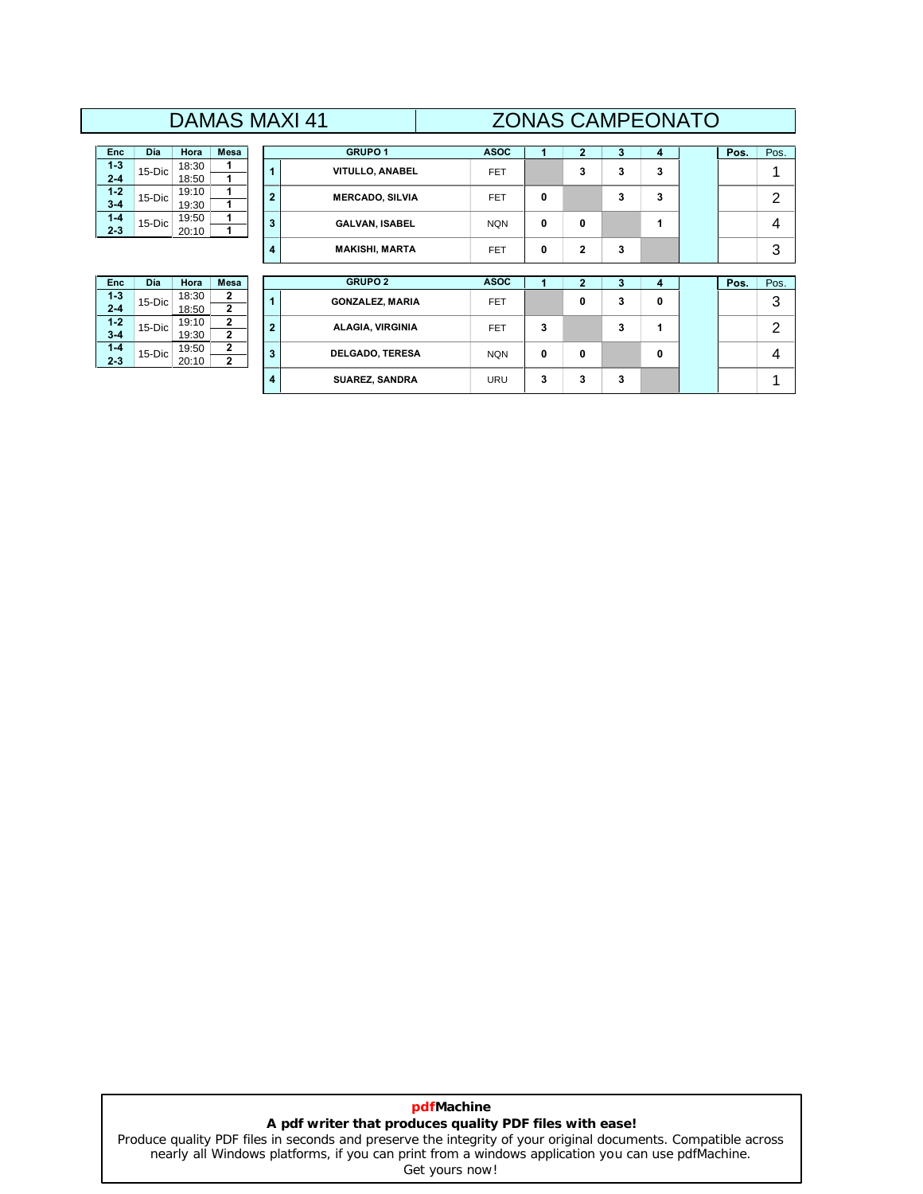# **DAMAS MAXI 41**

| Enc     | Día    | Hora  | Mesa |
|---------|--------|-------|------|
| $1 - 3$ | 15-Dic | 18:30 |      |
| $2 - 4$ |        | 18:50 |      |
| $1 - 2$ | 15-Dic | 19:10 |      |
| $3 - 4$ |        | 19:30 |      |
| $1 - 4$ | 15-Dic | 19:50 |      |
| $2 - 3$ |        | 20:10 |      |

|                    |           |                |             |   |                | <b>DAMAS MAXI 41</b>   | <b>ZONAS CAMPEONATO</b> |             |   |   |   |   |  |      |      |
|--------------------|-----------|----------------|-------------|---|----------------|------------------------|-------------------------|-------------|---|---|---|---|--|------|------|
| Enc                | Día       | Hora           | <b>Mesa</b> |   |                | <b>GRUPO 1</b>         |                         | <b>ASOC</b> |   |   |   |   |  | Pos. | Pos. |
| $1 - 3$<br>$2 - 4$ | $15$ -Dic | 18:30<br>18:50 |             |   |                | <b>VITULLO, ANABEL</b> |                         | FET         |   |   | 3 | 3 |  |      |      |
| $1-2$<br>$3 - 4$   | $15$ -Dic | 19:10<br>19:30 |             |   | $\overline{2}$ | <b>MERCADO, SILVIA</b> |                         | <b>FET</b>  | 0 |   |   | 3 |  |      | っ    |
| $1 - 4$<br>2-3     | $15$ -Dic | 19:50<br>20:10 |             | 3 |                | <b>GALVAN, ISABEL</b>  |                         | <b>NQN</b>  | 0 | 0 |   |   |  |      | 4    |
|                    |           |                |             |   | 4              | <b>MAKISHI, MARTA</b>  |                         | FET         | 0 | 2 | 3 |   |  |      | 3    |

| Enc     | Día    | Hora  | Mesa |
|---------|--------|-------|------|
| $1 - 3$ | 15-Dic | 18:30 | 2    |
| $2 - 4$ |        | 18:50 | 2    |
| $1 - 2$ | 15-Dic | 19.10 | 2    |
| $3 - 4$ |        | 19:30 | 2    |
| $1 - 4$ | 15-Dic | 19:50 | 2    |
| $2 - 3$ |        | 20:10 | 2    |

|            |           |       |             | 4              | <b>MANISHI, MANIA</b>  | ᄠ           | υ |   | J. |   |      | د    |
|------------|-----------|-------|-------------|----------------|------------------------|-------------|---|---|----|---|------|------|
|            |           |       |             |                |                        |             |   |   |    |   |      |      |
| <b>Enc</b> | Día       | Hora  | <b>Mesa</b> |                | <b>GRUPO 2</b>         | <b>ASOC</b> |   |   |    |   | Pos. | Pos. |
| $1 - 3$    | $15$ -Dic | 18:30 |             |                | <b>GONZALEZ, MARIA</b> | <b>FET</b>  |   | 0 | 3  | 0 |      | 3    |
| $2 - 4$    |           | 18:50 | o.          |                |                        |             |   |   |    |   |      |      |
| $1-2$      | $15$ -Dic | 19:10 | 2           | $\overline{2}$ | ALAGIA, VIRGINIA       | FET         | 3 |   | っ  |   |      | ◠    |
| $3 - 4$    |           | 19:30 | ŋ.          |                |                        |             |   |   |    |   |      | ▃    |
| $1 - 4$    | $15$ -Dic | 19:50 |             | 3              | <b>DELGADO, TERESA</b> | <b>NQN</b>  | 0 | 0 |    | 0 |      | 4    |
| 2-3        |           | 20:10 | 2           |                |                        |             |   |   |    |   |      |      |
|            |           |       |             | 4              | <b>SUAREZ, SANDRA</b>  | URU         | 3 | 3 | 3  |   |      |      |

# **pdfMachine A pdf writer that produces quality PDF files with ease!**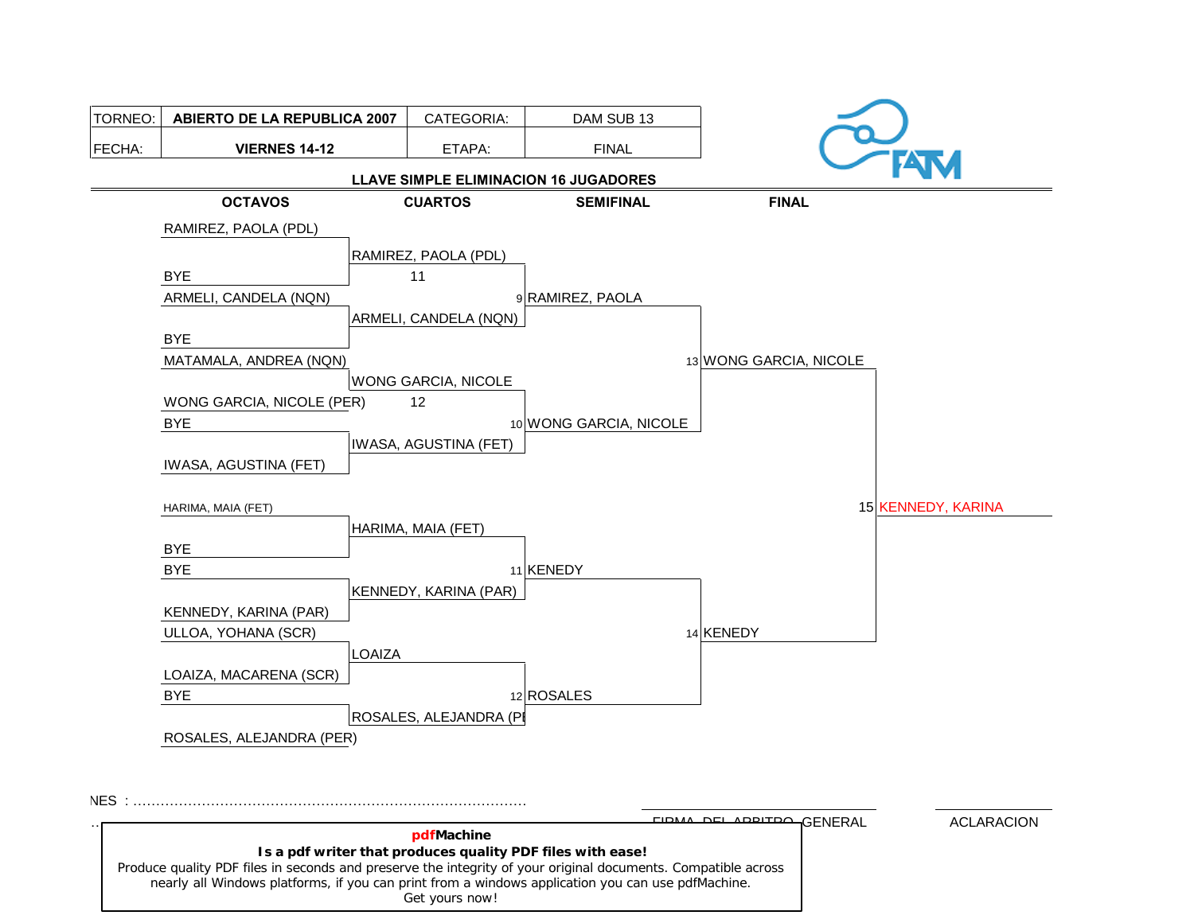| TORNEO: | <b>ABIERTO DE LA REPUBLICA 2007</b> | CATEGORIA:                            | DAM SUB 13             |                           |                   |
|---------|-------------------------------------|---------------------------------------|------------------------|---------------------------|-------------------|
| FECHA:  | <b>VIERNES 14-12</b>                | ETAPA:                                | <b>FINAL</b>           |                           |                   |
|         |                                     | LLAVE SIMPLE ELIMINACION 16 JUGADORES |                        |                           |                   |
|         | <b>OCTAVOS</b>                      | <b>CUARTOS</b>                        | <b>SEMIFINAL</b>       | <b>FINAL</b>              |                   |
|         | RAMIREZ, PAOLA (PDL)                |                                       |                        |                           |                   |
|         |                                     | RAMIREZ, PAOLA (PDL)                  |                        |                           |                   |
|         | <b>BYE</b>                          | 11                                    |                        |                           |                   |
|         | ARMELI, CANDELA (NQN)               |                                       | 9 RAMIREZ, PAOLA       |                           |                   |
|         |                                     | ARMELI, CANDELA (NQN)                 |                        |                           |                   |
|         | <b>BYE</b>                          |                                       |                        |                           |                   |
|         | MATAMALA, ANDREA (NQN)              |                                       |                        | 13 WONG GARCIA, NICOLE    |                   |
|         |                                     | WONG GARCIA, NICOLE                   |                        |                           |                   |
|         | WONG GARCIA, NICOLE (PER)           | 12                                    |                        |                           |                   |
|         | <b>BYE</b>                          |                                       | 10 WONG GARCIA, NICOLE |                           |                   |
|         |                                     | IWASA, AGUSTINA (FET)                 |                        |                           |                   |
|         | IWASA, AGUSTINA (FET)               |                                       |                        |                           |                   |
|         |                                     |                                       |                        | 15 KENNEDY, KARINA        |                   |
|         | HARIMA, MAIA (FET)                  | HARIMA, MAIA (FET)                    |                        |                           |                   |
|         | <b>BYE</b>                          |                                       |                        |                           |                   |
|         | <b>BYE</b>                          |                                       | 11 KENEDY              |                           |                   |
|         |                                     | KENNEDY, KARINA (PAR)                 |                        |                           |                   |
|         | KENNEDY, KARINA (PAR)               |                                       |                        |                           |                   |
|         | ULLOA, YOHANA (SCR)                 |                                       |                        | 14 KENEDY                 |                   |
|         |                                     | LOAIZA                                |                        |                           |                   |
|         | LOAIZA, MACARENA (SCR)              |                                       |                        |                           |                   |
|         | <b>BYE</b>                          |                                       | 12 ROSALES             |                           |                   |
|         |                                     | ROSALES, ALEJANDRA (PI                |                        |                           |                   |
|         | ROSALES, ALEJANDRA (PER)            |                                       |                        |                           |                   |
|         |                                     |                                       |                        |                           |                   |
|         |                                     |                                       |                        |                           |                   |
| NES :   |                                     |                                       |                        | EIDMA DEL ADDITDO GENERAL | <b>ACLARACION</b> |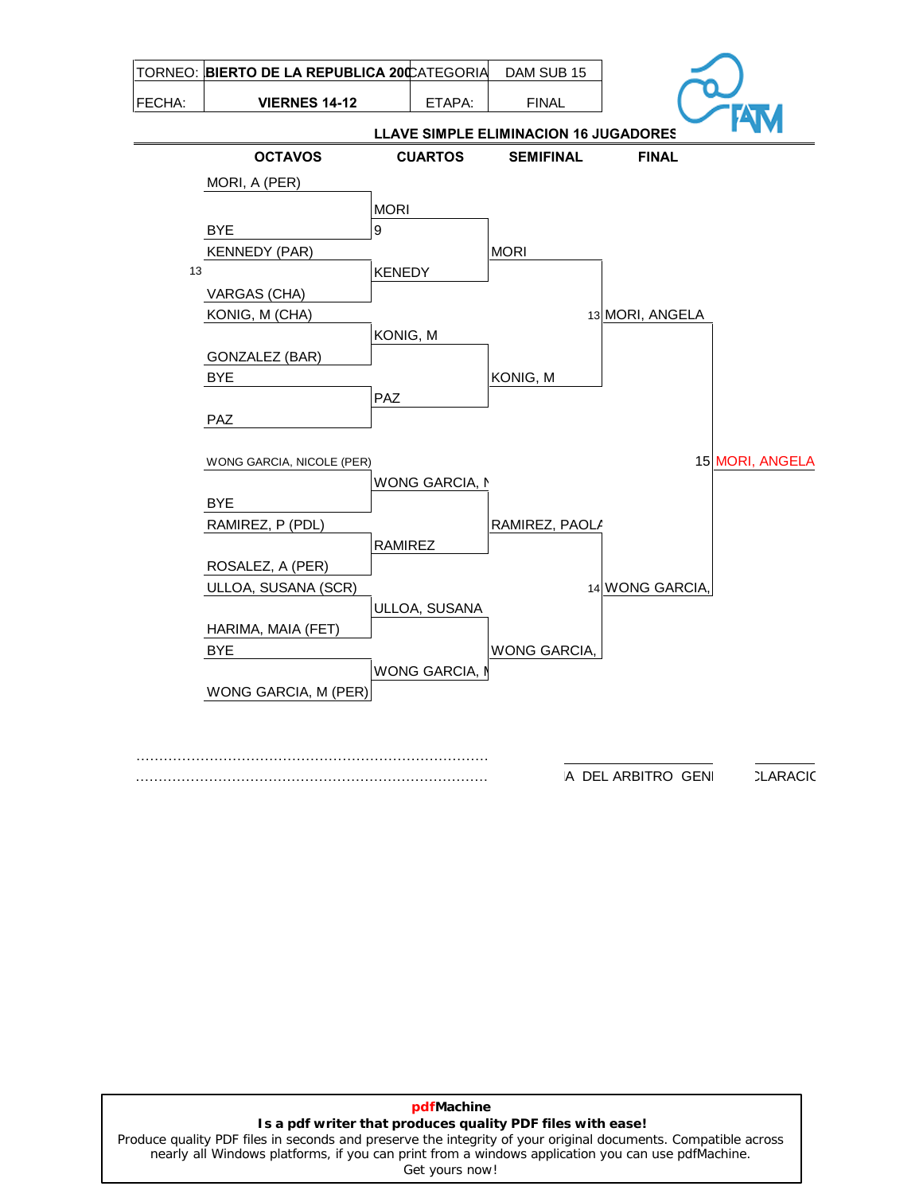

**CLARACIO** A DEL ARBITRO GENI

# **pdfMachine Is a pdf writer that produces quality PDF files with ease!**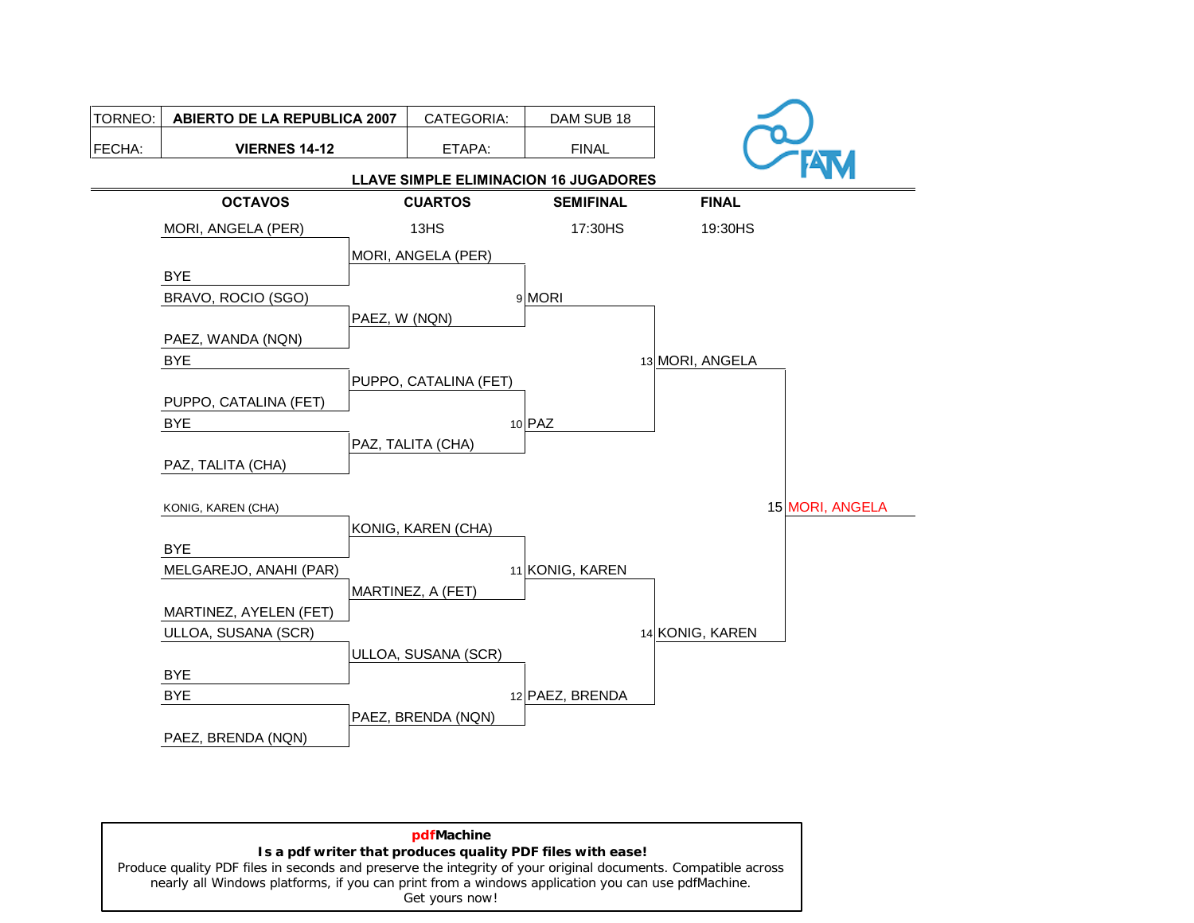

**pdfMachine Is a pdf writer that produces quality PDF files with ease!** [Produce quality PDF files in seconds and preserve the integrity of your original documents. Compatible across](http://www.pdfmachine.com?cl)  nearly all Windows platforms, if you can print from a windows application you can use pdfMachine. Get yours now!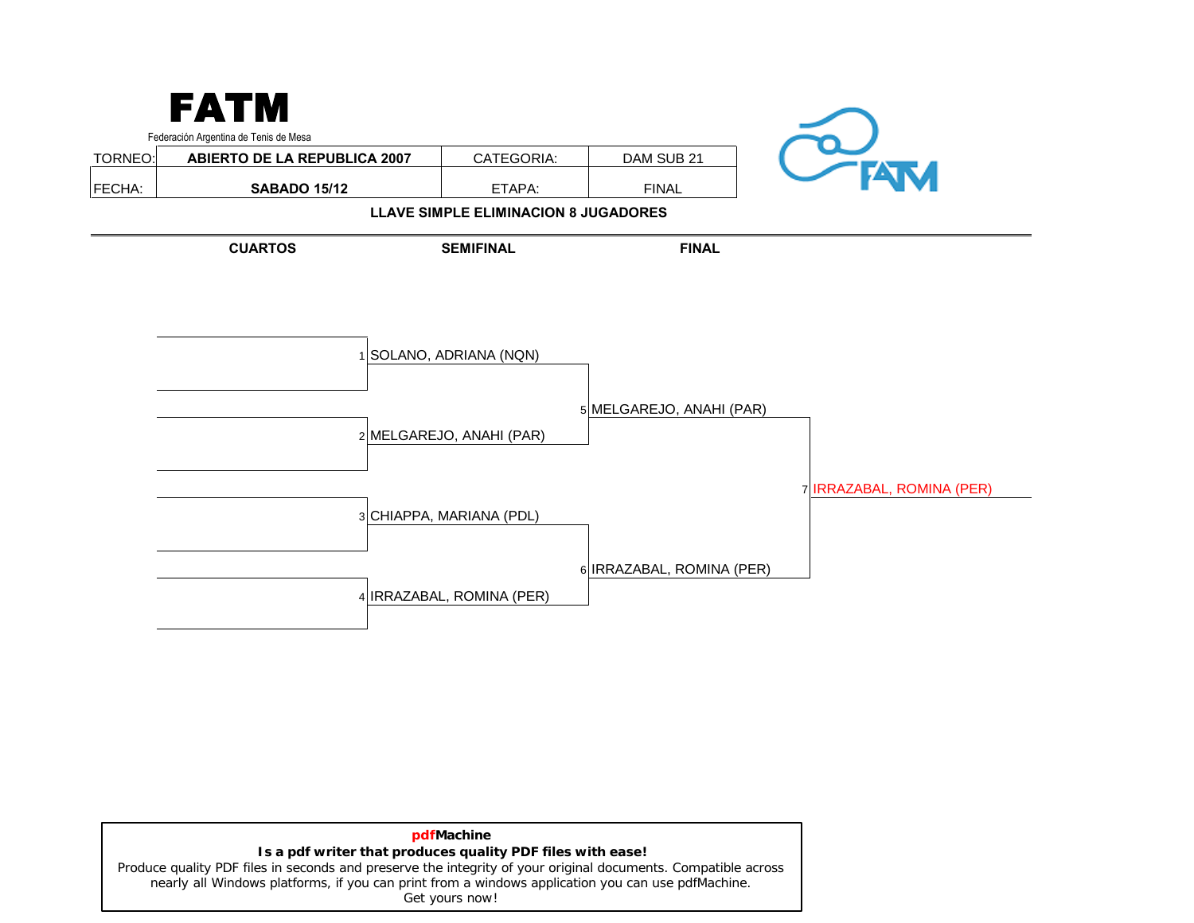

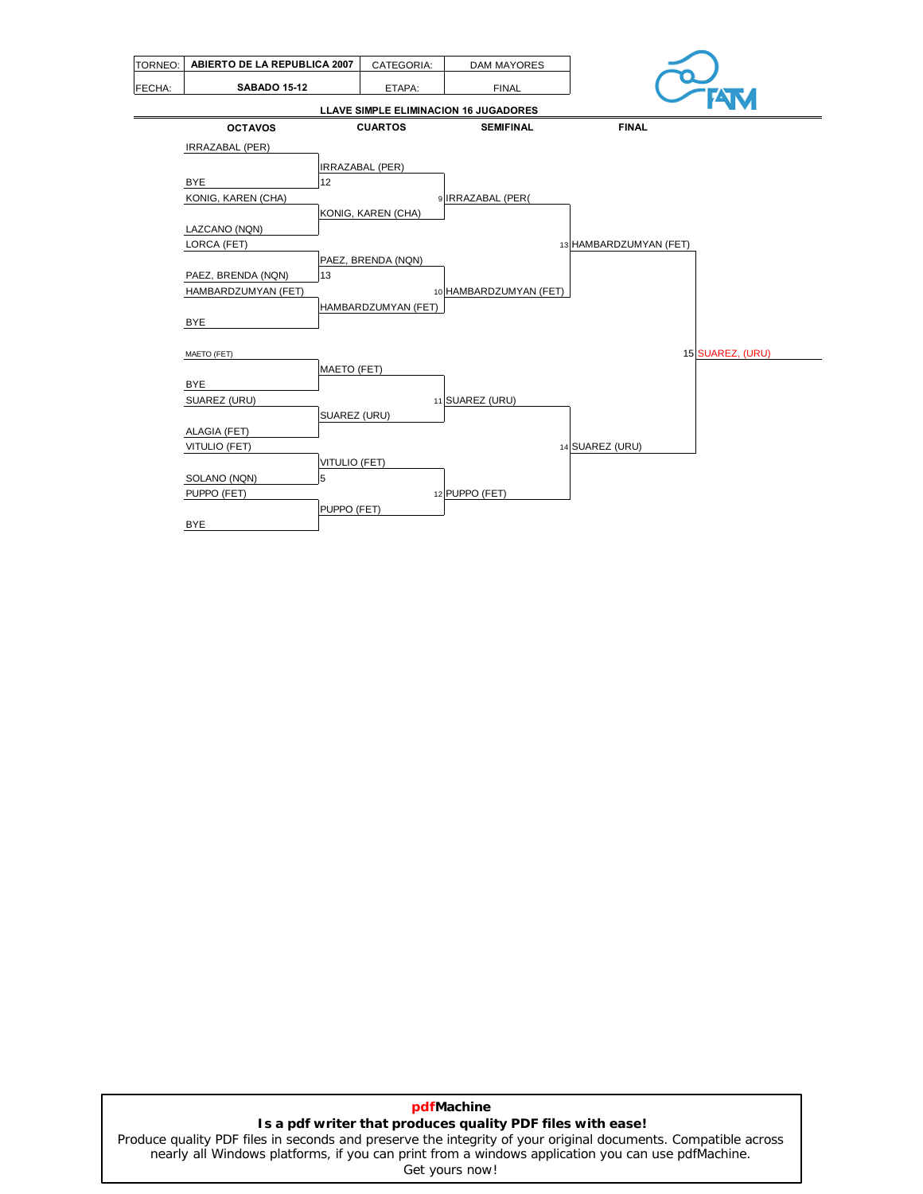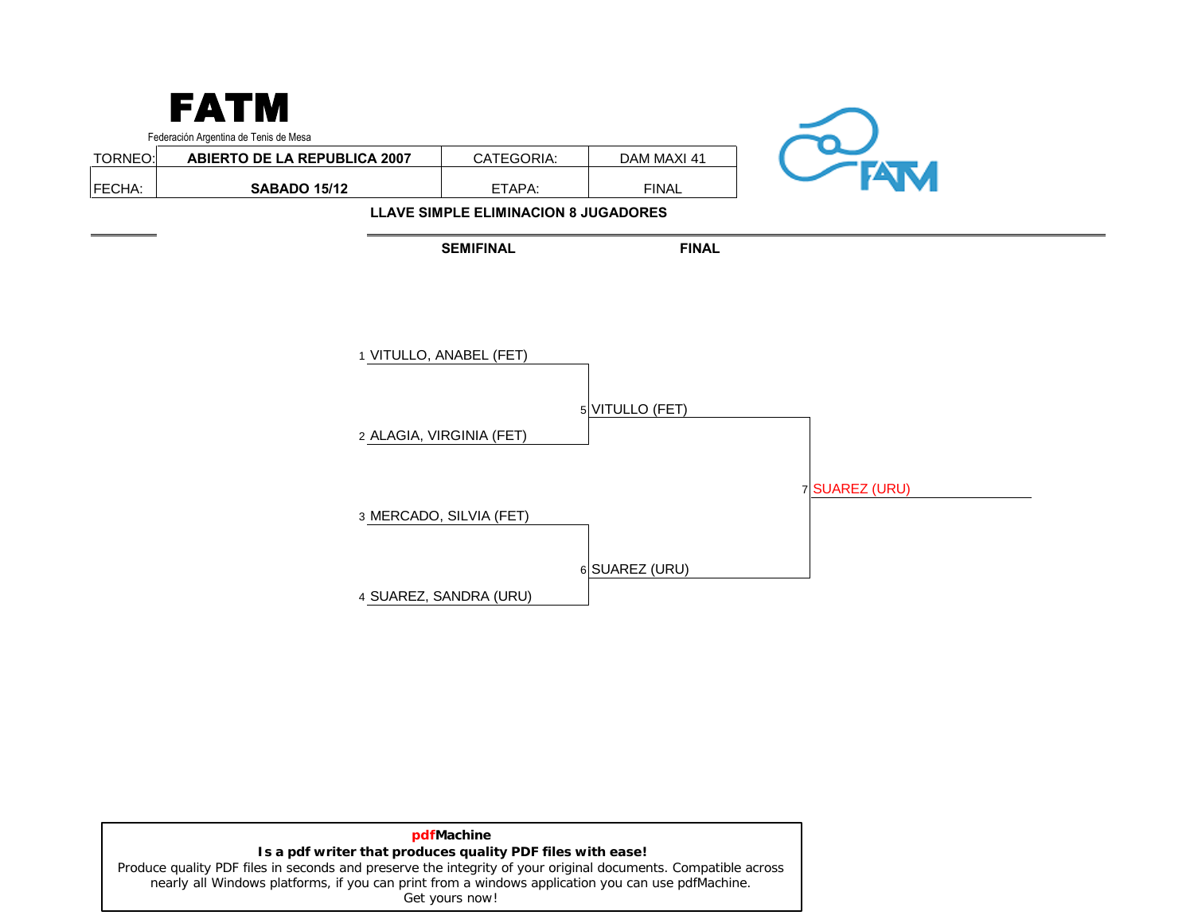|         | <b>FATM</b><br>Federación Argentina de Tenis de Mesa |                                                     |                 |                |
|---------|------------------------------------------------------|-----------------------------------------------------|-----------------|----------------|
| TORNEO: | <b>ABIERTO DE LA REPUBLICA 2007</b>                  | CATEGORIA:                                          | DAM MAXI 41     |                |
| FECHA:  | <b>SABADO 15/12</b>                                  | ETAPA:                                              | <b>FINAL</b>    | <b>FATM</b>    |
|         |                                                      | <b>LLAVE SIMPLE ELIMINACION 8 JUGADORES</b>         |                 |                |
|         |                                                      | <b>SEMIFINAL</b>                                    | <b>FINAL</b>    |                |
|         |                                                      | 1 VITULLO, ANABEL (FET)<br>2 ALAGIA, VIRGINIA (FET) | 5 VITULLO (FET) |                |
|         |                                                      | 3 MERCADO, SILVIA (FET)                             | 6 SUAREZ (URU)  | 7 SUAREZ (URU) |
|         |                                                      | 4 SUAREZ, SANDRA (URU)                              |                 |                |

| pdfMachine                                                                                                    |
|---------------------------------------------------------------------------------------------------------------|
| Is a pdf writer that produces quality PDF files with ease!                                                    |
| Produce quality PDF files in seconds and preserve the integrity of your original documents. Compatible across |
| nearly all Windows platforms, if you can print from a windows application you can use pdfMachine.             |
| Get yours now!                                                                                                |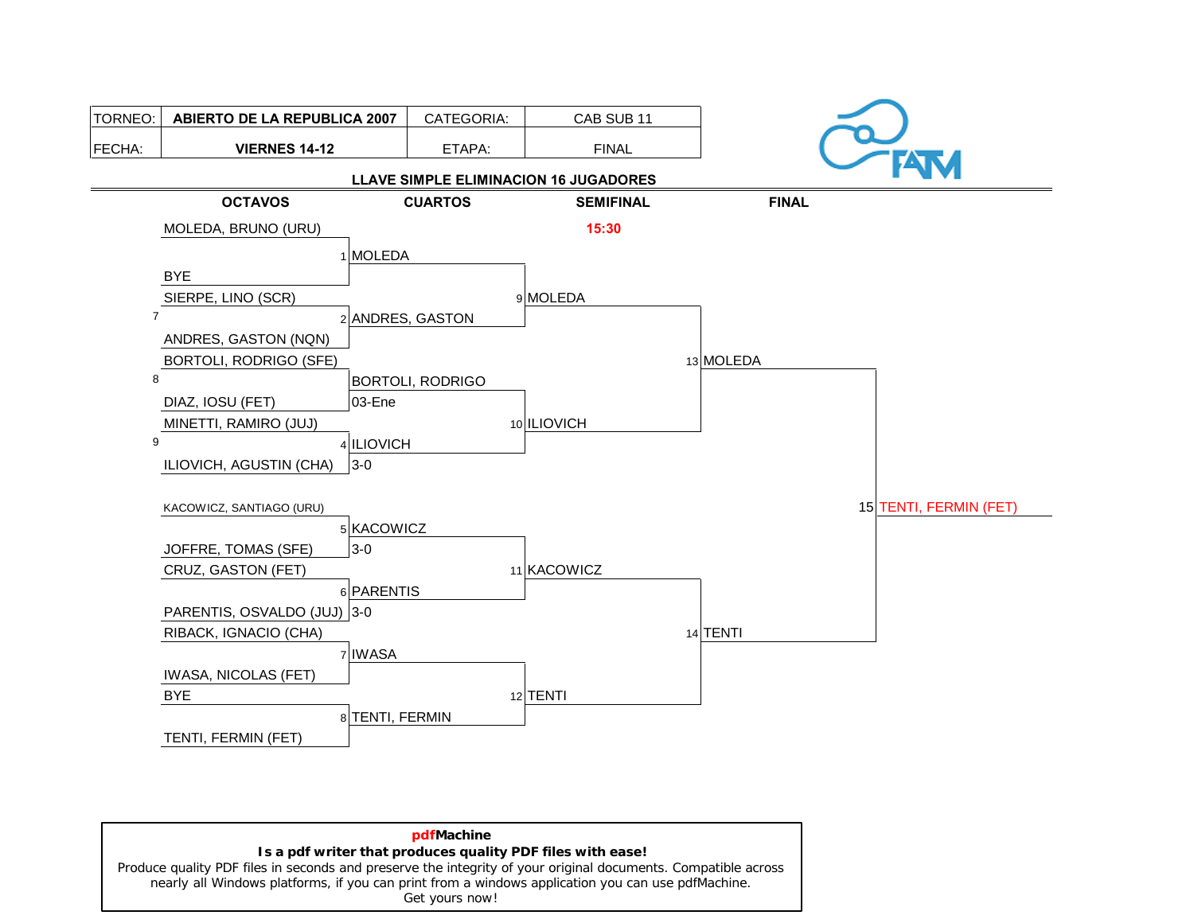

**pdfMachine Is a pdf writer that produces quality PDF files with ease!** [Produce quality PDF files in seconds and preserve the integrity of your original documents. Compatible across](http://www.pdfmachine.com?cl)  nearly all Windows platforms, if you can print from a windows application you can use pdfMachine. Get yours now!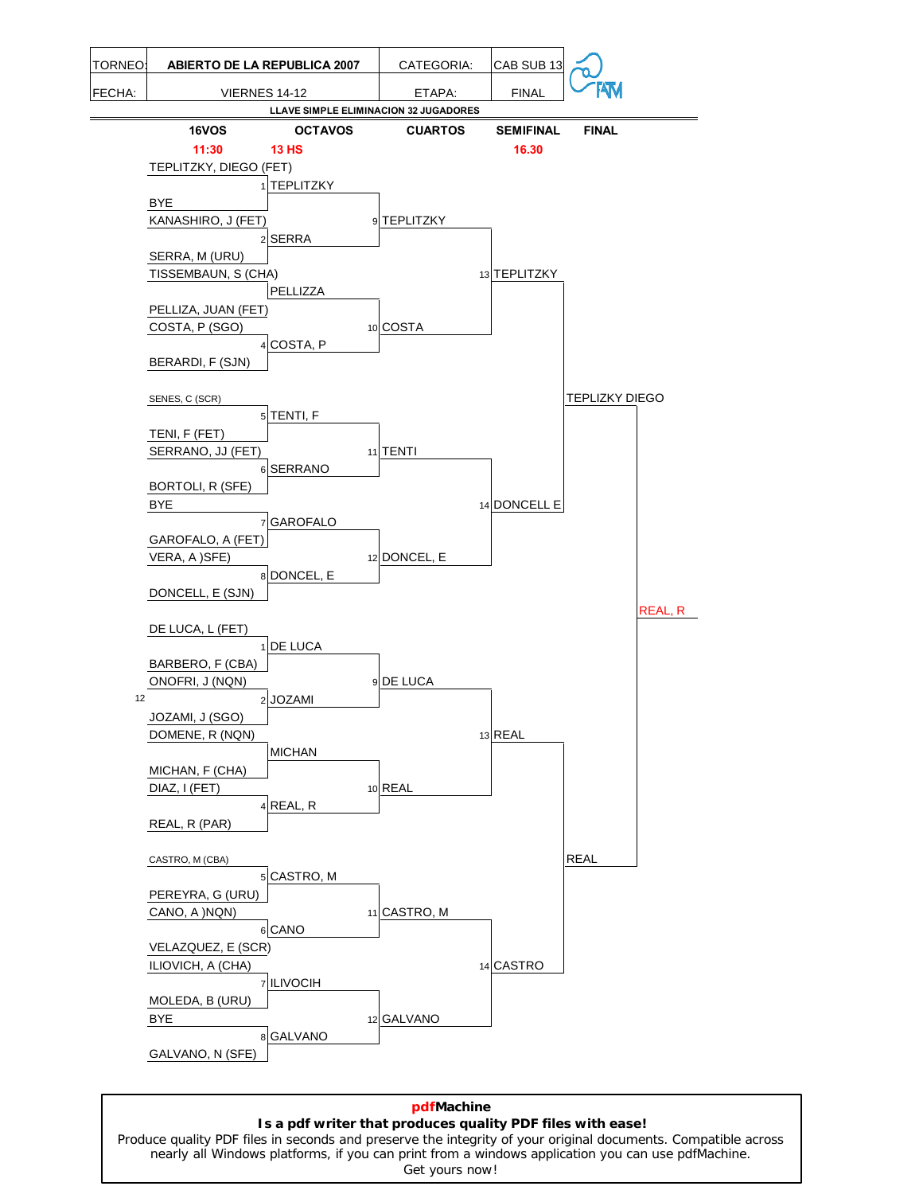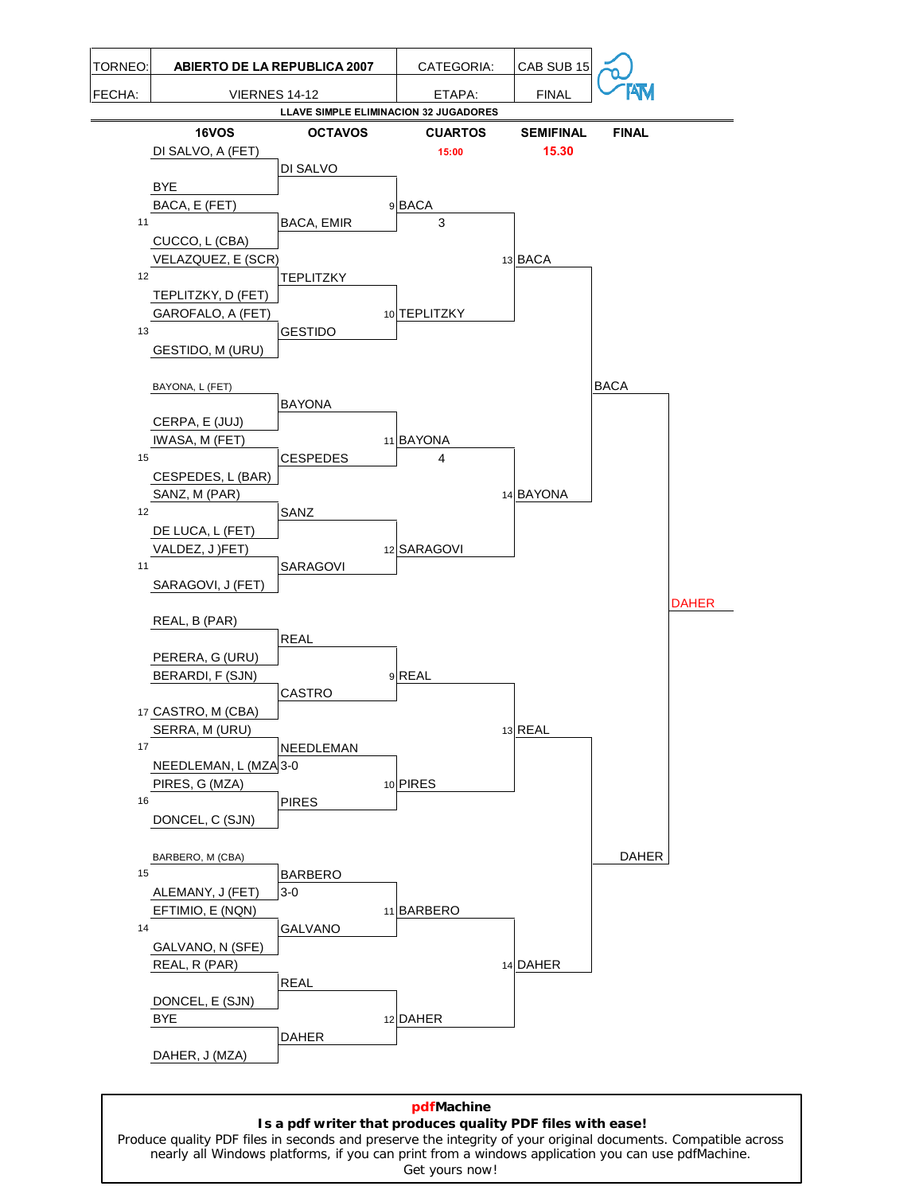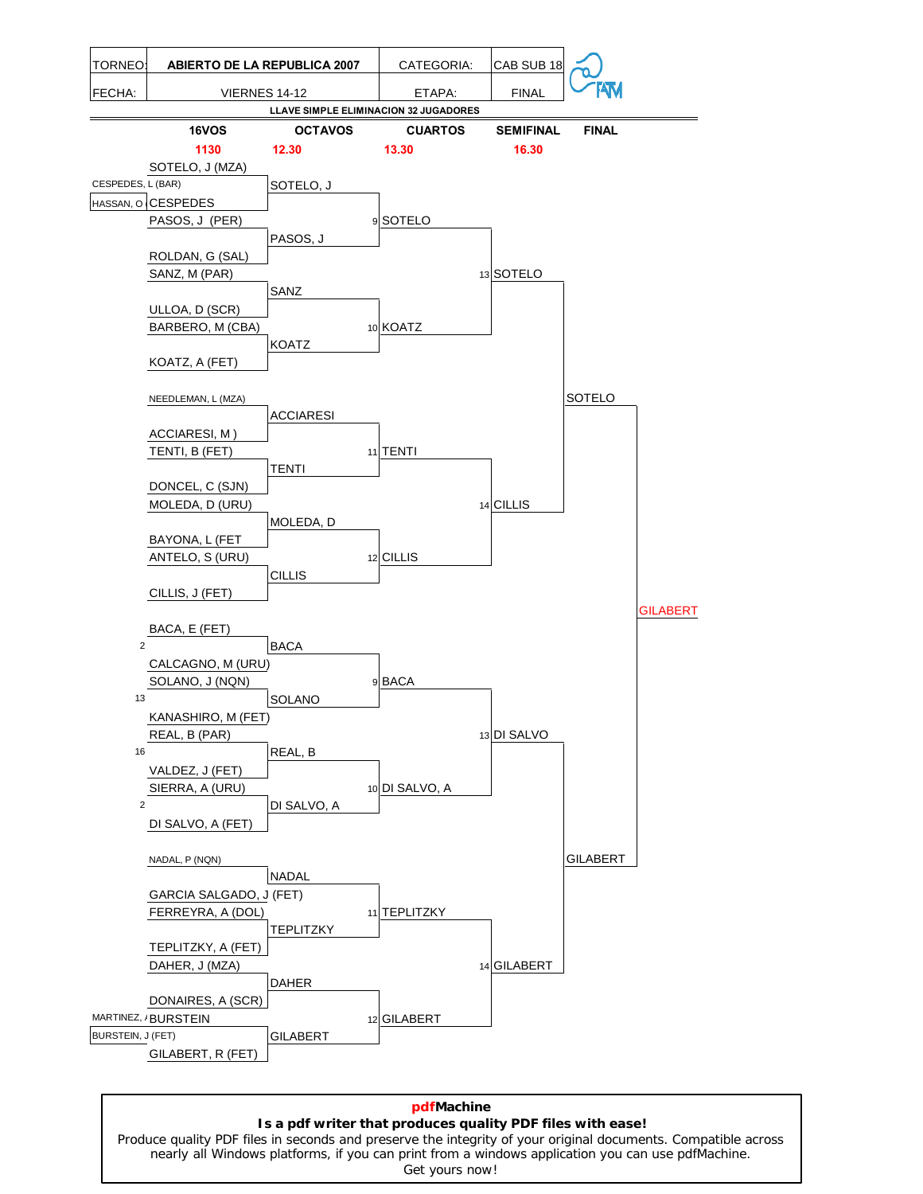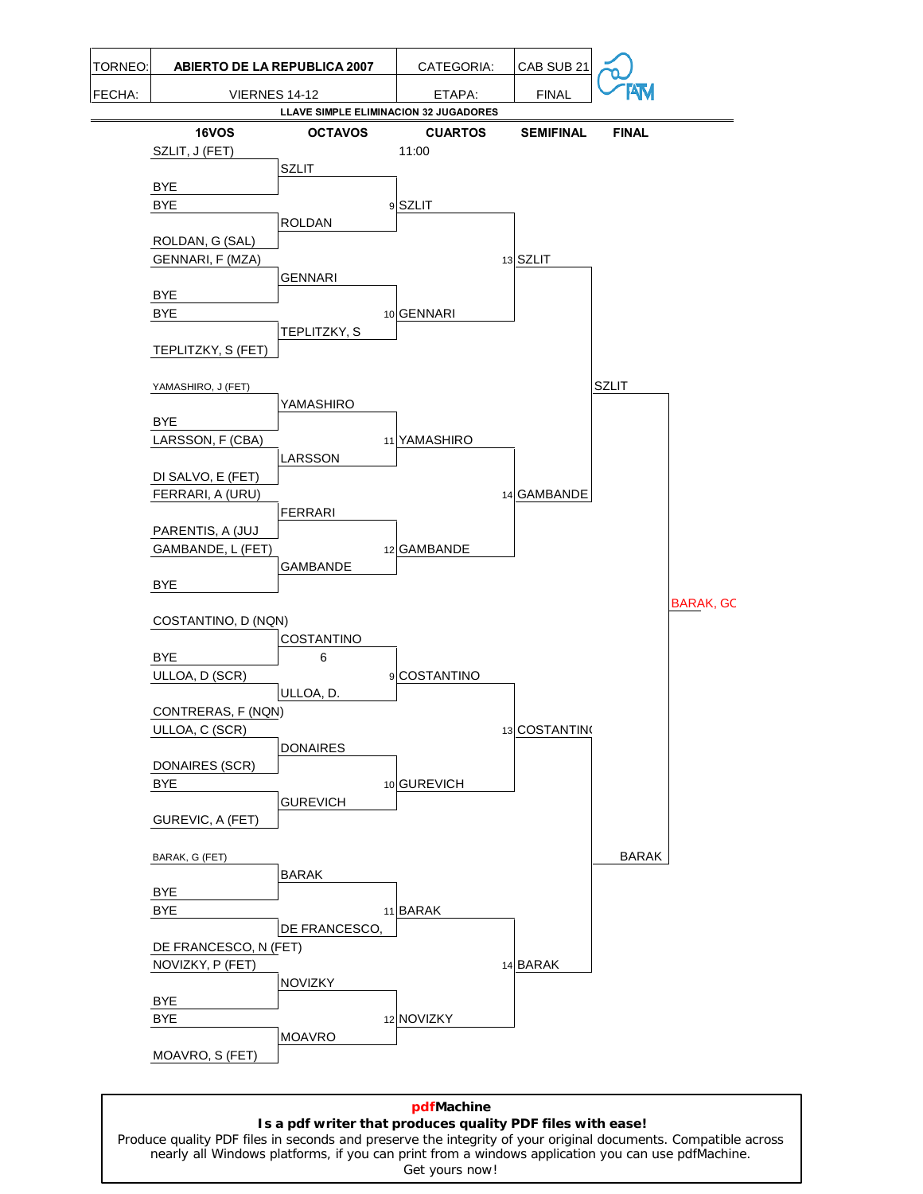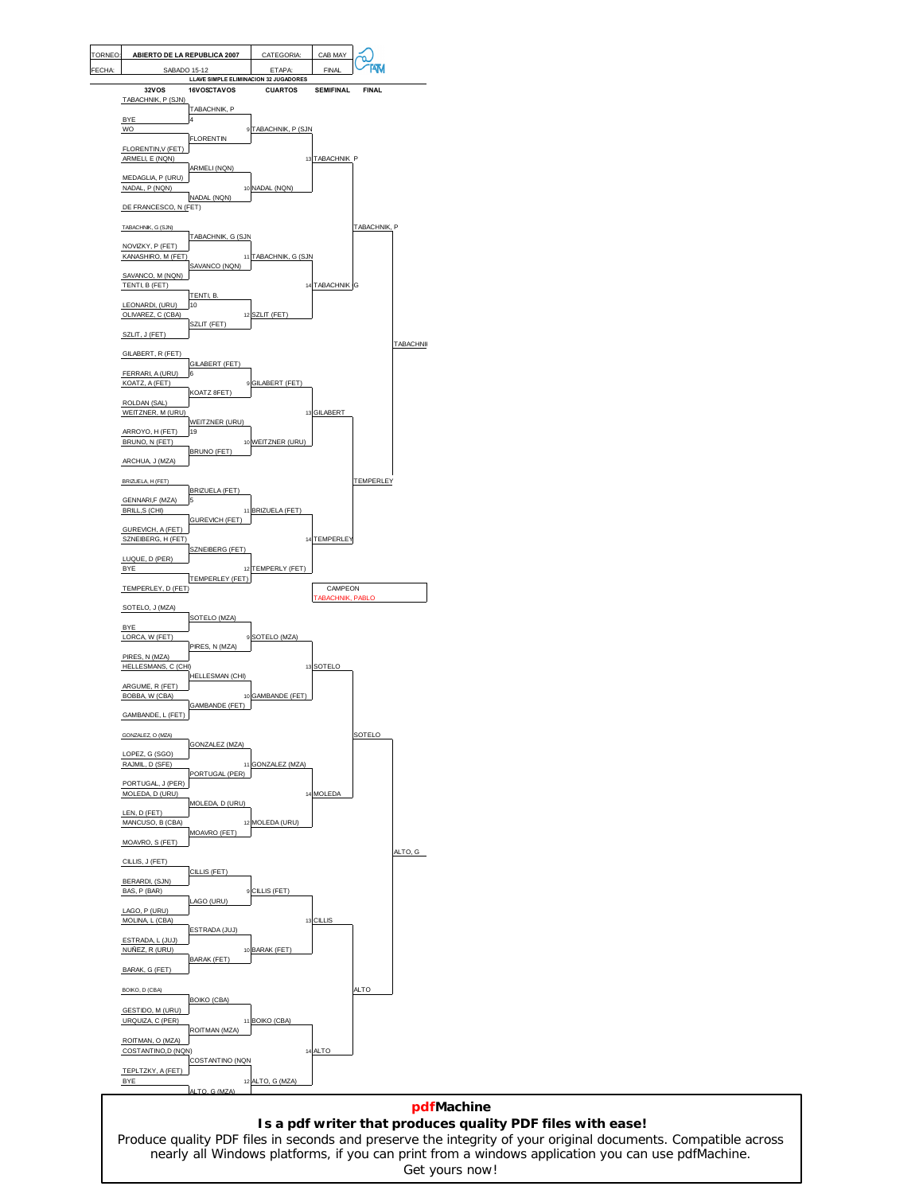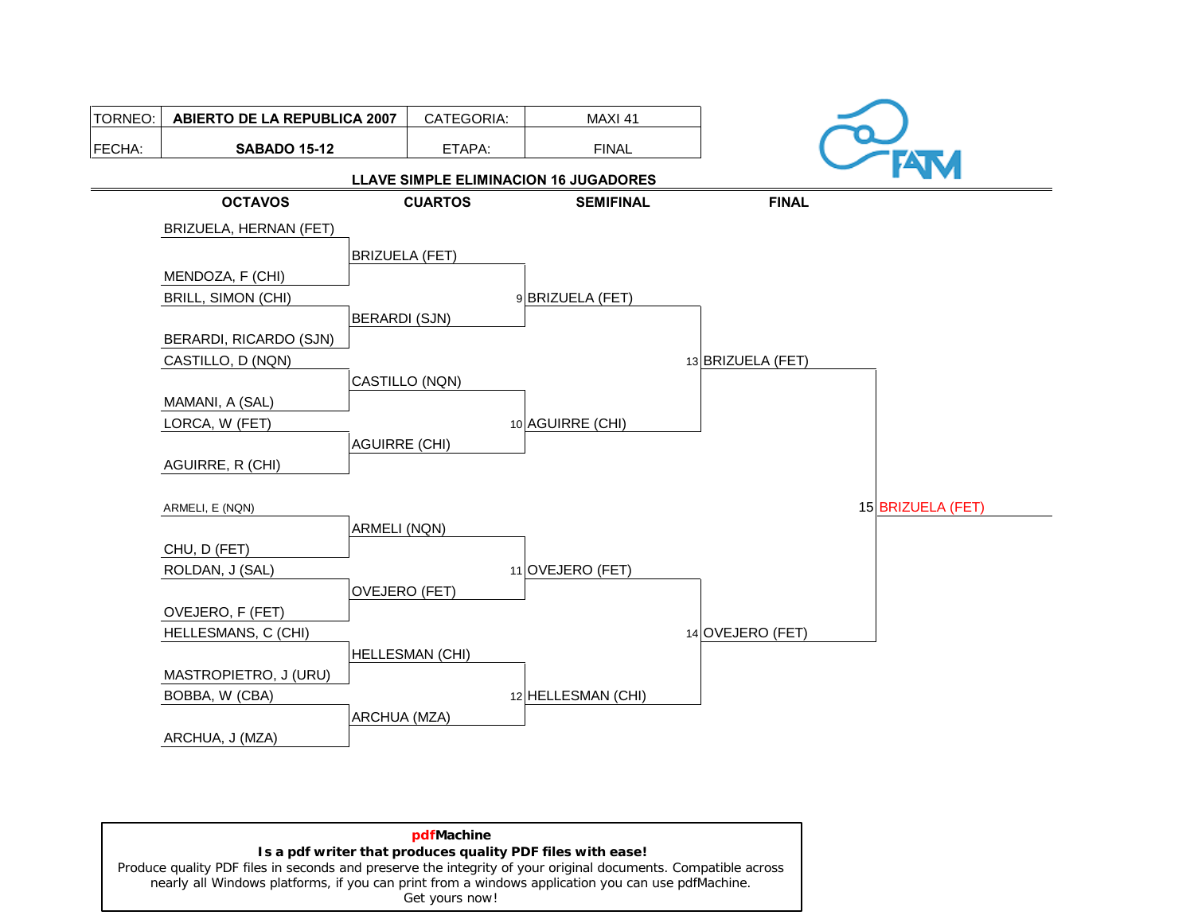

**pdfMachine Is a pdf writer that produces quality PDF files with ease!** [Produce quality PDF files in seconds and preserve the integrity of your original documents. Compatible across](http://www.pdfmachine.com?cl)  nearly all Windows platforms, if you can print from a windows application you can use pdfMachine. Get yours now!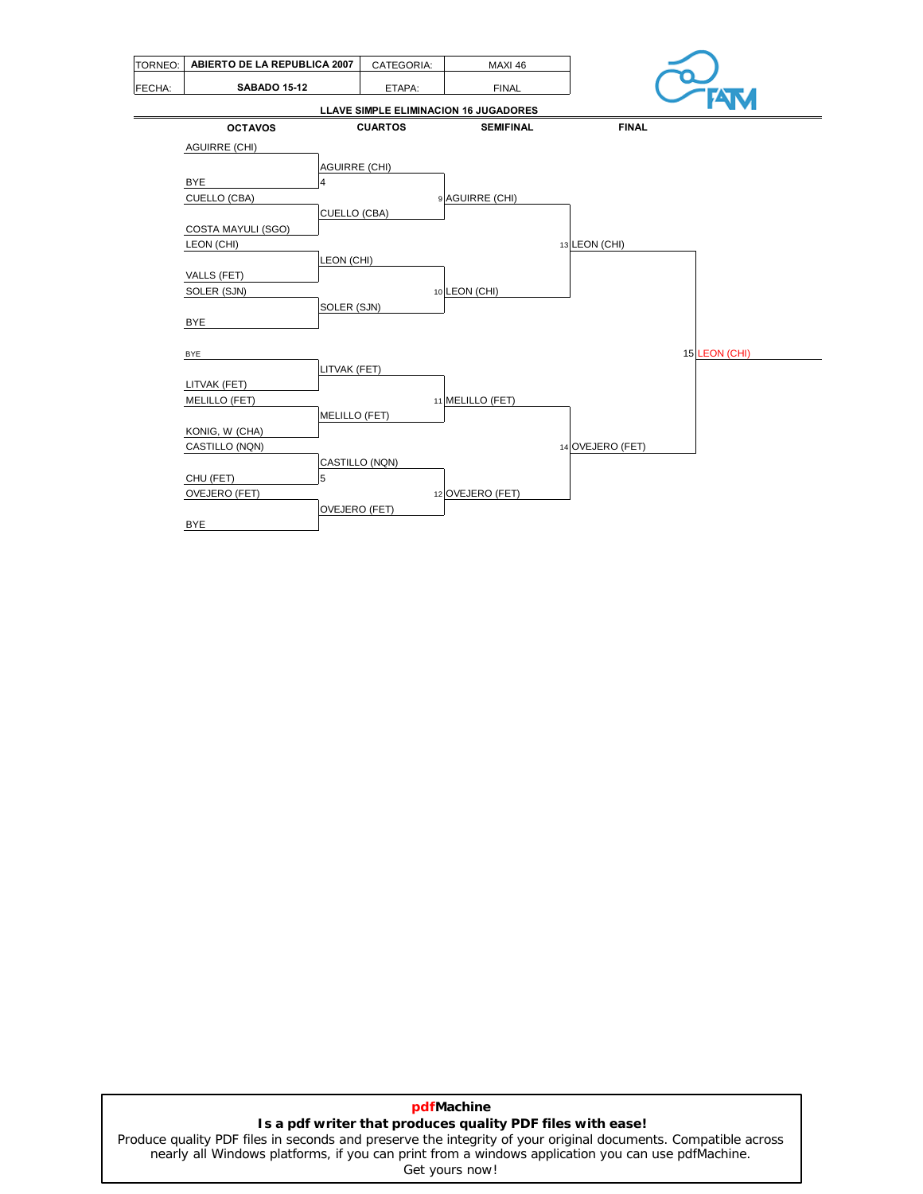| TORNEO: | ABIERTO DE LA REPUBLICA 2007 |                      | CATEGORIA:     | MAXI 46                               |                  |
|---------|------------------------------|----------------------|----------------|---------------------------------------|------------------|
| FECHA:  | <b>SABADO 15-12</b>          |                      | ETAPA:         | <b>FINAL</b>                          |                  |
|         |                              |                      |                | LLAVE SIMPLE ELIMINACION 16 JUGADORES | <b>FATVI</b>     |
|         | <b>OCTAVOS</b>               |                      | <b>CUARTOS</b> | <b>SEMIFINAL</b>                      | <b>FINAL</b>     |
|         | <b>AGUIRRE (CHI)</b>         |                      |                |                                       |                  |
|         |                              | <b>AGUIRRE (CHI)</b> |                |                                       |                  |
|         | <b>BYE</b>                   | 4                    |                |                                       |                  |
|         | CUELLO (CBA)                 |                      |                | 9 AGUIRRE (CHI)                       |                  |
|         |                              | <b>CUELLO (CBA)</b>  |                |                                       |                  |
|         | COSTA MAYULI (SGO)           |                      |                |                                       |                  |
|         | LEON (CHI)                   |                      |                |                                       | 13 LEON (CHI)    |
|         |                              | LEON (CHI)           |                |                                       |                  |
|         | VALLS (FET)                  |                      |                |                                       |                  |
|         | SOLER (SJN)                  |                      |                | 10 LEON (CHI)                         |                  |
|         |                              | SOLER (SJN)          |                |                                       |                  |
|         | <b>BYE</b>                   |                      |                |                                       |                  |
|         | <b>BYE</b>                   |                      |                |                                       | 15 LEON (CHI)    |
|         |                              | LITVAK (FET)         |                |                                       |                  |
|         | LITVAK (FET)                 |                      |                |                                       |                  |
|         | <b>MELILLO (FET)</b>         |                      |                | 11 MELILLO (FET)                      |                  |
|         |                              | <b>MELILLO (FET)</b> |                |                                       |                  |
|         | KONIG, W (CHA)               |                      |                |                                       |                  |
|         | CASTILLO (NQN)               |                      |                |                                       | 14 OVEJERO (FET) |
|         |                              | CASTILLO (NQN)       |                |                                       |                  |
|         | CHU (FET)                    | 5                    |                |                                       |                  |
|         | OVEJERO (FET)                |                      |                | 12 OVEJERO (FET)                      |                  |
|         |                              | OVEJERO (FET)        |                |                                       |                  |
|         | <b>BYE</b>                   |                      |                |                                       |                  |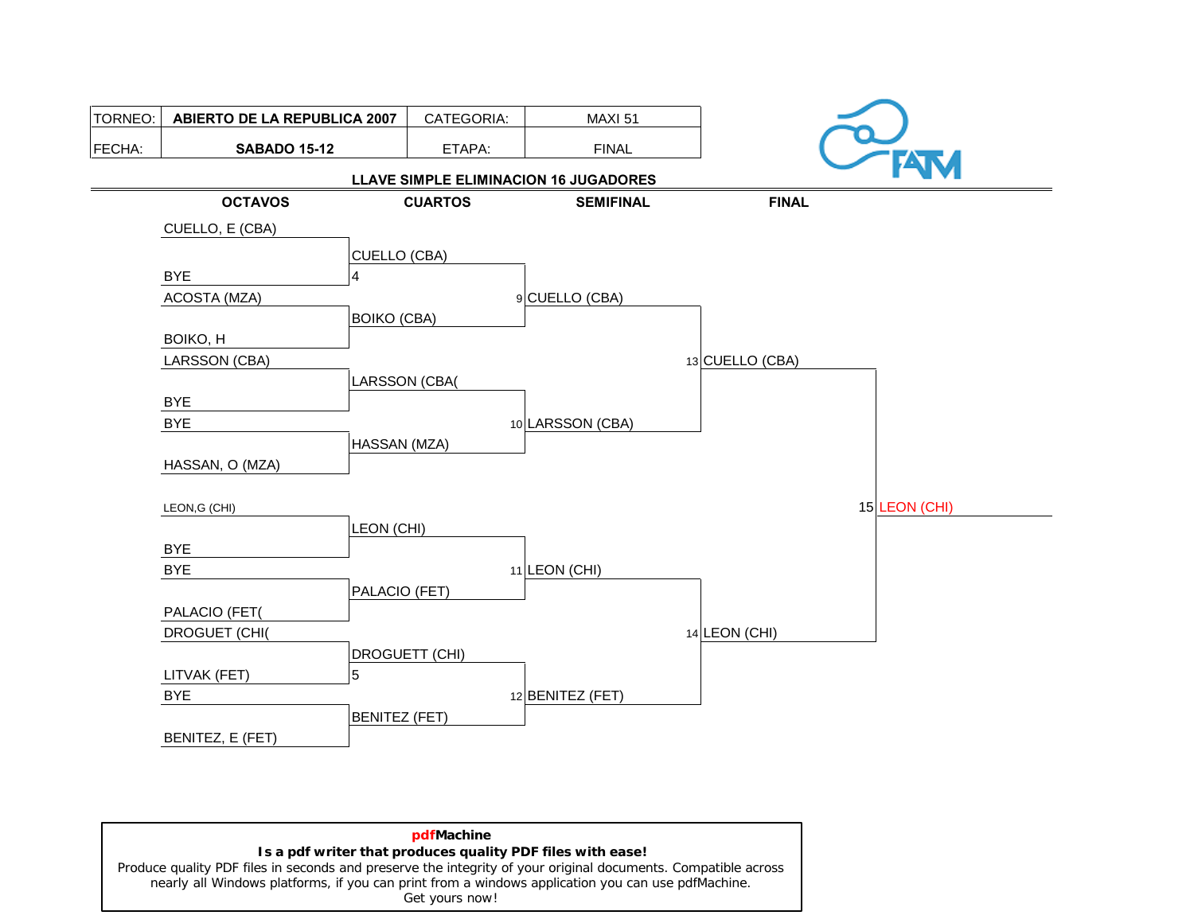

| pdfMachine                                                                                                    |
|---------------------------------------------------------------------------------------------------------------|
| Is a pdf writer that produces quality PDF files with ease!                                                    |
| Produce quality PDF files in seconds and preserve the integrity of your original documents. Compatible across |
| nearly all Windows platforms, if you can print from a windows application you can use pdfMachine.             |
| Get yours now!                                                                                                |
|                                                                                                               |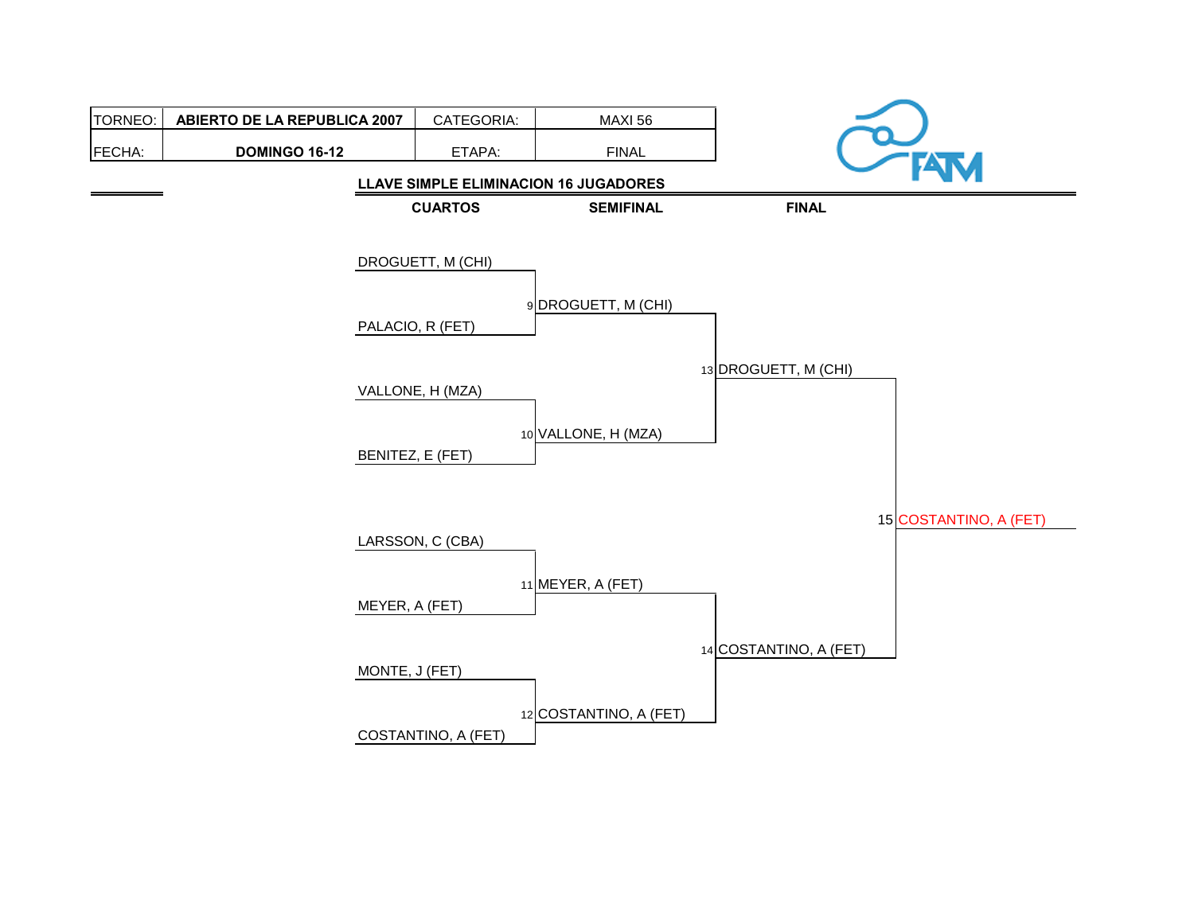